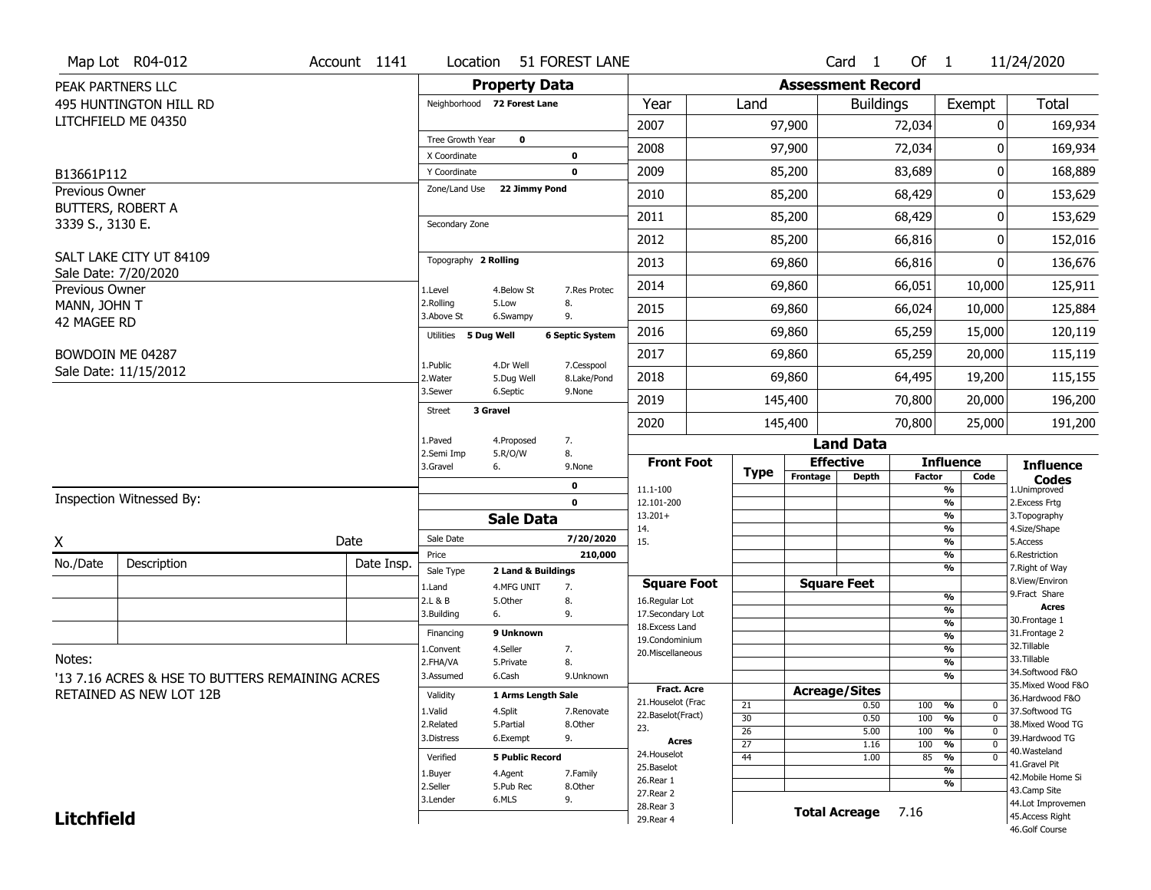|                             | Map Lot R04-012                                 | Account 1141 | Location                     | 51 FOREST LANE         |                        |                                      |                       |                          | Card <sub>1</sub>    | Of 1          |                                 | 11/24/2020                           |
|-----------------------------|-------------------------------------------------|--------------|------------------------------|------------------------|------------------------|--------------------------------------|-----------------------|--------------------------|----------------------|---------------|---------------------------------|--------------------------------------|
|                             | PEAK PARTNERS LLC                               |              |                              | <b>Property Data</b>   |                        |                                      |                       | <b>Assessment Record</b> |                      |               |                                 |                                      |
|                             | 495 HUNTINGTON HILL RD                          |              | Neighborhood 72 Forest Lane  |                        |                        | Year                                 | Land                  |                          | <b>Buildings</b>     |               | Exempt                          | <b>Total</b>                         |
|                             | LITCHFIELD ME 04350                             |              |                              |                        |                        | 2007                                 |                       | 97,900                   |                      | 72,034        | 0                               | 169,934                              |
|                             |                                                 |              | Tree Growth Year             | $\mathbf 0$            |                        | 2008                                 |                       | 97,900                   |                      | 72,034        | O                               | 169,934                              |
| B13661P112                  |                                                 |              | X Coordinate<br>Y Coordinate |                        | 0<br>$\mathbf 0$       | 2009                                 |                       | 85,200                   |                      | 83,689        | 0                               | 168,889                              |
| Previous Owner              |                                                 |              | Zone/Land Use                | 22 Jimmy Pond          |                        | 2010                                 |                       | 85,200                   |                      | 68,429        | 0                               | 153,629                              |
|                             | <b>BUTTERS, ROBERT A</b>                        |              |                              |                        |                        | 2011                                 |                       | 85,200                   |                      | 68,429        | 0                               | 153,629                              |
| 3339 S., 3130 E.            |                                                 |              | Secondary Zone               |                        |                        |                                      |                       |                          |                      |               |                                 |                                      |
|                             | SALT LAKE CITY UT 84109                         |              |                              |                        |                        | 2012                                 |                       | 85,200                   |                      | 66,816        | 0                               | 152,016                              |
|                             | Sale Date: 7/20/2020                            |              | Topography 2 Rolling         |                        |                        | 2013                                 |                       | 69,860                   |                      | 66,816        | 0                               | 136,676                              |
| Previous Owner              |                                                 |              | 1.Level                      | 4.Below St             | 7.Res Protec           | 2014                                 |                       | 69,860                   |                      | 66,051        | 10,000                          | 125,911                              |
| MANN, JOHN T<br>42 MAGEE RD |                                                 |              | 2.Rolling<br>3.Above St      | 5.Low<br>6.Swampy      | 8.<br>9.               | 2015                                 |                       | 69,860                   |                      | 66,024        | 10,000                          | 125,884                              |
|                             |                                                 |              | Utilities 5 Dug Well         |                        | <b>6 Septic System</b> | 2016                                 |                       | 69,860                   |                      | 65,259        | 15,000                          | 120,119                              |
|                             | BOWDOIN ME 04287                                |              | 1.Public                     | 4.Dr Well              | 7.Cesspool             | 2017                                 |                       | 69,860                   |                      | 65,259        | 20,000                          | 115,119                              |
|                             | Sale Date: 11/15/2012                           |              | 2. Water                     | 5.Dug Well             | 8.Lake/Pond            | 2018                                 |                       | 69,860                   |                      | 64,495        | 19,200                          | 115,155                              |
|                             |                                                 |              | 3.Sewer                      | 6.Septic               | 9.None                 | 2019                                 |                       | 145,400                  |                      | 70,800        | 20,000                          | 196,200                              |
|                             |                                                 |              | 3 Gravel<br><b>Street</b>    |                        |                        | 2020                                 |                       | 145,400                  |                      | 70,800        | 25,000                          | 191,200                              |
|                             |                                                 |              | 1.Paved                      | 4.Proposed             | 7.                     |                                      |                       |                          | <b>Land Data</b>     |               |                                 |                                      |
|                             |                                                 |              | 2.Semi Imp<br>3.Gravel<br>6. | 5.R/O/W                | 8.<br>9.None           | <b>Front Foot</b>                    |                       | <b>Effective</b>         |                      |               | <b>Influence</b>                | <b>Influence</b>                     |
|                             |                                                 |              |                              |                        | 0                      | 11.1-100                             | <b>Type</b>           | Frontage                 | <b>Depth</b>         | <b>Factor</b> | Code<br>%                       | <b>Codes</b><br>1.Unimproved         |
|                             | Inspection Witnessed By:                        |              |                              |                        | $\mathbf 0$            | 12.101-200                           |                       |                          |                      |               | %                               | 2.Excess Frtg                        |
|                             |                                                 |              |                              | <b>Sale Data</b>       |                        | $13.201+$<br>14.                     |                       |                          |                      |               | %<br>%                          | 3. Topography<br>4.Size/Shape        |
| χ                           |                                                 | Date         | Sale Date                    |                        | 7/20/2020              |                                      |                       |                          |                      |               |                                 | 5.Access                             |
| No./Date                    |                                                 |              |                              |                        |                        | 15.                                  |                       |                          |                      |               | %                               |                                      |
|                             |                                                 |              | Price                        |                        | 210,000                |                                      |                       |                          |                      |               | %                               | 6.Restriction                        |
|                             | Description                                     | Date Insp.   | Sale Type                    | 2 Land & Buildings     |                        |                                      |                       |                          |                      |               | %                               | 7. Right of Way<br>8.View/Environ    |
|                             |                                                 |              | 1.Land<br>2.L & B            | 4.MFG UNIT<br>5.Other  | 7.<br>8.               | <b>Square Foot</b><br>16.Regular Lot |                       |                          | <b>Square Feet</b>   |               | %                               | 9. Fract Share                       |
|                             |                                                 |              | 3.Building<br>6.             |                        | 9.                     | 17.Secondary Lot                     |                       |                          |                      |               | %                               | <b>Acres</b><br>30. Frontage 1       |
|                             |                                                 |              | Financing                    | 9 Unknown              |                        | 18. Excess Land                      |                       |                          |                      |               | $\frac{9}{6}$<br>$\frac{9}{6}$  | 31. Frontage 2                       |
|                             |                                                 |              | 1.Convent                    | 4.Seller               | 7.                     | 19.Condominium<br>20.Miscellaneous   |                       |                          |                      |               | $\frac{9}{6}$                   | 32.Tillable                          |
| Notes:                      |                                                 |              | 2.FHA/VA                     | 5.Private              | 8.                     |                                      |                       |                          |                      |               | $\overline{\frac{9}{6}}$        | 33.Tillable                          |
|                             | '13 7.16 ACRES & HSE TO BUTTERS REMAINING ACRES |              | 3.Assumed                    | 6.Cash                 | 9.Unknown              |                                      |                       |                          |                      |               | $\frac{9}{6}$                   | 34.Softwood F&O                      |
|                             | RETAINED AS NEW LOT 12B                         |              | Validity                     | 1 Arms Length Sale     |                        | <b>Fract. Acre</b>                   |                       | <b>Acreage/Sites</b>     |                      |               |                                 | 35. Mixed Wood F&O                   |
|                             |                                                 |              | 1.Valid                      | 4.Split                | 7.Renovate             | 21. Houselot (Frac                   | 21                    |                          | 0.50                 | 100           | %<br>$\mathbf 0$                | 36.Hardwood F&O<br>37.Softwood TG    |
|                             |                                                 |              | 2.Related                    | 5.Partial              | 8.Other                | 22.Baselot(Fract)<br>23.             | 30                    |                          | 0.50                 | 100           | %<br>$\mathbf 0$                | 38. Mixed Wood TG                    |
|                             |                                                 |              | 3.Distress                   | 6.Exempt               | 9.                     | <b>Acres</b>                         | $\overline{26}$       |                          | 5.00                 | 100           | %<br>$\mathbf 0$<br>$\mathbf 0$ | 39.Hardwood TG                       |
|                             |                                                 |              | Verified                     | <b>5 Public Record</b> |                        | 24. Houselot                         | $\overline{27}$<br>44 |                          | 1.16<br>1.00         | 100<br>85     | %<br>%<br>$\mathbf 0$           | 40. Wasteland                        |
|                             |                                                 |              |                              |                        |                        | 25.Baselot                           |                       |                          |                      |               | %                               | 41.Gravel Pit                        |
|                             |                                                 |              | 1.Buyer<br>2.Seller          | 4.Agent<br>5.Pub Rec   | 7.Family<br>8.Other    | 26.Rear 1                            |                       |                          |                      |               | %                               | 42. Mobile Home Si                   |
|                             |                                                 |              | 3.Lender                     | 6.MLS                  | 9.                     | 27.Rear 2                            |                       |                          |                      |               |                                 | 43.Camp Site                         |
| <b>Litchfield</b>           |                                                 |              |                              |                        |                        | 28. Rear 3<br>29. Rear 4             |                       |                          | <b>Total Acreage</b> | 7.16          |                                 | 44.Lot Improvemen<br>45.Access Right |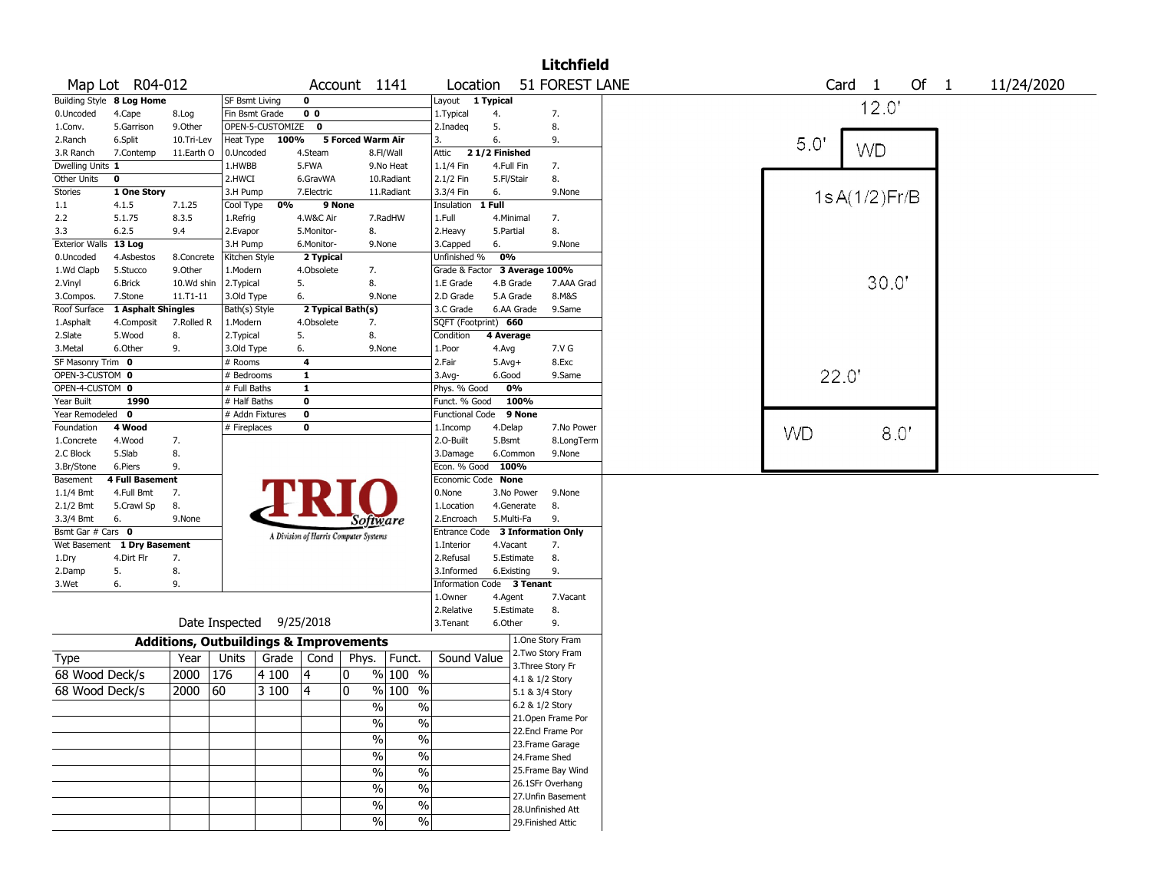|                       |                           |                                                   |                       |                          |                |                                       |                          |                         |               |                    | <b>Litchfield</b>  |           |       |              |    |                |            |  |
|-----------------------|---------------------------|---------------------------------------------------|-----------------------|--------------------------|----------------|---------------------------------------|--------------------------|-------------------------|---------------|--------------------|--------------------|-----------|-------|--------------|----|----------------|------------|--|
|                       | Map Lot R04-012           |                                                   |                       |                          |                | Account 1141                          |                          | Location                |               |                    | 51 FOREST LANE     |           | Card  | 1            | Of | $\overline{1}$ | 11/24/2020 |  |
|                       | Building Style 8 Log Home |                                                   | <b>SF Bsmt Living</b> |                          | $\bf{0}$       |                                       |                          | Layout 1 Typical        |               |                    |                    |           |       | 12.0'        |    |                |            |  |
| 0.Uncoded             | 4.Cape                    | 8.Log                                             | Fin Bsmt Grade        |                          | 0 <sub>0</sub> |                                       |                          | 1.Typical               | 4.            |                    | 7.                 |           |       |              |    |                |            |  |
| 1.Conv.               | 5.Garrison                | 9.0ther                                           |                       | OPEN-5-CUSTOMIZE         | 0              |                                       |                          | 2.Inadeq                | 5.            |                    | 8.                 |           |       |              |    |                |            |  |
| 2.Ranch               | 6.Split                   | 10.Tri-Lev                                        | Heat Type             | 100%                     |                | 5 Forced Warm Air                     |                          | 3.                      | 6.            |                    | 9.                 | 5.0'      |       |              |    |                |            |  |
| 3.R Ranch             | 7.Contemp                 | 11.Earth O                                        | 0.Uncoded             |                          | 4.Steam        |                                       | 8.Fl/Wall                | Attic                   | 21/2 Finished |                    |                    |           |       | <b>WD</b>    |    |                |            |  |
| Dwelling Units 1      |                           |                                                   | 1.HWBB                |                          | 5.FWA          |                                       | 9.No Heat                | 1.1/4 Fin               | 4.Full Fin    |                    | 7.                 |           |       |              |    |                |            |  |
| Other Units           | 0                         |                                                   | 2.HWCI                |                          | 6.GravWA       |                                       | 10.Radiant               | 2.1/2 Fin               | 5.Fl/Stair    |                    | 8.                 |           |       |              |    |                |            |  |
| <b>Stories</b>        | 1 One Story               |                                                   | 3.H Pump              |                          | 7.Electric     |                                       | 11.Radiant               | 3.3/4 Fin               | 6.            |                    | 9.None             |           |       | 1sA(1/2)Fr/B |    |                |            |  |
| 1.1                   | 4.1.5                     | 7.1.25                                            | Cool Type             | 0%                       |                | 9 None                                |                          | Insulation              | 1 Full        |                    |                    |           |       |              |    |                |            |  |
| 2.2                   | 5.1.75                    | 8.3.5                                             | 1.Refrig              |                          | 4.W&C Air      |                                       | 7.RadHW                  | 1.Full                  | 4.Minimal     |                    | 7.                 |           |       |              |    |                |            |  |
| 3.3                   | 6.2.5                     | 9.4                                               | 2.Evapor              |                          | 5.Monitor-     | 8.                                    |                          | 2. Heavy                | 5.Partial     |                    | 8.                 |           |       |              |    |                |            |  |
| Exterior Walls 13 Log |                           |                                                   | 3.H Pump              |                          | 6.Monitor-     |                                       | 9.None                   | 3.Capped                | 6.            |                    | 9.None             |           |       |              |    |                |            |  |
| 0.Uncoded             | 4.Asbestos                | 8.Concrete                                        | Kitchen Style         |                          | 2 Typical      |                                       |                          | Unfinished %            | 0%            |                    |                    |           |       |              |    |                |            |  |
| 1.Wd Clapb            | 5.Stucco                  | 9.Other                                           | 1.Modern              |                          | 4.Obsolete     | 7.                                    |                          | Grade & Factor          |               | 3 Average 100%     |                    |           |       |              |    |                |            |  |
| 2.Vinyl               | 6.Brick                   | 10.Wd shin                                        | 2.Typical             |                          | 5.             | 8.                                    |                          | 1.E Grade               | 4.B Grade     |                    | 7.AAA Grad         |           |       | 30.0"        |    |                |            |  |
| 3.Compos.             | 7.Stone                   | 11.T1-11                                          | 3.Old Type            |                          | 6.             |                                       | 9.None                   | 2.D Grade               | 5.A Grade     |                    | 8.M&S              |           |       |              |    |                |            |  |
| Roof Surface          | 1 Asphalt Shingles        |                                                   | Bath(s) Style         |                          |                | 2 Typical Bath(s)                     |                          | 3.C Grade               | 6.AA Grade    |                    | 9.Same             |           |       |              |    |                |            |  |
| 1.Asphalt             | 4.Composit                | 7.Rolled R                                        | 1.Modern              |                          | 4.Obsolete     | 7.                                    |                          | SQFT (Footprint) 660    |               |                    |                    |           |       |              |    |                |            |  |
| 2.Slate               | 5.Wood                    | 8.                                                | 2. Typical            |                          | 5.             | 8.                                    |                          | Condition               | 4 Average     |                    |                    |           |       |              |    |                |            |  |
| 3.Metal               | 6.Other                   | 9.                                                | 3.Old Type            |                          | 6.             |                                       | 9.None                   | 1.Poor                  | 4.Avg         |                    | 7.V G              |           |       |              |    |                |            |  |
| SF Masonry Trim 0     |                           |                                                   | # Rooms               |                          | 4              |                                       |                          | 2.Fair                  | $5.Avg+$      |                    | 8.Exc              |           |       |              |    |                |            |  |
| OPEN-3-CUSTOM 0       |                           |                                                   | # Bedrooms            |                          | $\mathbf{1}$   |                                       |                          | 3.Avg-                  | 6.Good        |                    | 9.Same             |           | 22.0" |              |    |                |            |  |
| OPEN-4-CUSTOM 0       |                           |                                                   | # Full Baths          |                          | 1              |                                       |                          | Phys. % Good            | 0%            |                    |                    |           |       |              |    |                |            |  |
| Year Built            | 1990                      |                                                   | # Half Baths          |                          | $\bf o$        |                                       |                          | Funct. % Good           |               | 100%               |                    |           |       |              |    |                |            |  |
| Year Remodeled        | $\mathbf 0$               |                                                   |                       | # Addn Fixtures          | $\pmb{0}$      |                                       |                          | Functional Code         |               | 9 None             |                    |           |       |              |    |                |            |  |
| Foundation            | 4 Wood                    |                                                   | # Fireplaces          |                          | $\bf o$        |                                       |                          | 1.Incomp                | 4.Delap       |                    | 7.No Power         | <b>WD</b> |       | 8.0'         |    |                |            |  |
| 1.Concrete            | 4.Wood                    | 7.                                                |                       |                          |                |                                       |                          | 2.0-Built               | 5.Bsmt        |                    | 8.LongTerm         |           |       |              |    |                |            |  |
| 2.C Block             | 5.Slab                    | 8.                                                |                       |                          |                |                                       |                          | 3.Damage                | 6.Common      |                    | 9.None             |           |       |              |    |                |            |  |
| 3.Br/Stone            | 6.Piers                   | 9.                                                |                       |                          |                |                                       |                          | Econ. % Good 100%       |               |                    |                    |           |       |              |    |                |            |  |
| Basement              | <b>4 Full Basement</b>    |                                                   |                       |                          |                |                                       |                          | Economic Code None      |               |                    |                    |           |       |              |    |                |            |  |
| 1.1/4 Bmt             | 4.Full Bmt                | 7.                                                |                       |                          |                |                                       |                          | 0.None                  | 3.No Power    |                    | 9.None             |           |       |              |    |                |            |  |
| 2.1/2 Bmt             | 5.Crawl Sp                | 8.                                                |                       |                          |                |                                       |                          | 1.Location              | 4.Generate    |                    | 8.                 |           |       |              |    |                |            |  |
| 3.3/4 Bmt             | 6.                        | 9.None                                            |                       |                          |                | Software                              |                          | 2.Encroach              | 5.Multi-Fa    |                    | 9.                 |           |       |              |    |                |            |  |
| Bsmt Gar # Cars 0     |                           |                                                   |                       |                          |                | A Division of Harris Computer Systems |                          | Entrance Code           |               |                    | 3 Information Only |           |       |              |    |                |            |  |
| Wet Basement          | 1 Dry Basement            |                                                   |                       |                          |                |                                       |                          | 1.Interior              | 4.Vacant      |                    | 7.                 |           |       |              |    |                |            |  |
| 1.Dry                 | 4.Dirt Flr                | 7.                                                |                       |                          |                |                                       |                          | 2.Refusal               | 5.Estimate    |                    | 8.                 |           |       |              |    |                |            |  |
| 2.Damp                | 5.                        | 8.                                                |                       |                          |                |                                       |                          | 3.Informed              | 6.Existing    |                    | 9.                 |           |       |              |    |                |            |  |
| 3.Wet                 | 6.                        | 9.                                                |                       |                          |                |                                       |                          | <b>Information Code</b> |               | 3 Tenant           |                    |           |       |              |    |                |            |  |
|                       |                           |                                                   |                       |                          |                |                                       |                          | 1.Owner                 | 4.Agent       |                    | 7.Vacant           |           |       |              |    |                |            |  |
|                       |                           |                                                   |                       |                          |                |                                       |                          | 2.Relative              | 5.Estimate    |                    | 8.                 |           |       |              |    |                |            |  |
|                       |                           |                                                   |                       | Date Inspected 9/25/2018 |                |                                       |                          | 3. Tenant               | 6.Other       |                    | 9.                 |           |       |              |    |                |            |  |
|                       |                           | <b>Additions, Outbuildings &amp; Improvements</b> |                       |                          |                |                                       |                          |                         |               |                    | 1.One Story Fram   |           |       |              |    |                |            |  |
| Type                  |                           | Year                                              | Units                 |                          | Grade   Cond   | Phys.                                 | Funct.                   | Sound Value             |               |                    | 2.Two Story Fram   |           |       |              |    |                |            |  |
| 68 Wood Deck/s        |                           | 2000                                              | 176                   | 4 100                    | 4              | 0                                     | % 100 %                  |                         |               | 3. Three Story Fr  |                    |           |       |              |    |                |            |  |
|                       |                           |                                                   |                       |                          |                |                                       |                          |                         |               | 4.1 & 1/2 Story    |                    |           |       |              |    |                |            |  |
| 68 Wood Deck/s        |                           | 2000                                              | 60                    | 3 100                    | $\vert 4$      | 0                                     | % 100<br>$\frac{0}{0}$   |                         |               | 5.1 & 3/4 Story    |                    |           |       |              |    |                |            |  |
|                       |                           |                                                   |                       |                          |                | $\frac{0}{0}$                         | $\%$                     |                         |               | 6.2 & 1/2 Story    |                    |           |       |              |    |                |            |  |
|                       |                           |                                                   |                       |                          |                | $\%$                                  | $\%$                     |                         |               |                    | 21.Open Frame Por  |           |       |              |    |                |            |  |
|                       |                           |                                                   |                       |                          |                | $\%$                                  | $\overline{\frac{0}{0}}$ |                         |               |                    | 22.Encl Frame Por  |           |       |              |    |                |            |  |
|                       |                           |                                                   |                       |                          |                |                                       |                          |                         |               |                    | 23. Frame Garage   |           |       |              |    |                |            |  |
|                       |                           |                                                   |                       |                          |                | %                                     | $\overline{\frac{0}{0}}$ |                         |               | 24.Frame Shed      |                    |           |       |              |    |                |            |  |
|                       |                           |                                                   |                       |                          |                | %                                     | $\frac{0}{6}$            |                         |               |                    | 25. Frame Bay Wind |           |       |              |    |                |            |  |
|                       |                           |                                                   |                       |                          |                | %                                     | $\overline{\frac{0}{0}}$ |                         |               |                    | 26.1SFr Overhang   |           |       |              |    |                |            |  |
|                       |                           |                                                   |                       |                          |                | $\%$                                  | $\overline{\frac{0}{0}}$ |                         |               |                    | 27.Unfin Basement  |           |       |              |    |                |            |  |
|                       |                           |                                                   |                       |                          |                |                                       |                          |                         |               |                    | 28. Unfinished Att |           |       |              |    |                |            |  |
|                       |                           |                                                   |                       |                          |                | $\%$                                  | $\%$                     |                         |               | 29. Finished Attic |                    |           |       |              |    |                |            |  |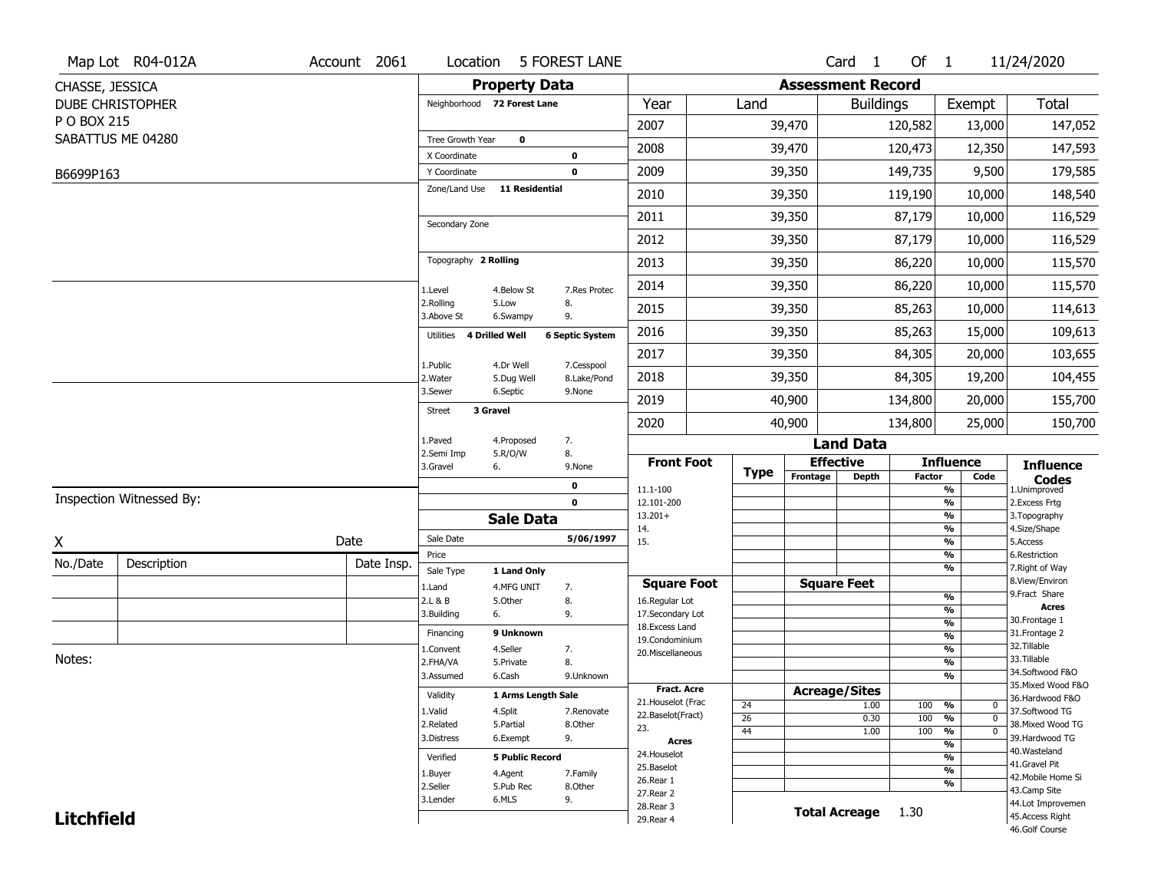|                   | Map Lot R04-012A         | Account 2061 | Location                     |                           | <b>5 FOREST LANE</b>       |                                   |                 |                          | Card 1               | Of 1          |                                         | 11/24/2020                            |
|-------------------|--------------------------|--------------|------------------------------|---------------------------|----------------------------|-----------------------------------|-----------------|--------------------------|----------------------|---------------|-----------------------------------------|---------------------------------------|
| CHASSE, JESSICA   |                          |              |                              | <b>Property Data</b>      |                            |                                   |                 | <b>Assessment Record</b> |                      |               |                                         |                                       |
|                   | <b>DUBE CHRISTOPHER</b>  |              | Neighborhood 72 Forest Lane  |                           |                            | Year                              | Land            |                          | <b>Buildings</b>     |               | Exempt                                  | Total                                 |
| P O BOX 215       |                          |              |                              |                           |                            | 2007                              |                 | 39,470                   |                      | 120,582       | 13,000                                  | 147,052                               |
|                   | SABATTUS ME 04280        |              | Tree Growth Year             | $\mathbf 0$               |                            | 2008                              |                 | 39,470                   |                      | 120,473       | 12,350                                  | 147,593                               |
|                   |                          |              | X Coordinate<br>Y Coordinate |                           | $\mathbf 0$<br>$\mathbf 0$ | 2009                              |                 | 39,350                   |                      | 149,735       | 9,500                                   | 179,585                               |
| B6699P163         |                          |              | Zone/Land Use                | <b>11 Residential</b>     |                            |                                   |                 |                          |                      |               |                                         |                                       |
|                   |                          |              |                              |                           |                            | 2010                              |                 | 39,350                   |                      | 119,190       | 10,000                                  | 148,540                               |
|                   |                          |              | Secondary Zone               |                           |                            | 2011                              |                 | 39,350                   |                      | 87,179        | 10,000                                  | 116,529                               |
|                   |                          |              |                              |                           |                            | 2012                              |                 | 39,350                   |                      | 87,179        | 10,000                                  | 116,529                               |
|                   |                          |              | Topography 2 Rolling         |                           |                            | 2013                              |                 | 39,350                   |                      | 86,220        | 10,000                                  | 115,570                               |
|                   |                          |              | 1.Level                      | 4.Below St                | 7.Res Protec               | 2014                              |                 | 39,350                   |                      | 86,220        | 10,000                                  | 115,570                               |
|                   |                          |              | 2.Rolling<br>3.Above St      | 5.Low<br>6.Swampy         | 8.<br>9.                   | 2015                              |                 | 39,350                   |                      | 85,263        | 10,000                                  | 114,613                               |
|                   |                          |              | 4 Drilled Well<br>Utilities  |                           | <b>6 Septic System</b>     | 2016                              |                 | 39,350                   |                      | 85,263        | 15,000                                  | 109,613                               |
|                   |                          |              |                              |                           |                            | 2017                              |                 | 39,350                   |                      | 84,305        | 20,000                                  | 103,655                               |
|                   |                          |              | 1.Public<br>2. Water         | 4.Dr Well<br>5.Dug Well   | 7.Cesspool<br>8.Lake/Pond  | 2018                              |                 | 39,350                   |                      | 84,305        | 19,200                                  | 104,455                               |
|                   |                          |              | 3.Sewer                      | 6.Septic                  | 9.None                     | 2019                              |                 | 40,900                   |                      | 134,800       | 20,000                                  | 155,700                               |
|                   |                          |              | 3 Gravel<br><b>Street</b>    |                           |                            | 2020                              |                 | 40,900                   |                      | 134,800       | 25,000                                  | 150,700                               |
|                   |                          |              | 1.Paved                      | 4.Proposed                | 7.                         |                                   |                 |                          | <b>Land Data</b>     |               |                                         |                                       |
|                   |                          |              | 2.Semi Imp<br>3.Gravel<br>6. | 5.R/O/W                   | 8.<br>9.None               | <b>Front Foot</b>                 |                 | <b>Effective</b>         |                      |               | <b>Influence</b>                        | <b>Influence</b>                      |
|                   |                          |              |                              |                           | 0                          | 11.1-100                          | Type            | Frontage                 | Depth                | <b>Factor</b> | Code<br>$\frac{9}{6}$                   | <b>Codes</b><br>1.Unimproved          |
|                   | Inspection Witnessed By: |              |                              |                           | $\mathbf 0$                | 12.101-200                        |                 |                          |                      |               | $\frac{9}{6}$                           | 2.Excess Frtg                         |
|                   |                          |              |                              | <b>Sale Data</b>          |                            | $13.201+$<br>14.                  |                 |                          |                      |               | $\frac{9}{6}$<br>$\frac{9}{6}$          | 3. Topography<br>4.Size/Shape         |
| Χ                 |                          | Date         | Sale Date                    |                           | 5/06/1997                  | 15.                               |                 |                          |                      |               | $\frac{9}{6}$                           | 5.Access                              |
| No./Date          | Description              | Date Insp.   | Price                        |                           |                            |                                   |                 |                          |                      |               | $\frac{9}{6}$<br>$\frac{9}{6}$          | 6.Restriction<br>7. Right of Way      |
|                   |                          |              | Sale Type<br>1.Land          | 1 Land Only<br>4.MFG UNIT | 7.                         | <b>Square Foot</b>                |                 | <b>Square Feet</b>       |                      |               |                                         | 8.View/Environ                        |
|                   |                          |              | 2.L & B                      | 5.Other                   | 8.                         | 16.Regular Lot                    |                 |                          |                      |               | $\frac{9}{6}$                           | 9.Fract Share                         |
|                   |                          |              | 6.<br>3.Building             |                           | 9.                         | 17.Secondary Lot                  |                 |                          |                      |               | $\frac{9}{6}$<br>$\frac{9}{6}$          | <b>Acres</b><br>30. Frontage 1        |
|                   |                          |              | Financing                    | 9 Unknown                 |                            | 18. Excess Land<br>19.Condominium |                 |                          |                      |               | $\frac{9}{6}$                           | 31. Frontage 2                        |
|                   |                          |              | 1.Convent                    | 4.Seller                  | 7.                         | 20.Miscellaneous                  |                 |                          |                      |               | $\frac{9}{6}$                           | 32.Tillable                           |
| Notes:            |                          |              | 2.FHA/VA                     | 5.Private                 | 8.                         |                                   |                 |                          |                      |               | $\frac{9}{6}$                           | 33.Tillable                           |
|                   |                          |              | 3.Assumed                    | 6.Cash                    | 9.Unknown                  |                                   |                 |                          |                      |               | $\frac{9}{6}$                           | 34.Softwood F&O<br>35. Mixed Wood F&O |
|                   |                          |              |                              |                           |                            |                                   |                 |                          |                      |               |                                         |                                       |
|                   |                          |              | Validity                     | 1 Arms Length Sale        |                            | <b>Fract. Acre</b>                |                 |                          | <b>Acreage/Sites</b> |               |                                         |                                       |
|                   |                          |              | 1.Valid                      | 4.Split                   | 7.Renovate                 | 21. Houselot (Frac                | 24              |                          | 1.00                 | 100           | %<br>0                                  | 36.Hardwood F&O<br>37.Softwood TG     |
|                   |                          |              | 2.Related                    | 5.Partial                 | 8.Other                    | 22.Baselot(Fract)                 | $\overline{26}$ |                          | 0.30                 | 100           | $\frac{9}{6}$<br>$\mathbf 0$            | 38. Mixed Wood TG                     |
|                   |                          |              | 3.Distress                   | 6.Exempt                  | 9.                         | 23.<br><b>Acres</b>               | 44              |                          | 1.00                 | 100           | $\overline{\frac{9}{6}}$<br>$\mathbf 0$ | 39.Hardwood TG                        |
|                   |                          |              | Verified                     | <b>5 Public Record</b>    |                            | 24. Houselot                      |                 |                          |                      |               | $\frac{9}{6}$<br>$\frac{9}{6}$          | 40. Wasteland                         |
|                   |                          |              |                              | 4.Agent                   |                            | 25.Baselot                        |                 |                          |                      |               | $\frac{9}{6}$                           | 41.Gravel Pit                         |
|                   |                          |              | 1.Buyer<br>2.Seller          | 5.Pub Rec                 | 7.Family<br>8.Other        | 26.Rear 1                         |                 |                          |                      |               | %                                       | 42. Mobile Home Si                    |
|                   |                          |              | 3.Lender                     | 6.MLS                     | 9.                         | 27.Rear 2                         |                 |                          |                      |               |                                         | 43.Camp Site<br>44.Lot Improvemen     |
| <b>Litchfield</b> |                          |              |                              |                           |                            | 28. Rear 3<br>29. Rear 4          |                 |                          | <b>Total Acreage</b> | 1.30          |                                         | 45.Access Right<br>46.Golf Course     |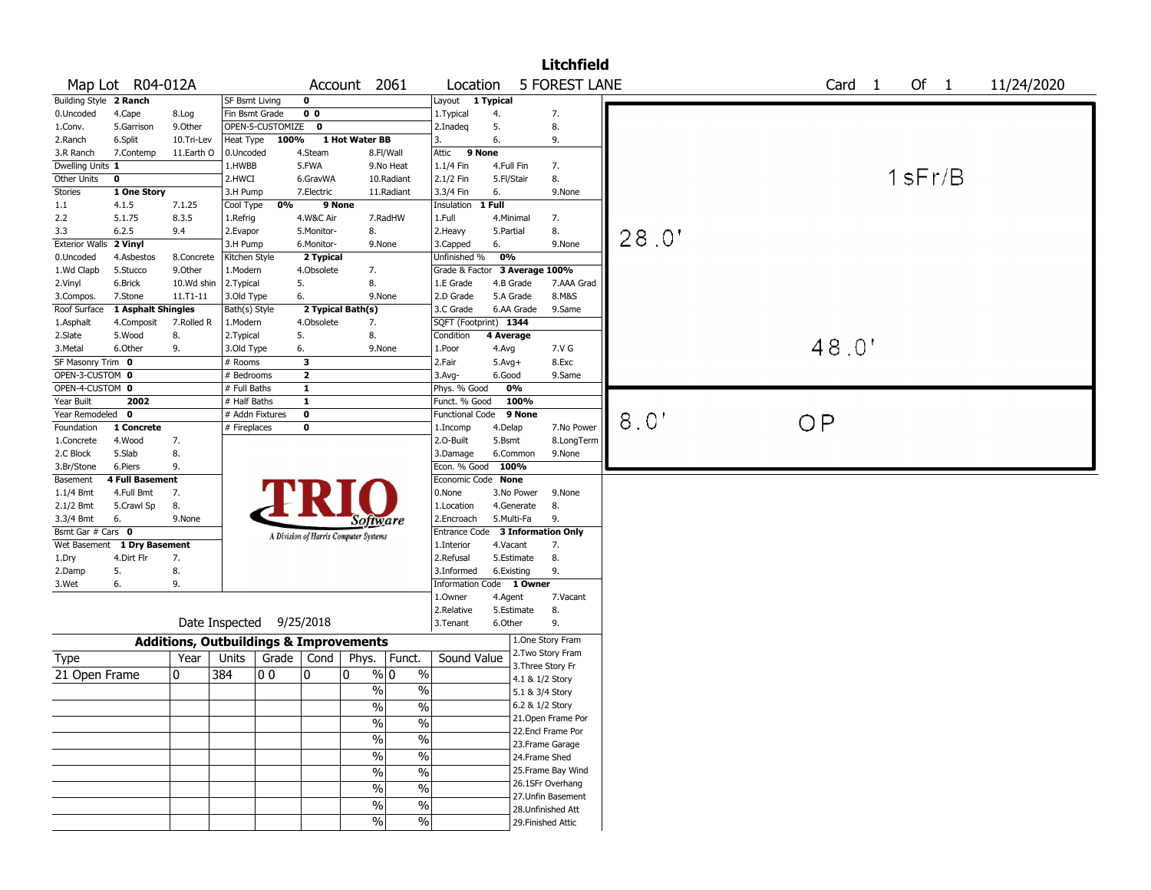|                                    |                             |                                                   |                                 |                  |                         |                                       |            |                               |                   |                | <b>Litchfield</b>                        |       |                   |           |            |
|------------------------------------|-----------------------------|---------------------------------------------------|---------------------------------|------------------|-------------------------|---------------------------------------|------------|-------------------------------|-------------------|----------------|------------------------------------------|-------|-------------------|-----------|------------|
|                                    | Map Lot R04-012A            |                                                   |                                 |                  |                         | Account 2061                          |            | Location                      |                   |                | <b>5 FOREST LANE</b>                     |       | Card <sub>1</sub> | Of $1$    | 11/24/2020 |
| Building Style 2 Ranch             |                             |                                                   | <b>SF Bsmt Living</b>           |                  | $\mathbf 0$             |                                       |            | Layout 1 Typical              |                   |                |                                          |       |                   |           |            |
| 0.Uncoded                          | 4.Cape                      | 8.Log                                             | Fin Bsmt Grade                  |                  | 0 <sub>0</sub>          |                                       |            | 1. Typical                    | 4.                |                | 7.                                       |       |                   |           |            |
| 1.Conv.                            | 5.Garrison                  | 9.Other                                           |                                 | OPEN-5-CUSTOMIZE | $\mathbf 0$             |                                       |            | 2.Inadeq                      | 5.                |                | 8.                                       |       |                   |           |            |
| 2.Ranch                            | 6.Split                     | 10.Tri-Lev                                        | Heat Type                       | 100%             |                         | 1 Hot Water BB                        |            | 3.                            | 6.                |                | 9.                                       |       |                   |           |            |
| 3.R Ranch                          | 7.Contemp                   | 11.Earth O                                        | 0.Uncoded                       |                  | 4.Steam                 |                                       | 8.Fl/Wall  | Attic                         | 9 None            |                |                                          |       |                   |           |            |
| Dwelling Units 1                   |                             |                                                   | 1.HWBB                          |                  | 5.FWA                   |                                       | 9.No Heat  | 1.1/4 Fin                     |                   | 4.Full Fin     | 7.                                       |       |                   |           |            |
| Other Units                        | $\mathbf 0$                 |                                                   | 2.HWCI                          |                  | 6.GravWA                |                                       | 10.Radiant | 2.1/2 Fin                     |                   | 5.Fl/Stair     | 8.                                       |       |                   | $1$ sFr/B |            |
| <b>Stories</b>                     | 1 One Story                 |                                                   | 3.H Pump                        |                  | 7.Electric              |                                       | 11.Radiant | 3.3/4 Fin                     | 6.                |                | 9.None                                   |       |                   |           |            |
| 1.1                                | 4.1.5                       | 7.1.25                                            | Cool Type                       | 0%               | 9 None                  |                                       |            | Insulation                    | 1 Full            |                |                                          |       |                   |           |            |
| 2.2                                | 5.1.75                      | 8.3.5                                             | 1.Refrig                        |                  | 4.W&C Air               |                                       | 7.RadHW    | 1.Full                        |                   | 4.Minimal      | 7.                                       |       |                   |           |            |
| 3.3                                | 6.2.5                       | 9.4                                               | 2.Evapor                        |                  | 5.Monitor-              | 8.                                    |            | 2. Heavy                      | 5.Partial         |                | 8.                                       | 28.0' |                   |           |            |
| <b>Exterior Walls</b>              | 2 Vinyl                     |                                                   | 3.H Pump                        |                  | 6.Monitor-              | 9.None                                |            | 3.Capped                      | 6.                |                | 9.None                                   |       |                   |           |            |
| 0.Uncoded                          | 4.Asbestos                  | 8.Concrete                                        | Kitchen Style                   |                  | 2 Typical               |                                       |            | Unfinished %                  | 0%                |                |                                          |       |                   |           |            |
| 1.Wd Clapb                         | 5.Stucco                    | 9.0ther                                           | 1.Modern                        |                  | 4.Obsolete              | 7.                                    |            | Grade & Factor 3 Average 100% |                   |                |                                          |       |                   |           |            |
| 2.Vinyl                            | 6.Brick                     | 10.Wd shin                                        | 2. Typical                      |                  | 5.                      | 8.                                    |            | 1.E Grade                     |                   | 4.B Grade      | 7.AAA Grad                               |       |                   |           |            |
| 3.Compos.                          | 7.Stone                     | 11.T1-11                                          | 3.Old Type                      |                  | 6.                      | 9.None                                |            | 2.D Grade                     |                   | 5.A Grade      | 8.M&S                                    |       |                   |           |            |
| Roof Surface                       | 1 Asphalt Shingles          |                                                   | Bath(s) Style                   |                  |                         | 2 Typical Bath(s)                     |            | 3.C Grade                     |                   | 6.AA Grade     | 9.Same                                   |       |                   |           |            |
| 1.Asphalt                          | 4.Composit                  | 7.Rolled R                                        | 1.Modern                        |                  | 4.Obsolete              | 7.                                    |            | SQFT (Footprint) 1344         |                   |                |                                          |       |                   |           |            |
| 2.Slate                            | 5.Wood                      | 8.                                                | 2. Typical                      |                  | 5.                      | 8.                                    |            | Condition                     | 4 Average         |                |                                          |       | 48.0'             |           |            |
| 3.Metal                            | 6.Other                     | 9.                                                | 3.Old Type                      |                  | 6.                      | 9.None                                |            | 1.Poor                        | 4.Avg             |                | 7.V G                                    |       |                   |           |            |
| SF Masonry Trim 0                  |                             |                                                   | # Rooms                         |                  | $\overline{\mathbf{3}}$ |                                       |            | 2.Fair                        | $5.Avg+$          |                | 8.Exc                                    |       |                   |           |            |
| OPEN-3-CUSTOM 0<br>OPEN-4-CUSTOM 0 |                             |                                                   | # Bedrooms                      |                  | $\overline{\mathbf{2}}$ |                                       |            | 3.Avg-                        | 6.Good            | 0%             | 9.Same                                   |       |                   |           |            |
| Year Built                         | 2002                        |                                                   | # Full Baths                    |                  | $\mathbf{1}$<br>1       |                                       |            | Phys. % Good                  |                   |                |                                          |       |                   |           |            |
| Year Remodeled 0                   |                             |                                                   | # Half Baths<br># Addn Fixtures |                  | $\mathbf 0$             |                                       |            | Funct. % Good                 |                   | 100%<br>9 None |                                          |       |                   |           |            |
| Foundation                         | 1 Concrete                  |                                                   | # Fireplaces                    |                  | 0                       |                                       |            | <b>Functional Code</b>        |                   |                | 7.No Power                               | 8.0'  | O <sub>P</sub>    |           |            |
| 1.Concrete                         | 4.Wood                      | 7.                                                |                                 |                  |                         |                                       |            | 1.Incomp<br>2.0-Built         | 4.Delap<br>5.Bsmt |                | 8.LongTerm                               |       |                   |           |            |
| 2.C Block                          | 5.Slab                      | 8.                                                |                                 |                  |                         |                                       |            | 3.Damage                      |                   | 6.Common       | 9.None                                   |       |                   |           |            |
| 3.Br/Stone                         | 6.Piers                     | 9.                                                |                                 |                  |                         |                                       |            | Econ. % Good                  |                   | 100%           |                                          |       |                   |           |            |
| Basement                           | <b>4 Full Basement</b>      |                                                   |                                 |                  |                         |                                       |            | Economic Code None            |                   |                |                                          |       |                   |           |            |
| $1.1/4$ Bmt                        | 4.Full Bmt                  | 7.                                                |                                 |                  |                         |                                       |            | 0.None                        |                   | 3.No Power     | 9.None                                   |       |                   |           |            |
| 2.1/2 Bmt                          | 5.Crawl Sp                  | 8.                                                |                                 |                  |                         |                                       |            | 1.Location                    |                   | 4.Generate     | 8.                                       |       |                   |           |            |
| 3.3/4 Bmt                          | 6.                          | 9.None                                            |                                 |                  |                         | <i>Software</i>                       |            | 2.Encroach                    |                   | 5.Multi-Fa     | 9.                                       |       |                   |           |            |
| Bsmt Gar # Cars 0                  |                             |                                                   |                                 |                  |                         | A Division of Harris Computer Systems |            | <b>Entrance Code</b>          |                   |                | 3 Information Only                       |       |                   |           |            |
|                                    | Wet Basement 1 Dry Basement |                                                   |                                 |                  |                         |                                       |            | 1.Interior                    |                   | 4.Vacant       | 7.                                       |       |                   |           |            |
| 1.Dry                              | 4.Dirt Flr                  | 7.                                                |                                 |                  |                         |                                       |            | 2.Refusal                     |                   | 5.Estimate     | 8.                                       |       |                   |           |            |
| 2.Damp                             | 5.                          | 8.                                                |                                 |                  |                         |                                       |            | 3.Informed                    |                   | 6.Existing     | 9.                                       |       |                   |           |            |
| 3.Wet                              | 6.                          | 9.                                                |                                 |                  |                         |                                       |            | Information Code 1 Owner      |                   |                |                                          |       |                   |           |            |
|                                    |                             |                                                   |                                 |                  |                         |                                       |            | 1.Owner                       | 4.Agent           |                | 7.Vacant                                 |       |                   |           |            |
|                                    |                             |                                                   |                                 |                  |                         |                                       |            | 2.Relative                    |                   | 5.Estimate     | 8.                                       |       |                   |           |            |
|                                    |                             |                                                   | Date Inspected                  |                  | 9/25/2018               |                                       |            | 3.Tenant                      | 6.Other           |                | 9.                                       |       |                   |           |            |
|                                    |                             | <b>Additions, Outbuildings &amp; Improvements</b> |                                 |                  |                         |                                       |            |                               |                   |                | 1.One Story Fram                         |       |                   |           |            |
| Type                               |                             | Year                                              | Units                           | Grade            | Cond                    | Phys.                                 | Funct.     | Sound Value                   |                   |                | 2. Two Story Fram                        |       |                   |           |            |
| 21 Open Frame                      |                             | 0                                                 | 384                             | 00               | 0                       | % 0<br>0                              |            | $\%$                          |                   |                | 3. Three Story Fr                        |       |                   |           |            |
|                                    |                             |                                                   |                                 |                  |                         |                                       |            |                               |                   |                | 4.1 & 1/2 Story                          |       |                   |           |            |
|                                    |                             |                                                   |                                 |                  |                         | $\frac{0}{0}$                         |            | $\%$                          |                   |                | 5.1 & 3/4 Story                          |       |                   |           |            |
|                                    |                             |                                                   |                                 |                  |                         | $\%$                                  |            | %                             |                   |                | 6.2 & 1/2 Story                          |       |                   |           |            |
|                                    |                             |                                                   |                                 |                  |                         | $\frac{0}{6}$                         |            | $\frac{9}{6}$                 |                   |                | 21. Open Frame Por                       |       |                   |           |            |
|                                    |                             |                                                   |                                 |                  |                         | $\frac{1}{2}$                         |            | $\frac{1}{2}$                 |                   |                | 22.Encl Frame Por                        |       |                   |           |            |
|                                    |                             |                                                   |                                 |                  |                         | $\frac{1}{2}$                         |            | $\frac{0}{6}$                 |                   |                | 23.Frame Garage                          |       |                   |           |            |
|                                    |                             |                                                   |                                 |                  |                         |                                       |            |                               |                   |                | 24.Frame Shed                            |       |                   |           |            |
|                                    |                             |                                                   |                                 |                  |                         | $\%$                                  |            | $\frac{1}{2}$                 |                   |                | 25. Frame Bay Wind                       |       |                   |           |            |
|                                    |                             |                                                   |                                 |                  |                         | $\%$                                  |            | $\frac{1}{2}$                 |                   |                | 26.1SFr Overhang                         |       |                   |           |            |
|                                    |                             |                                                   |                                 |                  |                         | $\%$                                  |            | $\%$                          |                   |                | 27. Unfin Basement<br>28. Unfinished Att |       |                   |           |            |
|                                    |                             |                                                   |                                 |                  |                         | $\frac{0}{0}$                         |            | $\sqrt{20}$                   |                   |                | 29. Finished Attic                       |       |                   |           |            |
|                                    |                             |                                                   |                                 |                  |                         |                                       |            |                               |                   |                |                                          |       |                   |           |            |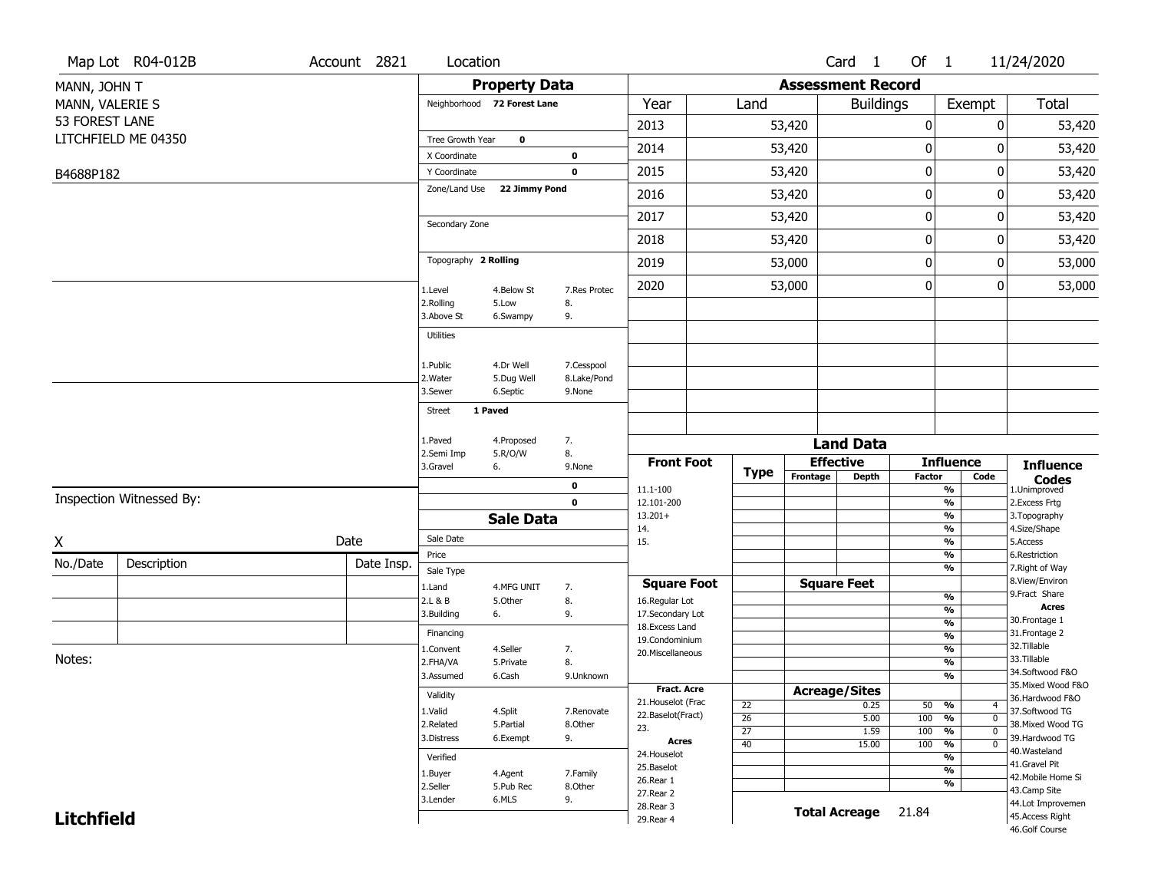|                   | Map Lot R04-012B         | Account 2821 | Location                     |                             |                         |                                         |                                    |          | Card <sub>1</sub>        | Of 1          |                                                      |                            | 11/24/2020                            |
|-------------------|--------------------------|--------------|------------------------------|-----------------------------|-------------------------|-----------------------------------------|------------------------------------|----------|--------------------------|---------------|------------------------------------------------------|----------------------------|---------------------------------------|
| MANN, JOHN T      |                          |              |                              | <b>Property Data</b>        |                         |                                         |                                    |          | <b>Assessment Record</b> |               |                                                      |                            |                                       |
| MANN, VALERIE S   |                          |              |                              | Neighborhood 72 Forest Lane |                         | Year                                    | Land                               |          | <b>Buildings</b>         |               |                                                      | Exempt                     | Total                                 |
| 53 FOREST LANE    |                          |              |                              |                             |                         | 2013                                    |                                    | 53,420   |                          | $\pmb{0}$     |                                                      | 0                          | 53,420                                |
|                   | LITCHFIELD ME 04350      |              | Tree Growth Year             | $\mathbf 0$                 |                         | 2014                                    |                                    | 53,420   |                          | $\pmb{0}$     |                                                      | 0                          | 53,420                                |
|                   |                          |              | X Coordinate<br>Y Coordinate |                             | $\bf{0}$<br>$\mathbf 0$ | 2015                                    |                                    | 53,420   |                          | $\mathbf 0$   |                                                      | 0                          | 53,420                                |
| B4688P182         |                          |              | Zone/Land Use                | 22 Jimmy Pond               |                         |                                         |                                    |          |                          |               |                                                      |                            |                                       |
|                   |                          |              |                              |                             |                         | 2016                                    |                                    | 53,420   |                          | $\mathbf 0$   |                                                      | 0                          | 53,420                                |
|                   |                          |              | Secondary Zone               |                             |                         | 2017                                    |                                    | 53,420   |                          | $\pmb{0}$     |                                                      | 0                          | 53,420                                |
|                   |                          |              |                              |                             |                         | 2018                                    |                                    | 53,420   |                          | 0             |                                                      | 0                          | 53,420                                |
|                   |                          |              | Topography 2 Rolling         |                             |                         | 2019                                    |                                    | 53,000   |                          | 0             |                                                      | 0                          | 53,000                                |
|                   |                          |              | 1.Level                      | 4.Below St                  | 7.Res Protec            | 2020                                    |                                    | 53,000   |                          | 0             |                                                      | 0                          | 53,000                                |
|                   |                          |              | 2.Rolling<br>3.Above St      | 5.Low<br>6.Swampy           | 8.<br>9.                |                                         |                                    |          |                          |               |                                                      |                            |                                       |
|                   |                          |              | <b>Utilities</b>             |                             |                         |                                         |                                    |          |                          |               |                                                      |                            |                                       |
|                   |                          |              | 1.Public                     | 4.Dr Well                   | 7.Cesspool              |                                         |                                    |          |                          |               |                                                      |                            |                                       |
|                   |                          |              | 2. Water                     | 5.Dug Well                  | 8.Lake/Pond             |                                         |                                    |          |                          |               |                                                      |                            |                                       |
|                   |                          |              | 3.Sewer                      | 6.Septic                    | 9.None                  |                                         |                                    |          |                          |               |                                                      |                            |                                       |
|                   |                          |              | <b>Street</b>                | 1 Paved                     |                         |                                         |                                    |          |                          |               |                                                      |                            |                                       |
|                   |                          |              | 1.Paved                      | 4.Proposed                  | 7.                      |                                         |                                    |          | <b>Land Data</b>         |               |                                                      |                            |                                       |
|                   |                          |              | 2.Semi Imp<br>3.Gravel       | 5.R/O/W<br>6.               | 8.<br>9.None            | <b>Front Foot</b>                       |                                    |          | <b>Effective</b>         |               | <b>Influence</b>                                     |                            | <b>Influence</b>                      |
|                   |                          |              |                              |                             | $\mathbf 0$             |                                         | <b>Type</b>                        | Frontage | <b>Depth</b>             | <b>Factor</b> |                                                      | Code                       | <b>Codes</b>                          |
|                   | Inspection Witnessed By: |              |                              |                             | $\mathbf 0$             | 11.1-100<br>12.101-200                  |                                    |          |                          |               | $\overline{\frac{9}{6}}$<br>$\overline{\frac{9}{6}}$ |                            | 1.Unimproved<br>2.Excess Frtg         |
|                   |                          |              |                              | <b>Sale Data</b>            |                         | $13.201+$                               |                                    |          |                          |               | $\frac{9}{6}$                                        |                            | 3. Topography                         |
| $\underline{x}$   |                          | Date         | Sale Date                    |                             |                         | 14.<br>15.                              |                                    |          |                          |               | $\overline{\frac{9}{6}}$<br>$\overline{\frac{9}{6}}$ |                            | 4.Size/Shape<br>5.Access              |
| No./Date          | Description              | Date Insp.   | Price                        |                             |                         |                                         |                                    |          |                          |               | $\frac{9}{6}$                                        |                            | 6.Restriction                         |
|                   |                          |              | Sale Type                    |                             |                         | <b>Square Foot</b>                      |                                    |          | <b>Square Feet</b>       |               | $\overline{\frac{9}{6}}$                             |                            | 7. Right of Way<br>8.View/Environ     |
|                   |                          |              | 1.Land<br>2.L & B            | 4.MFG UNIT<br>5.Other       | 7.<br>8.                | 16.Regular Lot                          |                                    |          |                          |               | %                                                    |                            | 9.Fract Share                         |
|                   |                          |              | 3.Building                   | 6.                          | 9.                      | 17.Secondary Lot                        |                                    |          |                          |               | $\frac{9}{6}$<br>$\frac{9}{6}$                       |                            | <b>Acres</b><br>30. Frontage 1        |
|                   |                          |              | Financing                    |                             |                         | 18.Excess Land<br>19.Condominium        |                                    |          |                          |               | $\frac{9}{6}$                                        |                            | 31. Frontage 2                        |
| Notes:            |                          |              | 1.Convent                    | 4.Seller                    | 7.                      | 20. Miscellaneous                       |                                    |          |                          |               | $\frac{9}{6}$                                        |                            | 32. Tillable<br>33.Tillable           |
|                   |                          |              | 2.FHA/VA<br>3.Assumed        | 5.Private<br>6.Cash         | 8.<br>9.Unknown         |                                         |                                    |          |                          |               | %<br>$\frac{9}{6}$                                   |                            | 34.Softwood F&O                       |
|                   |                          |              | Validity                     |                             |                         | <b>Fract. Acre</b>                      |                                    |          | <b>Acreage/Sites</b>     |               |                                                      |                            | 35. Mixed Wood F&O<br>36.Hardwood F&O |
|                   |                          |              | 1.Valid                      | 4.Split                     | 7.Renovate              | 21. Houselot (Frac<br>22.Baselot(Fract) | 22                                 |          | 0.25                     |               | $50 - 9/6$                                           | 4                          | 37.Softwood TG                        |
|                   |                          |              | 2.Related                    | 5.Partial                   | 8.Other                 | 23.                                     | $\overline{26}$<br>$\overline{27}$ |          | 5.00<br>1.59             | 100<br>100    | %<br>$\frac{9}{6}$                                   | $\mathbf 0$<br>$\mathbf 0$ | 38. Mixed Wood TG                     |
|                   |                          |              | 3.Distress                   | 6.Exempt                    | 9.                      | Acres                                   | $\overline{40}$                    |          | 15.00                    | 100           | $\frac{9}{6}$                                        | 0                          | 39.Hardwood TG<br>40.Wasteland        |
|                   |                          |              | Verified                     |                             |                         | 24. Houselot<br>25.Baselot              |                                    |          |                          |               | $\frac{9}{6}$                                        |                            | 41.Gravel Pit                         |
|                   |                          |              | 1.Buyer<br>2.Seller          | 4.Agent                     | 7.Family                | 26.Rear 1                               |                                    |          |                          |               | %<br>$\overline{\frac{9}{6}}$                        |                            | 42. Mobile Home Si                    |
|                   |                          |              | 3.Lender                     | 5.Pub Rec<br>6.MLS          | 8.Other<br>9.           | 27.Rear 2                               |                                    |          |                          |               |                                                      |                            | 43.Camp Site<br>44.Lot Improvemen     |
| <b>Litchfield</b> |                          |              |                              |                             |                         | 28. Rear 3<br>29. Rear 4                |                                    |          | <b>Total Acreage</b>     | 21.84         |                                                      |                            | 45.Access Right                       |
|                   |                          |              |                              |                             |                         |                                         |                                    |          |                          |               |                                                      |                            | 46.Golf Course                        |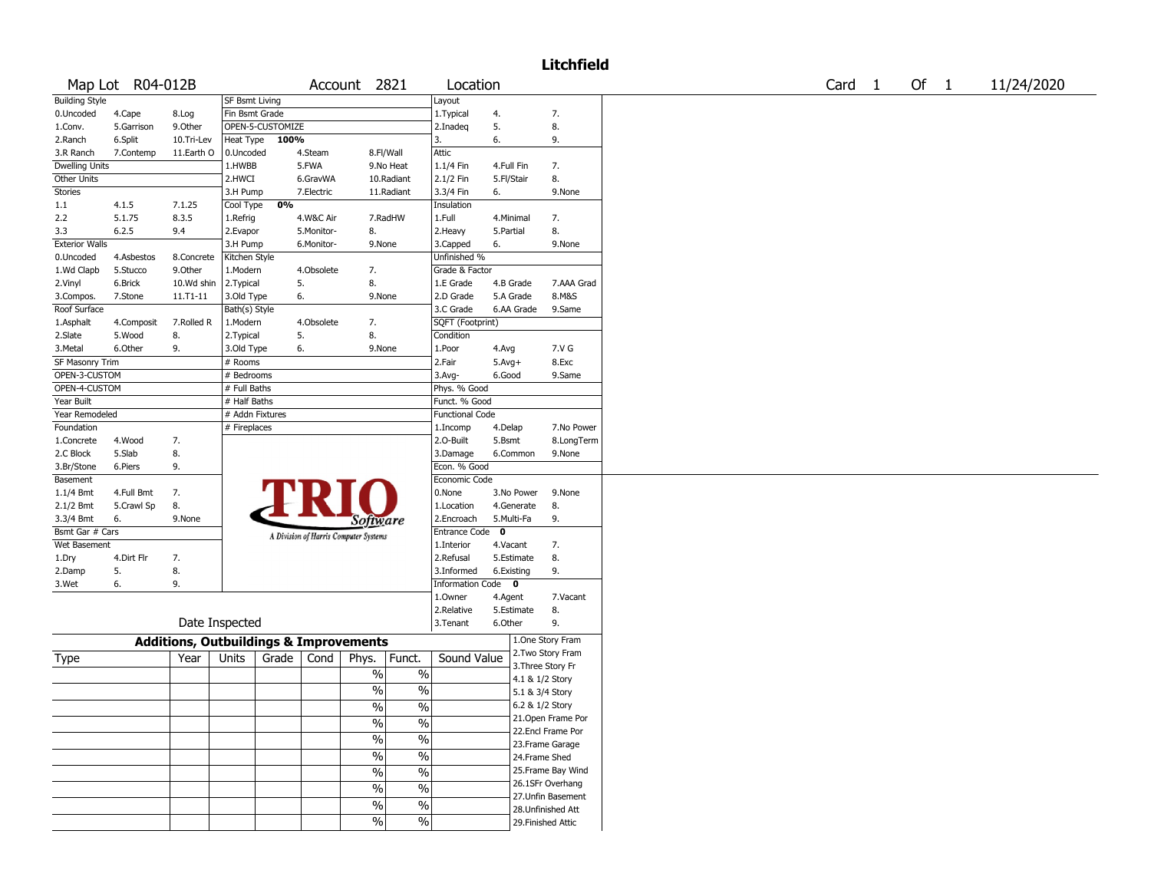## Litchfield

|                       | Map Lot R04-012B |               |                                                   |                                       | Account 2821                              | Location               |              |                 |                    | Card | $\overline{1}$ | Of 1 | 11/24/2020 |
|-----------------------|------------------|---------------|---------------------------------------------------|---------------------------------------|-------------------------------------------|------------------------|--------------|-----------------|--------------------|------|----------------|------|------------|
| <b>Building Style</b> |                  |               | SF Bsmt Living                                    |                                       |                                           | Layout                 |              |                 |                    |      |                |      |            |
| 0.Uncoded             | 4.Cape           | 8.Log         | Fin Bsmt Grade                                    |                                       |                                           | 1. Typical             | 4.           |                 | 7.                 |      |                |      |            |
| 1.Conv.               | 5.Garrison       | 9.Other       | OPEN-5-CUSTOMIZE                                  |                                       |                                           | 2.Inadeq               | 5.           |                 | 8.                 |      |                |      |            |
| 2.Ranch               | 6.Split          | 10.Tri-Lev    | Heat Type 100%                                    |                                       |                                           | 3.                     | 6.           |                 | 9.                 |      |                |      |            |
| 3.R Ranch             | 7.Contemp        | 11.Earth O    | 0.Uncoded                                         | 4.Steam                               | 8.Fl/Wall                                 | Attic                  |              |                 |                    |      |                |      |            |
| <b>Dwelling Units</b> |                  |               | 1.HWBB                                            | 5.FWA                                 | 9.No Heat                                 | 1.1/4 Fin              | 4.Full Fin   |                 | 7.                 |      |                |      |            |
| Other Units           |                  |               | 2.HWCI                                            | 6.GravWA                              | 10.Radiant                                | 2.1/2 Fin              | 5.Fl/Stair   |                 | 8.                 |      |                |      |            |
| Stories               |                  |               | 3.H Pump                                          | 7.Electric                            | 11.Radiant                                | 3.3/4 Fin              | 6.           |                 | 9.None             |      |                |      |            |
| 1.1                   | 4.1.5            | 7.1.25        | Cool Type                                         | 0%                                    |                                           | Insulation             |              |                 |                    |      |                |      |            |
| 2.2                   | 5.1.75           | 8.3.5         | 1.Refrig                                          | 4.W&C Air                             | 7.RadHW                                   | 1.Full                 | 4.Minimal    |                 | 7.                 |      |                |      |            |
| 3.3                   | 6.2.5            | 9.4           | 2.Evapor                                          | 5.Monitor-                            | 8.                                        | 2. Heavy               | 5.Partial    |                 | 8.                 |      |                |      |            |
| <b>Exterior Walls</b> |                  |               | 3.H Pump                                          | 6.Monitor-                            | 9.None                                    | 3.Capped               | 6.           |                 | 9.None             |      |                |      |            |
| 0.Uncoded             | 4.Asbestos       | 8.Concrete    | Kitchen Style                                     |                                       |                                           | Unfinished %           |              |                 |                    |      |                |      |            |
| 1.Wd Clapb            | 5.Stucco         | 9.Other       | 1.Modern                                          | 4.Obsolete                            | 7.                                        | Grade & Factor         |              |                 |                    |      |                |      |            |
| 2.Vinyl               | 6.Brick          | 10.Wd shin    | 2. Typical                                        | 5.                                    | 8.                                        | $1.E$ Grade            |              | 4.B Grade       | 7.AAA Grad         |      |                |      |            |
| 3.Compos.             | 7.Stone          | $11. T1 - 11$ | 3.Old Type                                        | 6.                                    | 9.None                                    | 2.D Grade              |              | 5.A Grade       | 8.M&S              |      |                |      |            |
| Roof Surface          |                  |               | Bath(s) Style                                     |                                       |                                           | 3.C Grade              |              | 6.AA Grade      | 9.Same             |      |                |      |            |
| 1.Asphalt             | 4.Composit       | 7.Rolled R    | 1.Modern                                          | 4.Obsolete                            | 7.                                        | SQFT (Footprint)       |              |                 |                    |      |                |      |            |
| 2.Slate               | 5.Wood           | 8.            | 2. Typical                                        | 5.                                    | 8.                                        | Condition              |              |                 |                    |      |                |      |            |
| 3.Metal               | 6.Other          | 9.            | 3.Old Type                                        | 6.                                    | 9.None                                    | 1.Poor                 | 4.Avg        |                 | 7.V G              |      |                |      |            |
| SF Masonry Trim       |                  |               | # Rooms                                           |                                       |                                           | 2.Fair                 | $5.Avg+$     |                 | 8.Exc              |      |                |      |            |
| OPEN-3-CUSTOM         |                  |               | # Bedrooms                                        |                                       |                                           | $3.$ Avg-              | 6.Good       |                 | 9.Same             |      |                |      |            |
| OPEN-4-CUSTOM         |                  |               | # Full Baths                                      |                                       |                                           | Phys. % Good           |              |                 |                    |      |                |      |            |
| Year Built            |                  |               | # Half Baths                                      |                                       |                                           | Funct. % Good          |              |                 |                    |      |                |      |            |
| Year Remodeled        |                  |               | # Addn Fixtures                                   |                                       |                                           | <b>Functional Code</b> |              |                 |                    |      |                |      |            |
| Foundation            |                  |               | # Fireplaces                                      |                                       |                                           |                        |              |                 | 7.No Power         |      |                |      |            |
|                       |                  |               |                                                   |                                       |                                           | 1.Incomp               | 4.Delap      |                 |                    |      |                |      |            |
| 1.Concrete            | 4.Wood           | 7.            |                                                   |                                       |                                           | 2.0-Built              | 5.Bsmt       |                 | 8.LongTerm         |      |                |      |            |
| 2.C Block             | 5.Slab           | 8.            |                                                   |                                       |                                           | 3.Damage               |              | 6.Common        | 9.None             |      |                |      |            |
| 3.Br/Stone            | 6.Piers          | 9.            |                                                   |                                       |                                           | Econ. % Good           |              |                 |                    |      |                |      |            |
| Basement              |                  |               |                                                   |                                       |                                           | Economic Code          |              |                 |                    |      |                |      |            |
| $1.1/4$ Bmt           | 4.Full Bmt       | 7.            |                                                   |                                       |                                           | 0.None                 |              | 3.No Power      | 9.None             |      |                |      |            |
| 2.1/2 Bmt             | 5.Crawl Sp       | 8.            |                                                   |                                       |                                           | 1.Location             |              | 4.Generate      | 8.                 |      |                |      |            |
| 3.3/4 Bmt             | 6.               | 9.None        |                                                   |                                       | <i>Software</i>                           | 2.Encroach             | 5.Multi-Fa   |                 | 9.                 |      |                |      |            |
| Bsmt Gar # Cars       |                  |               |                                                   | A Division of Harris Computer Systems |                                           | Entrance Code          | $\mathbf{o}$ |                 |                    |      |                |      |            |
| Wet Basement          |                  |               |                                                   |                                       |                                           | 1.Interior             | 4.Vacant     |                 | 7.                 |      |                |      |            |
| 1.Dry                 | 4.Dirt Flr       | 7.            |                                                   |                                       |                                           | 2.Refusal              |              | 5.Estimate      | 8.                 |      |                |      |            |
| 2.Damp                | 5.               | 8.            |                                                   |                                       |                                           | 3.Informed             | 6.Existing   |                 | 9.                 |      |                |      |            |
| 3.Wet                 | 6.               | 9.            |                                                   |                                       |                                           | Information Code 0     |              |                 |                    |      |                |      |            |
|                       |                  |               |                                                   |                                       |                                           | 1.0wner                | 4.Agent      |                 | 7.Vacant           |      |                |      |            |
|                       |                  |               |                                                   |                                       |                                           | 2.Relative             |              | 5.Estimate      | 8.                 |      |                |      |            |
|                       |                  |               | Date Inspected                                    |                                       |                                           | 3.Tenant               | 6.Other      |                 | 9.                 |      |                |      |            |
|                       |                  |               | <b>Additions, Outbuildings &amp; Improvements</b> |                                       |                                           |                        |              |                 | 1.One Story Fram   |      |                |      |            |
|                       |                  | Year          | Units                                             | Grade $ $<br>Cond                     | Phys.<br>Funct.                           | Sound Value            |              |                 | 2. Two Story Fram  |      |                |      |            |
| Type                  |                  |               |                                                   |                                       |                                           |                        |              |                 | 3. Three Story Fr  |      |                |      |            |
|                       |                  |               |                                                   |                                       | $\frac{1}{2}$<br>$\overline{\frac{0}{6}}$ |                        |              | 4.1 & 1/2 Story |                    |      |                |      |            |
|                       |                  |               |                                                   |                                       | $\%$<br>$\%$                              |                        |              | 5.1 & 3/4 Story |                    |      |                |      |            |
|                       |                  |               |                                                   |                                       | $\%$<br>$\%$                              |                        |              | 6.2 & 1/2 Story |                    |      |                |      |            |
|                       |                  |               |                                                   |                                       |                                           |                        |              |                 | 21. Open Frame Por |      |                |      |            |
|                       |                  |               |                                                   |                                       | $\overline{\frac{0}{0}}$<br>$\%$          |                        |              |                 | 22.Encl Frame Por  |      |                |      |            |
|                       |                  |               |                                                   |                                       | $\frac{1}{2}$<br>$\%$                     |                        |              |                 | 23.Frame Garage    |      |                |      |            |
|                       |                  |               |                                                   |                                       | %<br>$\overline{\frac{0}{0}}$             |                        |              | 24.Frame Shed   |                    |      |                |      |            |
|                       |                  |               |                                                   |                                       | $\frac{1}{2}$<br>$\%$                     |                        |              |                 | 25. Frame Bay Wind |      |                |      |            |
|                       |                  |               |                                                   |                                       |                                           |                        |              |                 | 26.1SFr Overhang   |      |                |      |            |
|                       |                  |               |                                                   |                                       | $\frac{1}{2}$<br>$\%$                     |                        |              |                 | 27. Unfin Basement |      |                |      |            |
|                       |                  |               |                                                   |                                       | $\frac{1}{2}$<br>$\frac{1}{2}$            |                        |              |                 | 28. Unfinished Att |      |                |      |            |
|                       |                  |               |                                                   |                                       | $\%$<br>$\%$                              |                        |              |                 | 29. Finished Attic |      |                |      |            |
|                       |                  |               |                                                   |                                       |                                           |                        |              |                 |                    |      |                |      |            |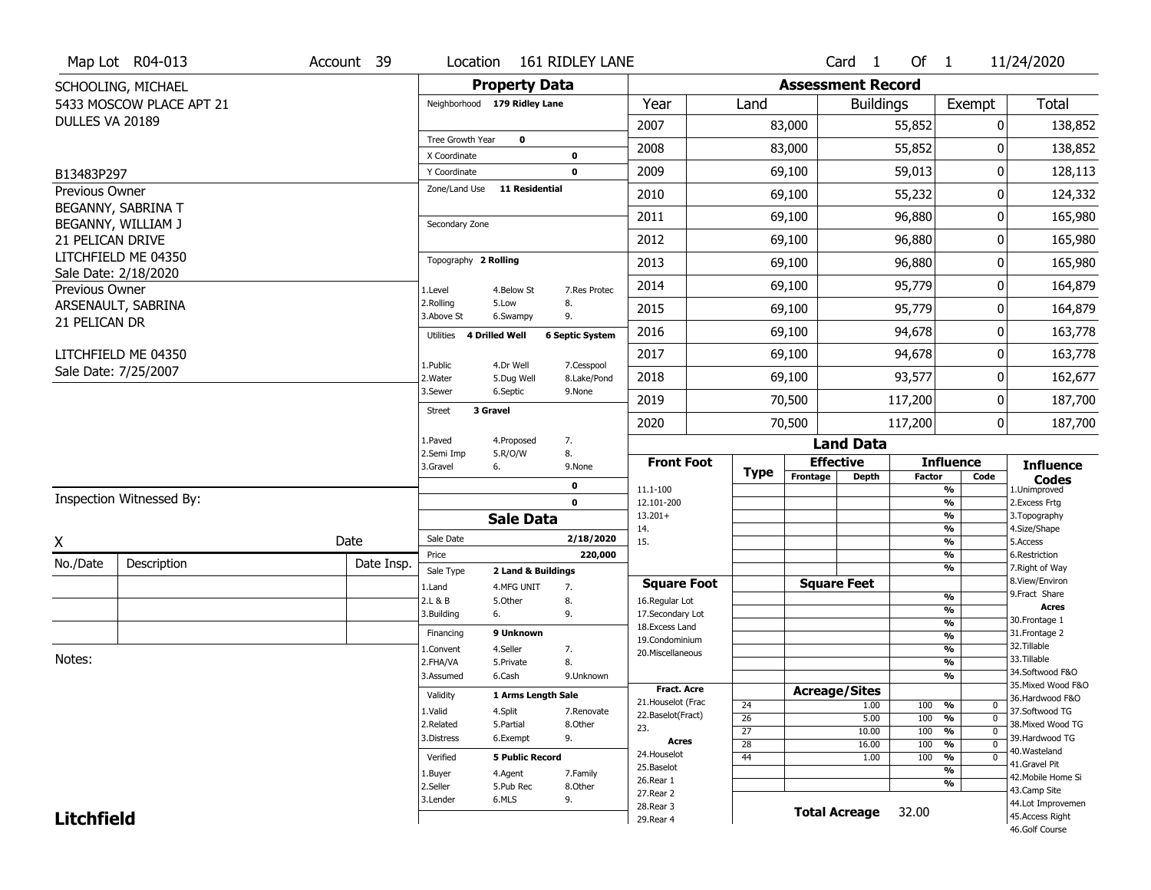|                       | Map Lot R04-013          | Account 39 | Location                      |                         | 161 RIDLEY LANE           |                                         |                       |                          | Card <sub>1</sub>    | Of $1$        |                                               | 11/24/2020                            |
|-----------------------|--------------------------|------------|-------------------------------|-------------------------|---------------------------|-----------------------------------------|-----------------------|--------------------------|----------------------|---------------|-----------------------------------------------|---------------------------------------|
|                       | SCHOOLING, MICHAEL       |            |                               | <b>Property Data</b>    |                           |                                         |                       | <b>Assessment Record</b> |                      |               |                                               |                                       |
|                       | 5433 MOSCOW PLACE APT 21 |            | Neighborhood 179 Ridley Lane  |                         |                           | Year                                    | Land                  |                          | <b>Buildings</b>     |               | Exempt                                        | Total                                 |
| DULLES VA 20189       |                          |            |                               |                         |                           | 2007                                    |                       | 83,000                   |                      | 55,852        | 0                                             | 138,852                               |
|                       |                          |            | Tree Growth Year              | $\mathbf{o}$            |                           | 2008                                    |                       | 83,000                   |                      | 55,852        | 0                                             | 138,852                               |
|                       |                          |            | X Coordinate                  |                         | 0<br>$\mathbf 0$          | 2009                                    |                       |                          |                      | 59,013        | 0                                             |                                       |
| B13483P297            |                          |            | Y Coordinate<br>Zone/Land Use | <b>11 Residential</b>   |                           |                                         |                       | 69,100                   |                      |               |                                               | 128,113                               |
| Previous Owner        | BEGANNY, SABRINA T       |            |                               |                         |                           | 2010                                    |                       | 69,100                   |                      | 55,232        | 0                                             | 124,332                               |
|                       | BEGANNY, WILLIAM J       |            | Secondary Zone                |                         |                           | 2011                                    |                       | 69,100                   |                      | 96,880        | 0                                             | 165,980                               |
| 21 PELICAN DRIVE      |                          |            |                               |                         |                           | 2012                                    |                       | 69,100                   |                      | 96,880        | 0                                             | 165,980                               |
|                       | LITCHFIELD ME 04350      |            | Topography 2 Rolling          |                         |                           | 2013                                    |                       | 69,100                   |                      | 96,880        | 0                                             | 165,980                               |
| <b>Previous Owner</b> | Sale Date: 2/18/2020     |            | 1.Level                       | 4.Below St              | 7.Res Protec              | 2014                                    |                       | 69,100                   |                      | 95,779        | 0                                             | 164,879                               |
|                       | ARSENAULT, SABRINA       |            | 2.Rolling<br>3.Above St       | 5.Low                   | 8.<br>9.                  | 2015                                    |                       | 69,100                   |                      | 95,779        | 0                                             | 164,879                               |
| 21 PELICAN DR         |                          |            | Utilities 4 Drilled Well      | 6.Swampy                | <b>6 Septic System</b>    | 2016                                    |                       | 69,100                   |                      | 94,678        | 0                                             | 163,778                               |
|                       | LITCHFIELD ME 04350      |            |                               |                         |                           | 2017                                    |                       | 69,100                   |                      | 94,678        | 0                                             | 163,778                               |
|                       | Sale Date: 7/25/2007     |            | 1.Public<br>2. Water          | 4.Dr Well<br>5.Dug Well | 7.Cesspool<br>8.Lake/Pond | 2018                                    |                       | 69,100                   |                      | 93,577        | 0                                             | 162,677                               |
|                       |                          |            | 3.Sewer                       | 6.Septic                | 9.None                    | 2019                                    |                       | 70,500                   |                      | 117,200       | 0                                             | 187,700                               |
|                       |                          |            | 3 Gravel<br>Street            |                         |                           | 2020                                    |                       | 70,500                   |                      | 117,200       | $\mathbf 0$                                   | 187,700                               |
|                       |                          |            | 1.Paved                       | 4.Proposed              | 7.                        |                                         |                       |                          | <b>Land Data</b>     |               |                                               |                                       |
|                       |                          |            | 2.Semi Imp<br>3.Gravel<br>6.  | 5.R/O/W                 | 8.<br>9.None              | <b>Front Foot</b>                       |                       | <b>Effective</b>         |                      |               | <b>Influence</b>                              | <b>Influence</b>                      |
|                       |                          |            |                               |                         | $\mathbf 0$               | 11.1-100                                | <b>Type</b>           | Frontage                 | <b>Depth</b>         | <b>Factor</b> | Code<br>$\frac{9}{6}$                         | <b>Codes</b><br>1.Unimproved          |
|                       | Inspection Witnessed By: |            |                               |                         | $\mathbf 0$               | 12.101-200                              |                       |                          |                      |               | $\frac{9}{6}$                                 | 2. Excess Frtg                        |
|                       |                          |            |                               | <b>Sale Data</b>        |                           | $13.201+$                               |                       |                          |                      |               | $\frac{9}{6}$                                 | 3. Topography                         |
| X                     |                          | Date       | Sale Date                     |                         | 2/18/2020                 | 14.<br>15.                              |                       |                          |                      |               | $\frac{9}{6}$<br>$\frac{9}{6}$                | 4.Size/Shape<br>5.Access              |
| No./Date              | Description              | Date Insp. | Price                         |                         | 220,000                   |                                         |                       |                          |                      |               | $\frac{9}{6}$                                 | 6.Restriction                         |
|                       |                          |            | Sale Type                     | 2 Land & Buildings      |                           |                                         |                       |                          | <b>Square Feet</b>   |               | $\frac{9}{6}$                                 | 7. Right of Way<br>8.View/Environ     |
|                       |                          |            | 1.Land<br>2.L & B             | 4.MFG UNIT<br>5.Other   | 7.<br>8.                  | <b>Square Foot</b><br>16.Regular Lot    |                       |                          |                      |               | $\frac{9}{6}$                                 | 9. Fract Share                        |
|                       |                          |            | 3.Building<br>6.              |                         | 9.                        | 17.Secondary Lot                        |                       |                          |                      |               | %                                             | <b>Acres</b>                          |
|                       |                          |            | Financing                     | 9 Unknown               |                           | 18. Excess Land                         |                       |                          |                      |               | $\frac{9}{6}$<br>%                            | 30. Frontage 1<br>31. Frontage 2      |
|                       |                          |            | 1.Convent                     | 4.Seller                | 7.                        | 19.Condominium<br>20.Miscellaneous      |                       |                          |                      |               | %                                             | 32. Tillable                          |
| Notes:                |                          |            | 2.FHA/VA                      | 5.Private               | 8.                        |                                         |                       |                          |                      |               | %                                             | 33.Tillable                           |
|                       |                          |            | 3.Assumed                     | 6.Cash                  | 9.Unknown                 |                                         |                       |                          |                      |               | %                                             | 34.Softwood F&O                       |
|                       |                          |            | Validity                      | 1 Arms Length Sale      |                           | <b>Fract. Acre</b>                      |                       | <b>Acreage/Sites</b>     |                      |               |                                               | 35. Mixed Wood F&O<br>36.Hardwood F&O |
|                       |                          |            | 1.Valid                       | 4.Split                 | 7.Renovate                | 21. Houselot (Frac<br>22.Baselot(Fract) | 24                    |                          | 1.00                 | 100 %         | 0                                             | 37.Softwood TG                        |
|                       |                          |            | 2.Related                     | 5.Partial               | 8.Other                   | 23.                                     | $\overline{26}$       |                          | 5.00                 | 100           | $\frac{9}{6}$<br>$\mathbf 0$<br>$\Omega$      | 38. Mixed Wood TG                     |
|                       |                          |            | 3.Distress                    | 6.Exempt                | 9.                        | <b>Acres</b>                            | $\overline{27}$<br>28 |                          | 10.00<br>16.00       | 100<br>100    | $\frac{9}{6}$<br>$\frac{9}{6}$<br>$\mathbf 0$ | 39.Hardwood TG                        |
|                       |                          |            | Verified                      | <b>5 Public Record</b>  |                           | 24. Houselot                            | 44                    |                          | 1.00                 | 100           | %<br>0                                        | 40.Wasteland                          |
|                       |                          |            | 1.Buyer                       | 4.Agent                 | 7.Family                  | 25.Baselot                              |                       |                          |                      |               | $\frac{9}{6}$                                 | 41.Gravel Pit                         |
|                       |                          |            | 2.Seller                      | 5.Pub Rec               | 8.Other                   | 26.Rear 1                               |                       |                          |                      |               | %                                             | 42. Mobile Home Si<br>43.Camp Site    |
|                       |                          |            | 3.Lender                      | 6.MLS                   | 9.                        | 27. Rear 2                              |                       |                          |                      |               |                                               | 44.Lot Improvemen                     |
| <b>Litchfield</b>     |                          |            |                               |                         |                           | 28. Rear 3                              |                       |                          | <b>Total Acreage</b> | 32.00         |                                               |                                       |
|                       |                          |            |                               |                         |                           | 29. Rear 4                              |                       |                          |                      |               |                                               | 45.Access Right                       |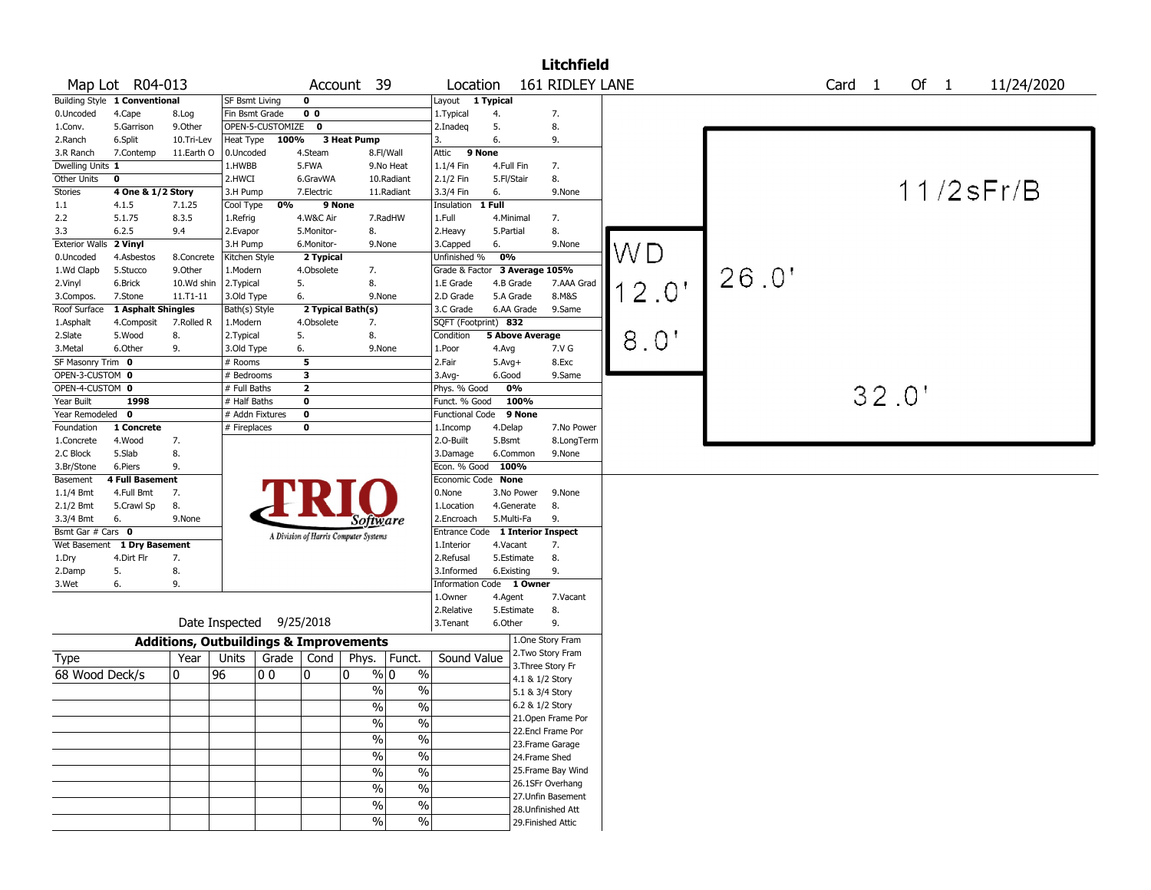|                        |                               |            |                          |                  |                         |                                                   |                               |            |                           | <b>Litchfield</b>  |       |       |                   |       |      |                 |
|------------------------|-------------------------------|------------|--------------------------|------------------|-------------------------|---------------------------------------------------|-------------------------------|------------|---------------------------|--------------------|-------|-------|-------------------|-------|------|-----------------|
|                        | Map Lot R04-013               |            |                          |                  |                         | Account 39                                        | Location                      |            |                           | 161 RIDLEY LANE    |       |       | Card <sub>1</sub> |       | Of 1 | 11/24/2020      |
|                        | Building Style 1 Conventional |            | SF Bsmt Living           |                  | $\mathbf 0$             |                                                   | Layout 1 Typical              |            |                           |                    |       |       |                   |       |      |                 |
| 0.Uncoded              | 4.Cape                        | 8.Log      | Fin Bsmt Grade           |                  | 0 <sub>0</sub>          |                                                   | 1. Typical                    | 4.         |                           | 7.                 |       |       |                   |       |      |                 |
| 1.Conv.                | 5.Garrison                    | 9.Other    |                          | OPEN-5-CUSTOMIZE | 0                       |                                                   | 2.Inadeg                      | 5.         |                           | 8.                 |       |       |                   |       |      |                 |
| 2.Ranch                | 6.Split                       | 10.Tri-Lev | Heat Type                | 100%             |                         | 3 Heat Pump                                       | 3.                            | 6.         |                           | 9.                 |       |       |                   |       |      |                 |
| 3.R Ranch              | 7.Contemp                     | 11.Earth O | 0.Uncoded                |                  | 4.Steam                 | 8.Fl/Wall                                         | Attic                         | 9 None     |                           |                    |       |       |                   |       |      |                 |
| Dwelling Units 1       |                               |            | 1.HWBB                   |                  | 5.FWA                   | 9.No Heat                                         | 1.1/4 Fin                     |            | 4.Full Fin                | 7.                 |       |       |                   |       |      |                 |
| Other Units            | $\mathbf 0$                   |            | 2.HWCI                   |                  | 6.GravWA                | 10.Radiant                                        | 2.1/2 Fin                     | 5.Fl/Stair |                           | 8.                 |       |       |                   |       |      | $11/2$ s $Fr/B$ |
| Stories                | 4 One & 1/2 Story             |            | 3.H Pump                 |                  | 7.Electric              | 11.Radiant                                        | 3.3/4 Fin                     | 6.         |                           | 9.None             |       |       |                   |       |      |                 |
| $1.1\,$                | 4.1.5                         | 7.1.25     | Cool Type                | 0%               | 9 None                  |                                                   | Insulation                    | 1 Full     |                           |                    |       |       |                   |       |      |                 |
| 2.2                    | 5.1.75                        | 8.3.5      | 1.Refrig                 |                  | 4.W&C Air               | 7.RadHW                                           | 1.Full                        |            | 4.Minimal                 | 7.                 |       |       |                   |       |      |                 |
| 3.3                    | 6.2.5                         | 9.4        | 2.Evapor                 |                  | 5.Monitor-              | 8.                                                | 2. Heavy                      | 5.Partial  |                           | 8.                 |       |       |                   |       |      |                 |
| Exterior Walls 2 Vinyl |                               |            | 3.H Pump                 |                  | 6.Monitor-              | 9.None                                            | 3.Capped                      | 6.         |                           | 9.None             | WD    |       |                   |       |      |                 |
| 0.Uncoded              | 4.Asbestos                    | 8.Concrete | Kitchen Style            |                  | 2 Typical               |                                                   | Unfinished %                  | 0%         |                           |                    |       |       |                   |       |      |                 |
| 1.Wd Clapb             | 5.Stucco                      | 9.Other    | 1.Modern                 |                  | 4.Obsolete              | 7.                                                | Grade & Factor 3 Average 105% |            |                           |                    |       | 26.0' |                   |       |      |                 |
| 2.Vinyl                | 6.Brick                       | 10.Wd shin | 2. Typical               |                  | 5.                      | 8.                                                | 1.E Grade                     |            | 4.B Grade                 | 7.AAA Grad         | 12.0" |       |                   |       |      |                 |
| 3.Compos.              | 7.Stone                       | 11.T1-11   | 3.Old Type               |                  | 6.                      | 9.None                                            | 2.D Grade                     |            | 5.A Grade                 | 8.M&S              |       |       |                   |       |      |                 |
| Roof Surface           | 1 Asphalt Shingles            |            | Bath(s) Style            |                  |                         | 2 Typical Bath(s)                                 | 3.C Grade                     |            | 6.AA Grade                | 9.Same             |       |       |                   |       |      |                 |
| 1.Asphalt              | 4.Composit                    | 7.Rolled R | 1.Modern                 |                  | 4.Obsolete              | 7.                                                | SQFT (Footprint) 832          |            |                           |                    |       |       |                   |       |      |                 |
| 2.Slate                | 5.Wood                        | 8.         | 2.Typical                |                  | 5.                      | 8.                                                | Condition                     |            | <b>5 Above Average</b>    |                    | 8.0'  |       |                   |       |      |                 |
| 3.Metal                | 6.Other                       | 9.         | 3.Old Type               |                  | 6.                      | 9.None                                            | 1.Poor                        | 4.Avg      |                           | 7.V G              |       |       |                   |       |      |                 |
| SF Masonry Trim 0      |                               |            | # Rooms                  |                  | 5                       |                                                   | 2.Fair                        | $5.Avg+$   |                           | 8.Exc              |       |       |                   |       |      |                 |
| OPEN-3-CUSTOM 0        |                               |            | # Bedrooms               |                  | $\overline{\mathbf{3}}$ |                                                   | $3.$ Avg-                     | 6.Good     |                           | 9.Same             |       |       |                   |       |      |                 |
| OPEN-4-CUSTOM 0        |                               |            | # Full Baths             |                  | $\overline{2}$          |                                                   | Phys. % Good                  |            | 0%                        |                    |       |       |                   | 32.0' |      |                 |
| Year Built             | 1998                          |            | $#$ Half Baths           |                  | $\mathbf 0$             |                                                   | Funct. % Good                 |            | 100%                      |                    |       |       |                   |       |      |                 |
| Year Remodeled 0       |                               |            | # Addn Fixtures          |                  | $\mathbf 0$             |                                                   | Functional Code               |            | 9 None                    |                    |       |       |                   |       |      |                 |
| Foundation             | 1 Concrete                    |            | # Fireplaces             |                  | $\mathbf 0$             |                                                   | 1.Incomp                      | 4.Delap    |                           | 7.No Power         |       |       |                   |       |      |                 |
| 1.Concrete             | 4.Wood                        | 7.         |                          |                  |                         |                                                   | 2.O-Built                     | 5.Bsmt     |                           | 8.LongTerm         |       |       |                   |       |      |                 |
| 2.C Block              | 5.Slab                        | 8.         |                          |                  |                         |                                                   | 3.Damage                      |            | 6.Common                  | 9.None             |       |       |                   |       |      |                 |
| 3.Br/Stone             | 6.Piers                       | 9.         |                          |                  |                         |                                                   | Econ. % Good                  | 100%       |                           |                    |       |       |                   |       |      |                 |
| Basement               | 4 Full Basement               |            |                          |                  |                         |                                                   | Economic Code None            |            |                           |                    |       |       |                   |       |      |                 |
| 1.1/4 Bmt              | 4.Full Bmt                    | 7.         |                          |                  |                         |                                                   | 0.None                        |            | 3.No Power                | 9.None             |       |       |                   |       |      |                 |
| 2.1/2 Bmt              | 5.Crawl Sp                    | 8.         |                          |                  |                         |                                                   | 1.Location                    |            | 4.Generate                | 8.                 |       |       |                   |       |      |                 |
| 3.3/4 Bmt              | 6.                            | 9.None     |                          |                  |                         | Sottware                                          | 2.Encroach                    |            | 5.Multi-Fa                | 9.                 |       |       |                   |       |      |                 |
| Bsmt Gar # Cars 0      |                               |            |                          |                  |                         | A Division of Harris Computer Systems             | Entrance Code                 |            | <b>1 Interior Inspect</b> |                    |       |       |                   |       |      |                 |
|                        | Wet Basement 1 Dry Basement   |            |                          |                  |                         |                                                   | 1.Interior                    | 4.Vacant   |                           | 7.                 |       |       |                   |       |      |                 |
| 1.Dry                  | 4.Dirt Flr                    | 7.         |                          |                  |                         |                                                   | 2.Refusal                     |            | 5.Estimate                | 8.                 |       |       |                   |       |      |                 |
| 2.Damp                 | 5.                            | 8.         |                          |                  |                         |                                                   | 3.Informed                    |            | 6.Existing                | 9.                 |       |       |                   |       |      |                 |
| 3.Wet                  | 6.                            | 9.         |                          |                  |                         |                                                   | Information Code 1 Owner      |            |                           |                    |       |       |                   |       |      |                 |
|                        |                               |            |                          |                  |                         |                                                   | 1.0wner                       | 4.Agent    |                           | 7.Vacant           |       |       |                   |       |      |                 |
|                        |                               |            |                          |                  |                         |                                                   | 2.Relative                    |            | 5.Estimate                | 8.                 |       |       |                   |       |      |                 |
|                        |                               |            | Date Inspected 9/25/2018 |                  |                         |                                                   | 3.Tenant                      | 6.Other    |                           | 9.                 |       |       |                   |       |      |                 |
|                        |                               |            |                          |                  |                         | <b>Additions, Outbuildings &amp; Improvements</b> |                               |            |                           | 1.One Story Fram   |       |       |                   |       |      |                 |
| Type                   |                               | Year       | Units                    | Grade            | Cond                    | Phys.<br>Funct.                                   | Sound Value                   |            |                           | 2. Two Story Fram  |       |       |                   |       |      |                 |
| 68 Wood Deck/s         |                               | 0          | 96                       | l 0 0            | 0                       | $\frac{9}{0}$ 0<br>$\%$<br>10                     |                               |            | 3. Three Story Fr         |                    |       |       |                   |       |      |                 |
|                        |                               |            |                          |                  |                         |                                                   |                               |            | 4.1 & 1/2 Story           |                    |       |       |                   |       |      |                 |
|                        |                               |            |                          |                  |                         | $\%$<br>$\%$                                      |                               |            | 5.1 & 3/4 Story           |                    |       |       |                   |       |      |                 |
|                        |                               |            |                          |                  |                         | $\%$<br>$\sqrt{2}$                                |                               |            | 6.2 & 1/2 Story           |                    |       |       |                   |       |      |                 |
|                        |                               |            |                          |                  |                         | $\%$<br>$\%$                                      |                               |            |                           | 21. Open Frame Por |       |       |                   |       |      |                 |
|                        |                               |            |                          |                  |                         | $\%$<br>$\sqrt{2}$                                |                               |            |                           | 22.Encl Frame Por  |       |       |                   |       |      |                 |
|                        |                               |            |                          |                  |                         |                                                   |                               |            |                           | 23. Frame Garage   |       |       |                   |       |      |                 |
|                        |                               |            |                          |                  |                         | $\%$<br>$\sqrt{2}$                                |                               |            | 24.Frame Shed             |                    |       |       |                   |       |      |                 |
|                        |                               |            |                          |                  |                         | $\frac{0}{6}$<br>$\%$                             |                               |            |                           | 25. Frame Bay Wind |       |       |                   |       |      |                 |
|                        |                               |            |                          |                  |                         | $\sqrt{6}$<br>$\%$                                |                               |            |                           | 26.1SFr Overhang   |       |       |                   |       |      |                 |
|                        |                               |            |                          |                  |                         |                                                   |                               |            |                           | 27. Unfin Basement |       |       |                   |       |      |                 |
|                        |                               |            |                          |                  |                         | $\%$<br>%                                         |                               |            |                           | 28. Unfinished Att |       |       |                   |       |      |                 |
|                        |                               |            |                          |                  |                         | $\%$<br>%                                         |                               |            | 29. Finished Attic        |                    |       |       |                   |       |      |                 |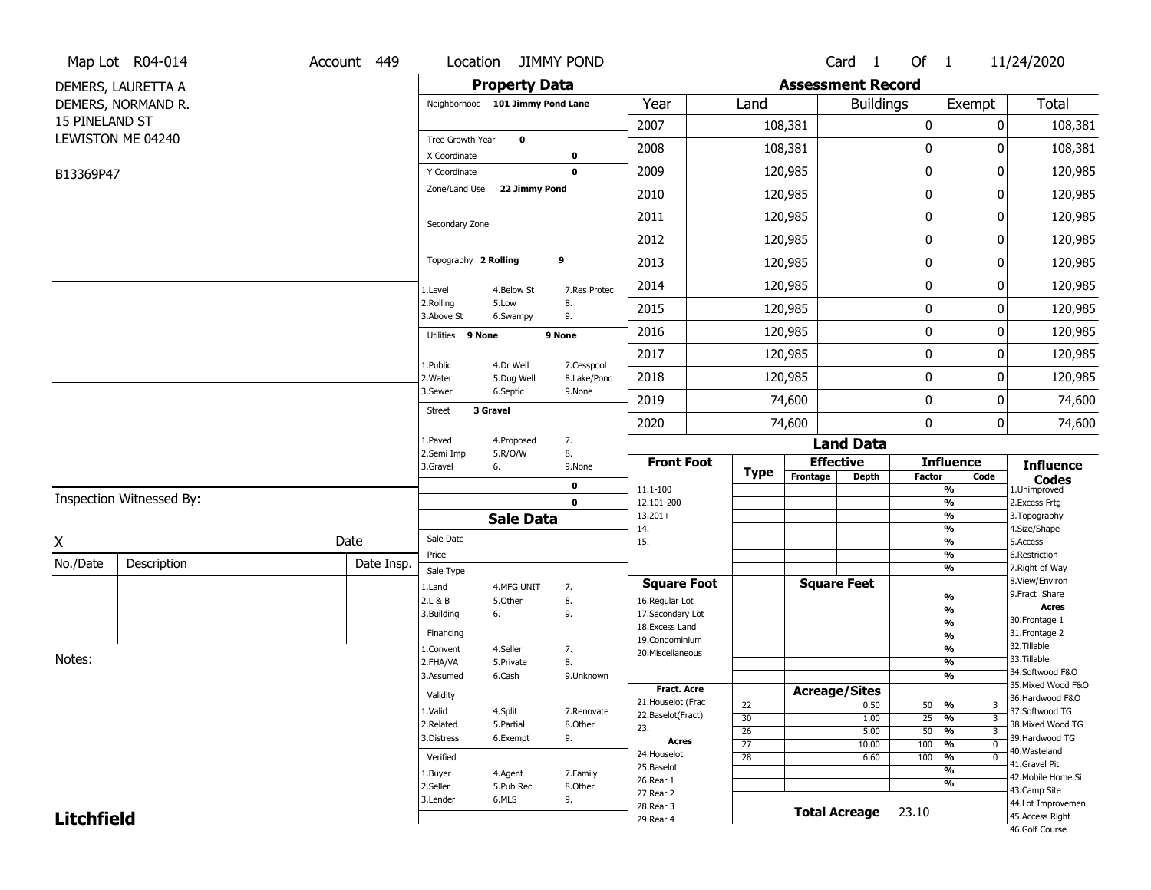| <b>Assessment Record</b><br><b>Property Data</b><br>DEMERS, LAURETTA A<br>Year<br>Total<br>DEMERS, NORMAND R.<br>Neighborhood 101 Jimmy Pond Lane<br><b>Buildings</b><br>Exempt<br>Land<br>15 PINELAND ST<br>2007<br>108,381<br>0<br>0<br>108,381<br>LEWISTON ME 04240<br>Tree Growth Year<br>$\mathbf 0$<br>$\mathbf 0$<br>2008<br>108,381<br>108,381<br>0<br>X Coordinate<br>$\mathbf 0$<br>0<br>2009<br>120,985<br>0<br>120,985<br>$\mathbf 0$<br>Y Coordinate<br>B13369P47<br>Zone/Land Use<br>22 Jimmy Pond<br>$\mathbf 0$<br>120,985<br>0<br>120,985<br>2010<br>0<br>2011<br>120,985<br>0<br>120,985<br>Secondary Zone<br>0<br>2012<br>120,985<br>0<br>120,985<br>9<br>Topography 2 Rolling<br>$\pmb{0}$<br>2013<br>120,985<br>0<br>120,985<br>$\pmb{0}$<br>2014<br>120,985<br>120,985<br>0<br>1.Level<br>4.Below St<br>7.Res Protec<br>2.Rolling<br>5.Low<br>8.<br>120,985<br>0<br>2015<br>0<br>120,985<br>3.Above St<br>9.<br>6.Swampy<br>$\mathbf 0$<br>120,985<br>2016<br>120,985<br>0<br>Utilities 9 None<br>9 None<br>0<br>2017<br>120,985<br>0<br>120,985<br>1.Public<br>4.Dr Well<br>7.Cesspool<br>$\mathbf 0$<br>2018<br>120,985<br>0<br>120,985<br>2. Water<br>8.Lake/Pond<br>5.Dug Well<br>3.Sewer<br>6.Septic<br>9.None<br>0<br>2019<br>74,600<br>0<br>74,600<br>3 Gravel<br><b>Street</b><br>$\mathbf{0}$<br>2020<br>74,600<br>0<br>74,600<br>1.Paved<br>4.Proposed<br>7.<br><b>Land Data</b><br>8.<br>2.Semi Imp<br>5.R/O/W<br><b>Effective</b><br><b>Front Foot</b><br><b>Influence</b><br><b>Influence</b><br>3.Gravel<br>9.None<br>6.<br>Type<br>Frontage<br>Depth<br><b>Factor</b><br>Code<br><b>Codes</b><br>0<br>$\frac{9}{6}$<br>11.1-100<br>1.Unimproved<br>Inspection Witnessed By:<br>$\mathbf 0$<br>$\frac{9}{6}$<br>2.Excess Frtg<br>12.101-200<br>$\frac{9}{6}$<br>$13.201+$<br>3. Topography<br><b>Sale Data</b><br>$\frac{9}{6}$<br>4.Size/Shape<br>14.<br>Sale Date<br>Date<br>Χ<br>$\frac{9}{6}$<br>5.Access<br>15.<br>$\frac{9}{6}$<br>Price<br>6.Restriction<br>No./Date<br>Description<br>Date Insp.<br>$\frac{9}{6}$<br>7. Right of Way<br>Sale Type<br>8.View/Environ<br><b>Square Feet</b><br><b>Square Foot</b><br>4.MFG UNIT<br>1.Land<br>7.<br>9.Fract Share<br>$\frac{9}{6}$<br>8.<br>2.L & B<br>5.Other<br>16.Regular Lot<br><b>Acres</b><br>$\frac{9}{6}$<br>9.<br>17.Secondary Lot<br>3.Building<br>6.<br>30. Frontage 1<br>$\frac{9}{6}$<br>18. Excess Land<br>31. Frontage 2<br>Financing<br>$\frac{9}{6}$<br>19.Condominium<br>32.Tillable<br>$\frac{9}{6}$<br>1.Convent<br>4.Seller<br>7.<br>20.Miscellaneous<br>Notes:<br>33.Tillable<br>$\frac{9}{6}$<br>2.FHA/VA<br>5.Private<br>8.<br>34.Softwood F&O<br>$\frac{9}{6}$<br>3.Assumed<br>6.Cash<br>9.Unknown<br>35. Mixed Wood F&O<br><b>Fract. Acre</b><br><b>Acreage/Sites</b><br>Validity<br>36.Hardwood F&O<br>21. Houselot (Frac<br>22<br>0.50<br>50 %<br>3<br>1.Valid<br>37.Softwood TG<br>4.Split<br>7.Renovate<br>22.Baselot(Fract)<br>30<br>25<br>$\overline{3}$<br>1.00<br>%<br>38. Mixed Wood TG<br>2.Related<br>5.Partial<br>8.Other<br>23.<br>$\overline{26}$<br>$\overline{50}$<br>$\frac{9}{6}$<br>$\overline{3}$<br>5.00<br>39.Hardwood TG<br>9.<br>3.Distress<br>6.Exempt<br>Acres<br>$\overline{27}$<br>100<br>$\frac{9}{6}$<br>10.00<br>$\mathbf 0$<br>40. Wasteland<br>24. Houselot<br>$\overline{28}$<br>100<br>6.60<br>%<br>Verified<br>$\mathbf 0$<br>41.Gravel Pit<br>25.Baselot<br>$\overline{\frac{9}{6}}$<br>1.Buyer<br>4.Agent<br>7.Family<br>42. Mobile Home Si<br>26.Rear 1<br>%<br>2.Seller<br>8.Other<br>5.Pub Rec<br>43.Camp Site | Map Lot R04-014 | Account 449 | Location |       | <b>JIMMY POND</b> |           |  | Card 1 | Of $1$ | 11/24/2020 |
|----------------------------------------------------------------------------------------------------------------------------------------------------------------------------------------------------------------------------------------------------------------------------------------------------------------------------------------------------------------------------------------------------------------------------------------------------------------------------------------------------------------------------------------------------------------------------------------------------------------------------------------------------------------------------------------------------------------------------------------------------------------------------------------------------------------------------------------------------------------------------------------------------------------------------------------------------------------------------------------------------------------------------------------------------------------------------------------------------------------------------------------------------------------------------------------------------------------------------------------------------------------------------------------------------------------------------------------------------------------------------------------------------------------------------------------------------------------------------------------------------------------------------------------------------------------------------------------------------------------------------------------------------------------------------------------------------------------------------------------------------------------------------------------------------------------------------------------------------------------------------------------------------------------------------------------------------------------------------------------------------------------------------------------------------------------------------------------------------------------------------------------------------------------------------------------------------------------------------------------------------------------------------------------------------------------------------------------------------------------------------------------------------------------------------------------------------------------------------------------------------------------------------------------------------------------------------------------------------------------------------------------------------------------------------------------------------------------------------------------------------------------------------------------------------------------------------------------------------------------------------------------------------------------------------------------------------------------------------------------------------------------------------------------------------------------------------------------------------------------------------------------------------------------------------------------------------------------------------------------------------------------------------------------------------------------------------------------------------------------------------------------------------------------------------------------------------------------------------------------------------------------------------------------------------------------------------|-----------------|-------------|----------|-------|-------------------|-----------|--|--------|--------|------------|
|                                                                                                                                                                                                                                                                                                                                                                                                                                                                                                                                                                                                                                                                                                                                                                                                                                                                                                                                                                                                                                                                                                                                                                                                                                                                                                                                                                                                                                                                                                                                                                                                                                                                                                                                                                                                                                                                                                                                                                                                                                                                                                                                                                                                                                                                                                                                                                                                                                                                                                                                                                                                                                                                                                                                                                                                                                                                                                                                                                                                                                                                                                                                                                                                                                                                                                                                                                                                                                                                                                                                                                            |                 |             |          |       |                   |           |  |        |        |            |
|                                                                                                                                                                                                                                                                                                                                                                                                                                                                                                                                                                                                                                                                                                                                                                                                                                                                                                                                                                                                                                                                                                                                                                                                                                                                                                                                                                                                                                                                                                                                                                                                                                                                                                                                                                                                                                                                                                                                                                                                                                                                                                                                                                                                                                                                                                                                                                                                                                                                                                                                                                                                                                                                                                                                                                                                                                                                                                                                                                                                                                                                                                                                                                                                                                                                                                                                                                                                                                                                                                                                                                            |                 |             |          |       |                   |           |  |        |        |            |
|                                                                                                                                                                                                                                                                                                                                                                                                                                                                                                                                                                                                                                                                                                                                                                                                                                                                                                                                                                                                                                                                                                                                                                                                                                                                                                                                                                                                                                                                                                                                                                                                                                                                                                                                                                                                                                                                                                                                                                                                                                                                                                                                                                                                                                                                                                                                                                                                                                                                                                                                                                                                                                                                                                                                                                                                                                                                                                                                                                                                                                                                                                                                                                                                                                                                                                                                                                                                                                                                                                                                                                            |                 |             |          |       |                   |           |  |        |        |            |
|                                                                                                                                                                                                                                                                                                                                                                                                                                                                                                                                                                                                                                                                                                                                                                                                                                                                                                                                                                                                                                                                                                                                                                                                                                                                                                                                                                                                                                                                                                                                                                                                                                                                                                                                                                                                                                                                                                                                                                                                                                                                                                                                                                                                                                                                                                                                                                                                                                                                                                                                                                                                                                                                                                                                                                                                                                                                                                                                                                                                                                                                                                                                                                                                                                                                                                                                                                                                                                                                                                                                                                            |                 |             |          |       |                   |           |  |        |        |            |
|                                                                                                                                                                                                                                                                                                                                                                                                                                                                                                                                                                                                                                                                                                                                                                                                                                                                                                                                                                                                                                                                                                                                                                                                                                                                                                                                                                                                                                                                                                                                                                                                                                                                                                                                                                                                                                                                                                                                                                                                                                                                                                                                                                                                                                                                                                                                                                                                                                                                                                                                                                                                                                                                                                                                                                                                                                                                                                                                                                                                                                                                                                                                                                                                                                                                                                                                                                                                                                                                                                                                                                            |                 |             |          |       |                   |           |  |        |        |            |
|                                                                                                                                                                                                                                                                                                                                                                                                                                                                                                                                                                                                                                                                                                                                                                                                                                                                                                                                                                                                                                                                                                                                                                                                                                                                                                                                                                                                                                                                                                                                                                                                                                                                                                                                                                                                                                                                                                                                                                                                                                                                                                                                                                                                                                                                                                                                                                                                                                                                                                                                                                                                                                                                                                                                                                                                                                                                                                                                                                                                                                                                                                                                                                                                                                                                                                                                                                                                                                                                                                                                                                            |                 |             |          |       |                   |           |  |        |        |            |
|                                                                                                                                                                                                                                                                                                                                                                                                                                                                                                                                                                                                                                                                                                                                                                                                                                                                                                                                                                                                                                                                                                                                                                                                                                                                                                                                                                                                                                                                                                                                                                                                                                                                                                                                                                                                                                                                                                                                                                                                                                                                                                                                                                                                                                                                                                                                                                                                                                                                                                                                                                                                                                                                                                                                                                                                                                                                                                                                                                                                                                                                                                                                                                                                                                                                                                                                                                                                                                                                                                                                                                            |                 |             |          |       |                   |           |  |        |        |            |
|                                                                                                                                                                                                                                                                                                                                                                                                                                                                                                                                                                                                                                                                                                                                                                                                                                                                                                                                                                                                                                                                                                                                                                                                                                                                                                                                                                                                                                                                                                                                                                                                                                                                                                                                                                                                                                                                                                                                                                                                                                                                                                                                                                                                                                                                                                                                                                                                                                                                                                                                                                                                                                                                                                                                                                                                                                                                                                                                                                                                                                                                                                                                                                                                                                                                                                                                                                                                                                                                                                                                                                            |                 |             |          |       |                   |           |  |        |        |            |
|                                                                                                                                                                                                                                                                                                                                                                                                                                                                                                                                                                                                                                                                                                                                                                                                                                                                                                                                                                                                                                                                                                                                                                                                                                                                                                                                                                                                                                                                                                                                                                                                                                                                                                                                                                                                                                                                                                                                                                                                                                                                                                                                                                                                                                                                                                                                                                                                                                                                                                                                                                                                                                                                                                                                                                                                                                                                                                                                                                                                                                                                                                                                                                                                                                                                                                                                                                                                                                                                                                                                                                            |                 |             |          |       |                   |           |  |        |        |            |
|                                                                                                                                                                                                                                                                                                                                                                                                                                                                                                                                                                                                                                                                                                                                                                                                                                                                                                                                                                                                                                                                                                                                                                                                                                                                                                                                                                                                                                                                                                                                                                                                                                                                                                                                                                                                                                                                                                                                                                                                                                                                                                                                                                                                                                                                                                                                                                                                                                                                                                                                                                                                                                                                                                                                                                                                                                                                                                                                                                                                                                                                                                                                                                                                                                                                                                                                                                                                                                                                                                                                                                            |                 |             |          |       |                   |           |  |        |        |            |
|                                                                                                                                                                                                                                                                                                                                                                                                                                                                                                                                                                                                                                                                                                                                                                                                                                                                                                                                                                                                                                                                                                                                                                                                                                                                                                                                                                                                                                                                                                                                                                                                                                                                                                                                                                                                                                                                                                                                                                                                                                                                                                                                                                                                                                                                                                                                                                                                                                                                                                                                                                                                                                                                                                                                                                                                                                                                                                                                                                                                                                                                                                                                                                                                                                                                                                                                                                                                                                                                                                                                                                            |                 |             |          |       |                   |           |  |        |        |            |
|                                                                                                                                                                                                                                                                                                                                                                                                                                                                                                                                                                                                                                                                                                                                                                                                                                                                                                                                                                                                                                                                                                                                                                                                                                                                                                                                                                                                                                                                                                                                                                                                                                                                                                                                                                                                                                                                                                                                                                                                                                                                                                                                                                                                                                                                                                                                                                                                                                                                                                                                                                                                                                                                                                                                                                                                                                                                                                                                                                                                                                                                                                                                                                                                                                                                                                                                                                                                                                                                                                                                                                            |                 |             |          |       |                   |           |  |        |        |            |
|                                                                                                                                                                                                                                                                                                                                                                                                                                                                                                                                                                                                                                                                                                                                                                                                                                                                                                                                                                                                                                                                                                                                                                                                                                                                                                                                                                                                                                                                                                                                                                                                                                                                                                                                                                                                                                                                                                                                                                                                                                                                                                                                                                                                                                                                                                                                                                                                                                                                                                                                                                                                                                                                                                                                                                                                                                                                                                                                                                                                                                                                                                                                                                                                                                                                                                                                                                                                                                                                                                                                                                            |                 |             |          |       |                   |           |  |        |        |            |
|                                                                                                                                                                                                                                                                                                                                                                                                                                                                                                                                                                                                                                                                                                                                                                                                                                                                                                                                                                                                                                                                                                                                                                                                                                                                                                                                                                                                                                                                                                                                                                                                                                                                                                                                                                                                                                                                                                                                                                                                                                                                                                                                                                                                                                                                                                                                                                                                                                                                                                                                                                                                                                                                                                                                                                                                                                                                                                                                                                                                                                                                                                                                                                                                                                                                                                                                                                                                                                                                                                                                                                            |                 |             |          |       |                   |           |  |        |        |            |
|                                                                                                                                                                                                                                                                                                                                                                                                                                                                                                                                                                                                                                                                                                                                                                                                                                                                                                                                                                                                                                                                                                                                                                                                                                                                                                                                                                                                                                                                                                                                                                                                                                                                                                                                                                                                                                                                                                                                                                                                                                                                                                                                                                                                                                                                                                                                                                                                                                                                                                                                                                                                                                                                                                                                                                                                                                                                                                                                                                                                                                                                                                                                                                                                                                                                                                                                                                                                                                                                                                                                                                            |                 |             |          |       |                   |           |  |        |        |            |
|                                                                                                                                                                                                                                                                                                                                                                                                                                                                                                                                                                                                                                                                                                                                                                                                                                                                                                                                                                                                                                                                                                                                                                                                                                                                                                                                                                                                                                                                                                                                                                                                                                                                                                                                                                                                                                                                                                                                                                                                                                                                                                                                                                                                                                                                                                                                                                                                                                                                                                                                                                                                                                                                                                                                                                                                                                                                                                                                                                                                                                                                                                                                                                                                                                                                                                                                                                                                                                                                                                                                                                            |                 |             |          |       |                   |           |  |        |        |            |
|                                                                                                                                                                                                                                                                                                                                                                                                                                                                                                                                                                                                                                                                                                                                                                                                                                                                                                                                                                                                                                                                                                                                                                                                                                                                                                                                                                                                                                                                                                                                                                                                                                                                                                                                                                                                                                                                                                                                                                                                                                                                                                                                                                                                                                                                                                                                                                                                                                                                                                                                                                                                                                                                                                                                                                                                                                                                                                                                                                                                                                                                                                                                                                                                                                                                                                                                                                                                                                                                                                                                                                            |                 |             |          |       |                   |           |  |        |        |            |
|                                                                                                                                                                                                                                                                                                                                                                                                                                                                                                                                                                                                                                                                                                                                                                                                                                                                                                                                                                                                                                                                                                                                                                                                                                                                                                                                                                                                                                                                                                                                                                                                                                                                                                                                                                                                                                                                                                                                                                                                                                                                                                                                                                                                                                                                                                                                                                                                                                                                                                                                                                                                                                                                                                                                                                                                                                                                                                                                                                                                                                                                                                                                                                                                                                                                                                                                                                                                                                                                                                                                                                            |                 |             |          |       |                   |           |  |        |        |            |
|                                                                                                                                                                                                                                                                                                                                                                                                                                                                                                                                                                                                                                                                                                                                                                                                                                                                                                                                                                                                                                                                                                                                                                                                                                                                                                                                                                                                                                                                                                                                                                                                                                                                                                                                                                                                                                                                                                                                                                                                                                                                                                                                                                                                                                                                                                                                                                                                                                                                                                                                                                                                                                                                                                                                                                                                                                                                                                                                                                                                                                                                                                                                                                                                                                                                                                                                                                                                                                                                                                                                                                            |                 |             |          |       |                   |           |  |        |        |            |
|                                                                                                                                                                                                                                                                                                                                                                                                                                                                                                                                                                                                                                                                                                                                                                                                                                                                                                                                                                                                                                                                                                                                                                                                                                                                                                                                                                                                                                                                                                                                                                                                                                                                                                                                                                                                                                                                                                                                                                                                                                                                                                                                                                                                                                                                                                                                                                                                                                                                                                                                                                                                                                                                                                                                                                                                                                                                                                                                                                                                                                                                                                                                                                                                                                                                                                                                                                                                                                                                                                                                                                            |                 |             |          |       |                   |           |  |        |        |            |
|                                                                                                                                                                                                                                                                                                                                                                                                                                                                                                                                                                                                                                                                                                                                                                                                                                                                                                                                                                                                                                                                                                                                                                                                                                                                                                                                                                                                                                                                                                                                                                                                                                                                                                                                                                                                                                                                                                                                                                                                                                                                                                                                                                                                                                                                                                                                                                                                                                                                                                                                                                                                                                                                                                                                                                                                                                                                                                                                                                                                                                                                                                                                                                                                                                                                                                                                                                                                                                                                                                                                                                            |                 |             |          |       |                   |           |  |        |        |            |
|                                                                                                                                                                                                                                                                                                                                                                                                                                                                                                                                                                                                                                                                                                                                                                                                                                                                                                                                                                                                                                                                                                                                                                                                                                                                                                                                                                                                                                                                                                                                                                                                                                                                                                                                                                                                                                                                                                                                                                                                                                                                                                                                                                                                                                                                                                                                                                                                                                                                                                                                                                                                                                                                                                                                                                                                                                                                                                                                                                                                                                                                                                                                                                                                                                                                                                                                                                                                                                                                                                                                                                            |                 |             |          |       |                   |           |  |        |        |            |
|                                                                                                                                                                                                                                                                                                                                                                                                                                                                                                                                                                                                                                                                                                                                                                                                                                                                                                                                                                                                                                                                                                                                                                                                                                                                                                                                                                                                                                                                                                                                                                                                                                                                                                                                                                                                                                                                                                                                                                                                                                                                                                                                                                                                                                                                                                                                                                                                                                                                                                                                                                                                                                                                                                                                                                                                                                                                                                                                                                                                                                                                                                                                                                                                                                                                                                                                                                                                                                                                                                                                                                            |                 |             |          |       |                   |           |  |        |        |            |
|                                                                                                                                                                                                                                                                                                                                                                                                                                                                                                                                                                                                                                                                                                                                                                                                                                                                                                                                                                                                                                                                                                                                                                                                                                                                                                                                                                                                                                                                                                                                                                                                                                                                                                                                                                                                                                                                                                                                                                                                                                                                                                                                                                                                                                                                                                                                                                                                                                                                                                                                                                                                                                                                                                                                                                                                                                                                                                                                                                                                                                                                                                                                                                                                                                                                                                                                                                                                                                                                                                                                                                            |                 |             |          |       |                   |           |  |        |        |            |
|                                                                                                                                                                                                                                                                                                                                                                                                                                                                                                                                                                                                                                                                                                                                                                                                                                                                                                                                                                                                                                                                                                                                                                                                                                                                                                                                                                                                                                                                                                                                                                                                                                                                                                                                                                                                                                                                                                                                                                                                                                                                                                                                                                                                                                                                                                                                                                                                                                                                                                                                                                                                                                                                                                                                                                                                                                                                                                                                                                                                                                                                                                                                                                                                                                                                                                                                                                                                                                                                                                                                                                            |                 |             |          |       |                   |           |  |        |        |            |
|                                                                                                                                                                                                                                                                                                                                                                                                                                                                                                                                                                                                                                                                                                                                                                                                                                                                                                                                                                                                                                                                                                                                                                                                                                                                                                                                                                                                                                                                                                                                                                                                                                                                                                                                                                                                                                                                                                                                                                                                                                                                                                                                                                                                                                                                                                                                                                                                                                                                                                                                                                                                                                                                                                                                                                                                                                                                                                                                                                                                                                                                                                                                                                                                                                                                                                                                                                                                                                                                                                                                                                            |                 |             |          |       |                   |           |  |        |        |            |
|                                                                                                                                                                                                                                                                                                                                                                                                                                                                                                                                                                                                                                                                                                                                                                                                                                                                                                                                                                                                                                                                                                                                                                                                                                                                                                                                                                                                                                                                                                                                                                                                                                                                                                                                                                                                                                                                                                                                                                                                                                                                                                                                                                                                                                                                                                                                                                                                                                                                                                                                                                                                                                                                                                                                                                                                                                                                                                                                                                                                                                                                                                                                                                                                                                                                                                                                                                                                                                                                                                                                                                            |                 |             |          |       |                   |           |  |        |        |            |
|                                                                                                                                                                                                                                                                                                                                                                                                                                                                                                                                                                                                                                                                                                                                                                                                                                                                                                                                                                                                                                                                                                                                                                                                                                                                                                                                                                                                                                                                                                                                                                                                                                                                                                                                                                                                                                                                                                                                                                                                                                                                                                                                                                                                                                                                                                                                                                                                                                                                                                                                                                                                                                                                                                                                                                                                                                                                                                                                                                                                                                                                                                                                                                                                                                                                                                                                                                                                                                                                                                                                                                            |                 |             |          |       |                   |           |  |        |        |            |
|                                                                                                                                                                                                                                                                                                                                                                                                                                                                                                                                                                                                                                                                                                                                                                                                                                                                                                                                                                                                                                                                                                                                                                                                                                                                                                                                                                                                                                                                                                                                                                                                                                                                                                                                                                                                                                                                                                                                                                                                                                                                                                                                                                                                                                                                                                                                                                                                                                                                                                                                                                                                                                                                                                                                                                                                                                                                                                                                                                                                                                                                                                                                                                                                                                                                                                                                                                                                                                                                                                                                                                            |                 |             |          |       |                   |           |  |        |        |            |
|                                                                                                                                                                                                                                                                                                                                                                                                                                                                                                                                                                                                                                                                                                                                                                                                                                                                                                                                                                                                                                                                                                                                                                                                                                                                                                                                                                                                                                                                                                                                                                                                                                                                                                                                                                                                                                                                                                                                                                                                                                                                                                                                                                                                                                                                                                                                                                                                                                                                                                                                                                                                                                                                                                                                                                                                                                                                                                                                                                                                                                                                                                                                                                                                                                                                                                                                                                                                                                                                                                                                                                            |                 |             |          |       |                   |           |  |        |        |            |
|                                                                                                                                                                                                                                                                                                                                                                                                                                                                                                                                                                                                                                                                                                                                                                                                                                                                                                                                                                                                                                                                                                                                                                                                                                                                                                                                                                                                                                                                                                                                                                                                                                                                                                                                                                                                                                                                                                                                                                                                                                                                                                                                                                                                                                                                                                                                                                                                                                                                                                                                                                                                                                                                                                                                                                                                                                                                                                                                                                                                                                                                                                                                                                                                                                                                                                                                                                                                                                                                                                                                                                            |                 |             |          |       |                   |           |  |        |        |            |
|                                                                                                                                                                                                                                                                                                                                                                                                                                                                                                                                                                                                                                                                                                                                                                                                                                                                                                                                                                                                                                                                                                                                                                                                                                                                                                                                                                                                                                                                                                                                                                                                                                                                                                                                                                                                                                                                                                                                                                                                                                                                                                                                                                                                                                                                                                                                                                                                                                                                                                                                                                                                                                                                                                                                                                                                                                                                                                                                                                                                                                                                                                                                                                                                                                                                                                                                                                                                                                                                                                                                                                            |                 |             |          |       |                   |           |  |        |        |            |
|                                                                                                                                                                                                                                                                                                                                                                                                                                                                                                                                                                                                                                                                                                                                                                                                                                                                                                                                                                                                                                                                                                                                                                                                                                                                                                                                                                                                                                                                                                                                                                                                                                                                                                                                                                                                                                                                                                                                                                                                                                                                                                                                                                                                                                                                                                                                                                                                                                                                                                                                                                                                                                                                                                                                                                                                                                                                                                                                                                                                                                                                                                                                                                                                                                                                                                                                                                                                                                                                                                                                                                            |                 |             |          |       |                   |           |  |        |        |            |
|                                                                                                                                                                                                                                                                                                                                                                                                                                                                                                                                                                                                                                                                                                                                                                                                                                                                                                                                                                                                                                                                                                                                                                                                                                                                                                                                                                                                                                                                                                                                                                                                                                                                                                                                                                                                                                                                                                                                                                                                                                                                                                                                                                                                                                                                                                                                                                                                                                                                                                                                                                                                                                                                                                                                                                                                                                                                                                                                                                                                                                                                                                                                                                                                                                                                                                                                                                                                                                                                                                                                                                            |                 |             |          |       |                   |           |  |        |        |            |
|                                                                                                                                                                                                                                                                                                                                                                                                                                                                                                                                                                                                                                                                                                                                                                                                                                                                                                                                                                                                                                                                                                                                                                                                                                                                                                                                                                                                                                                                                                                                                                                                                                                                                                                                                                                                                                                                                                                                                                                                                                                                                                                                                                                                                                                                                                                                                                                                                                                                                                                                                                                                                                                                                                                                                                                                                                                                                                                                                                                                                                                                                                                                                                                                                                                                                                                                                                                                                                                                                                                                                                            |                 |             |          |       |                   |           |  |        |        |            |
|                                                                                                                                                                                                                                                                                                                                                                                                                                                                                                                                                                                                                                                                                                                                                                                                                                                                                                                                                                                                                                                                                                                                                                                                                                                                                                                                                                                                                                                                                                                                                                                                                                                                                                                                                                                                                                                                                                                                                                                                                                                                                                                                                                                                                                                                                                                                                                                                                                                                                                                                                                                                                                                                                                                                                                                                                                                                                                                                                                                                                                                                                                                                                                                                                                                                                                                                                                                                                                                                                                                                                                            |                 |             |          |       |                   |           |  |        |        |            |
|                                                                                                                                                                                                                                                                                                                                                                                                                                                                                                                                                                                                                                                                                                                                                                                                                                                                                                                                                                                                                                                                                                                                                                                                                                                                                                                                                                                                                                                                                                                                                                                                                                                                                                                                                                                                                                                                                                                                                                                                                                                                                                                                                                                                                                                                                                                                                                                                                                                                                                                                                                                                                                                                                                                                                                                                                                                                                                                                                                                                                                                                                                                                                                                                                                                                                                                                                                                                                                                                                                                                                                            |                 |             |          |       |                   |           |  |        |        |            |
|                                                                                                                                                                                                                                                                                                                                                                                                                                                                                                                                                                                                                                                                                                                                                                                                                                                                                                                                                                                                                                                                                                                                                                                                                                                                                                                                                                                                                                                                                                                                                                                                                                                                                                                                                                                                                                                                                                                                                                                                                                                                                                                                                                                                                                                                                                                                                                                                                                                                                                                                                                                                                                                                                                                                                                                                                                                                                                                                                                                                                                                                                                                                                                                                                                                                                                                                                                                                                                                                                                                                                                            |                 |             |          |       |                   |           |  |        |        |            |
| 3.Lender<br>44.Lot Improvemen<br>28. Rear 3<br><b>Total Acreage</b>                                                                                                                                                                                                                                                                                                                                                                                                                                                                                                                                                                                                                                                                                                                                                                                                                                                                                                                                                                                                                                                                                                                                                                                                                                                                                                                                                                                                                                                                                                                                                                                                                                                                                                                                                                                                                                                                                                                                                                                                                                                                                                                                                                                                                                                                                                                                                                                                                                                                                                                                                                                                                                                                                                                                                                                                                                                                                                                                                                                                                                                                                                                                                                                                                                                                                                                                                                                                                                                                                                        |                 |             |          |       |                   |           |  |        |        |            |
| 45.Access Right<br><b>Litchfield</b><br>29. Rear 4<br>46.Golf Course                                                                                                                                                                                                                                                                                                                                                                                                                                                                                                                                                                                                                                                                                                                                                                                                                                                                                                                                                                                                                                                                                                                                                                                                                                                                                                                                                                                                                                                                                                                                                                                                                                                                                                                                                                                                                                                                                                                                                                                                                                                                                                                                                                                                                                                                                                                                                                                                                                                                                                                                                                                                                                                                                                                                                                                                                                                                                                                                                                                                                                                                                                                                                                                                                                                                                                                                                                                                                                                                                                       |                 |             |          | 6.MLS | 9.                | 27.Rear 2 |  |        | 23.10  |            |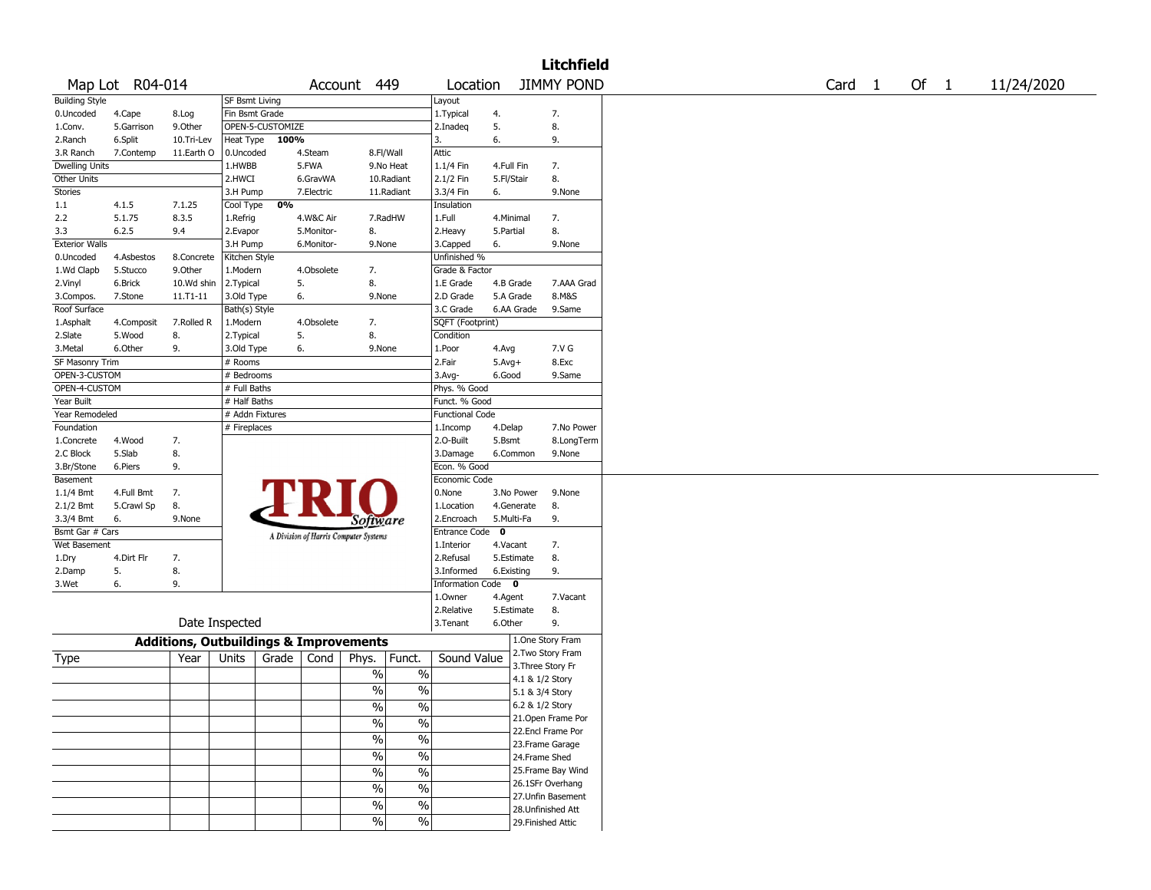| <b>JIMMY POND</b><br>Map Lot R04-014<br>449<br>Location<br>Account                                   | Card <sub>1</sub> |  | Of $1$ | 11/24/2020 |
|------------------------------------------------------------------------------------------------------|-------------------|--|--------|------------|
| <b>Building Style</b><br><b>SF Bsmt Living</b><br>Layout                                             |                   |  |        |            |
| Fin Bsmt Grade<br>7.<br>0.Uncoded<br>1.Typical<br>4.<br>4.Cape<br>8.Log                              |                   |  |        |            |
| OPEN-5-CUSTOMIZE<br>5.<br>8.<br>5.Garrison<br>9.Other<br>2.Inadeq<br>1.Conv.                         |                   |  |        |            |
| 6.<br>9.<br>6.Split<br>10.Tri-Lev<br>Heat Type<br>100%<br>3.<br>2.Ranch                              |                   |  |        |            |
| Attic<br>8.Fl/Wall<br>7.Contemp<br>11.Earth O<br>0.Uncoded<br>4.Steam<br>3.R Ranch                   |                   |  |        |            |
| <b>Dwelling Units</b><br>5.FWA<br>1.1/4 Fin<br>7.<br>1.HWBB<br>9.No Heat<br>4.Full Fin               |                   |  |        |            |
| 2.1/2 Fin<br>8.<br><b>Other Units</b><br>2.HWCI<br>6.GravWA<br>10.Radiant<br>5.Fl/Stair              |                   |  |        |            |
| 3.3/4 Fin<br>9.None<br>Stories<br>3.H Pump<br>7.Electric<br>11.Radiant<br>6.                         |                   |  |        |            |
| 0%<br>Insulation<br>1.1<br>4.1.5<br>7.1.25<br>Cool Type                                              |                   |  |        |            |
| 5.1.75<br>2.2<br>8.3.5<br>4.W&C Air<br>7.RadHW<br>1.Full<br>4.Minimal<br>7.<br>1.Refrig              |                   |  |        |            |
| 8.<br>8.<br>3.3<br>6.2.5<br>9.4<br>2.Evapor<br>5.Monitor-<br>2. Heavy<br>5.Partial                   |                   |  |        |            |
| 9.None<br><b>Exterior Walls</b><br>3.H Pump<br>6.Monitor-<br>9.None<br>3.Capped<br>6.                |                   |  |        |            |
| Unfinished %<br>4.Asbestos<br>Kitchen Style<br>0.Uncoded<br>8.Concrete                               |                   |  |        |            |
| 1.Wd Clapb<br>5.Stucco<br>9.0ther<br>4.Obsolete<br>7.<br>Grade & Factor<br>1.Modern                  |                   |  |        |            |
| 8.<br>5.<br>6.Brick<br>10.Wd shin<br>2.Typical<br>1.E Grade<br>4.B Grade<br>7.AAA Grad<br>2.Vinyl    |                   |  |        |            |
| 6.<br>5.A Grade<br>8.M&S<br>7.Stone<br>11.T1-11<br>3.Old Type<br>9.None<br>2.D Grade<br>3.Compos.    |                   |  |        |            |
| Bath(s) Style<br>3.C Grade<br>9.Same<br>Roof Surface<br>6.AA Grade                                   |                   |  |        |            |
| 7.<br>7.Rolled R<br>1.Modern<br>4.Obsolete<br>SQFT (Footprint)<br>1.Asphalt<br>4.Composit            |                   |  |        |            |
| 5.<br>8.<br>8.<br>2.Slate<br>5.Wood<br>2. Typical<br>Condition                                       |                   |  |        |            |
| 9.<br>7.V G<br>6.Other<br>3.Old Type<br>6.<br>9.None<br>1.Poor<br>3.Metal<br>4.Avg                   |                   |  |        |            |
| SF Masonry Trim<br>2.Fair<br>8.Exc<br># Rooms<br>$5.$ Avg $+$                                        |                   |  |        |            |
| OPEN-3-CUSTOM<br># Bedrooms<br>$3.$ Avg-<br>6.Good<br>9.Same                                         |                   |  |        |            |
| OPEN-4-CUSTOM<br># Full Baths<br>Phys. % Good                                                        |                   |  |        |            |
| # Half Baths<br>Funct. % Good<br>Year Built                                                          |                   |  |        |            |
| # Addn Fixtures<br>Year Remodeled<br><b>Functional Code</b>                                          |                   |  |        |            |
| # Fireplaces<br>7.No Power<br>Foundation<br>1.Incomp<br>4.Delap                                      |                   |  |        |            |
| 5.Bsmt<br>4.Wood<br>7.<br>2.0-Built<br>8.LongTerm<br>1.Concrete                                      |                   |  |        |            |
| 8.<br>2.C Block<br>5.Slab<br>3.Damage<br>6.Common<br>9.None                                          |                   |  |        |            |
| 9.<br>Econ. % Good<br>3.Br/Stone<br>6.Piers                                                          |                   |  |        |            |
| Economic Code<br>Basement                                                                            |                   |  |        |            |
| 0.None<br>1.1/4 Bmt<br>4.Full Bmt<br>7.<br>3.No Power<br>9.None                                      |                   |  |        |            |
| 8.<br>2.1/2 Bmt<br>5.Crawl Sp<br>1.Location<br>4.Generate<br>8.                                      |                   |  |        |            |
| 6.<br>5.Multi-Fa<br>9.<br>3.3/4 Bmt<br>9.None<br>2.Encroach<br>Software                              |                   |  |        |            |
| Bsmt Gar # Cars<br>Entrance Code <sup>O</sup><br>A Division of Harris Computer Systems               |                   |  |        |            |
| 7.<br>Wet Basement<br>1.Interior<br>4.Vacant                                                         |                   |  |        |            |
| 8.<br>4.Dirt Flr<br>7.<br>2.Refusal<br>5.Estimate<br>1.Dry                                           |                   |  |        |            |
| 5.<br>8.<br>9.<br>2.Damp<br>3.Informed<br>6.Existing                                                 |                   |  |        |            |
| 6.<br>9.<br>Information Code 0<br>3.Wet                                                              |                   |  |        |            |
| 1.Owner<br>4.Agent<br>7.Vacant                                                                       |                   |  |        |            |
| 2.Relative<br>5.Estimate<br>8.                                                                       |                   |  |        |            |
| Date Inspected<br>9.<br>3. Tenant<br>6.Other                                                         |                   |  |        |            |
| 1.One Story Fram<br><b>Additions, Outbuildings &amp; Improvements</b>                                |                   |  |        |            |
| 2. Two Story Fram<br>Sound Value<br>Phys.<br>Grade<br>Cond<br>Funct.<br><b>Type</b><br>Year<br>Units |                   |  |        |            |
| 3. Three Story Fr                                                                                    |                   |  |        |            |
| $\%$<br>%<br>4.1 & 1/2 Story                                                                         |                   |  |        |            |
| $\frac{1}{2}$<br>$\frac{0}{0}$<br>5.1 & 3/4 Story                                                    |                   |  |        |            |
| 6.2 & 1/2 Story<br>%<br>%                                                                            |                   |  |        |            |
| 21.Open Frame Por<br>$\frac{0}{6}$<br>$\frac{1}{2}$                                                  |                   |  |        |            |
| 22.Encl Frame Por                                                                                    |                   |  |        |            |
| $\frac{0}{6}$<br>$\frac{1}{2}$<br>23. Frame Garage                                                   |                   |  |        |            |
| $\frac{0}{6}$<br>$\frac{0}{6}$<br>24.Frame Shed                                                      |                   |  |        |            |
| 25. Frame Bay Wind<br>$\frac{0}{6}$<br>$\frac{1}{2}$                                                 |                   |  |        |            |
| 26.1SFr Overhang<br>$\frac{0}{6}$<br>$\frac{0}{0}$                                                   |                   |  |        |            |
| 27.Unfin Basement                                                                                    |                   |  |        |            |
| $\frac{1}{2}$<br>$\%$<br>28.Unfinished Att                                                           |                   |  |        |            |
| $\sqrt{9/6}$<br>$\frac{0}{6}$<br>29. Finished Attic                                                  |                   |  |        |            |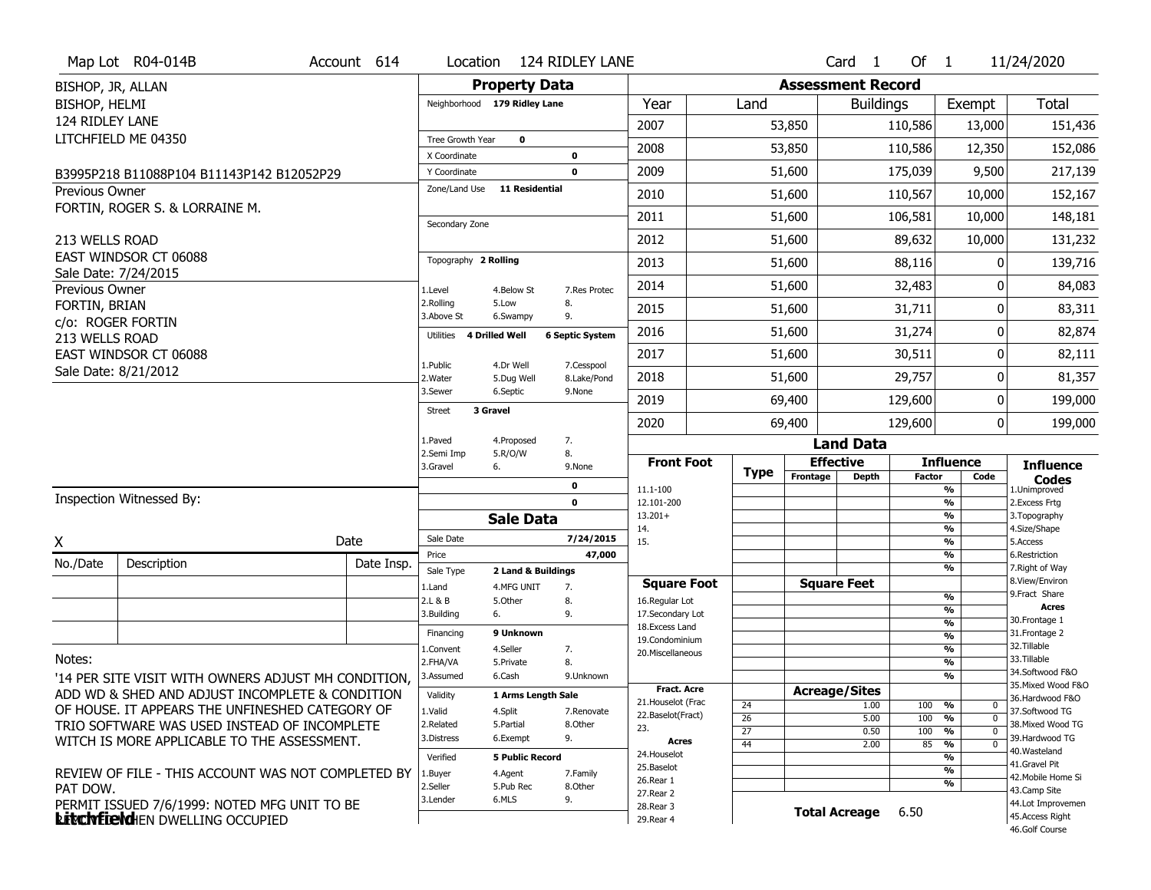|                       | Map Lot R04-014B                                                                        | Account 614 | Location                     |                         | 124 RIDLEY LANE           |                                  |             |          | Card <sub>1</sub>            | Of $1$        |                                                      | 11/24/2020                          |
|-----------------------|-----------------------------------------------------------------------------------------|-------------|------------------------------|-------------------------|---------------------------|----------------------------------|-------------|----------|------------------------------|---------------|------------------------------------------------------|-------------------------------------|
| BISHOP, JR, ALLAN     |                                                                                         |             |                              | <b>Property Data</b>    |                           |                                  |             |          | <b>Assessment Record</b>     |               |                                                      |                                     |
| BISHOP, HELMI         |                                                                                         |             | Neighborhood 179 Ridley Lane |                         |                           | Year                             | Land        |          | <b>Buildings</b>             |               | Exempt                                               | <b>Total</b>                        |
| 124 RIDLEY LANE       |                                                                                         |             |                              |                         |                           | 2007                             |             | 53,850   |                              | 110,586       | 13,000                                               | 151,436                             |
|                       | LITCHFIELD ME 04350                                                                     |             | Tree Growth Year             | $\mathbf 0$             |                           | 2008                             |             | 53,850   |                              | 110,586       | 12,350                                               | 152,086                             |
|                       |                                                                                         |             | X Coordinate<br>Y Coordinate |                         | $\bf o$<br>$\mathbf 0$    | 2009                             |             | 51,600   |                              | 175,039       | 9,500                                                | 217,139                             |
| <b>Previous Owner</b> | B3995P218 B11088P104 B11143P142 B12052P29                                               |             | Zone/Land Use                | <b>11 Residential</b>   |                           |                                  |             |          |                              |               |                                                      |                                     |
|                       | FORTIN, ROGER S. & LORRAINE M.                                                          |             |                              |                         |                           | 2010                             |             | 51,600   |                              | 110,567       | 10,000                                               | 152,167                             |
|                       |                                                                                         |             | Secondary Zone               |                         |                           | 2011                             |             | 51,600   |                              | 106,581       | 10,000                                               | 148,181                             |
| 213 WELLS ROAD        |                                                                                         |             |                              |                         |                           | 2012                             |             | 51,600   |                              | 89,632        | 10,000                                               | 131,232                             |
|                       | EAST WINDSOR CT 06088                                                                   |             | Topography 2 Rolling         |                         |                           | 2013                             |             | 51,600   |                              | 88,116        | 0                                                    | 139,716                             |
| Previous Owner        | Sale Date: 7/24/2015                                                                    |             | 1.Level                      | 4.Below St              | 7.Res Protec              | 2014                             |             | 51,600   |                              | 32,483        | 0                                                    | 84,083                              |
| FORTIN, BRIAN         |                                                                                         |             | 2.Rolling<br>3.Above St      | 5.Low<br>6.Swampy       | 8.<br>9.                  | 2015                             |             | 51,600   |                              | 31,711        | 0                                                    | 83,311                              |
| 213 WELLS ROAD        | c/o: ROGER FORTIN                                                                       |             | Utilities                    | 4 Drilled Well          | <b>6 Septic System</b>    | 2016                             |             | 51,600   |                              | 31,274        | 0                                                    | 82,874                              |
|                       | EAST WINDSOR CT 06088                                                                   |             |                              |                         |                           | 2017                             |             | 51,600   |                              | 30,511        | 0                                                    | 82,111                              |
|                       | Sale Date: 8/21/2012                                                                    |             | 1.Public<br>2.Water          | 4.Dr Well<br>5.Dug Well | 7.Cesspool<br>8.Lake/Pond | 2018                             |             | 51,600   |                              | 29,757        | 0                                                    | 81,357                              |
|                       |                                                                                         |             | 3.Sewer                      | 6.Septic                | 9.None                    | 2019                             |             | 69,400   |                              | 129,600       | 0                                                    | 199,000                             |
|                       |                                                                                         |             | 3 Gravel<br><b>Street</b>    |                         |                           | 2020                             |             | 69,400   |                              | 129,600       | 0                                                    | 199,000                             |
|                       |                                                                                         |             | 1.Paved                      | 4.Proposed              | 7.                        |                                  |             |          | <b>Land Data</b>             |               |                                                      |                                     |
|                       |                                                                                         |             | 2.Semi Imp<br>3.Gravel       | 5.R/O/W<br>6.           | 8.<br>9.None              | <b>Front Foot</b>                |             |          | <b>Effective</b>             |               | <b>Influence</b>                                     | <b>Influence</b>                    |
|                       |                                                                                         |             |                              |                         |                           |                                  |             |          |                              |               |                                                      |                                     |
|                       |                                                                                         |             |                              |                         | $\mathbf 0$               |                                  | <b>Type</b> | Frontage | <b>Depth</b>                 | <b>Factor</b> | Code                                                 | <b>Codes</b>                        |
|                       | Inspection Witnessed By:                                                                |             |                              |                         | $\mathbf 0$               | 11.1-100<br>12.101-200           |             |          |                              |               | %<br>%                                               | 1.Unimproved<br>2. Excess Frtg      |
|                       |                                                                                         |             |                              | <b>Sale Data</b>        |                           | $13.201+$                        |             |          |                              |               | %                                                    | 3. Topography                       |
| X                     |                                                                                         | Date        | Sale Date                    |                         | 7/24/2015                 | 14.<br>15.                       |             |          |                              |               | %<br>%                                               | 4.Size/Shape<br>5.Access            |
| No./Date              | Description                                                                             | Date Insp.  | Price                        |                         | 47,000                    |                                  |             |          |                              |               | %                                                    | 6.Restriction                       |
|                       |                                                                                         |             | Sale Type                    | 2 Land & Buildings      |                           | <b>Square Foot</b>               |             |          | <b>Square Feet</b>           |               | %                                                    | 7. Right of Way<br>8.View/Environ   |
|                       |                                                                                         |             | 1.Land<br>2.L & B            | 4.MFG UNIT<br>5.Other   | 7.<br>8.                  | 16.Regular Lot                   |             |          |                              |               | %                                                    | 9. Fract Share                      |
|                       |                                                                                         |             | 3.Building                   | 6.                      | 9.                        | 17.Secondary Lot                 |             |          |                              |               | %                                                    | <b>Acres</b><br>30. Frontage 1      |
|                       |                                                                                         |             | Financing                    | 9 Unknown               |                           | 18.Excess Land<br>19.Condominium |             |          |                              |               | $\overline{\frac{9}{6}}$<br>$\overline{\frac{9}{6}}$ | 31. Frontage 2                      |
|                       |                                                                                         |             | 1.Convent                    | 4.Seller                | 7.                        | 20.Miscellaneous                 |             |          |                              |               | $\overline{\frac{9}{6}}$                             | 32.Tillable                         |
| Notes:                |                                                                                         |             | 2.FHA/VA                     | 5.Private               | 8.                        |                                  |             |          |                              |               | $\overline{\frac{9}{6}}$                             | 33.Tillable<br>34.Softwood F&O      |
|                       | '14 PER SITE VISIT WITH OWNERS ADJUST MH CONDITION,                                     |             | 3.Assumed                    | 6.Cash                  | 9.Unknown                 | <b>Fract. Acre</b>               |             |          |                              |               | %                                                    | 35. Mixed Wood F&O                  |
|                       | ADD WD & SHED AND ADJUST INCOMPLETE & CONDITION                                         |             | Validity                     | 1 Arms Length Sale      |                           | 21. Houselot (Frac               | 24          |          | <b>Acreage/Sites</b><br>1.00 | 100           | %<br>$\mathbf 0$                                     | 36.Hardwood F&O                     |
|                       | OF HOUSE. IT APPEARS THE UNFINESHED CATEGORY OF                                         |             | 1.Valid                      | 4.Split                 | 7.Renovate                | 22.Baselot(Fract)                | 26          |          | 5.00                         | 100           | %<br>$\mathbf 0$                                     | 37.Softwood TG                      |
|                       | TRIO SOFTWARE WAS USED INSTEAD OF INCOMPLETE                                            |             | 2.Related<br>3.Distress      | 5.Partial<br>6.Exempt   | 8.Other<br>9.             | 23.                              | 27          |          | 0.50                         | 100           | %<br>$\Omega$                                        | 38. Mixed Wood TG<br>39.Hardwood TG |
|                       | WITCH IS MORE APPLICABLE TO THE ASSESSMENT.                                             |             | Verified                     | <b>5 Public Record</b>  |                           | Acres<br>24. Houselot            | 44          |          | 2.00                         | 85            | %<br>$\mathbf 0$                                     | 40.Wasteland                        |
|                       |                                                                                         |             |                              |                         |                           | 25.Baselot                       |             |          |                              |               | %<br>%                                               | 41.Gravel Pit                       |
|                       | REVIEW OF FILE - THIS ACCOUNT WAS NOT COMPLETED BY                                      |             | 1.Buyer<br>2.Seller          | 4.Agent<br>5.Pub Rec    | 7.Family<br>8.Other       | 26.Rear 1                        |             |          |                              |               | %                                                    | 42. Mobile Home Si                  |
| PAT DOW.              |                                                                                         |             | 3.Lender                     | 6.MLS                   | 9.                        | 27.Rear 2                        |             |          |                              |               |                                                      | 43.Camp Site<br>44.Lot Improvemen   |
|                       | PERMIT ISSUED 7/6/1999: NOTED MFG UNIT TO BE<br><b>Litchfield</b> HEN DWELLING OCCUPIED |             |                              |                         |                           | 28. Rear 3<br>29. Rear 4         |             |          | <b>Total Acreage</b>         | 6.50          |                                                      | 45.Access Right<br>46.Golf Course   |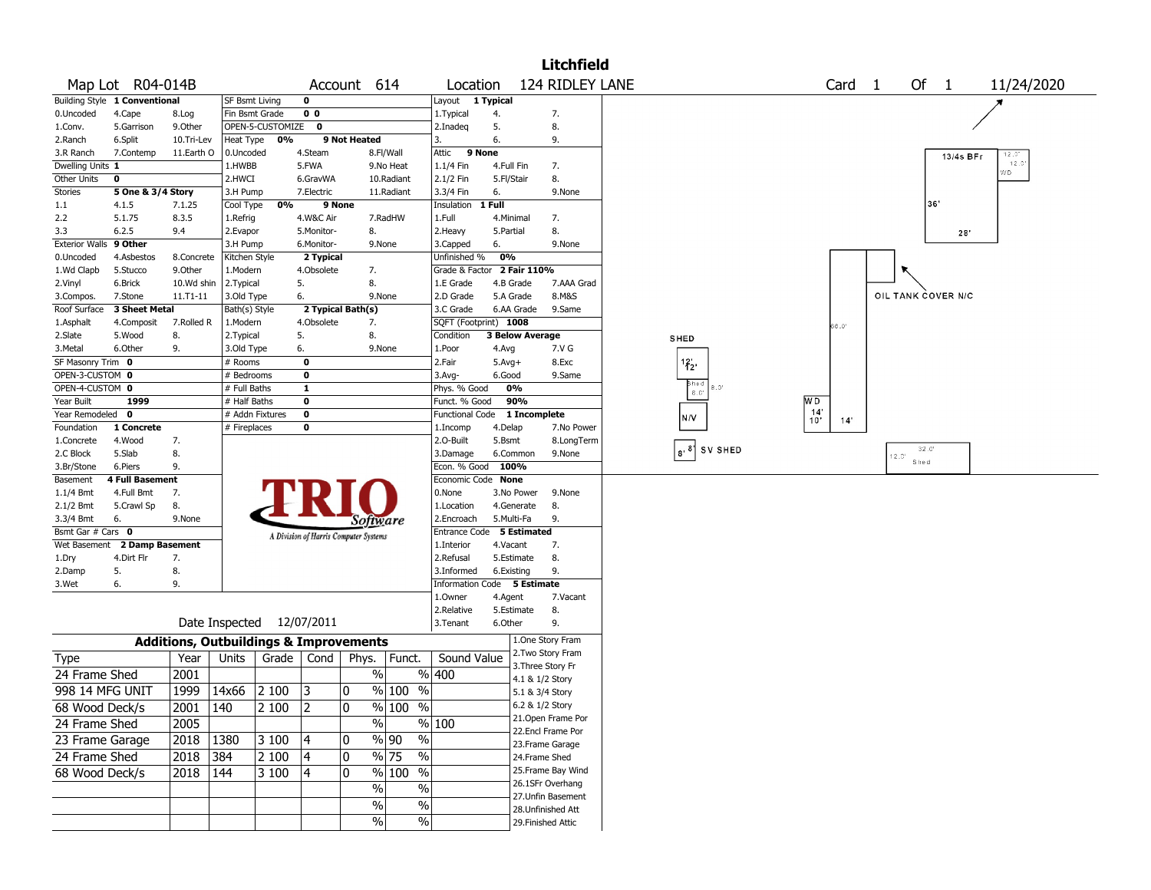| 124 RIDLEY LANE<br>Map Lot R04-014B<br>Account 614<br>Location<br>Building Style 1 Conventional<br>0<br>Layout 1 Typical<br><b>SF Bsmt Living</b><br>7.<br>0.Uncoded<br>4.Cape<br>Fin Bsmt Grade<br>0 <sub>0</sub><br>1. Typical<br>4.<br>8.Log<br>9.Other<br>OPEN-5-CUSTOMIZE 0<br>5.<br>8.<br>1.Conv.<br>5.Garrison<br>2.Inadeg<br>0%<br>9 Not Heated<br>6.<br>9.<br>2.Ranch<br>6.Split<br>10.Tri-Lev<br>Heat Type<br>3.<br>4.Steam<br>8.Fl/Wall<br>9 None<br>3.R Ranch<br>7.Contemp<br>11.Earth O<br>0.Uncoded<br>Attic<br>Dwelling Units 1<br>5.FWA<br>7.<br>1.HWBB<br>9.No Heat<br>1.1/4 Fin<br>4.Full Fin<br>Other Units<br>2.HWCI<br>2.1/2 Fin<br>5.Fl/Stair<br>8.<br>0<br>6.GravWA<br>10.Radiant<br>5 One & 3/4 Story<br>3.3/4 Fin<br>Stories<br>3.H Pump<br>7.Electric<br>11.Radiant<br>6.<br>9.None | Of 1<br>Card <sub>1</sub><br>11/24/2020 |
|---------------------------------------------------------------------------------------------------------------------------------------------------------------------------------------------------------------------------------------------------------------------------------------------------------------------------------------------------------------------------------------------------------------------------------------------------------------------------------------------------------------------------------------------------------------------------------------------------------------------------------------------------------------------------------------------------------------------------------------------------------------------------------------------------------------|-----------------------------------------|
|                                                                                                                                                                                                                                                                                                                                                                                                                                                                                                                                                                                                                                                                                                                                                                                                               |                                         |
|                                                                                                                                                                                                                                                                                                                                                                                                                                                                                                                                                                                                                                                                                                                                                                                                               |                                         |
|                                                                                                                                                                                                                                                                                                                                                                                                                                                                                                                                                                                                                                                                                                                                                                                                               |                                         |
|                                                                                                                                                                                                                                                                                                                                                                                                                                                                                                                                                                                                                                                                                                                                                                                                               |                                         |
|                                                                                                                                                                                                                                                                                                                                                                                                                                                                                                                                                                                                                                                                                                                                                                                                               |                                         |
|                                                                                                                                                                                                                                                                                                                                                                                                                                                                                                                                                                                                                                                                                                                                                                                                               | 12.01<br>13/4s BFr                      |
|                                                                                                                                                                                                                                                                                                                                                                                                                                                                                                                                                                                                                                                                                                                                                                                                               | 12.0<br>WD.                             |
|                                                                                                                                                                                                                                                                                                                                                                                                                                                                                                                                                                                                                                                                                                                                                                                                               |                                         |
|                                                                                                                                                                                                                                                                                                                                                                                                                                                                                                                                                                                                                                                                                                                                                                                                               |                                         |
| 0%<br>9 None<br>1 Full<br>1.1<br>4.1.5<br>7.1.25<br>Cool Type<br>Insulation                                                                                                                                                                                                                                                                                                                                                                                                                                                                                                                                                                                                                                                                                                                                   | 36'                                     |
| 2.2<br>5.1.75<br>8.3.5<br>1.Full<br>1.Refrig<br>4.W&C Air<br>7.RadHW<br>4.Minimal<br>7.                                                                                                                                                                                                                                                                                                                                                                                                                                                                                                                                                                                                                                                                                                                       |                                         |
| 6.2.5<br>8.<br>3.3<br>9.4<br>2.Evapor<br>5.Monitor-<br>8.<br>2. Heavy<br>5.Partial                                                                                                                                                                                                                                                                                                                                                                                                                                                                                                                                                                                                                                                                                                                            | 28                                      |
| Exterior Walls 9 Other<br>6.<br>3.H Pump<br>6.Monitor-<br>9.None<br>3.Capped<br>9.None                                                                                                                                                                                                                                                                                                                                                                                                                                                                                                                                                                                                                                                                                                                        |                                         |
| Unfinished %<br>0%<br>0.Uncoded<br>4.Asbestos<br>8.Concrete<br>Kitchen Style<br>2 Typical                                                                                                                                                                                                                                                                                                                                                                                                                                                                                                                                                                                                                                                                                                                     |                                         |
| 9.Other<br>Grade & Factor 2 Fair 110%<br>1.Wd Clapb<br>5.Stucco<br>1.Modern<br>4.Obsolete<br>7.                                                                                                                                                                                                                                                                                                                                                                                                                                                                                                                                                                                                                                                                                                               |                                         |
| 2.Typical<br>5.<br>8.<br>7.AAA Grad<br>2.Vinyl<br>6.Brick<br>10.Wd shin<br>1.E Grade<br>4.B Grade                                                                                                                                                                                                                                                                                                                                                                                                                                                                                                                                                                                                                                                                                                             |                                         |
| 5.A Grade<br>8.M&S<br>7.Stone<br>11.T1-11<br>3.Old Type<br>6.<br>9.None<br>2.D Grade<br>3.Compos.                                                                                                                                                                                                                                                                                                                                                                                                                                                                                                                                                                                                                                                                                                             | OIL TANK COVER N/C                      |
| 3 Sheet Metal<br>3.C Grade<br>6.AA Grade<br>9.Same<br>Roof Surface<br>Bath(s) Style<br>2 Typical Bath(s)                                                                                                                                                                                                                                                                                                                                                                                                                                                                                                                                                                                                                                                                                                      |                                         |
| SQFT (Footprint) 1008<br>7.Rolled R<br>1.Modern<br>4.Obsolete<br>7.<br>1.Asphalt<br>4.Composit<br>10.06                                                                                                                                                                                                                                                                                                                                                                                                                                                                                                                                                                                                                                                                                                       |                                         |
| 8.<br>5.<br>8.<br>2.Slate<br>5.Wood<br>2.Typical<br>Condition<br><b>3 Below Average</b><br>SHED                                                                                                                                                                                                                                                                                                                                                                                                                                                                                                                                                                                                                                                                                                               |                                         |
| 9.<br>3.Metal<br>6.Other<br>3.Old Type<br>6.<br>9.None<br>1.Poor<br>7.V G<br>4.Avg                                                                                                                                                                                                                                                                                                                                                                                                                                                                                                                                                                                                                                                                                                                            |                                         |
| SF Masonry Trim 0<br>$\mathbf 0$<br>2.Fair<br># Rooms<br>$5.Avg+$<br>8.Exc<br>$^{12}$ <sub>2</sub>                                                                                                                                                                                                                                                                                                                                                                                                                                                                                                                                                                                                                                                                                                            |                                         |
| OPEN-3-CUSTOM 0<br>$\mathbf 0$<br>3.Avg-<br>6.Good<br># Bedrooms<br>9.Same                                                                                                                                                                                                                                                                                                                                                                                                                                                                                                                                                                                                                                                                                                                                    |                                         |
| Shed<br>OPEN-4-CUSTOM 0<br>1<br>0%<br>6.0<br># Full Baths<br>Phys. % Good                                                                                                                                                                                                                                                                                                                                                                                                                                                                                                                                                                                                                                                                                                                                     |                                         |
| <b>WD</b><br>Year Built<br>1999<br>90%<br># Half Baths<br>0<br>Funct. % Good                                                                                                                                                                                                                                                                                                                                                                                                                                                                                                                                                                                                                                                                                                                                  |                                         |
| $^{14'}_{10'}$<br>Year Remodeled<br>$\mathbf{0}$<br>$\mathbf 0$<br># Addn Fixtures<br>1 Incomplete<br><b>Functional Code</b><br>N/V<br>14'                                                                                                                                                                                                                                                                                                                                                                                                                                                                                                                                                                                                                                                                    |                                         |
| Foundation<br>1 Concrete<br># Fireplaces<br>0<br>7.No Power<br>1.Incomp<br>4.Delap                                                                                                                                                                                                                                                                                                                                                                                                                                                                                                                                                                                                                                                                                                                            |                                         |
| 7.<br>4.Wood<br>2.O-Built<br>5.Bsmt<br>8.LongTerm<br>1.Concrete                                                                                                                                                                                                                                                                                                                                                                                                                                                                                                                                                                                                                                                                                                                                               |                                         |
| $\begin{vmatrix} 8 \\ 8 \end{vmatrix}$ SV SHED<br>2.C Block<br>5.Slab<br>8.<br>3.Damage<br>6.Common<br>9.None                                                                                                                                                                                                                                                                                                                                                                                                                                                                                                                                                                                                                                                                                                 | $32^\circ.0^\circ$<br>12.01             |
| 6.Piers<br>9.<br>Econ. % Good<br>100%<br>3.Br/Stone                                                                                                                                                                                                                                                                                                                                                                                                                                                                                                                                                                                                                                                                                                                                                           | Shed                                    |
| <b>4 Full Basement</b><br>Economic Code None<br>Basement                                                                                                                                                                                                                                                                                                                                                                                                                                                                                                                                                                                                                                                                                                                                                      |                                         |
| 7.<br>$1.1/4$ Bmt<br>4.Full Bmt<br>0.None<br>3.No Power<br>9.None                                                                                                                                                                                                                                                                                                                                                                                                                                                                                                                                                                                                                                                                                                                                             |                                         |
| 2.1/2 Bmt<br>5.Crawl Sp<br>8.<br>1.Location<br>4.Generate<br>8.                                                                                                                                                                                                                                                                                                                                                                                                                                                                                                                                                                                                                                                                                                                                               |                                         |
| 3.3/4 Bmt<br>6.<br>5.Multi-Fa<br>9.<br>9.None<br>2.Encroach<br>Software                                                                                                                                                                                                                                                                                                                                                                                                                                                                                                                                                                                                                                                                                                                                       |                                         |
| Bsmt Gar # Cars 0<br>Entrance Code 5 Estimated<br>A Division of Harris Computer Systems                                                                                                                                                                                                                                                                                                                                                                                                                                                                                                                                                                                                                                                                                                                       |                                         |
| Wet Basement 2 Damp Basement<br>7.<br>4.Vacant<br>1.Interior                                                                                                                                                                                                                                                                                                                                                                                                                                                                                                                                                                                                                                                                                                                                                  |                                         |
| 8.<br>1.Dry<br>4.Dirt Flr<br>7.<br>2.Refusal<br>5.Estimate                                                                                                                                                                                                                                                                                                                                                                                                                                                                                                                                                                                                                                                                                                                                                    |                                         |
| 5.<br>8.<br>9.<br>2.Damp<br>3.Informed<br>6.Existing                                                                                                                                                                                                                                                                                                                                                                                                                                                                                                                                                                                                                                                                                                                                                          |                                         |
| 6.<br>9.<br>Information Code 5 Estimate<br>3.Wet                                                                                                                                                                                                                                                                                                                                                                                                                                                                                                                                                                                                                                                                                                                                                              |                                         |
| 1.Owner<br>4.Agent<br>7.Vacant                                                                                                                                                                                                                                                                                                                                                                                                                                                                                                                                                                                                                                                                                                                                                                                |                                         |
| 8.<br>2.Relative<br>5.Estimate                                                                                                                                                                                                                                                                                                                                                                                                                                                                                                                                                                                                                                                                                                                                                                                |                                         |
| Date Inspected 12/07/2011<br>6.Other<br>9.<br>3. Tenant                                                                                                                                                                                                                                                                                                                                                                                                                                                                                                                                                                                                                                                                                                                                                       |                                         |
| 1.One Story Fram<br><b>Additions, Outbuildings &amp; Improvements</b>                                                                                                                                                                                                                                                                                                                                                                                                                                                                                                                                                                                                                                                                                                                                         |                                         |
| 2. Two Story Fram                                                                                                                                                                                                                                                                                                                                                                                                                                                                                                                                                                                                                                                                                                                                                                                             |                                         |
| Grade $\vert$ Cond<br>Funct.<br>Sound Value<br>Type<br>Year<br>Units<br>Phys.<br>3. Three Story Fr                                                                                                                                                                                                                                                                                                                                                                                                                                                                                                                                                                                                                                                                                                            |                                         |
| 24 Frame Shed<br>2001<br>$\frac{0}{0}$<br>% 400<br>4.1 & 1/2 Story                                                                                                                                                                                                                                                                                                                                                                                                                                                                                                                                                                                                                                                                                                                                            |                                         |
| 998 14 MFG UNIT<br>1999<br>14x66<br>2 100<br>13<br>0<br>$%100$ %<br>5.1 & 3/4 Story                                                                                                                                                                                                                                                                                                                                                                                                                                                                                                                                                                                                                                                                                                                           |                                         |
| 6.2 & 1/2 Story<br> 2                                                                                                                                                                                                                                                                                                                                                                                                                                                                                                                                                                                                                                                                                                                                                                                         |                                         |
| $\frac{9}{6}$ 100 %<br>2001<br>140<br>2 100<br>$\mathbf{0}$<br>68 Wood Deck/s<br>21. Open Frame Por                                                                                                                                                                                                                                                                                                                                                                                                                                                                                                                                                                                                                                                                                                           |                                         |
| $\%$<br>% 100<br>24 Frame Shed<br>2005<br>22.Encl Frame Por                                                                                                                                                                                                                                                                                                                                                                                                                                                                                                                                                                                                                                                                                                                                                   |                                         |
| % 90<br>%<br>23 Frame Garage<br>2018<br> 1380<br>3 100<br>$ 4\rangle$<br>0<br>23. Frame Garage                                                                                                                                                                                                                                                                                                                                                                                                                                                                                                                                                                                                                                                                                                                |                                         |
| 384<br>$ 4\rangle$<br>% 75<br>$\frac{0}{0}$<br>24 Frame Shed<br>2018<br>2 100<br>10<br>24.Frame Shed                                                                                                                                                                                                                                                                                                                                                                                                                                                                                                                                                                                                                                                                                                          |                                         |
|                                                                                                                                                                                                                                                                                                                                                                                                                                                                                                                                                                                                                                                                                                                                                                                                               |                                         |
| $\frac{9}{6}$ 100 %<br>25. Frame Bay Wind<br>68 Wood Deck/s<br> 144<br>2018<br>3 100<br>$ 4\rangle$<br>0                                                                                                                                                                                                                                                                                                                                                                                                                                                                                                                                                                                                                                                                                                      |                                         |
| 26.1SFr Overhang<br>$\sqrt{6}$<br>$\%$                                                                                                                                                                                                                                                                                                                                                                                                                                                                                                                                                                                                                                                                                                                                                                        |                                         |
|                                                                                                                                                                                                                                                                                                                                                                                                                                                                                                                                                                                                                                                                                                                                                                                                               |                                         |
| 27. Unfin Basement                                                                                                                                                                                                                                                                                                                                                                                                                                                                                                                                                                                                                                                                                                                                                                                            |                                         |
| $\sqrt{6}$<br>$\%$<br>28. Unfinished Att<br>%<br>$\%$<br>29. Finished Attic                                                                                                                                                                                                                                                                                                                                                                                                                                                                                                                                                                                                                                                                                                                                   |                                         |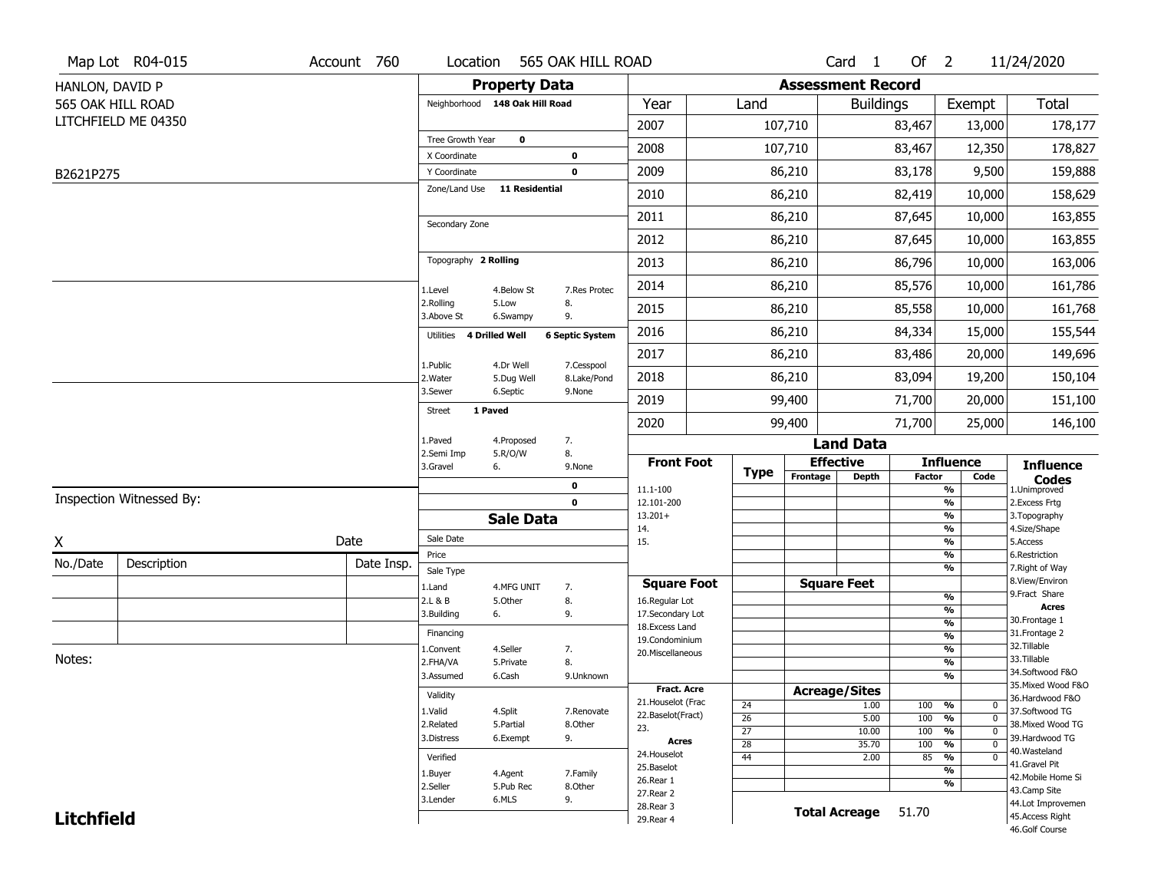| <b>Property Data</b><br><b>Assessment Record</b><br>HANLON, DAVID P<br><b>Total</b><br>565 OAK HILL ROAD<br>Neighborhood 148 Oak Hill Road<br>Year<br>Land<br>Exempt<br><b>Buildings</b><br>LITCHFIELD ME 04350<br>2007<br>107,710<br>83,467<br>13,000<br>178,177<br>Tree Growth Year<br>$\mathbf 0$<br>2008<br>107,710<br>83,467<br>12,350<br>178,827<br>X Coordinate<br>$\mathbf 0$<br>2009<br>86,210<br>83,178<br>9,500<br>159,888<br>$\mathbf 0$<br>Y Coordinate<br>B2621P275<br>Zone/Land Use<br><b>11 Residential</b><br>158,629<br>2010<br>86,210<br>82,419<br>10,000<br>2011<br>86,210<br>87,645<br>163,855<br>10,000<br>Secondary Zone<br>2012<br>86,210<br>87,645<br>163,855<br>10,000<br>Topography 2 Rolling<br>86,796<br>86,210<br>10,000<br>163,006<br>2013<br>2014<br>85,576<br>86,210<br>10,000<br>161,786<br>4.Below St<br>7.Res Protec<br>1.Level<br>2.Rolling<br>8.<br>5.Low<br>2015<br>85,558<br>161,768<br>86,210<br>10,000<br>3.Above St<br>9.<br>6.Swampy<br>2016<br>84,334<br>155,544<br>86,210<br>15,000<br><b>6 Septic System</b><br><b>4 Drilled Well</b><br>Utilities<br>2017<br>86,210<br>83,486<br>20,000<br>149,696<br>4.Dr Well<br>7.Cesspool<br>1.Public<br>83,094<br>2018<br>86,210<br>19,200<br>150,104<br>2. Water<br>5.Dug Well<br>8.Lake/Pond<br>3.Sewer<br>6.Septic<br>9.None<br>2019<br>99,400<br>71,700<br>20,000<br>151,100<br>1 Paved<br><b>Street</b><br>2020<br>99,400<br>71,700<br>146,100<br>25,000<br>7.<br>1.Paved<br>4.Proposed<br><b>Land Data</b><br>8.<br>2.Semi Imp<br>5.R/O/W<br><b>Effective</b><br><b>Front Foot</b><br><b>Influence</b><br><b>Influence</b><br>3.Gravel<br>6.<br>9.None<br><b>Type</b><br>Frontage<br><b>Depth</b><br><b>Factor</b><br>Code<br><b>Codes</b><br>$\mathbf 0$<br>11.1-100<br>%<br>1.Unimproved<br>Inspection Witnessed By:<br>$\frac{9}{6}$<br>$\mathbf 0$<br>12.101-200<br>2. Excess Frtg<br>$13.201+$<br>%<br>3. Topography<br><b>Sale Data</b><br>%<br>4.Size/Shape<br>14.<br>Sale Date<br>Date<br>X<br>$\frac{9}{6}$<br>15.<br>5.Access<br>%<br>6.Restriction<br>Price<br>No./Date<br>Description<br>Date Insp.<br>%<br>7. Right of Way<br>Sale Type<br>8.View/Environ<br><b>Square Feet</b><br><b>Square Foot</b><br>1.Land<br>4.MFG UNIT<br>7.<br>9.Fract Share<br>$\frac{9}{6}$<br>8.<br>2.L & B<br>5.Other<br>16.Regular Lot<br><b>Acres</b><br>$\frac{9}{6}$<br>3.Building<br>9.<br>17.Secondary Lot<br>6.<br>30. Frontage 1<br>$\frac{9}{6}$<br>18.Excess Land<br>31. Frontage 2<br>Financing<br>$\frac{9}{6}$<br>19.Condominium<br>32.Tillable<br>$\frac{9}{6}$<br>4.Seller<br>1.Convent<br>7.<br>20.Miscellaneous<br>Notes:<br>33.Tillable<br>8.<br>$\frac{9}{6}$<br>2.FHA/VA<br>5.Private<br>34.Softwood F&O<br>$\frac{9}{6}$<br>3.Assumed<br>6.Cash<br>9.Unknown<br>35. Mixed Wood F&O<br><b>Fract. Acre</b><br><b>Acreage/Sites</b><br>Validity<br>36.Hardwood F&O<br>21. Houselot (Frac<br>24<br>1.00<br>100<br>%<br>0<br>1.Valid<br>4.Split<br>37.Softwood TG<br>7.Renovate<br>22.Baselot(Fract)<br>$\overline{26}$<br>5.00<br>100<br>$\frac{9}{6}$<br>$\mathbf 0$<br>38. Mixed Wood TG<br>2.Related<br>5.Partial<br>8.Other<br>23.<br>$\overline{27}$<br>100<br>$\frac{9}{6}$<br>10.00<br>$\mathbf 0$<br>39.Hardwood TG<br>6.Exempt<br>9.<br>3.Distress<br><b>Acres</b><br>$\overline{28}$<br>100<br>$\frac{9}{6}$<br>35.70<br>$\mathbf{0}$<br>40. Wasteland<br>24. Houselot | Map Lot R04-015 | Account 760 | Location | 565 OAK HILL ROAD |            |                 | Card <sub>1</sub> | Of $2$ |                              | 11/24/2020         |
|---------------------------------------------------------------------------------------------------------------------------------------------------------------------------------------------------------------------------------------------------------------------------------------------------------------------------------------------------------------------------------------------------------------------------------------------------------------------------------------------------------------------------------------------------------------------------------------------------------------------------------------------------------------------------------------------------------------------------------------------------------------------------------------------------------------------------------------------------------------------------------------------------------------------------------------------------------------------------------------------------------------------------------------------------------------------------------------------------------------------------------------------------------------------------------------------------------------------------------------------------------------------------------------------------------------------------------------------------------------------------------------------------------------------------------------------------------------------------------------------------------------------------------------------------------------------------------------------------------------------------------------------------------------------------------------------------------------------------------------------------------------------------------------------------------------------------------------------------------------------------------------------------------------------------------------------------------------------------------------------------------------------------------------------------------------------------------------------------------------------------------------------------------------------------------------------------------------------------------------------------------------------------------------------------------------------------------------------------------------------------------------------------------------------------------------------------------------------------------------------------------------------------------------------------------------------------------------------------------------------------------------------------------------------------------------------------------------------------------------------------------------------------------------------------------------------------------------------------------------------------------------------------------------------------------------------------------------------------------------------------------------------------------------------------------------------------------------------------------------------------------------------------------------------------------------------------------------------------------------------------------------------------------------------------------------------------------------------------------------------------------------|-----------------|-------------|----------|-------------------|------------|-----------------|-------------------|--------|------------------------------|--------------------|
|                                                                                                                                                                                                                                                                                                                                                                                                                                                                                                                                                                                                                                                                                                                                                                                                                                                                                                                                                                                                                                                                                                                                                                                                                                                                                                                                                                                                                                                                                                                                                                                                                                                                                                                                                                                                                                                                                                                                                                                                                                                                                                                                                                                                                                                                                                                                                                                                                                                                                                                                                                                                                                                                                                                                                                                                                                                                                                                                                                                                                                                                                                                                                                                                                                                                                                                                                                                       |                 |             |          |                   |            |                 |                   |        |                              |                    |
|                                                                                                                                                                                                                                                                                                                                                                                                                                                                                                                                                                                                                                                                                                                                                                                                                                                                                                                                                                                                                                                                                                                                                                                                                                                                                                                                                                                                                                                                                                                                                                                                                                                                                                                                                                                                                                                                                                                                                                                                                                                                                                                                                                                                                                                                                                                                                                                                                                                                                                                                                                                                                                                                                                                                                                                                                                                                                                                                                                                                                                                                                                                                                                                                                                                                                                                                                                                       |                 |             |          |                   |            |                 |                   |        |                              |                    |
|                                                                                                                                                                                                                                                                                                                                                                                                                                                                                                                                                                                                                                                                                                                                                                                                                                                                                                                                                                                                                                                                                                                                                                                                                                                                                                                                                                                                                                                                                                                                                                                                                                                                                                                                                                                                                                                                                                                                                                                                                                                                                                                                                                                                                                                                                                                                                                                                                                                                                                                                                                                                                                                                                                                                                                                                                                                                                                                                                                                                                                                                                                                                                                                                                                                                                                                                                                                       |                 |             |          |                   |            |                 |                   |        |                              |                    |
|                                                                                                                                                                                                                                                                                                                                                                                                                                                                                                                                                                                                                                                                                                                                                                                                                                                                                                                                                                                                                                                                                                                                                                                                                                                                                                                                                                                                                                                                                                                                                                                                                                                                                                                                                                                                                                                                                                                                                                                                                                                                                                                                                                                                                                                                                                                                                                                                                                                                                                                                                                                                                                                                                                                                                                                                                                                                                                                                                                                                                                                                                                                                                                                                                                                                                                                                                                                       |                 |             |          |                   |            |                 |                   |        |                              |                    |
|                                                                                                                                                                                                                                                                                                                                                                                                                                                                                                                                                                                                                                                                                                                                                                                                                                                                                                                                                                                                                                                                                                                                                                                                                                                                                                                                                                                                                                                                                                                                                                                                                                                                                                                                                                                                                                                                                                                                                                                                                                                                                                                                                                                                                                                                                                                                                                                                                                                                                                                                                                                                                                                                                                                                                                                                                                                                                                                                                                                                                                                                                                                                                                                                                                                                                                                                                                                       |                 |             |          |                   |            |                 |                   |        |                              |                    |
|                                                                                                                                                                                                                                                                                                                                                                                                                                                                                                                                                                                                                                                                                                                                                                                                                                                                                                                                                                                                                                                                                                                                                                                                                                                                                                                                                                                                                                                                                                                                                                                                                                                                                                                                                                                                                                                                                                                                                                                                                                                                                                                                                                                                                                                                                                                                                                                                                                                                                                                                                                                                                                                                                                                                                                                                                                                                                                                                                                                                                                                                                                                                                                                                                                                                                                                                                                                       |                 |             |          |                   |            |                 |                   |        |                              |                    |
|                                                                                                                                                                                                                                                                                                                                                                                                                                                                                                                                                                                                                                                                                                                                                                                                                                                                                                                                                                                                                                                                                                                                                                                                                                                                                                                                                                                                                                                                                                                                                                                                                                                                                                                                                                                                                                                                                                                                                                                                                                                                                                                                                                                                                                                                                                                                                                                                                                                                                                                                                                                                                                                                                                                                                                                                                                                                                                                                                                                                                                                                                                                                                                                                                                                                                                                                                                                       |                 |             |          |                   |            |                 |                   |        |                              |                    |
|                                                                                                                                                                                                                                                                                                                                                                                                                                                                                                                                                                                                                                                                                                                                                                                                                                                                                                                                                                                                                                                                                                                                                                                                                                                                                                                                                                                                                                                                                                                                                                                                                                                                                                                                                                                                                                                                                                                                                                                                                                                                                                                                                                                                                                                                                                                                                                                                                                                                                                                                                                                                                                                                                                                                                                                                                                                                                                                                                                                                                                                                                                                                                                                                                                                                                                                                                                                       |                 |             |          |                   |            |                 |                   |        |                              |                    |
|                                                                                                                                                                                                                                                                                                                                                                                                                                                                                                                                                                                                                                                                                                                                                                                                                                                                                                                                                                                                                                                                                                                                                                                                                                                                                                                                                                                                                                                                                                                                                                                                                                                                                                                                                                                                                                                                                                                                                                                                                                                                                                                                                                                                                                                                                                                                                                                                                                                                                                                                                                                                                                                                                                                                                                                                                                                                                                                                                                                                                                                                                                                                                                                                                                                                                                                                                                                       |                 |             |          |                   |            |                 |                   |        |                              |                    |
|                                                                                                                                                                                                                                                                                                                                                                                                                                                                                                                                                                                                                                                                                                                                                                                                                                                                                                                                                                                                                                                                                                                                                                                                                                                                                                                                                                                                                                                                                                                                                                                                                                                                                                                                                                                                                                                                                                                                                                                                                                                                                                                                                                                                                                                                                                                                                                                                                                                                                                                                                                                                                                                                                                                                                                                                                                                                                                                                                                                                                                                                                                                                                                                                                                                                                                                                                                                       |                 |             |          |                   |            |                 |                   |        |                              |                    |
|                                                                                                                                                                                                                                                                                                                                                                                                                                                                                                                                                                                                                                                                                                                                                                                                                                                                                                                                                                                                                                                                                                                                                                                                                                                                                                                                                                                                                                                                                                                                                                                                                                                                                                                                                                                                                                                                                                                                                                                                                                                                                                                                                                                                                                                                                                                                                                                                                                                                                                                                                                                                                                                                                                                                                                                                                                                                                                                                                                                                                                                                                                                                                                                                                                                                                                                                                                                       |                 |             |          |                   |            |                 |                   |        |                              |                    |
|                                                                                                                                                                                                                                                                                                                                                                                                                                                                                                                                                                                                                                                                                                                                                                                                                                                                                                                                                                                                                                                                                                                                                                                                                                                                                                                                                                                                                                                                                                                                                                                                                                                                                                                                                                                                                                                                                                                                                                                                                                                                                                                                                                                                                                                                                                                                                                                                                                                                                                                                                                                                                                                                                                                                                                                                                                                                                                                                                                                                                                                                                                                                                                                                                                                                                                                                                                                       |                 |             |          |                   |            |                 |                   |        |                              |                    |
|                                                                                                                                                                                                                                                                                                                                                                                                                                                                                                                                                                                                                                                                                                                                                                                                                                                                                                                                                                                                                                                                                                                                                                                                                                                                                                                                                                                                                                                                                                                                                                                                                                                                                                                                                                                                                                                                                                                                                                                                                                                                                                                                                                                                                                                                                                                                                                                                                                                                                                                                                                                                                                                                                                                                                                                                                                                                                                                                                                                                                                                                                                                                                                                                                                                                                                                                                                                       |                 |             |          |                   |            |                 |                   |        |                              |                    |
|                                                                                                                                                                                                                                                                                                                                                                                                                                                                                                                                                                                                                                                                                                                                                                                                                                                                                                                                                                                                                                                                                                                                                                                                                                                                                                                                                                                                                                                                                                                                                                                                                                                                                                                                                                                                                                                                                                                                                                                                                                                                                                                                                                                                                                                                                                                                                                                                                                                                                                                                                                                                                                                                                                                                                                                                                                                                                                                                                                                                                                                                                                                                                                                                                                                                                                                                                                                       |                 |             |          |                   |            |                 |                   |        |                              |                    |
|                                                                                                                                                                                                                                                                                                                                                                                                                                                                                                                                                                                                                                                                                                                                                                                                                                                                                                                                                                                                                                                                                                                                                                                                                                                                                                                                                                                                                                                                                                                                                                                                                                                                                                                                                                                                                                                                                                                                                                                                                                                                                                                                                                                                                                                                                                                                                                                                                                                                                                                                                                                                                                                                                                                                                                                                                                                                                                                                                                                                                                                                                                                                                                                                                                                                                                                                                                                       |                 |             |          |                   |            |                 |                   |        |                              |                    |
|                                                                                                                                                                                                                                                                                                                                                                                                                                                                                                                                                                                                                                                                                                                                                                                                                                                                                                                                                                                                                                                                                                                                                                                                                                                                                                                                                                                                                                                                                                                                                                                                                                                                                                                                                                                                                                                                                                                                                                                                                                                                                                                                                                                                                                                                                                                                                                                                                                                                                                                                                                                                                                                                                                                                                                                                                                                                                                                                                                                                                                                                                                                                                                                                                                                                                                                                                                                       |                 |             |          |                   |            |                 |                   |        |                              |                    |
|                                                                                                                                                                                                                                                                                                                                                                                                                                                                                                                                                                                                                                                                                                                                                                                                                                                                                                                                                                                                                                                                                                                                                                                                                                                                                                                                                                                                                                                                                                                                                                                                                                                                                                                                                                                                                                                                                                                                                                                                                                                                                                                                                                                                                                                                                                                                                                                                                                                                                                                                                                                                                                                                                                                                                                                                                                                                                                                                                                                                                                                                                                                                                                                                                                                                                                                                                                                       |                 |             |          |                   |            |                 |                   |        |                              |                    |
|                                                                                                                                                                                                                                                                                                                                                                                                                                                                                                                                                                                                                                                                                                                                                                                                                                                                                                                                                                                                                                                                                                                                                                                                                                                                                                                                                                                                                                                                                                                                                                                                                                                                                                                                                                                                                                                                                                                                                                                                                                                                                                                                                                                                                                                                                                                                                                                                                                                                                                                                                                                                                                                                                                                                                                                                                                                                                                                                                                                                                                                                                                                                                                                                                                                                                                                                                                                       |                 |             |          |                   |            |                 |                   |        |                              |                    |
|                                                                                                                                                                                                                                                                                                                                                                                                                                                                                                                                                                                                                                                                                                                                                                                                                                                                                                                                                                                                                                                                                                                                                                                                                                                                                                                                                                                                                                                                                                                                                                                                                                                                                                                                                                                                                                                                                                                                                                                                                                                                                                                                                                                                                                                                                                                                                                                                                                                                                                                                                                                                                                                                                                                                                                                                                                                                                                                                                                                                                                                                                                                                                                                                                                                                                                                                                                                       |                 |             |          |                   |            |                 |                   |        |                              |                    |
|                                                                                                                                                                                                                                                                                                                                                                                                                                                                                                                                                                                                                                                                                                                                                                                                                                                                                                                                                                                                                                                                                                                                                                                                                                                                                                                                                                                                                                                                                                                                                                                                                                                                                                                                                                                                                                                                                                                                                                                                                                                                                                                                                                                                                                                                                                                                                                                                                                                                                                                                                                                                                                                                                                                                                                                                                                                                                                                                                                                                                                                                                                                                                                                                                                                                                                                                                                                       |                 |             |          |                   |            |                 |                   |        |                              |                    |
|                                                                                                                                                                                                                                                                                                                                                                                                                                                                                                                                                                                                                                                                                                                                                                                                                                                                                                                                                                                                                                                                                                                                                                                                                                                                                                                                                                                                                                                                                                                                                                                                                                                                                                                                                                                                                                                                                                                                                                                                                                                                                                                                                                                                                                                                                                                                                                                                                                                                                                                                                                                                                                                                                                                                                                                                                                                                                                                                                                                                                                                                                                                                                                                                                                                                                                                                                                                       |                 |             |          |                   |            |                 |                   |        |                              |                    |
|                                                                                                                                                                                                                                                                                                                                                                                                                                                                                                                                                                                                                                                                                                                                                                                                                                                                                                                                                                                                                                                                                                                                                                                                                                                                                                                                                                                                                                                                                                                                                                                                                                                                                                                                                                                                                                                                                                                                                                                                                                                                                                                                                                                                                                                                                                                                                                                                                                                                                                                                                                                                                                                                                                                                                                                                                                                                                                                                                                                                                                                                                                                                                                                                                                                                                                                                                                                       |                 |             |          |                   |            |                 |                   |        |                              |                    |
|                                                                                                                                                                                                                                                                                                                                                                                                                                                                                                                                                                                                                                                                                                                                                                                                                                                                                                                                                                                                                                                                                                                                                                                                                                                                                                                                                                                                                                                                                                                                                                                                                                                                                                                                                                                                                                                                                                                                                                                                                                                                                                                                                                                                                                                                                                                                                                                                                                                                                                                                                                                                                                                                                                                                                                                                                                                                                                                                                                                                                                                                                                                                                                                                                                                                                                                                                                                       |                 |             |          |                   |            |                 |                   |        |                              |                    |
|                                                                                                                                                                                                                                                                                                                                                                                                                                                                                                                                                                                                                                                                                                                                                                                                                                                                                                                                                                                                                                                                                                                                                                                                                                                                                                                                                                                                                                                                                                                                                                                                                                                                                                                                                                                                                                                                                                                                                                                                                                                                                                                                                                                                                                                                                                                                                                                                                                                                                                                                                                                                                                                                                                                                                                                                                                                                                                                                                                                                                                                                                                                                                                                                                                                                                                                                                                                       |                 |             |          |                   |            |                 |                   |        |                              |                    |
|                                                                                                                                                                                                                                                                                                                                                                                                                                                                                                                                                                                                                                                                                                                                                                                                                                                                                                                                                                                                                                                                                                                                                                                                                                                                                                                                                                                                                                                                                                                                                                                                                                                                                                                                                                                                                                                                                                                                                                                                                                                                                                                                                                                                                                                                                                                                                                                                                                                                                                                                                                                                                                                                                                                                                                                                                                                                                                                                                                                                                                                                                                                                                                                                                                                                                                                                                                                       |                 |             |          |                   |            |                 |                   |        |                              |                    |
|                                                                                                                                                                                                                                                                                                                                                                                                                                                                                                                                                                                                                                                                                                                                                                                                                                                                                                                                                                                                                                                                                                                                                                                                                                                                                                                                                                                                                                                                                                                                                                                                                                                                                                                                                                                                                                                                                                                                                                                                                                                                                                                                                                                                                                                                                                                                                                                                                                                                                                                                                                                                                                                                                                                                                                                                                                                                                                                                                                                                                                                                                                                                                                                                                                                                                                                                                                                       |                 |             |          |                   |            |                 |                   |        |                              |                    |
|                                                                                                                                                                                                                                                                                                                                                                                                                                                                                                                                                                                                                                                                                                                                                                                                                                                                                                                                                                                                                                                                                                                                                                                                                                                                                                                                                                                                                                                                                                                                                                                                                                                                                                                                                                                                                                                                                                                                                                                                                                                                                                                                                                                                                                                                                                                                                                                                                                                                                                                                                                                                                                                                                                                                                                                                                                                                                                                                                                                                                                                                                                                                                                                                                                                                                                                                                                                       |                 |             |          |                   |            |                 |                   |        |                              |                    |
|                                                                                                                                                                                                                                                                                                                                                                                                                                                                                                                                                                                                                                                                                                                                                                                                                                                                                                                                                                                                                                                                                                                                                                                                                                                                                                                                                                                                                                                                                                                                                                                                                                                                                                                                                                                                                                                                                                                                                                                                                                                                                                                                                                                                                                                                                                                                                                                                                                                                                                                                                                                                                                                                                                                                                                                                                                                                                                                                                                                                                                                                                                                                                                                                                                                                                                                                                                                       |                 |             |          |                   |            |                 |                   |        |                              |                    |
|                                                                                                                                                                                                                                                                                                                                                                                                                                                                                                                                                                                                                                                                                                                                                                                                                                                                                                                                                                                                                                                                                                                                                                                                                                                                                                                                                                                                                                                                                                                                                                                                                                                                                                                                                                                                                                                                                                                                                                                                                                                                                                                                                                                                                                                                                                                                                                                                                                                                                                                                                                                                                                                                                                                                                                                                                                                                                                                                                                                                                                                                                                                                                                                                                                                                                                                                                                                       |                 |             |          |                   |            |                 |                   |        |                              |                    |
|                                                                                                                                                                                                                                                                                                                                                                                                                                                                                                                                                                                                                                                                                                                                                                                                                                                                                                                                                                                                                                                                                                                                                                                                                                                                                                                                                                                                                                                                                                                                                                                                                                                                                                                                                                                                                                                                                                                                                                                                                                                                                                                                                                                                                                                                                                                                                                                                                                                                                                                                                                                                                                                                                                                                                                                                                                                                                                                                                                                                                                                                                                                                                                                                                                                                                                                                                                                       |                 |             |          |                   |            |                 |                   |        |                              |                    |
|                                                                                                                                                                                                                                                                                                                                                                                                                                                                                                                                                                                                                                                                                                                                                                                                                                                                                                                                                                                                                                                                                                                                                                                                                                                                                                                                                                                                                                                                                                                                                                                                                                                                                                                                                                                                                                                                                                                                                                                                                                                                                                                                                                                                                                                                                                                                                                                                                                                                                                                                                                                                                                                                                                                                                                                                                                                                                                                                                                                                                                                                                                                                                                                                                                                                                                                                                                                       |                 |             |          |                   |            |                 |                   |        |                              |                    |
|                                                                                                                                                                                                                                                                                                                                                                                                                                                                                                                                                                                                                                                                                                                                                                                                                                                                                                                                                                                                                                                                                                                                                                                                                                                                                                                                                                                                                                                                                                                                                                                                                                                                                                                                                                                                                                                                                                                                                                                                                                                                                                                                                                                                                                                                                                                                                                                                                                                                                                                                                                                                                                                                                                                                                                                                                                                                                                                                                                                                                                                                                                                                                                                                                                                                                                                                                                                       |                 |             |          |                   |            |                 |                   |        |                              |                    |
|                                                                                                                                                                                                                                                                                                                                                                                                                                                                                                                                                                                                                                                                                                                                                                                                                                                                                                                                                                                                                                                                                                                                                                                                                                                                                                                                                                                                                                                                                                                                                                                                                                                                                                                                                                                                                                                                                                                                                                                                                                                                                                                                                                                                                                                                                                                                                                                                                                                                                                                                                                                                                                                                                                                                                                                                                                                                                                                                                                                                                                                                                                                                                                                                                                                                                                                                                                                       |                 |             |          |                   |            |                 |                   |        |                              |                    |
|                                                                                                                                                                                                                                                                                                                                                                                                                                                                                                                                                                                                                                                                                                                                                                                                                                                                                                                                                                                                                                                                                                                                                                                                                                                                                                                                                                                                                                                                                                                                                                                                                                                                                                                                                                                                                                                                                                                                                                                                                                                                                                                                                                                                                                                                                                                                                                                                                                                                                                                                                                                                                                                                                                                                                                                                                                                                                                                                                                                                                                                                                                                                                                                                                                                                                                                                                                                       |                 |             |          |                   |            |                 |                   |        |                              |                    |
|                                                                                                                                                                                                                                                                                                                                                                                                                                                                                                                                                                                                                                                                                                                                                                                                                                                                                                                                                                                                                                                                                                                                                                                                                                                                                                                                                                                                                                                                                                                                                                                                                                                                                                                                                                                                                                                                                                                                                                                                                                                                                                                                                                                                                                                                                                                                                                                                                                                                                                                                                                                                                                                                                                                                                                                                                                                                                                                                                                                                                                                                                                                                                                                                                                                                                                                                                                                       |                 |             |          |                   |            |                 |                   |        |                              |                    |
|                                                                                                                                                                                                                                                                                                                                                                                                                                                                                                                                                                                                                                                                                                                                                                                                                                                                                                                                                                                                                                                                                                                                                                                                                                                                                                                                                                                                                                                                                                                                                                                                                                                                                                                                                                                                                                                                                                                                                                                                                                                                                                                                                                                                                                                                                                                                                                                                                                                                                                                                                                                                                                                                                                                                                                                                                                                                                                                                                                                                                                                                                                                                                                                                                                                                                                                                                                                       |                 |             | Verified |                   |            | $\overline{44}$ | 2.00              | 85     | $\frac{9}{6}$<br>$\mathbf 0$ | 41.Gravel Pit      |
| $\frac{9}{6}$<br>4.Agent<br>7.Family<br>1.Buyer                                                                                                                                                                                                                                                                                                                                                                                                                                                                                                                                                                                                                                                                                                                                                                                                                                                                                                                                                                                                                                                                                                                                                                                                                                                                                                                                                                                                                                                                                                                                                                                                                                                                                                                                                                                                                                                                                                                                                                                                                                                                                                                                                                                                                                                                                                                                                                                                                                                                                                                                                                                                                                                                                                                                                                                                                                                                                                                                                                                                                                                                                                                                                                                                                                                                                                                                       |                 |             |          |                   |            |                 |                   |        |                              |                    |
| 2.Seller<br>5.Pub Rec<br>8.0ther<br>43.Camp Site                                                                                                                                                                                                                                                                                                                                                                                                                                                                                                                                                                                                                                                                                                                                                                                                                                                                                                                                                                                                                                                                                                                                                                                                                                                                                                                                                                                                                                                                                                                                                                                                                                                                                                                                                                                                                                                                                                                                                                                                                                                                                                                                                                                                                                                                                                                                                                                                                                                                                                                                                                                                                                                                                                                                                                                                                                                                                                                                                                                                                                                                                                                                                                                                                                                                                                                                      |                 |             |          |                   | 25.Baselot |                 |                   |        |                              |                    |
| 6.MLS<br>9.<br>3.Lender<br>44.Lot Improvemen<br>28. Rear 3<br><b>Total Acreage</b>                                                                                                                                                                                                                                                                                                                                                                                                                                                                                                                                                                                                                                                                                                                                                                                                                                                                                                                                                                                                                                                                                                                                                                                                                                                                                                                                                                                                                                                                                                                                                                                                                                                                                                                                                                                                                                                                                                                                                                                                                                                                                                                                                                                                                                                                                                                                                                                                                                                                                                                                                                                                                                                                                                                                                                                                                                                                                                                                                                                                                                                                                                                                                                                                                                                                                                    |                 |             |          |                   | 26.Rear 1  |                 |                   |        | %                            | 42. Mobile Home Si |
| <b>Litchfield</b><br>45.Access Right<br>29. Rear 4<br>46.Golf Course                                                                                                                                                                                                                                                                                                                                                                                                                                                                                                                                                                                                                                                                                                                                                                                                                                                                                                                                                                                                                                                                                                                                                                                                                                                                                                                                                                                                                                                                                                                                                                                                                                                                                                                                                                                                                                                                                                                                                                                                                                                                                                                                                                                                                                                                                                                                                                                                                                                                                                                                                                                                                                                                                                                                                                                                                                                                                                                                                                                                                                                                                                                                                                                                                                                                                                                  |                 |             |          |                   | 27.Rear 2  |                 |                   | 51.70  |                              |                    |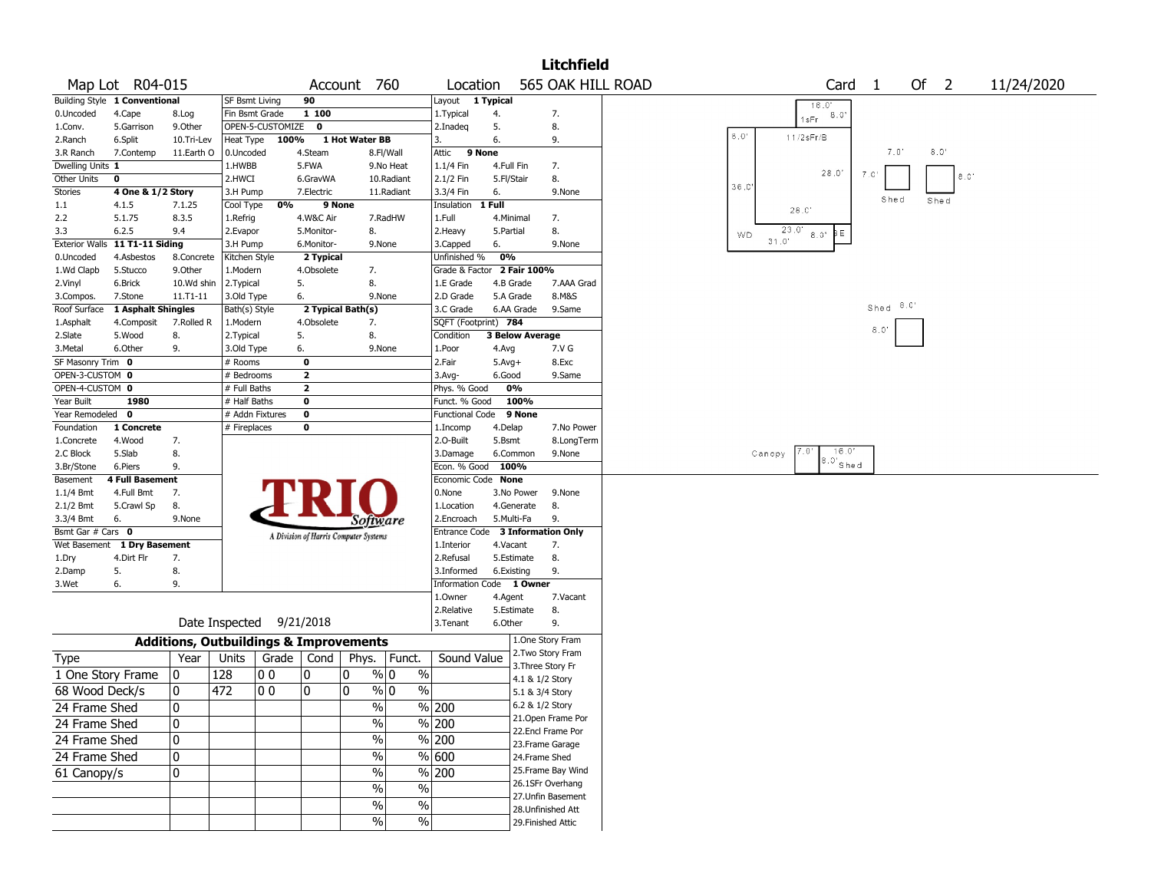|                   |                                |                                                   |                          |                  |                         |                                       |                          |                                  |            |                        | <b>Litchfield</b>  |           |        |                 |                |                |               |        |             |            |  |
|-------------------|--------------------------------|---------------------------------------------------|--------------------------|------------------|-------------------------|---------------------------------------|--------------------------|----------------------------------|------------|------------------------|--------------------|-----------|--------|-----------------|----------------|----------------|---------------|--------|-------------|------------|--|
|                   | Map Lot R04-015                |                                                   |                          |                  |                         | Account 760                           |                          | Location                         |            |                        | 565 OAK HILL ROAD  |           |        |                 | Card           | $\overline{1}$ |               | Of $2$ |             | 11/24/2020 |  |
|                   | Building Style 1 Conventional  |                                                   | SF Bsmt Living           |                  | 90                      |                                       |                          | Layout 1 Typical                 |            |                        |                    |           |        | 16.0'           |                |                |               |        |             |            |  |
| 0.Uncoded         | 4.Cape                         | 8.Log                                             | Fin Bsmt Grade           |                  | 1 100                   |                                       |                          | 1. Typical                       | 4.         |                        | 7.                 |           |        | 1sFr            | 8.0'           |                |               |        |             |            |  |
| 1.Conv.           | 5.Garrison                     | 9.0ther                                           |                          | OPEN-5-CUSTOMIZE | 0                       |                                       |                          | 2.Inadeg                         | 5.         |                        | 8.                 | 8.0'      |        |                 |                |                |               |        |             |            |  |
| 2.Ranch           | 6.Split                        | 10.Tri-Lev                                        |                          | Heat Type 100%   |                         | 1 Hot Water BB                        |                          | 3.                               | 6.         |                        | 9.                 |           |        | $11/2$ s $Fr/B$ |                |                |               |        |             |            |  |
| 3.R Ranch         | 7.Contemp                      | 11.Earth O                                        | 0.Uncoded                |                  | 4.Steam                 |                                       | 8.Fl/Wall                | 9 None<br>Attic                  |            |                        |                    |           |        |                 |                |                | $7.0^{\circ}$ | 8.0'   |             |            |  |
| Dwelling Units 1  |                                |                                                   | 1.HWBB                   |                  | 5.FWA                   |                                       | 9.No Heat                | 1.1/4 Fin                        | 4.Full Fin |                        | 7.                 |           |        |                 | 28.0'          | 7.0'           |               |        |             |            |  |
| Other Units       | 0                              |                                                   | 2.HWCI                   |                  | 6.GravWA                |                                       | 10.Radiant               | 2.1/2 Fin                        | 5.Fl/Stair |                        | 8.                 | 36.0      |        |                 |                |                |               |        | $8.0^\circ$ |            |  |
| Stories           | 4 One & 1/2 Story              |                                                   | 3.H Pump                 |                  | 7.Electric              |                                       | 11.Radiant               | 3.3/4 Fin                        | 6.         |                        | 9.None             |           |        |                 |                |                | Shed          | Shed   |             |            |  |
| 1.1               | 4.1.5                          | 7.1.25                                            | Cool Type                | 0%               | 9 None                  |                                       |                          | Insulation                       | 1 Full     |                        |                    |           |        | $28.0^\circ$    |                |                |               |        |             |            |  |
| 2.2               | 5.1.75                         | 8.3.5                                             | 1.Refrig                 |                  | 4.W&C Air               |                                       | 7.RadHW                  | 1.Full                           | 4.Minimal  |                        | 7.                 |           |        |                 |                |                |               |        |             |            |  |
| 3.3               | 6.2.5                          | 9.4                                               | 2.Evapor                 |                  | 5.Monitor-              | 8.                                    |                          | 2.Heavy                          | 5.Partial  |                        | 8.                 | <b>WD</b> | 31.0'  | 23.0'<br>8.0"   | þΕ             |                |               |        |             |            |  |
|                   | Exterior Walls 11 T1-11 Siding |                                                   | 3.H Pump                 |                  | 6.Monitor-              |                                       | 9.None                   | 3.Capped                         | 6.         |                        | 9.None             |           |        |                 |                |                |               |        |             |            |  |
| 0.Uncoded         | 4.Asbestos                     | 8.Concrete                                        | Kitchen Style            |                  | 2 Typical               |                                       |                          | Unfinished %                     | 0%         |                        |                    |           |        |                 |                |                |               |        |             |            |  |
| 1.Wd Clapb        | 5.Stucco                       | 9.Other                                           | 1.Modern                 |                  | 4.Obsolete              | 7.                                    |                          | Grade & Factor 2 Fair 100%       |            |                        |                    |           |        |                 |                |                |               |        |             |            |  |
| 2.Vinyl           | 6.Brick                        | 10.Wd shin                                        | 2. Typical               |                  | 5.                      | 8.                                    |                          | 1.E Grade                        | 4.B Grade  |                        | 7.AAA Grad         |           |        |                 |                |                |               |        |             |            |  |
| 3.Compos.         | 7.Stone                        | $11.71 - 11$                                      | 3.Old Type               |                  | 6.                      |                                       | 9.None                   | 2.D Grade                        | 5.A Grade  |                        | 8.M&S              |           |        |                 |                |                | $8.0^{\circ}$ |        |             |            |  |
| Roof Surface      | 1 Asphalt Shingles             |                                                   | Bath(s) Style            |                  |                         | 2 Typical Bath(s)                     |                          | 3.C Grade                        |            | 6.AA Grade             | 9.Same             |           |        |                 |                | Shed           |               |        |             |            |  |
| 1.Asphalt         | 4.Composit                     | 7.Rolled R                                        | 1.Modern                 |                  | 4.Obsolete              | 7.                                    |                          | SQFT (Footprint) 784             |            |                        |                    |           |        |                 |                | 8.0'           |               |        |             |            |  |
| 2.Slate           | 5.Wood                         | 8.                                                | 2.Typical                |                  | 5.                      | 8.                                    |                          | Condition                        |            | <b>3 Below Average</b> |                    |           |        |                 |                |                |               |        |             |            |  |
| 3.Metal           | 6.Other                        | 9.                                                | 3.Old Type               |                  | 6.                      |                                       | 9.None                   | 1.Poor                           | 4.Avg      |                        | 7.V G              |           |        |                 |                |                |               |        |             |            |  |
| SF Masonry Trim 0 |                                |                                                   | # Rooms                  |                  | 0                       |                                       |                          | 2.Fair                           | $5.Avg+$   |                        | 8.Exc              |           |        |                 |                |                |               |        |             |            |  |
| OPEN-3-CUSTOM 0   |                                |                                                   | # Bedrooms               |                  | $\mathbf{2}$            |                                       |                          | 3.Avg-                           | 6.Good     |                        | 9.Same             |           |        |                 |                |                |               |        |             |            |  |
| OPEN-4-CUSTOM 0   |                                |                                                   | # Full Baths             |                  | $\overline{\mathbf{2}}$ |                                       |                          | Phys. % Good                     |            | 0%                     |                    |           |        |                 |                |                |               |        |             |            |  |
| Year Built        | 1980                           |                                                   | # Half Baths             |                  | 0                       |                                       |                          | Funct. % Good                    |            | 100%                   |                    |           |        |                 |                |                |               |        |             |            |  |
| Year Remodeled 0  |                                |                                                   | # Addn Fixtures          |                  | 0                       |                                       |                          | <b>Functional Code</b>           |            | 9 None                 |                    |           |        |                 |                |                |               |        |             |            |  |
| Foundation        | 1 Concrete                     |                                                   | # Fireplaces             |                  | 0                       |                                       |                          | 1.Incomp                         | 4.Delap    |                        | 7.No Power         |           |        |                 |                |                |               |        |             |            |  |
| 1.Concrete        | 4.Wood                         | 7.                                                |                          |                  |                         |                                       |                          | 2.0-Built                        | 5.Bsmt     |                        | 8.LongTerm         |           |        |                 | 16.0'          |                |               |        |             |            |  |
| 2.C Block         | 5.Slab                         | 8.                                                |                          |                  |                         |                                       |                          | 3.Damage                         |            | 6.Common               | 9.None             |           | Canopy |                 | $^{8.0'}$ Shed |                |               |        |             |            |  |
| 3.Br/Stone        | 6.Piers                        | 9.                                                |                          |                  |                         |                                       |                          | Econ. % Good 100%                |            |                        |                    |           |        |                 |                |                |               |        |             |            |  |
| Basement          | <b>4 Full Basement</b>         |                                                   |                          |                  |                         |                                       |                          | Economic Code None               |            |                        |                    |           |        |                 |                |                |               |        |             |            |  |
| $1.1/4$ Bmt       | 4.Full Bmt                     | 7.                                                |                          |                  |                         |                                       |                          | 0.None                           |            | 3.No Power             | 9.None             |           |        |                 |                |                |               |        |             |            |  |
| 2.1/2 Bmt         | 5.Crawl Sp                     | 8.                                                |                          |                  |                         |                                       |                          | 1.Location                       |            | 4.Generate             | 8.                 |           |        |                 |                |                |               |        |             |            |  |
| 3.3/4 Bmt         | 6.                             | 9.None                                            |                          |                  |                         | Sottware                              |                          | 2.Encroach                       | 5.Multi-Fa |                        | 9.                 |           |        |                 |                |                |               |        |             |            |  |
| Bsmt Gar # Cars 0 |                                |                                                   |                          |                  |                         | A Division of Harris Computer Systems |                          | Entrance Code 3 Information Only |            |                        |                    |           |        |                 |                |                |               |        |             |            |  |
|                   | Wet Basement 1 Dry Basement    |                                                   |                          |                  |                         |                                       |                          | 1.Interior                       | 4.Vacant   |                        | 7.                 |           |        |                 |                |                |               |        |             |            |  |
| 1.Dry             | 4.Dirt Flr                     | 7.                                                |                          |                  |                         |                                       |                          | 2.Refusal                        |            | 5.Estimate             | 8.                 |           |        |                 |                |                |               |        |             |            |  |
| 2.Damp            | 5.                             | 8.                                                |                          |                  |                         |                                       |                          | 3.Informed                       | 6.Existing |                        | 9.                 |           |        |                 |                |                |               |        |             |            |  |
| 3.Wet             | 6.                             | 9.                                                |                          |                  |                         |                                       |                          | Information Code 1 Owner         |            |                        |                    |           |        |                 |                |                |               |        |             |            |  |
|                   |                                |                                                   |                          |                  |                         |                                       |                          | 1.0wner                          | 4.Agent    |                        | 7.Vacant<br>8.     |           |        |                 |                |                |               |        |             |            |  |
|                   |                                |                                                   | Date Inspected 9/21/2018 |                  |                         |                                       |                          | 2.Relative<br>3.Tenant           | 6.Other    | 5.Estimate             | 9.                 |           |        |                 |                |                |               |        |             |            |  |
|                   |                                | <b>Additions, Outbuildings &amp; Improvements</b> |                          |                  |                         |                                       |                          |                                  |            |                        | 1.One Story Fram   |           |        |                 |                |                |               |        |             |            |  |
|                   |                                |                                                   |                          |                  |                         |                                       |                          |                                  |            |                        | 2. Two Story Fram  |           |        |                 |                |                |               |        |             |            |  |
| Type              |                                | Year                                              | Units                    | Grade   Cond     |                         | Phys.                                 | Funct.                   | Sound Value                      |            | 3. Three Story Fr      |                    |           |        |                 |                |                |               |        |             |            |  |
| 1 One Story Frame |                                | 10                                                | 128                      | O O              | 10                      | 0                                     | % 0<br>%                 |                                  |            | 4.1 & 1/2 Story        |                    |           |        |                 |                |                |               |        |             |            |  |
| 68 Wood Deck/s    |                                | 10                                                | 472                      | O 0              | 10                      | $\mathbf{0}$                          | % 0<br>$\%$              |                                  |            | 5.1 & 3/4 Story        |                    |           |        |                 |                |                |               |        |             |            |  |
| 24 Frame Shed     |                                | 10                                                |                          |                  |                         | $\%$                                  |                          | % 200                            |            | 6.2 & 1/2 Story        |                    |           |        |                 |                |                |               |        |             |            |  |
| 24 Frame Shed     |                                | 0                                                 |                          |                  |                         | $\frac{0}{0}$                         |                          | % 200                            |            |                        | 21. Open Frame Por |           |        |                 |                |                |               |        |             |            |  |
|                   |                                |                                                   |                          |                  |                         |                                       |                          |                                  |            |                        | 22.Encl Frame Por  |           |        |                 |                |                |               |        |             |            |  |
| 24 Frame Shed     |                                | 10                                                |                          |                  |                         | $\frac{0}{0}$                         |                          | % 200                            |            |                        | 23. Frame Garage   |           |        |                 |                |                |               |        |             |            |  |
| 24 Frame Shed     |                                | 0                                                 |                          |                  |                         | $\frac{1}{2}$                         |                          | $\frac{9}{6}$ 600                |            | 24.Frame Shed          |                    |           |        |                 |                |                |               |        |             |            |  |
| 61 Canopy/s       |                                | 0                                                 |                          |                  |                         | $\frac{0}{0}$                         |                          | $\frac{9}{6}$ 200                |            |                        | 25. Frame Bay Wind |           |        |                 |                |                |               |        |             |            |  |
|                   |                                |                                                   |                          |                  |                         | $\frac{0}{0}$                         | $\overline{\frac{0}{0}}$ |                                  |            |                        | 26.1SFr Overhang   |           |        |                 |                |                |               |        |             |            |  |
|                   |                                |                                                   |                          |                  |                         |                                       |                          |                                  |            |                        | 27. Unfin Basement |           |        |                 |                |                |               |        |             |            |  |
|                   |                                |                                                   |                          |                  |                         | $\%$                                  | $\%$                     |                                  |            |                        | 28. Unfinished Att |           |        |                 |                |                |               |        |             |            |  |
|                   |                                |                                                   |                          |                  |                         | $\frac{1}{2}$                         | $\%$                     |                                  |            | 29. Finished Attic     |                    |           |        |                 |                |                |               |        |             |            |  |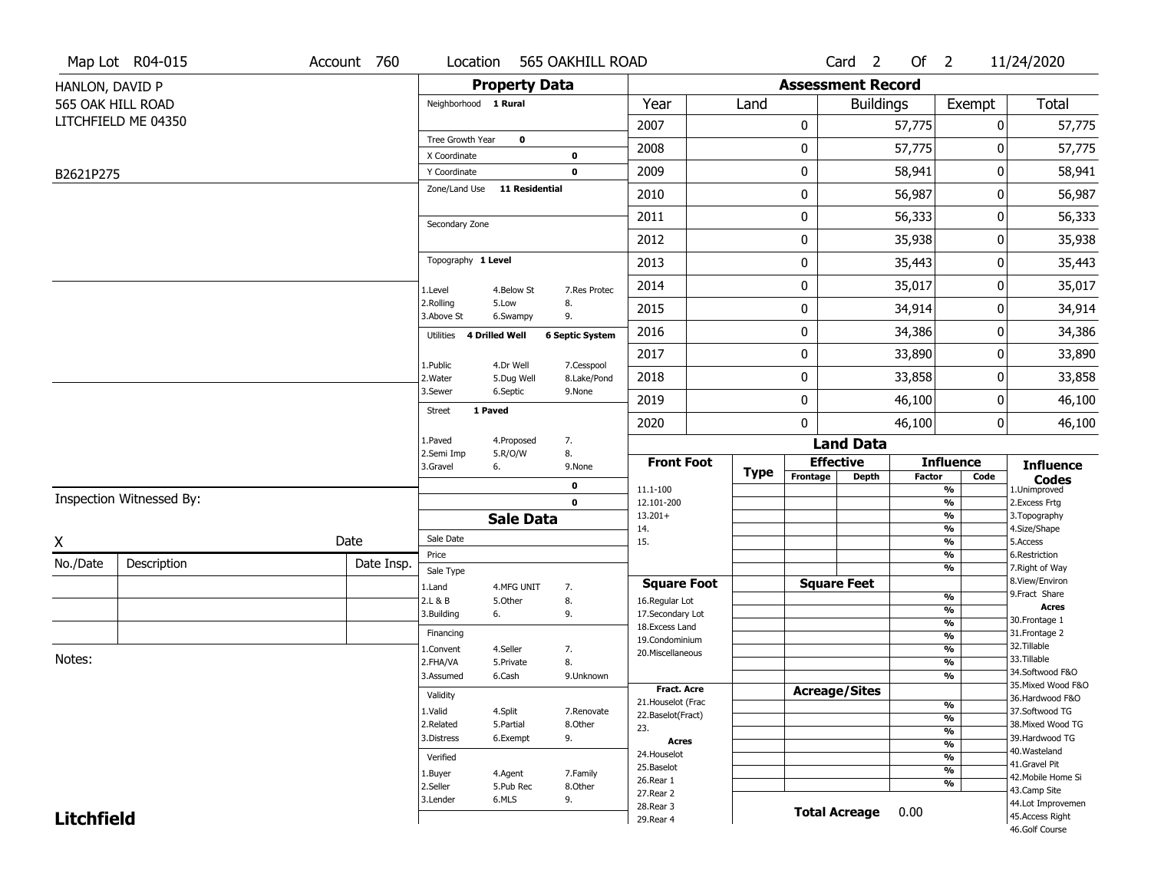|                   | Map Lot R04-015          | Account 760 | Location                     |                       | 565 OAKHILL ROAD       |                                     |             |                          | Card <sub>2</sub>    | Of $2$        |                                  | 11/24/2020                         |
|-------------------|--------------------------|-------------|------------------------------|-----------------------|------------------------|-------------------------------------|-------------|--------------------------|----------------------|---------------|----------------------------------|------------------------------------|
| HANLON, DAVID P   |                          |             |                              | <b>Property Data</b>  |                        |                                     |             | <b>Assessment Record</b> |                      |               |                                  |                                    |
|                   | 565 OAK HILL ROAD        |             | Neighborhood 1 Rural         |                       |                        | Year                                | Land        |                          | <b>Buildings</b>     |               | Exempt                           | Total                              |
|                   | LITCHFIELD ME 04350      |             |                              |                       |                        | 2007                                |             | 0                        |                      | 57,775        | 0                                | 57,775                             |
|                   |                          |             | Tree Growth Year             | $\mathbf 0$           |                        | 2008                                |             | 0                        |                      | 57,775        | 0                                | 57,775                             |
|                   |                          |             | X Coordinate<br>Y Coordinate |                       | 0<br>$\mathbf 0$       | 2009                                |             | 0                        |                      | 58,941        | 0                                | 58,941                             |
| B2621P275         |                          |             | Zone/Land Use                | 11 Residential        |                        |                                     |             |                          |                      |               |                                  |                                    |
|                   |                          |             |                              |                       |                        | 2010                                |             | 0                        |                      | 56,987        | 0                                | 56,987                             |
|                   |                          |             | Secondary Zone               |                       |                        | 2011                                |             | 0                        |                      | 56,333        | 0                                | 56,333                             |
|                   |                          |             |                              |                       |                        | 2012                                |             | 0                        |                      | 35,938        | 0                                | 35,938                             |
|                   |                          |             | Topography 1 Level           |                       |                        | 2013                                |             | 0                        |                      | 35,443        | 0                                | 35,443                             |
|                   |                          |             | 1.Level                      | 4.Below St            | 7.Res Protec           | 2014                                |             | 0                        |                      | 35,017        | 0                                | 35,017                             |
|                   |                          |             | 2.Rolling<br>3.Above St      | 5.Low<br>6.Swampy     | 8.<br>9.               | 2015                                |             | 0                        |                      | 34,914        | 0                                | 34,914                             |
|                   |                          |             | Utilities                    | <b>4 Drilled Well</b> | <b>6 Septic System</b> | 2016                                |             | 0                        |                      | 34,386        | 0                                | 34,386                             |
|                   |                          |             | 1.Public                     | 4.Dr Well             | 7.Cesspool             | 2017                                |             | 0                        |                      | 33,890        | 0                                | 33,890                             |
|                   |                          |             | 2. Water                     | 5.Dug Well            | 8.Lake/Pond            | 2018                                |             | 0                        |                      | 33,858        | 0                                | 33,858                             |
|                   |                          |             | 3.Sewer                      | 6.Septic              | 9.None                 | 2019                                |             | 0                        |                      | 46,100        | 0                                | 46,100                             |
|                   |                          |             | <b>Street</b><br>1 Paved     |                       |                        | 2020                                |             | 0                        |                      | 46,100        | 0                                | 46,100                             |
|                   |                          |             | 1.Paved                      | 4.Proposed            | 7.                     |                                     |             |                          | <b>Land Data</b>     |               |                                  |                                    |
|                   |                          |             | 2.Semi Imp<br>3.Gravel       | 5.R/O/W<br>6.         | 8.<br>9.None           | <b>Front Foot</b>                   | <b>Type</b> |                          | <b>Effective</b>     |               | <b>Influence</b>                 | <b>Influence</b>                   |
|                   |                          |             |                              |                       | $\mathbf 0$            | 11.1-100                            |             | Frontage                 | Depth                | <b>Factor</b> | Code<br>$\overline{\frac{9}{6}}$ | <b>Codes</b><br>1.Unimproved       |
|                   | Inspection Witnessed By: |             |                              |                       | $\mathbf 0$            | 12.101-200                          |             |                          |                      |               | $\frac{9}{6}$                    | 2.Excess Frtg                      |
|                   |                          |             |                              | <b>Sale Data</b>      |                        | $13.201+$<br>14.                    |             |                          |                      |               | $\frac{9}{6}$<br>$\frac{9}{6}$   | 3. Topography<br>4.Size/Shape      |
| X                 |                          | Date        | Sale Date                    |                       |                        | 15.                                 |             |                          |                      |               | $\frac{9}{6}$                    | 5.Access                           |
| No./Date          | Description              | Date Insp.  | Price<br>Sale Type           |                       |                        |                                     |             |                          |                      |               | %<br>$\frac{9}{6}$               | 6.Restriction<br>7. Right of Way   |
|                   |                          |             | 1.Land                       | 4.MFG UNIT            | 7.                     | <b>Square Foot</b>                  |             |                          | <b>Square Feet</b>   |               |                                  | 8.View/Environ                     |
|                   |                          |             | 2.L & B                      | 5.Other               | 8.                     | 16.Regular Lot                      |             |                          |                      |               | $\frac{9}{6}$<br>%               | 9. Fract Share<br><b>Acres</b>     |
|                   |                          |             | 3.Building                   | 6.                    | 9.                     | 17.Secondary Lot<br>18. Excess Land |             |                          |                      |               | $\frac{9}{6}$                    | 30. Frontage 1                     |
|                   |                          |             | Financing                    |                       |                        | 19.Condominium                      |             |                          |                      |               | $\frac{9}{6}$                    | 31. Frontage 2<br>32.Tillable      |
| Notes:            |                          |             | 1.Convent<br>2.FHA/VA        | 4.Seller<br>5.Private | 7.<br>8.               | 20.Miscellaneous                    |             |                          |                      |               | $\frac{9}{6}$<br>$\frac{9}{6}$   | 33.Tillable                        |
|                   |                          |             | 3.Assumed                    | 6.Cash                | 9.Unknown              |                                     |             |                          |                      |               | %                                | 34.Softwood F&O                    |
|                   |                          |             | Validity                     |                       |                        | Fract. Acre                         |             |                          | <b>Acreage/Sites</b> |               |                                  | 35. Mixed Wood F&O                 |
|                   |                          |             | 1.Valid                      | 4.Split               | 7.Renovate             | 21. Houselot (Frac                  |             |                          |                      |               | %                                | 36.Hardwood F&O<br>37.Softwood TG  |
|                   |                          |             | 2.Related                    | 5.Partial             | 8.Other                | 22.Baselot(Fract)<br>23.            |             |                          |                      |               | $\frac{9}{6}$                    | 38. Mixed Wood TG                  |
|                   |                          |             | 3.Distress                   | 6.Exempt              | 9.                     | <b>Acres</b>                        |             |                          |                      |               | $\frac{9}{6}$<br>$\frac{9}{6}$   | 39.Hardwood TG                     |
|                   |                          |             | Verified                     |                       |                        | 24. Houselot                        |             |                          |                      |               | $\frac{9}{6}$                    | 40. Wasteland                      |
|                   |                          |             | 1.Buyer                      | 4.Agent               | 7.Family               | 25.Baselot                          |             |                          |                      |               | $\frac{9}{6}$                    | 41.Gravel Pit                      |
|                   |                          |             | 2.Seller                     | 5.Pub Rec             | 8.Other                | 26.Rear 1                           |             |                          |                      |               | %                                | 42. Mobile Home Si<br>43.Camp Site |
|                   |                          |             | 3.Lender                     | 6.MLS                 | 9.                     | 27. Rear 2<br>28.Rear 3             |             |                          |                      |               |                                  | 44.Lot Improvemen                  |
| <b>Litchfield</b> |                          |             |                              |                       |                        | 29. Rear 4                          |             |                          | <b>Total Acreage</b> | 0.00          |                                  | 45.Access Right                    |
|                   |                          |             |                              |                       |                        |                                     |             |                          |                      |               |                                  | 46.Golf Course                     |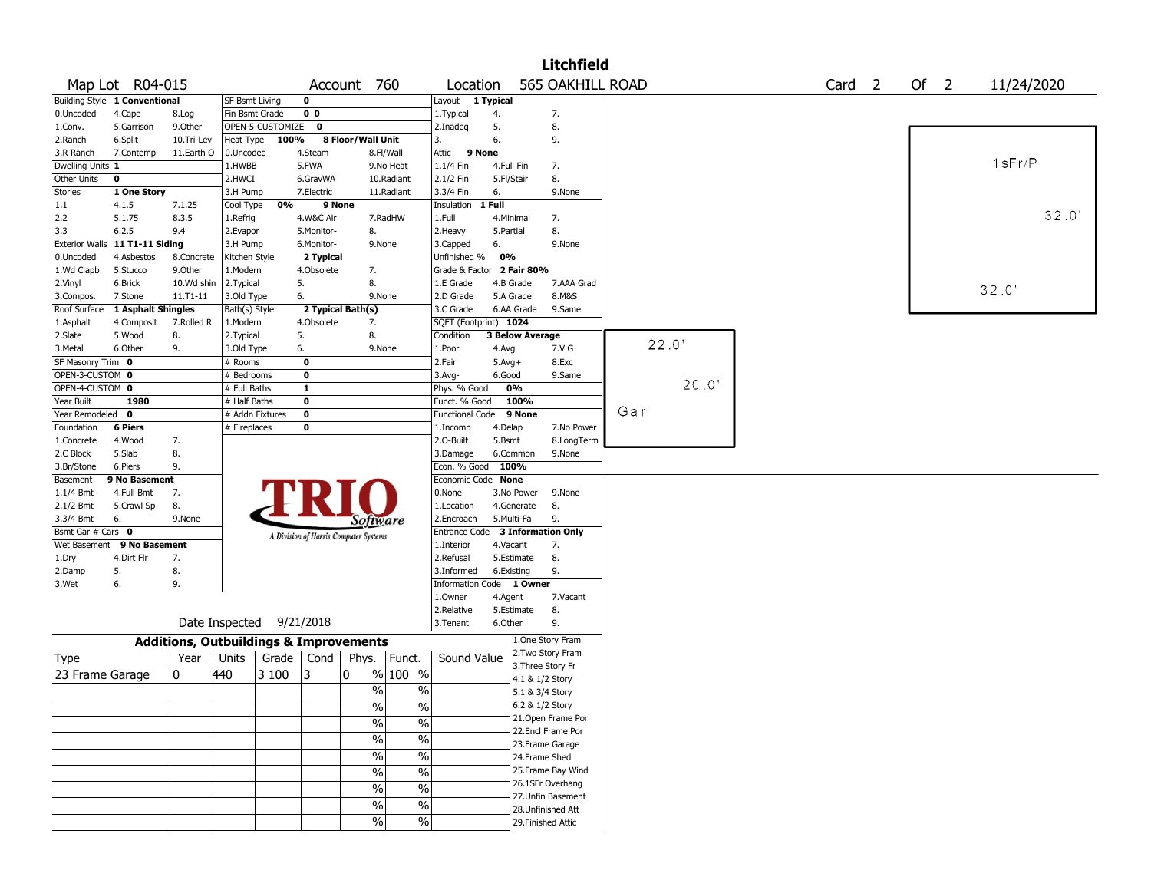|                         |                               |                                                   |                       |                  |                |                                       |                          |                          |            |                        | <b>Litchfield</b>  |       |                   |        |            |  |
|-------------------------|-------------------------------|---------------------------------------------------|-----------------------|------------------|----------------|---------------------------------------|--------------------------|--------------------------|------------|------------------------|--------------------|-------|-------------------|--------|------------|--|
|                         | Map Lot R04-015               |                                                   |                       |                  |                | Account 760                           |                          | Location                 |            |                        | 565 OAKHILL ROAD   |       | Card <sub>2</sub> | Of $2$ | 11/24/2020 |  |
|                         | Building Style 1 Conventional |                                                   | <b>SF Bsmt Living</b> |                  | $\mathbf 0$    |                                       |                          | Layout 1 Typical         |            |                        |                    |       |                   |        |            |  |
| 0.Uncoded               | 4.Cape                        | 8.Log                                             | Fin Bsmt Grade        |                  | 0 <sub>0</sub> |                                       |                          | 1. Typical               | 4.         |                        | 7.                 |       |                   |        |            |  |
| 1.Conv.                 | 5.Garrison                    | 9.0ther                                           |                       | OPEN-5-CUSTOMIZE | $\mathbf 0$    |                                       |                          | 2.Inadeg                 | 5.         |                        | 8.                 |       |                   |        |            |  |
| 2.Ranch                 | 6.Split                       | 10.Tri-Lev                                        | Heat Type             | 100%             |                | 8 Floor/Wall Unit                     |                          | 3.                       | 6.         |                        | 9.                 |       |                   |        |            |  |
| 3.R Ranch               | 7.Contemp                     | 11.Earth O                                        | 0.Uncoded             |                  | 4.Steam        |                                       | 8.Fl/Wall                | 9 None<br>Attic          |            |                        |                    |       |                   |        |            |  |
| Dwelling Units 1        |                               |                                                   | 1.HWBB                |                  | 5.FWA          |                                       | 9.No Heat                | 1.1/4 Fin                | 4.Full Fin |                        | 7.                 |       |                   |        | 1sFr/P     |  |
| Other Units             | $\mathbf 0$                   |                                                   | 2.HWCI                |                  | 6.GravWA       |                                       | 10.Radiant               | 2.1/2 Fin                | 5.Fl/Stair |                        | 8.                 |       |                   |        |            |  |
| Stories                 | 1 One Story                   |                                                   | 3.H Pump              |                  | 7.Electric     |                                       | 11.Radiant               | 3.3/4 Fin                | 6.         |                        | 9.None             |       |                   |        |            |  |
| 1.1                     | 4.1.5                         | 7.1.25                                            | Cool Type             | 0%               |                | 9 None                                |                          | Insulation               | $1$ Full   |                        |                    |       |                   |        |            |  |
| 2.2                     | 5.1.75                        | 8.3.5                                             | 1.Refrig              |                  | 4.W&C Air      |                                       | 7.RadHW                  | 1.Full                   | 4.Minimal  |                        | 7.                 |       |                   |        | 32.0'      |  |
| 3.3                     | 6.2.5                         | 9.4                                               | 2.Evapor              |                  | 5.Monitor-     | 8.                                    |                          | 2.Heavy                  | 5.Partial  |                        | 8.                 |       |                   |        |            |  |
| <b>Exterior Walls</b>   | 11 T1-11 Siding               |                                                   | 3.H Pump              |                  | 6.Monitor-     | 9.None                                |                          | 3.Capped                 | 6.         |                        | 9.None             |       |                   |        |            |  |
| 0.Uncoded               | 4.Asbestos                    | 8.Concrete                                        | Kitchen Style         |                  | 2 Typical      |                                       |                          | Unfinished %             | 0%         |                        |                    |       |                   |        |            |  |
| 1.Wd Clapb              | 5.Stucco                      | 9.0ther                                           | 1.Modern              |                  | 4.Obsolete     | 7.                                    |                          | Grade & Factor           |            | 2 Fair 80%             |                    |       |                   |        |            |  |
| 2.Vinyl                 | 6.Brick                       | 10.Wd shin                                        | 2. Typical            |                  | 5.             | 8.                                    |                          | 1.E Grade                | 4.B Grade  |                        | 7.AAA Grad         |       |                   |        | 32.0'      |  |
| 3.Compos.               | 7.Stone                       | $11. T1 - 11$                                     | 3.Old Type            |                  | 6.             | 9.None                                |                          | 2.D Grade                | 5.A Grade  |                        | 8.M&S              |       |                   |        |            |  |
| Roof Surface            | 1 Asphalt Shingles            |                                                   | Bath(s) Style         |                  |                | 2 Typical Bath(s)                     |                          | 3.C Grade                |            | 6.AA Grade             | 9.Same             |       |                   |        |            |  |
| 1.Asphalt               | 4.Composit                    | 7.Rolled R                                        | 1.Modern              |                  | 4.Obsolete     | 7.                                    |                          | SQFT (Footprint) 1024    |            |                        |                    |       |                   |        |            |  |
| 2.Slate                 | 5.Wood                        | 8.                                                | 2. Typical            |                  | 5.             | 8.                                    |                          | Condition                |            | <b>3 Below Average</b> |                    | 22.0' |                   |        |            |  |
| 3.Metal                 | 6.Other                       | 9.                                                | 3.Old Type            |                  | 6.             | 9.None                                |                          | 1.Poor                   | 4.Avg      |                        | 7.V G              |       |                   |        |            |  |
| SF Masonry Trim 0       |                               |                                                   | # Rooms               |                  | $\mathbf 0$    |                                       |                          | 2.Fair                   | $5.Avg+$   |                        | 8.Exc              |       |                   |        |            |  |
| OPEN-3-CUSTOM 0         |                               |                                                   | # Bedrooms            |                  | $\mathbf 0$    |                                       |                          | 3.Avg-                   | 6.Good     |                        | 9.Same             | 20.0' |                   |        |            |  |
| OPEN-4-CUSTOM 0         |                               |                                                   | # Full Baths          |                  | $\mathbf{1}$   |                                       |                          | Phys. % Good             | 0%         |                        |                    |       |                   |        |            |  |
| Year Built              | 1980                          |                                                   | # Half Baths          |                  | 0              |                                       |                          | Funct. % Good            |            | 100%                   |                    | Gar   |                   |        |            |  |
| Year Remodeled          | $\mathbf 0$                   |                                                   | # Addn Fixtures       |                  | $\mathbf 0$    |                                       |                          | <b>Functional Code</b>   |            | 9 None                 |                    |       |                   |        |            |  |
| Foundation              | <b>6 Piers</b>                |                                                   | # Fireplaces          |                  | 0              |                                       |                          | 1.Incomp                 | 4.Delap    |                        | 7.No Power         |       |                   |        |            |  |
| 1.Concrete              | 4.Wood<br>5.Slab              | 7.<br>8.                                          |                       |                  |                |                                       |                          | 2.O-Built                | 5.Bsmt     |                        | 8.LongTerm         |       |                   |        |            |  |
| 2.C Block<br>3.Br/Stone | 6.Piers                       | 9.                                                |                       |                  |                |                                       |                          | 3.Damage<br>Econ. % Good | 100%       | 6.Common               | 9.None             |       |                   |        |            |  |
| Basement                | 9 No Basement                 |                                                   |                       |                  |                |                                       |                          | Economic Code None       |            |                        |                    |       |                   |        |            |  |
| 1.1/4 Bmt               | 4.Full Bmt                    | 7.                                                |                       |                  |                |                                       |                          | 0.None                   |            | 3.No Power             | 9.None             |       |                   |        |            |  |
| 2.1/2 Bmt               | 5.Crawl Sp                    | 8.                                                |                       |                  |                |                                       |                          | 1.Location               |            | 4.Generate             | 8.                 |       |                   |        |            |  |
| 3.3/4 Bmt               | 6.                            | 9.None                                            |                       |                  |                |                                       |                          | 2.Encroach               | 5.Multi-Fa |                        | 9.                 |       |                   |        |            |  |
| Bsmt Gar # Cars 0       |                               |                                                   |                       |                  |                | Software                              |                          | <b>Entrance Code</b>     |            |                        | 3 Information Only |       |                   |        |            |  |
| Wet Basement            | 9 No Basement                 |                                                   |                       |                  |                | A Division of Harris Computer Systems |                          | 1.Interior               | 4.Vacant   |                        | 7.                 |       |                   |        |            |  |
| 1.Dry                   | 4.Dirt Flr                    | 7.                                                |                       |                  |                |                                       |                          | 2.Refusal                |            | 5.Estimate             | 8.                 |       |                   |        |            |  |
| 2.Damp                  | 5.                            | 8.                                                |                       |                  |                |                                       |                          | 3.Informed               | 6.Existing |                        | 9.                 |       |                   |        |            |  |
| 3.Wet                   | 6.                            | 9.                                                |                       |                  |                |                                       |                          | Information Code 1 Owner |            |                        |                    |       |                   |        |            |  |
|                         |                               |                                                   |                       |                  |                |                                       |                          | 1.0wner                  | 4.Agent    |                        | 7.Vacant           |       |                   |        |            |  |
|                         |                               |                                                   |                       |                  |                |                                       |                          | 2.Relative               |            | 5.Estimate             | 8.                 |       |                   |        |            |  |
|                         |                               | Date Inspected                                    |                       |                  | 9/21/2018      |                                       |                          | 3. Tenant                | 6.Other    |                        | 9.                 |       |                   |        |            |  |
|                         |                               | <b>Additions, Outbuildings &amp; Improvements</b> |                       |                  |                |                                       |                          |                          |            |                        | 1.One Story Fram   |       |                   |        |            |  |
| Type                    |                               | Year                                              | Units                 | Grade            | Cond           | Phys.                                 | Funct.                   | Sound Value              |            |                        | 2. Two Story Fram  |       |                   |        |            |  |
|                         |                               |                                                   |                       |                  |                |                                       |                          |                          |            |                        | 3. Three Story Fr  |       |                   |        |            |  |
| 23 Frame Garage         |                               | 10                                                | 440                   | 3 100            | 13             | 0                                     | % 100 %                  |                          |            | 4.1 & 1/2 Story        |                    |       |                   |        |            |  |
|                         |                               |                                                   |                       |                  |                | $\frac{0}{0}$                         | $\%$                     |                          |            | 5.1 & 3/4 Story        |                    |       |                   |        |            |  |
|                         |                               |                                                   |                       |                  |                | %                                     | %                        |                          |            | 6.2 & 1/2 Story        |                    |       |                   |        |            |  |
|                         |                               |                                                   |                       |                  |                | $\frac{0}{6}$                         | $\overline{\frac{0}{0}}$ |                          |            |                        | 21. Open Frame Por |       |                   |        |            |  |
|                         |                               |                                                   |                       |                  |                |                                       |                          |                          |            |                        | 22.Encl Frame Por  |       |                   |        |            |  |
|                         |                               |                                                   |                       |                  |                | $\frac{1}{2}$                         | $\overline{\frac{0}{0}}$ |                          |            |                        | 23. Frame Garage   |       |                   |        |            |  |
|                         |                               |                                                   |                       |                  |                | %                                     | $\overline{\frac{0}{0}}$ |                          |            | 24.Frame Shed          |                    |       |                   |        |            |  |
|                         |                               |                                                   |                       |                  |                | $\frac{1}{2}$                         | $\overline{\frac{0}{0}}$ |                          |            |                        | 25. Frame Bay Wind |       |                   |        |            |  |
|                         |                               |                                                   |                       |                  |                | $\frac{0}{0}$                         | $\frac{0}{0}$            |                          |            |                        | 26.1SFr Overhang   |       |                   |        |            |  |
|                         |                               |                                                   |                       |                  |                | $\%$                                  | $\%$                     |                          |            |                        | 27. Unfin Basement |       |                   |        |            |  |
|                         |                               |                                                   |                       |                  |                |                                       |                          |                          |            |                        | 28. Unfinished Att |       |                   |        |            |  |
|                         |                               |                                                   |                       |                  |                | $\frac{9}{6}$                         | $\frac{9}{6}$            |                          |            |                        | 29. Finished Attic |       |                   |        |            |  |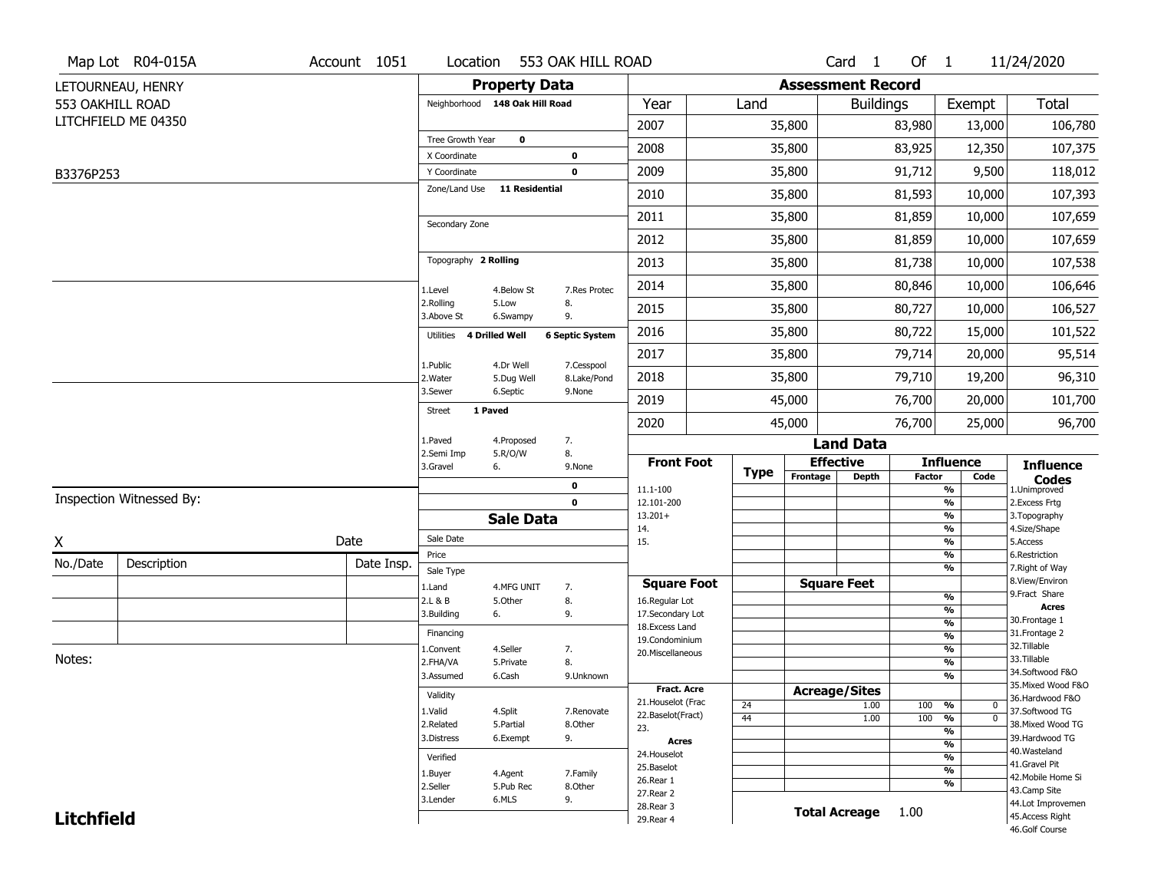|                   | Map Lot R04-015A         | Account 1051 | Location                            |                       | 553 OAK HILL ROAD      |                                    |             |                          | Card <sub>1</sub>    | Of $1$        |                                                      | 11/24/2020                           |
|-------------------|--------------------------|--------------|-------------------------------------|-----------------------|------------------------|------------------------------------|-------------|--------------------------|----------------------|---------------|------------------------------------------------------|--------------------------------------|
|                   | LETOURNEAU, HENRY        |              |                                     | <b>Property Data</b>  |                        |                                    |             | <b>Assessment Record</b> |                      |               |                                                      |                                      |
|                   | 553 OAKHILL ROAD         |              | Neighborhood 148 Oak Hill Road      |                       |                        | Year                               | Land        |                          | <b>Buildings</b>     |               | Exempt                                               | <b>Total</b>                         |
|                   | LITCHFIELD ME 04350      |              |                                     |                       |                        | 2007                               |             | 35,800                   |                      | 83,980        | 13,000                                               | 106,780                              |
|                   |                          |              | Tree Growth Year                    | $\mathbf 0$           |                        | 2008                               |             | 35,800                   |                      | 83,925        | 12,350                                               | 107,375                              |
|                   |                          |              | X Coordinate                        |                       | 0                      |                                    |             |                          |                      |               |                                                      |                                      |
| B3376P253         |                          |              | Y Coordinate<br>Zone/Land Use       | 11 Residential        | 0                      | 2009                               |             | 35,800                   |                      | 91,712        | 9,500                                                | 118,012                              |
|                   |                          |              |                                     |                       |                        | 2010                               |             | 35,800                   |                      | 81,593        | 10,000                                               | 107,393                              |
|                   |                          |              | Secondary Zone                      |                       |                        | 2011                               |             | 35,800                   |                      | 81,859        | 10,000                                               | 107,659                              |
|                   |                          |              |                                     |                       |                        | 2012                               |             | 35,800                   |                      | 81,859        | 10,000                                               | 107,659                              |
|                   |                          |              | Topography 2 Rolling                |                       |                        | 2013                               |             | 35,800                   |                      | 81,738        | 10,000                                               | 107,538                              |
|                   |                          |              | 1.Level                             | 4.Below St            | 7.Res Protec           | 2014                               |             | 35,800                   |                      | 80,846        | 10,000                                               | 106,646                              |
|                   |                          |              | 2.Rolling<br>3.Above St             | 5.Low<br>6.Swampy     | 8.<br>9.               | 2015                               |             | 35,800                   |                      | 80,727        | 10,000                                               | 106,527                              |
|                   |                          |              | 4 Drilled Well<br>Utilities         |                       | <b>6 Septic System</b> | 2016                               |             | 35,800                   |                      | 80,722        | 15,000                                               | 101,522                              |
|                   |                          |              | 1.Public                            | 4.Dr Well             | 7.Cesspool             | 2017                               |             | 35,800                   |                      | 79,714        | 20,000                                               | 95,514                               |
|                   |                          |              | 2. Water                            | 5.Dug Well            | 8.Lake/Pond            | 2018                               |             | 35,800                   |                      | 79,710        | 19,200                                               | 96,310                               |
|                   |                          |              | 3.Sewer<br>1 Paved<br><b>Street</b> | 6.Septic              | 9.None                 | 2019                               |             | 45,000                   |                      | 76,700        | 20,000                                               | 101,700                              |
|                   |                          |              |                                     |                       |                        | 2020                               |             | 45,000                   |                      | 76,700        | 25,000                                               | 96,700                               |
|                   |                          |              | 1.Paved<br>2.Semi Imp               | 4.Proposed<br>5.R/O/W | 7.<br>8.               |                                    |             |                          | <b>Land Data</b>     |               |                                                      |                                      |
|                   |                          |              | 3.Gravel                            | 6.                    | 9.None                 | <b>Front Foot</b>                  | <b>Type</b> |                          | <b>Effective</b>     |               | <b>Influence</b>                                     | <b>Influence</b>                     |
|                   |                          |              |                                     |                       | 0                      | 11.1-100                           |             | Frontage                 | <b>Depth</b>         | <b>Factor</b> | Code<br>%                                            | <b>Codes</b><br>1.Unimproved         |
|                   | Inspection Witnessed By: |              |                                     |                       | $\mathbf 0$            | 12.101-200                         |             |                          |                      |               | $\frac{9}{6}$                                        | 2. Excess Frtg                       |
|                   |                          |              |                                     | <b>Sale Data</b>      |                        | $13.201+$<br>14.                   |             |                          |                      |               | %<br>%                                               | 3. Topography<br>4.Size/Shape        |
| X                 |                          | Date         | Sale Date                           |                       |                        | 15.                                |             |                          |                      |               | $\frac{9}{6}$                                        | 5.Access                             |
| No./Date          | Description              | Date Insp.   | Price<br>Sale Type                  |                       |                        |                                    |             |                          |                      |               | %<br>%                                               | 6.Restriction<br>7. Right of Way     |
|                   |                          |              | 1.Land                              | 4.MFG UNIT            | 7.                     | <b>Square Foot</b>                 |             |                          | <b>Square Feet</b>   |               |                                                      | 8.View/Environ                       |
|                   |                          |              | 2.L & B                             | 5.Other               | 8.                     | 16.Regular Lot                     |             |                          |                      |               | $\frac{9}{6}$<br>$\overline{\mathcal{O}_{\!\!/\!0}}$ | 9.Fract Share<br><b>Acres</b>        |
|                   |                          |              | 3.Building                          | 6.                    | 9.                     | 17.Secondary Lot<br>18.Excess Land |             |                          |                      |               | $\frac{9}{6}$                                        | 30. Frontage 1                       |
|                   |                          |              | Financing                           |                       |                        | 19.Condominium                     |             |                          |                      |               | $\frac{9}{6}$                                        | 31. Frontage 2                       |
| Notes:            |                          |              | 1.Convent                           | 4.Seller              | 7.                     | 20.Miscellaneous                   |             |                          |                      |               | $\frac{9}{6}$                                        | 32.Tillable<br>33.Tillable           |
|                   |                          |              | 2.FHA/VA<br>3.Assumed               | 5.Private<br>6.Cash   | 8.                     |                                    |             |                          |                      |               | $\frac{9}{6}$<br>$\frac{9}{6}$                       | 34.Softwood F&O                      |
|                   |                          |              |                                     |                       | 9.Unknown              | <b>Fract. Acre</b>                 |             |                          | <b>Acreage/Sites</b> |               |                                                      | 35. Mixed Wood F&O                   |
|                   |                          |              | Validity                            |                       |                        | 21. Houselot (Frac                 | 24          |                          | 1.00                 | 100           | %<br>0                                               | 36.Hardwood F&O                      |
|                   |                          |              | 1.Valid                             | 4.Split               | 7.Renovate             | 22.Baselot(Fract)                  | 44          |                          | 1.00                 | 100           | $\overline{0}$<br>%                                  | 37.Softwood TG                       |
|                   |                          |              | 2.Related<br>3.Distress             | 5.Partial<br>6.Exempt | 8.Other<br>9.          | 23.                                |             |                          |                      |               | $\frac{9}{6}$                                        | 38. Mixed Wood TG<br>39.Hardwood TG  |
|                   |                          |              |                                     |                       |                        | <b>Acres</b>                       |             |                          |                      |               | $\frac{9}{6}$                                        | 40. Wasteland                        |
|                   |                          |              | Verified                            |                       |                        | 24. Houselot<br>25.Baselot         |             |                          |                      |               | $\frac{9}{6}$                                        | 41.Gravel Pit                        |
|                   |                          |              | 1.Buyer                             | 4.Agent               | 7.Family               | 26.Rear 1                          |             |                          |                      |               | $\frac{9}{6}$<br>$\frac{9}{6}$                       | 42. Mobile Home Si                   |
|                   |                          |              | 2.Seller<br>3.Lender                | 5.Pub Rec<br>6.MLS    | 8.Other<br>9.          | 27.Rear 2                          |             |                          |                      |               |                                                      | 43.Camp Site                         |
|                   |                          |              |                                     |                       |                        |                                    |             |                          |                      |               |                                                      |                                      |
| <b>Litchfield</b> |                          |              |                                     |                       |                        | 28. Rear 3<br>29. Rear 4           |             |                          | <b>Total Acreage</b> | 1.00          |                                                      | 44.Lot Improvemen<br>45.Access Right |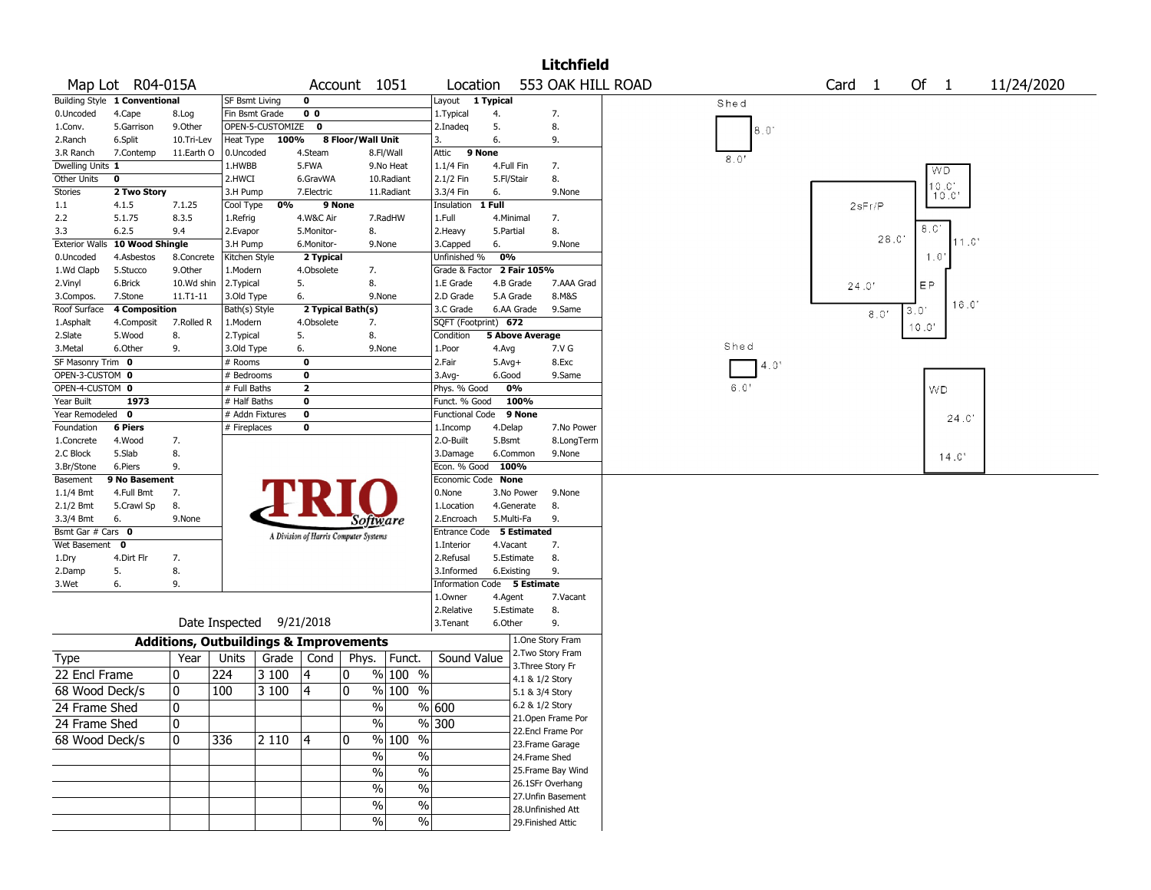|                                |                                      |                                                   |                       |                          |                         |                                       |               |                                            |              |                        | <b>Litchfield</b>  |                                           |
|--------------------------------|--------------------------------------|---------------------------------------------------|-----------------------|--------------------------|-------------------------|---------------------------------------|---------------|--------------------------------------------|--------------|------------------------|--------------------|-------------------------------------------|
|                                | Map Lot R04-015A                     |                                                   |                       |                          |                         | Account 1051                          |               | Location                                   |              |                        | 553 OAK HILL ROAD  | Of $1$<br>Card <sub>1</sub><br>11/24/2020 |
|                                | <b>Building Style 1 Conventional</b> |                                                   | <b>SF Bsmt Living</b> |                          | 0                       |                                       |               | Layout                                     | 1 Typical    |                        |                    | Shed                                      |
| 0.Uncoded                      | 4.Cape                               | 8.Log                                             | Fin Bsmt Grade        |                          | 0 <sub>0</sub>          |                                       |               | 1. Typical                                 | 4.           |                        | 7.                 |                                           |
| 1.Conv.                        | 5.Garrison                           | 9.0ther                                           |                       | OPEN-5-CUSTOMIZE 0       |                         |                                       |               | 2.Inadeg                                   | 5.           |                        | 8.                 | 8.0'                                      |
| 2.Ranch                        | 6.Split                              | 10.Tri-Lev                                        | Heat Type             | 100%                     |                         | 8 Floor/Wall Unit                     |               | 3.                                         | 6.           |                        | 9.                 |                                           |
| 3.R Ranch                      | 7.Contemp                            | 11.Earth O                                        | 0.Uncoded             |                          | 4.Steam                 |                                       | 8.Fl/Wall     | Attic<br>9 None                            |              |                        |                    | 8.0'                                      |
| Dwelling Units 1               |                                      |                                                   | 1.HWBB                |                          | 5.FWA                   |                                       | 9.No Heat     | 1.1/4 Fin                                  | 4.Full Fin   |                        | 7.                 | WD                                        |
| Other Units                    | 0                                    |                                                   | 2.HWCI                |                          | 6.GravWA                |                                       | 10.Radiant    | 2.1/2 Fin                                  | 5.Fl/Stair   |                        | 8.                 | 10.0'                                     |
| <b>Stories</b>                 | 2 Two Story                          |                                                   | 3.H Pump              |                          | 7.Electric              |                                       | 11.Radiant    | 3.3/4 Fin                                  | 6.           |                        | 9.None             | 10.0'                                     |
| 1.1                            | 4.1.5                                | 7.1.25                                            | Cool Type             | 0%                       |                         | 9 None                                |               | Insulation                                 | 1 Full       |                        |                    | 2sFr/P                                    |
| 2.2                            | 5.1.75                               | 8.3.5                                             | 1.Refrig              |                          | 4.W&C Air               |                                       | 7.RadHW       | 1.Full                                     | 4.Minimal    |                        | 7.                 | 8.0'                                      |
| 3.3                            | 6.2.5                                | 9.4                                               | 2.Evapor              |                          | 5.Monitor-              | 8.                                    |               | 2.Heavy                                    | 5.Partial    |                        | 8.                 | 28.0'<br>11.0                             |
| <b>Exterior Walls</b>          | 10 Wood Shingle                      |                                                   | 3.H Pump              |                          | 6.Monitor-              |                                       | 9.None        | 3.Capped                                   | 6.<br>0%     |                        | 9.None             | 1.0                                       |
| 0.Uncoded<br>1.Wd Clapb        | 4.Asbestos                           | 8.Concrete<br>9.0ther                             | Kitchen Style         |                          | 2 Typical<br>4.Obsolete |                                       |               | Unfinished %<br>Grade & Factor 2 Fair 105% |              |                        |                    |                                           |
| 2.Vinyl                        | 5.Stucco<br>6.Brick                  | 10.Wd shin                                        | 1.Modern<br>2.Typical |                          | 5.                      | 7.<br>8.                              |               | 1.E Grade                                  |              | 4.B Grade              | 7.AAA Grad         |                                           |
| 3.Compos.                      | 7.Stone                              | 11.T1-11                                          | 3.Old Type            |                          | 6.                      |                                       | 9.None        | 2.D Grade                                  | 5.A Grade    |                        | 8.M&S              | EP.<br>24.0'                              |
| Roof Surface                   | <b>4 Composition</b>                 |                                                   | Bath(s) Style         |                          |                         | 2 Typical Bath(s)                     |               | 3.C Grade                                  |              | 6.AA Grade             | 9.Same             | 16.0'<br>3<br>0.                          |
| 1.Asphalt                      | 4.Composit                           | 7.Rolled R                                        | 1.Modern              |                          | 4.Obsolete              | 7.                                    |               | SQFT (Footprint) 672                       |              |                        |                    | 8.0'                                      |
| 2.Slate                        | 5.Wood                               | 8.                                                | 2.Typical             |                          | 5.                      | 8.                                    |               | Condition                                  |              | <b>5 Above Average</b> |                    | 10.0'                                     |
| 3.Metal                        | 6.Other                              | 9.                                                | 3.Old Type            |                          | 6.                      |                                       | 9.None        | 1.Poor                                     | 4.Avg        |                        | 7.V G              | Shed                                      |
| SF Masonry Trim 0              |                                      |                                                   | # Rooms               |                          | 0                       |                                       |               | 2.Fair                                     | $5.$ Avg $+$ |                        | 8.Exc              | 4.0'                                      |
| OPEN-3-CUSTOM 0                |                                      |                                                   | # Bedrooms            |                          | 0                       |                                       |               | 3.Avg-                                     | 6.Good       |                        | 9.Same             |                                           |
| OPEN-4-CUSTOM 0                |                                      |                                                   | # Full Baths          |                          | $\mathbf{2}$            |                                       |               | Phys. % Good                               |              | 0%                     |                    | 6.0'<br><b>WD</b>                         |
| Year Built                     | 1973                                 |                                                   | # Half Baths          |                          | 0                       |                                       |               | Funct. % Good                              |              | 100%                   |                    |                                           |
| Year Remodeled 0               |                                      |                                                   |                       | # Addn Fixtures          | 0                       |                                       |               | <b>Functional Code</b>                     |              | 9 None                 |                    | 24.C                                      |
| Foundation                     | <b>6 Piers</b>                       |                                                   | # Fireplaces          |                          | 0                       |                                       |               | 1.Incomp                                   | 4.Delap      |                        | 7.No Power         |                                           |
| 1.Concrete                     | 4.Wood                               | 7.                                                |                       |                          |                         |                                       |               | 2.O-Built                                  | 5.Bsmt       |                        | 8.LongTerm         |                                           |
| 2.C Block                      | 5.Slab                               | 8.                                                |                       |                          |                         |                                       |               | 3.Damage                                   |              | 6.Common               | 9.None             | 14.0'                                     |
| 3.Br/Stone                     | 6.Piers                              | 9.                                                |                       |                          |                         |                                       |               | Econ. % Good 100%                          |              |                        |                    |                                           |
| Basement                       | 9 No Basement                        |                                                   |                       |                          |                         |                                       |               | Economic Code None                         |              |                        |                    |                                           |
| 1.1/4 Bmt                      | 4.Full Bmt                           | 7.                                                |                       |                          |                         |                                       |               | 0.None                                     |              | 3.No Power             | 9.None             |                                           |
| $2.1/2$ Bmt                    | 5.Crawl Sp                           | 8.                                                |                       |                          |                         |                                       |               | 1.Location                                 |              | 4.Generate             | 8.                 |                                           |
| 3.3/4 Bmt<br>Bsmt Gar # Cars 0 | 6.                                   | 9.None                                            |                       |                          |                         | Software                              |               | 2.Encroach<br>Entrance Code 5 Estimated    | 5.Multi-Fa   |                        | 9.                 |                                           |
| Wet Basement 0                 |                                      |                                                   |                       |                          |                         | A Division of Harris Computer Systems |               | 1.Interior                                 | 4.Vacant     |                        | 7.                 |                                           |
| 1.Dry                          | 4.Dirt Flr                           | 7.                                                |                       |                          |                         |                                       |               | 2.Refusal                                  |              | 5.Estimate             | 8.                 |                                           |
| 2.Damp                         | 5.                                   | 8.                                                |                       |                          |                         |                                       |               | 3.Informed                                 | 6.Existing   |                        | 9.                 |                                           |
| 3.Wet                          | 6.                                   | 9.                                                |                       |                          |                         |                                       |               | Information Code                           |              | 5 Estimate             |                    |                                           |
|                                |                                      |                                                   |                       |                          |                         |                                       |               | 1.Owner                                    | 4.Agent      |                        | 7.Vacant           |                                           |
|                                |                                      |                                                   |                       |                          |                         |                                       |               | 2.Relative                                 |              | 5.Estimate             | 8.                 |                                           |
|                                |                                      |                                                   |                       | Date Inspected 9/21/2018 |                         |                                       |               | 3. Tenant                                  | 6.Other      |                        | 9.                 |                                           |
|                                |                                      | <b>Additions, Outbuildings &amp; Improvements</b> |                       |                          |                         |                                       |               |                                            |              |                        | 1.One Story Fram   |                                           |
|                                |                                      |                                                   |                       |                          |                         |                                       |               |                                            |              |                        | 2. Two Story Fram  |                                           |
| Type                           |                                      | Year                                              | Units                 | Grade                    | Cond                    | Phys.                                 | Funct.        | Sound Value                                |              |                        | 3. Three Story Fr  |                                           |
| 22 Encl Frame                  |                                      | 0                                                 | 224                   | 3 100                    | 4                       | 0                                     | % 100 %       |                                            |              | 4.1 & 1/2 Story        |                    |                                           |
| 68 Wood Deck/s                 |                                      | $\mathbf{0}$                                      | 100                   | 3 100                    | 4                       | 0                                     | $% 100\% $    |                                            |              | 5.1 & 3/4 Story        |                    |                                           |
| 24 Frame Shed                  |                                      | 10                                                |                       |                          |                         | %                                     |               | % 600                                      |              | 6.2 & 1/2 Story        |                    |                                           |
| 24 Frame Shed                  |                                      | 0                                                 |                       |                          |                         | $\frac{1}{2}$                         |               | $\frac{9}{6}$ 300                          |              |                        | 21.Open Frame Por  |                                           |
|                                |                                      |                                                   |                       |                          |                         | $\mathbf 0$                           | $\frac{0}{0}$ |                                            |              |                        | 22.Encl Frame Por  |                                           |
| 68 Wood Deck/s                 |                                      | 0                                                 | 336                   | 2 1 1 0                  | $\vert 4 \vert$         |                                       | % 100         |                                            |              |                        | 23. Frame Garage   |                                           |
|                                |                                      |                                                   |                       |                          |                         | $\%$                                  | $\sqrt{6}$    |                                            |              | 24.Frame Shed          |                    |                                           |
|                                |                                      |                                                   |                       |                          |                         | $\frac{0}{0}$                         | $\sqrt{6}$    |                                            |              |                        | 25. Frame Bay Wind |                                           |
|                                |                                      |                                                   |                       |                          |                         | $\frac{0}{0}$                         | $\%$          |                                            |              |                        | 26.1SFr Overhang   |                                           |
|                                |                                      |                                                   |                       |                          |                         | $\%$                                  | %             |                                            |              |                        | 27. Unfin Basement |                                           |
|                                |                                      |                                                   |                       |                          |                         | $\frac{0}{0}$                         | $\sqrt{6}$    |                                            |              |                        | 28.Unfinished Att  |                                           |
|                                |                                      |                                                   |                       |                          |                         |                                       |               |                                            |              |                        | 29. Finished Attic |                                           |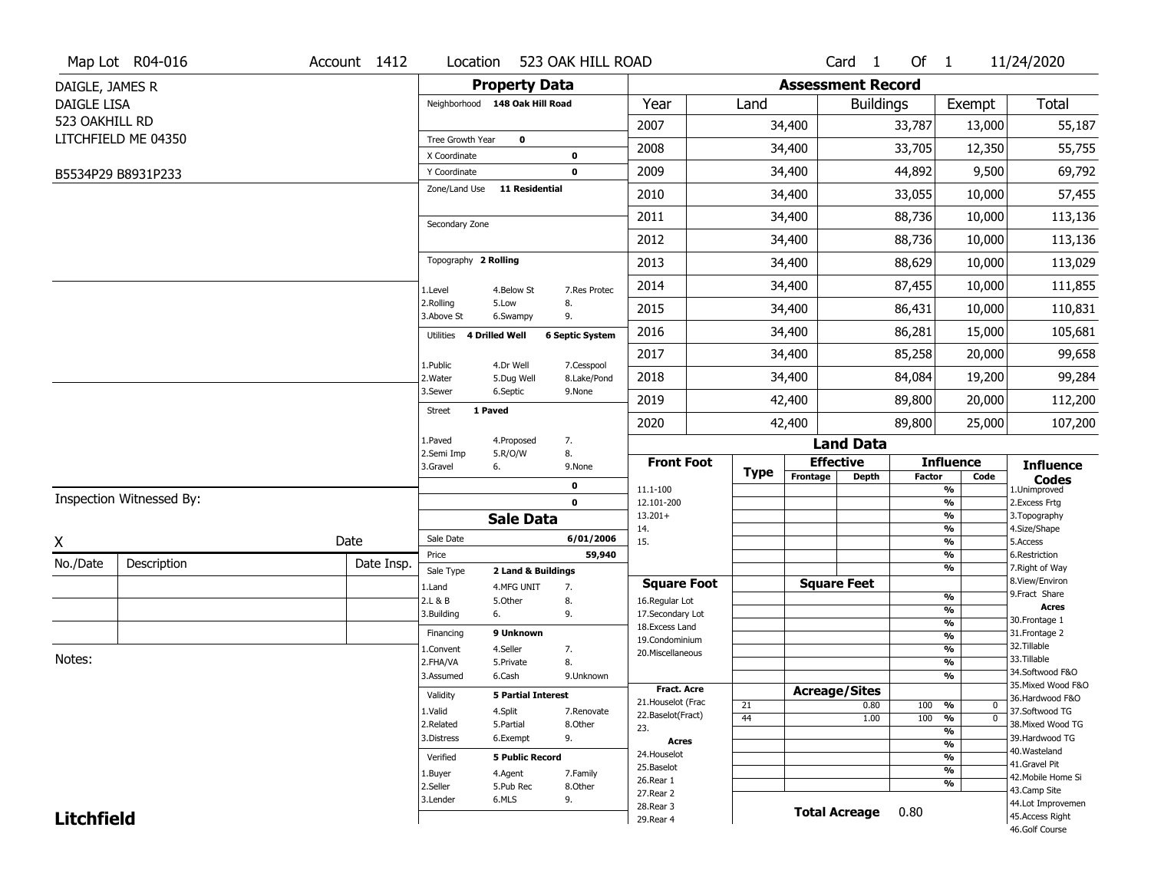|                    | Map Lot R04-016          | Account 1412 | Location                       |                           | 523 OAK HILL ROAD      |                          |             |                          | Card <sub>1</sub> | Of $1$        |                                | 11/24/2020                        |
|--------------------|--------------------------|--------------|--------------------------------|---------------------------|------------------------|--------------------------|-------------|--------------------------|-------------------|---------------|--------------------------------|-----------------------------------|
| DAIGLE, JAMES R    |                          |              |                                | <b>Property Data</b>      |                        |                          |             | <b>Assessment Record</b> |                   |               |                                |                                   |
| <b>DAIGLE LISA</b> |                          |              | Neighborhood 148 Oak Hill Road |                           |                        | Year                     | Land        |                          | <b>Buildings</b>  |               | Exempt                         | <b>Total</b>                      |
| 523 OAKHILL RD     |                          |              |                                |                           |                        | 2007                     |             | 34,400                   |                   | 33,787        | 13,000                         | 55,187                            |
|                    | LITCHFIELD ME 04350      |              | Tree Growth Year               | $\mathbf 0$               |                        |                          |             |                          |                   |               |                                |                                   |
|                    |                          |              | X Coordinate                   |                           | 0                      | 2008                     |             | 34,400                   |                   | 33,705        | 12,350                         | 55,755                            |
|                    | B5534P29 B8931P233       |              | Y Coordinate                   |                           | 0                      | 2009                     |             | 34,400                   |                   | 44,892        | 9,500                          | 69,792                            |
|                    |                          |              | Zone/Land Use                  | 11 Residential            |                        | 2010                     |             | 34,400                   |                   | 33,055        | 10,000                         | 57,455                            |
|                    |                          |              | Secondary Zone                 |                           |                        | 2011                     |             | 34,400                   |                   | 88,736        | 10,000                         | 113,136                           |
|                    |                          |              |                                |                           |                        | 2012                     |             | 34,400                   |                   | 88,736        | 10,000                         | 113,136                           |
|                    |                          |              | Topography 2 Rolling           |                           |                        | 2013                     |             | 34,400                   |                   | 88,629        | 10,000                         | 113,029                           |
|                    |                          |              | 1.Level                        | 4.Below St                | 7.Res Protec           | 2014                     |             | 34,400                   |                   | 87,455        | 10,000                         | 111,855                           |
|                    |                          |              | 2.Rolling<br>3.Above St        | 5.Low<br>6.Swampy         | 8.<br>9.               | 2015                     |             | 34,400                   |                   | 86,431        | 10,000                         | 110,831                           |
|                    |                          |              | 4 Drilled Well<br>Utilities    |                           | <b>6 Septic System</b> | 2016                     |             | 34,400                   |                   | 86,281        | 15,000                         | 105,681                           |
|                    |                          |              | 1.Public                       | 4.Dr Well                 | 7.Cesspool             | 2017                     |             | 34,400                   |                   | 85,258        | 20,000                         | 99,658                            |
|                    |                          |              | 2. Water                       | 5.Dug Well                | 8.Lake/Pond            | 2018                     |             | 34,400                   |                   | 84,084        | 19,200                         | 99,284                            |
|                    |                          |              | 3.Sewer                        | 6.Septic                  | 9.None                 | 2019                     |             | 42,400                   |                   | 89,800        | 20,000                         | 112,200                           |
|                    |                          |              | 1 Paved<br><b>Street</b>       |                           |                        | 2020                     |             | 42,400                   |                   | 89,800        | 25,000                         | 107,200                           |
|                    |                          |              | 1.Paved                        | 4.Proposed                | 7.                     |                          |             |                          | <b>Land Data</b>  |               |                                |                                   |
|                    |                          |              | 2.Semi Imp<br>3.Gravel<br>6.   | 5.R/O/W                   | 8.<br>9.None           | <b>Front Foot</b>        |             | <b>Effective</b>         |                   |               | <b>Influence</b>               | <b>Influence</b>                  |
|                    |                          |              |                                |                           | 0                      | 11.1-100                 | <b>Type</b> | Frontage                 | <b>Depth</b>      | <b>Factor</b> | Code<br>%                      | <b>Codes</b><br>1.Unimproved      |
|                    | Inspection Witnessed By: |              |                                |                           | $\mathbf 0$            | 12.101-200               |             |                          |                   |               | $\frac{9}{6}$                  | 2. Excess Frtg                    |
|                    |                          |              |                                | <b>Sale Data</b>          |                        | $13.201+$<br>14.         |             |                          |                   |               | %<br>%                         | 3. Topography<br>4.Size/Shape     |
| X                  |                          | Date         | Sale Date                      |                           | 6/01/2006              | 15.                      |             |                          |                   |               | $\frac{9}{6}$                  | 5.Access                          |
| No./Date           | Description              | Date Insp.   | Price                          |                           | 59,940                 |                          |             |                          |                   |               | %                              | 6.Restriction                     |
|                    |                          |              | Sale Type                      | 2 Land & Buildings        |                        | <b>Square Foot</b>       |             | <b>Square Feet</b>       |                   |               | %                              | 7. Right of Way<br>8.View/Environ |
|                    |                          |              | 1.Land<br>2.L & B              | 4.MFG UNIT<br>5.Other     | 7.<br>8.               | 16.Regular Lot           |             |                          |                   |               | $\frac{9}{6}$                  | 9.Fract Share                     |
|                    |                          |              | 3.Building<br>6.               |                           | 9.                     | 17.Secondary Lot         |             |                          |                   |               | $\frac{9}{6}$                  | <b>Acres</b>                      |
|                    |                          |              | Financing                      | 9 Unknown                 |                        | 18.Excess Land           |             |                          |                   |               | $\frac{9}{6}$                  | 30. Frontage 1<br>31. Frontage 2  |
|                    |                          |              |                                | 4.Seller                  |                        | 19.Condominium           |             |                          |                   |               | $\frac{9}{6}$<br>$\frac{9}{6}$ | 32. Tillable                      |
| Notes:             |                          |              | 1.Convent<br>2.FHA/VA          | 5.Private                 | 7.<br>8.               | 20.Miscellaneous         |             |                          |                   |               | $\frac{9}{6}$                  | 33.Tillable                       |
|                    |                          |              | 3.Assumed                      | 6.Cash                    | 9.Unknown              |                          |             |                          |                   |               | $\frac{9}{6}$                  | 34.Softwood F&O                   |
|                    |                          |              |                                |                           |                        | <b>Fract. Acre</b>       |             | <b>Acreage/Sites</b>     |                   |               |                                | 35. Mixed Wood F&O                |
|                    |                          |              | Validity                       | <b>5 Partial Interest</b> |                        | 21. Houselot (Frac       | 21          |                          | 0.80              | 100           | %<br>0                         | 36.Hardwood F&O                   |
|                    |                          |              | 1.Valid                        | 4.Split                   | 7.Renovate             | 22.Baselot(Fract)        | 44          |                          | 1.00              | 100           | $\overline{0}$<br>%            | 37.Softwood TG                    |
|                    |                          |              | 2.Related                      | 5.Partial                 | 8.Other                | 23.                      |             |                          |                   |               | $\frac{9}{6}$                  | 38. Mixed Wood TG                 |
|                    |                          |              | 3.Distress                     | 6.Exempt                  | 9.                     | <b>Acres</b>             |             |                          |                   |               | $\frac{9}{6}$                  | 39.Hardwood TG                    |
|                    |                          |              | Verified                       | <b>5 Public Record</b>    |                        | 24. Houselot             |             |                          |                   |               | $\frac{9}{6}$                  | 40. Wasteland<br>41.Gravel Pit    |
|                    |                          |              | 1.Buyer                        | 4.Agent                   | 7.Family               | 25.Baselot               |             |                          |                   |               | $\frac{9}{6}$                  | 42. Mobile Home Si                |
|                    |                          |              | 2.Seller                       | 5.Pub Rec                 | 8.Other                | 26.Rear 1<br>27.Rear 2   |             |                          |                   |               | $\frac{9}{6}$                  | 43.Camp Site                      |
|                    |                          |              | 3.Lender                       | 6.MLS                     | 9.                     |                          |             |                          |                   |               |                                | 44.Lot Improvemen                 |
|                    |                          |              |                                |                           |                        |                          |             |                          |                   |               |                                |                                   |
| <b>Litchfield</b>  |                          |              |                                |                           |                        | 28. Rear 3<br>29. Rear 4 |             | <b>Total Acreage</b>     |                   | 0.80          |                                | 45.Access Right<br>46.Golf Course |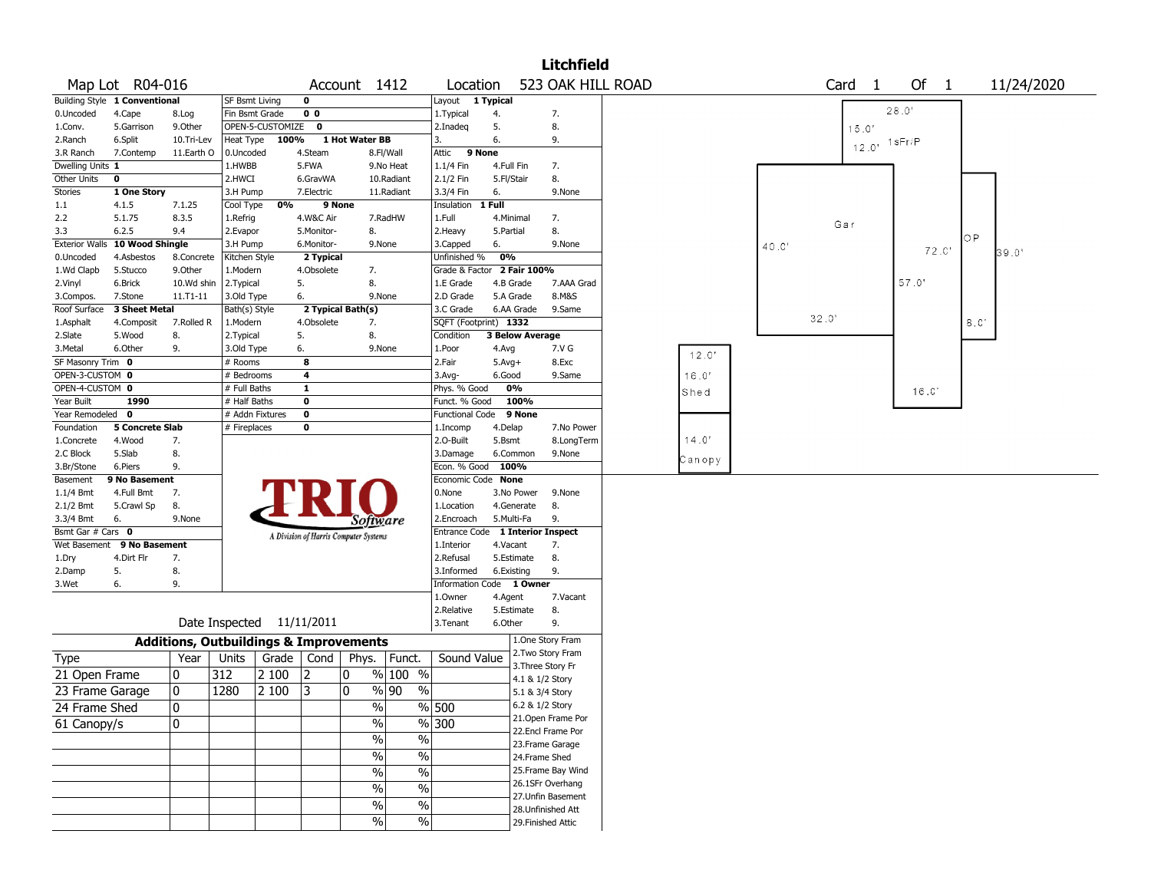|                       |                               |            |                                                   |           |                                       |                   |                                  |                            |                                    |                        | <b>Litchfield</b>         |        |       |       |                   |         |       |     |            |  |
|-----------------------|-------------------------------|------------|---------------------------------------------------|-----------|---------------------------------------|-------------------|----------------------------------|----------------------------|------------------------------------|------------------------|---------------------------|--------|-------|-------|-------------------|---------|-------|-----|------------|--|
|                       | Map Lot R04-016               |            |                                                   |           |                                       | Account 1412      |                                  | Location                   |                                    |                        | 523 OAK HILL ROAD         |        |       |       | Card <sub>1</sub> |         | Of 1  |     | 11/24/2020 |  |
|                       | Building Style 1 Conventional |            | <b>SF Bsmt Living</b>                             |           | 0                                     |                   |                                  | Layout                     | $\overline{\phantom{a}}$ 1 Typical |                        |                           |        |       |       |                   |         |       |     |            |  |
| 0.Uncoded             | 4.Cape                        | 8.Log      | Fin Bsmt Grade                                    |           | 0 <sub>0</sub>                        |                   |                                  | 1. Typical                 | 4.                                 |                        | 7.                        |        |       |       |                   | 28.0'   |       |     |            |  |
| 1.Conv.               | 5.Garrison                    | 9.Other    | OPEN-5-CUSTOMIZE                                  |           | $\mathbf 0$                           |                   |                                  | 2.Inadeq                   | 5.                                 |                        | 8.                        |        |       |       | 15.0'             |         |       |     |            |  |
| 2.Ranch               | 6.Split                       | 10.Tri-Lev | Heat Type                                         | 100%      |                                       | 1 Hot Water BB    |                                  | 3.                         | 6.                                 |                        | 9.                        |        |       |       | $12.0^{\circ}$    | 1 sFr/P |       |     |            |  |
| 3.R Ranch             | 7.Contemp                     | 11.Earth O | 0.Uncoded                                         |           | 4.Steam                               |                   | 8.Fl/Wall                        | Attic                      | 9 None                             |                        |                           |        |       |       |                   |         |       |     |            |  |
| Dwelling Units 1      |                               |            | 1.HWBB                                            |           | 5.FWA                                 |                   | 9.No Heat                        | 1.1/4 Fin                  | 4.Full Fin                         |                        | 7.                        |        |       |       |                   |         |       |     |            |  |
| <b>Other Units</b>    | $\mathbf 0$                   |            | 2.HWCI                                            |           | 6.GravWA                              |                   | 10.Radiant                       | 2.1/2 Fin                  | 5.Fl/Stair                         |                        | 8.                        |        |       |       |                   |         |       |     |            |  |
| <b>Stories</b>        | 1 One Story                   |            | 3.H Pump                                          |           | 7.Electric                            |                   | 11.Radiant                       | 3.3/4 Fin                  | 6.                                 |                        | 9.None                    |        |       |       |                   |         |       |     |            |  |
| $1.1\,$               | 4.1.5                         | 7.1.25     | Cool Type                                         | 0%        |                                       | 9 None            |                                  | Insulation                 | 1 Full                             |                        |                           |        |       |       |                   |         |       |     |            |  |
| 2.2                   | 5.1.75                        | 8.3.5      | 1.Refrig                                          |           | 4.W&C Air                             |                   | 7.RadHW                          | 1.Full                     | 4.Minimal                          |                        | 7.                        |        |       | Gar   |                   |         |       |     |            |  |
| 3.3                   | 6.2.5                         | 9.4        | 2.Evapor                                          |           | 5.Monitor-                            | 8.                |                                  | 2. Heavy                   | 5.Partial                          |                        | 8.                        |        |       |       |                   |         |       | ОP  |            |  |
| <b>Exterior Walls</b> | 10 Wood Shingle               |            | 3.H Pump                                          |           | 6.Monitor-                            |                   | 9.None                           | 3.Capped                   | 6.                                 |                        | 9.None                    |        | 40.0' |       |                   |         | 72.C' |     |            |  |
| 0.Uncoded             | 4.Asbestos                    | 8.Concrete | Kitchen Style                                     |           | 2 Typical                             |                   |                                  | Unfinished %               | 0%                                 |                        |                           |        |       |       |                   |         |       |     | 39.0'      |  |
| 1.Wd Clapb            | 5.Stucco                      | 9.0ther    | 1.Modern                                          |           | 4.Obsolete                            | 7.                |                                  | Grade & Factor 2 Fair 100% |                                    |                        |                           |        |       |       |                   |         |       |     |            |  |
| 2.Vinyl               | 6.Brick                       | 10.Wd shin | 2.Typical                                         |           | 5.                                    | 8.                |                                  | 1.E Grade                  |                                    | 4.B Grade              | 7.AAA Grad                |        |       |       |                   | 57.0'   |       |     |            |  |
| 3.Compos.             | 7.Stone                       | 11.T1-11   | 3.Old Type                                        |           | 6.                                    |                   | 9.None                           | 2.D Grade                  |                                    | 5.A Grade              | 8.M&S                     |        |       |       |                   |         |       |     |            |  |
| Roof Surface          | 3 Sheet Metal                 |            | Bath(s) Style                                     |           |                                       | 2 Typical Bath(s) |                                  | 3.C Grade                  |                                    | 6.AA Grade             | 9.Same                    |        |       |       |                   |         |       |     |            |  |
| 1.Asphalt             | 4.Composit                    | 7.Rolled R | 1.Modern                                          |           | 4.Obsolete                            | 7.                |                                  | SQFT (Footprint) 1332      |                                    |                        |                           |        |       | 32.0' |                   |         |       | 8.C |            |  |
| 2.Slate               | 5.Wood                        | 8.         | 2. Typical                                        |           | 5.                                    | 8.                |                                  | Condition                  |                                    | <b>3 Below Average</b> |                           |        |       |       |                   |         |       |     |            |  |
| 3.Metal               | 6.Other                       | 9.         | 3.Old Type                                        |           | 6.                                    |                   | 9.None                           | 1.Poor                     | 4.Avg                              |                        | 7.V G                     | 12.0'  |       |       |                   |         |       |     |            |  |
| SF Masonry Trim 0     |                               |            | # Rooms                                           |           | 8                                     |                   |                                  | 2.Fair                     | $5.$ Avg $+$                       |                        | 8.Exc                     |        |       |       |                   |         |       |     |            |  |
| OPEN-3-CUSTOM 0       |                               |            | # Bedrooms                                        |           | 4                                     |                   |                                  | 3.Avg-                     | 6.Good                             |                        | 9.Same                    | 16.0'  |       |       |                   |         |       |     |            |  |
| OPEN-4-CUSTOM 0       |                               |            | # Full Baths                                      |           | $\mathbf{1}$                          |                   |                                  | Phys. % Good               |                                    | 0%                     |                           | Shed   |       |       |                   |         | 16.C  |     |            |  |
| Year Built            | 1990                          |            | # Half Baths                                      |           | 0                                     |                   |                                  | Funct. % Good              |                                    | 100%                   |                           |        |       |       |                   |         |       |     |            |  |
| Year Remodeled 0      |                               |            | # Addn Fixtures                                   |           | 0                                     |                   |                                  | Functional Code            |                                    | 9 None                 |                           |        |       |       |                   |         |       |     |            |  |
| Foundation            | <b>5 Concrete Slab</b>        |            | # Fireplaces                                      |           | 0                                     |                   |                                  | 1.Incomp                   | 4.Delap                            |                        | 7.No Power                |        |       |       |                   |         |       |     |            |  |
| 1.Concrete            | 4.Wood                        | 7.         |                                                   |           |                                       |                   |                                  | 2.0-Built                  | 5.Bsmt                             |                        | 8.LongTerm                | 14.0'  |       |       |                   |         |       |     |            |  |
| 2.C Block             | 5.Slab                        | 8.         |                                                   |           |                                       |                   |                                  | 3.Damage                   |                                    | 6.Common               | 9.None                    |        |       |       |                   |         |       |     |            |  |
| 3.Br/Stone            | 6.Piers                       | 9.         |                                                   |           |                                       |                   |                                  | Econ. % Good               | 100%                               |                        |                           | Canopy |       |       |                   |         |       |     |            |  |
| Basement              | 9 No Basement                 |            |                                                   |           |                                       |                   |                                  | Economic Code None         |                                    |                        |                           |        |       |       |                   |         |       |     |            |  |
| 1.1/4 Bmt             | 4.Full Bmt                    | 7.         |                                                   |           |                                       |                   |                                  | 0.None                     |                                    | 3.No Power             | 9.None                    |        |       |       |                   |         |       |     |            |  |
| 2.1/2 Bmt             | 5.Crawl Sp                    | 8.         |                                                   |           |                                       |                   |                                  | 1.Location                 |                                    | 4.Generate             | 8.                        |        |       |       |                   |         |       |     |            |  |
| 3.3/4 Bmt             | 6.                            | 9.None     |                                                   |           |                                       |                   | Software                         | 2.Encroach                 |                                    | 5.Multi-Fa             | 9.                        |        |       |       |                   |         |       |     |            |  |
| Bsmt Gar # Cars 0     |                               |            |                                                   |           | A Division of Harris Computer Systems |                   |                                  | Entrance Code              |                                    |                        | <b>1 Interior Inspect</b> |        |       |       |                   |         |       |     |            |  |
|                       | Wet Basement 9 No Basement    |            |                                                   |           |                                       |                   |                                  | 1.Interior                 | 4.Vacant                           |                        | 7.                        |        |       |       |                   |         |       |     |            |  |
| 1.Dry                 | 4.Dirt Flr                    | 7.         |                                                   |           |                                       |                   |                                  | 2.Refusal                  |                                    | 5.Estimate             | 8.                        |        |       |       |                   |         |       |     |            |  |
| 2.Damp                | 5.                            | 8.         |                                                   |           |                                       |                   |                                  | 3.Informed                 |                                    | 6.Existing             | 9.                        |        |       |       |                   |         |       |     |            |  |
| 3.Wet                 | 6.                            | 9.         |                                                   |           |                                       |                   |                                  | Information Code 1 Owner   |                                    |                        |                           |        |       |       |                   |         |       |     |            |  |
|                       |                               |            |                                                   |           |                                       |                   |                                  | 1.Owner                    | 4.Agent                            |                        | 7.Vacant                  |        |       |       |                   |         |       |     |            |  |
|                       |                               |            |                                                   |           |                                       |                   |                                  | 2.Relative                 |                                    | 5.Estimate             | 8.                        |        |       |       |                   |         |       |     |            |  |
|                       |                               |            | Date Inspected 11/11/2011                         |           |                                       |                   |                                  | 3. Tenant                  | 6.Other                            |                        | 9.                        |        |       |       |                   |         |       |     |            |  |
|                       |                               |            | <b>Additions, Outbuildings &amp; Improvements</b> |           |                                       |                   |                                  |                            |                                    |                        | 1.One Story Fram          |        |       |       |                   |         |       |     |            |  |
| Type                  |                               | Year       | Units                                             | Grade $ $ | Cond                                  | Phys.             | Funct.                           | Sound Value                |                                    |                        | 2. Two Story Fram         |        |       |       |                   |         |       |     |            |  |
| 21 Open Frame         |                               | 10         | 312                                               | 2 100     | 12                                    | 0                 | $\sqrt[6]{\frac{100}{5}}$ %      |                            |                                    |                        | 3. Three Story Fr         |        |       |       |                   |         |       |     |            |  |
|                       |                               |            |                                                   |           |                                       |                   |                                  |                            |                                    |                        | 4.1 & 1/2 Story           |        |       |       |                   |         |       |     |            |  |
| 23 Frame Garage       |                               | 10         | 1280                                              | 2 100     | 3                                     | 10                | %  90<br>$\%$                    |                            |                                    |                        | 5.1 & 3/4 Story           |        |       |       |                   |         |       |     |            |  |
| 24 Frame Shed         |                               | I٥         |                                                   |           |                                       |                   | $\overline{\frac{9}{6}}$         | % 500                      |                                    |                        | 6.2 & 1/2 Story           |        |       |       |                   |         |       |     |            |  |
| 61 Canopy/s           |                               | 10         |                                                   |           |                                       |                   | $\frac{0}{0}$                    | $\sqrt{8}$ 300             |                                    |                        | 21. Open Frame Por        |        |       |       |                   |         |       |     |            |  |
|                       |                               |            |                                                   |           |                                       |                   | $\frac{0}{6}$<br>$\%$            |                            |                                    |                        | 22.Encl Frame Por         |        |       |       |                   |         |       |     |            |  |
|                       |                               |            |                                                   |           |                                       |                   |                                  |                            |                                    |                        | 23. Frame Garage          |        |       |       |                   |         |       |     |            |  |
|                       |                               |            |                                                   |           |                                       |                   | $\frac{0}{6}$<br>$\%$            |                            |                                    |                        | 24.Frame Shed             |        |       |       |                   |         |       |     |            |  |
|                       |                               |            |                                                   |           |                                       |                   | $\overline{\frac{0}{0}}$<br>$\%$ |                            |                                    |                        | 25. Frame Bay Wind        |        |       |       |                   |         |       |     |            |  |
|                       |                               |            |                                                   |           |                                       |                   | $\overline{\frac{0}{0}}$<br>$\%$ |                            |                                    |                        | 26.1SFr Overhang          |        |       |       |                   |         |       |     |            |  |
|                       |                               |            |                                                   |           |                                       |                   |                                  |                            |                                    |                        | 27.Unfin Basement         |        |       |       |                   |         |       |     |            |  |
|                       |                               |            |                                                   |           |                                       |                   | $\overline{\frac{0}{0}}$<br>$\%$ |                            |                                    |                        | 28. Unfinished Att        |        |       |       |                   |         |       |     |            |  |
|                       |                               |            |                                                   |           |                                       |                   | $\sqrt{6}$<br>$\%$               |                            |                                    |                        | 29. Finished Attic        |        |       |       |                   |         |       |     |            |  |
|                       |                               |            |                                                   |           |                                       |                   |                                  |                            |                                    |                        |                           |        |       |       |                   |         |       |     |            |  |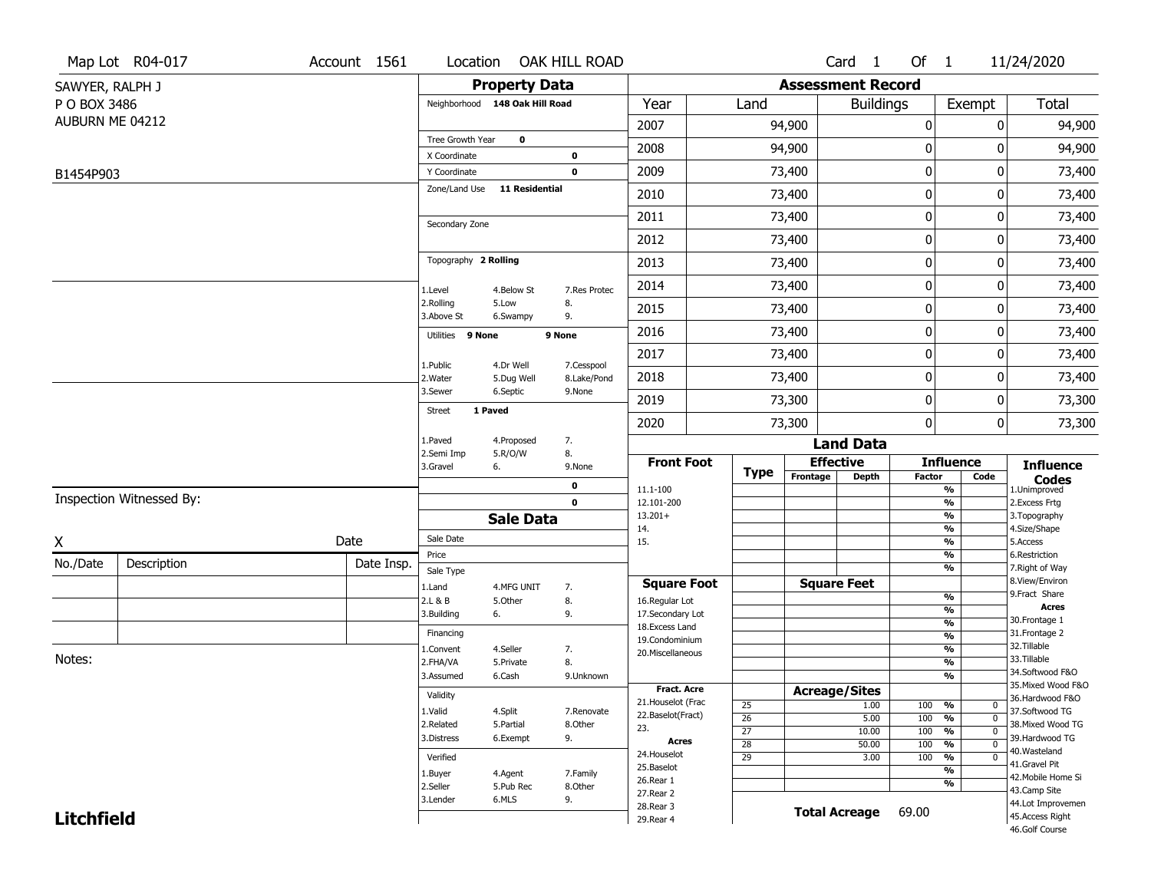|                   | Map Lot R04-017          | Account 1561 | Location                       |                       | OAK HILL ROAD             |                                     |                                    |          | Card <sub>1</sub>        | Of $1$                         |                                           | 11/24/2020                          |
|-------------------|--------------------------|--------------|--------------------------------|-----------------------|---------------------------|-------------------------------------|------------------------------------|----------|--------------------------|--------------------------------|-------------------------------------------|-------------------------------------|
| SAWYER, RALPH J   |                          |              |                                | <b>Property Data</b>  |                           |                                     |                                    |          | <b>Assessment Record</b> |                                |                                           |                                     |
| P O BOX 3486      |                          |              | Neighborhood 148 Oak Hill Road |                       |                           | Year                                | Land                               |          | <b>Buildings</b>         |                                | Exempt                                    | Total                               |
| AUBURN ME 04212   |                          |              |                                |                       |                           | 2007                                |                                    | 94,900   |                          | 0                              | 0                                         | 94,900                              |
|                   |                          |              | Tree Growth Year               | 0                     |                           | 2008                                |                                    | 94,900   |                          | 0                              | O                                         | 94,900                              |
|                   |                          |              | X Coordinate<br>Y Coordinate   |                       | 0<br>$\mathbf 0$          | 2009                                |                                    | 73,400   |                          | $\mathbf 0$                    | 0                                         | 73,400                              |
| B1454P903         |                          |              | Zone/Land Use                  | 11 Residential        |                           | 2010                                |                                    | 73,400   |                          | 0                              | 0                                         | 73,400                              |
|                   |                          |              |                                |                       |                           | 2011                                |                                    | 73,400   |                          | $\mathbf 0$                    | 0                                         |                                     |
|                   |                          |              | Secondary Zone                 |                       |                           |                                     |                                    |          |                          |                                |                                           | 73,400                              |
|                   |                          |              |                                |                       |                           | 2012                                |                                    | 73,400   |                          | $\mathbf 0$                    | 0                                         | 73,400                              |
|                   |                          |              | Topography 2 Rolling           |                       |                           | 2013                                |                                    | 73,400   |                          | $\mathbf 0$                    | 0                                         | 73,400                              |
|                   |                          |              | 1.Level                        | 4.Below St            | 7.Res Protec              | 2014                                |                                    | 73,400   |                          | $\mathbf 0$                    | 0                                         | 73,400                              |
|                   |                          |              | 2.Rolling<br>3.Above St        | 5.Low<br>6.Swampy     | 8.<br>9.                  | 2015                                |                                    | 73,400   |                          | 0                              | 0                                         | 73,400                              |
|                   |                          |              | Utilities 9 None               |                       | 9 None                    | 2016                                |                                    | 73,400   |                          | $\mathbf 0$                    | 0                                         | 73,400                              |
|                   |                          |              | 1.Public                       | 4.Dr Well             |                           | 2017                                |                                    | 73,400   |                          | $\mathbf 0$                    | 0                                         | 73,400                              |
|                   |                          |              | 2. Water                       | 5.Dug Well            | 7.Cesspool<br>8.Lake/Pond | 2018                                |                                    | 73,400   |                          | 0                              | 0                                         | 73,400                              |
|                   |                          |              | 3.Sewer                        | 6.Septic              | 9.None                    | 2019                                |                                    | 73,300   |                          | 0                              | 0                                         | 73,300                              |
|                   |                          |              | 1 Paved<br>Street              |                       |                           | 2020                                |                                    | 73,300   |                          | $\mathbf{0}$                   | 0                                         | 73,300                              |
|                   |                          |              | 1.Paved                        | 4.Proposed            | 7.                        |                                     |                                    |          | <b>Land Data</b>         |                                |                                           |                                     |
|                   |                          |              | 2.Semi Imp<br>3.Gravel         | 5.R/O/W<br>6.         | 8.<br>9.None              | <b>Front Foot</b>                   |                                    |          | <b>Effective</b>         |                                | <b>Influence</b>                          | <b>Influence</b>                    |
|                   |                          |              |                                |                       | 0                         | 11.1-100                            | Type                               | Frontage | <b>Depth</b>             | <b>Factor</b>                  | Code<br>$\overline{\frac{9}{6}}$          | <b>Codes</b><br>1.Unimproved        |
|                   | Inspection Witnessed By: |              |                                |                       | $\mathbf 0$               | 12.101-200                          |                                    |          |                          |                                | $\frac{9}{6}$                             | 2.Excess Frtg                       |
|                   |                          |              |                                | <b>Sale Data</b>      |                           | $13.201+$<br>14.                    |                                    |          |                          |                                | $\overline{\frac{9}{6}}$<br>$\frac{9}{6}$ | 3. Topography<br>4.Size/Shape       |
| X                 |                          | Date         | Sale Date<br>Price             |                       |                           | 15.                                 |                                    |          |                          |                                | $\frac{9}{6}$<br>%                        | 5.Access<br>6.Restriction           |
| No./Date          | Description              | Date Insp.   | Sale Type                      |                       |                           |                                     |                                    |          |                          |                                | $\overline{\frac{9}{6}}$                  | 7. Right of Way                     |
|                   |                          |              | 1.Land                         | 4.MFG UNIT            | 7.                        | <b>Square Foot</b>                  |                                    |          | <b>Square Feet</b>       |                                |                                           | 8.View/Environ<br>9.Fract Share     |
|                   |                          |              | 2.L & B                        | 5.Other               | 8.                        | 16.Regular Lot                      |                                    |          |                          | $\frac{9}{6}$<br>$\frac{9}{6}$ |                                           | <b>Acres</b>                        |
|                   |                          |              | 3.Building                     | 6.                    | 9.                        | 17.Secondary Lot<br>18. Excess Land |                                    |          |                          | $\frac{9}{6}$                  |                                           | 30. Frontage 1                      |
|                   |                          |              | Financing                      |                       |                           | 19.Condominium                      |                                    |          |                          | $\overline{\frac{9}{6}}$       |                                           | 31. Frontage 2<br>32.Tillable       |
| Notes:            |                          |              | 1.Convent<br>2.FHA/VA          | 4.Seller<br>5.Private | 7.<br>8.                  | 20.Miscellaneous                    |                                    |          |                          |                                | %<br>$\overline{\frac{9}{6}}$             | 33.Tillable                         |
|                   |                          |              | 3.Assumed                      | 6.Cash                | 9.Unknown                 |                                     |                                    |          |                          |                                | $\frac{9}{6}$                             | 34.Softwood F&O                     |
|                   |                          |              | Validity                       |                       |                           | <b>Fract. Acre</b>                  |                                    |          | <b>Acreage/Sites</b>     |                                |                                           | 35. Mixed Wood F&O                  |
|                   |                          |              |                                |                       |                           | 21. Houselot (Frac                  | 25                                 |          | 1.00                     | 100<br>%                       | $\mathbf{0}$                              | 36.Hardwood F&O                     |
|                   |                          |              | 1.Valid<br>2.Related           | 4.Split<br>5.Partial  | 7.Renovate<br>8.Other     | 22.Baselot(Fract)                   | $\overline{26}$                    |          | 5.00                     | 100<br>%                       | $\overline{0}$                            | 37.Softwood TG<br>38. Mixed Wood TG |
|                   |                          |              | 3.Distress                     | 6.Exempt              | 9.                        | 23.                                 | $\overline{27}$                    |          | 10.00                    | 100<br>$\frac{9}{6}$           | $\overline{0}$                            | 39.Hardwood TG                      |
|                   |                          |              |                                |                       |                           | Acres<br>24. Houselot               | $\overline{28}$<br>$\overline{29}$ |          | 50.00                    | 100<br>$\frac{9}{6}$<br>100    | $\overline{0}$<br>$\mathbf 0$             | 40.Wasteland                        |
|                   |                          |              | Verified                       |                       |                           | 25.Baselot                          |                                    |          | 3.00                     | %                              | %                                         | 41.Gravel Pit                       |
|                   |                          |              | 1.Buyer<br>2.Seller            | 4.Agent<br>5.Pub Rec  | 7.Family<br>8.Other       | 26.Rear 1                           |                                    |          |                          |                                | %                                         | 42. Mobile Home Si                  |
|                   |                          |              | 3.Lender                       | 6.MLS                 | 9.                        | 27. Rear 2                          |                                    |          |                          |                                |                                           | 43.Camp Site<br>44.Lot Improvemen   |
| <b>Litchfield</b> |                          |              |                                |                       |                           |                                     |                                    |          |                          |                                |                                           |                                     |
|                   |                          |              |                                |                       |                           | 28. Rear 3<br>29. Rear 4            |                                    |          | <b>Total Acreage</b>     | 69.00                          |                                           | 45.Access Right                     |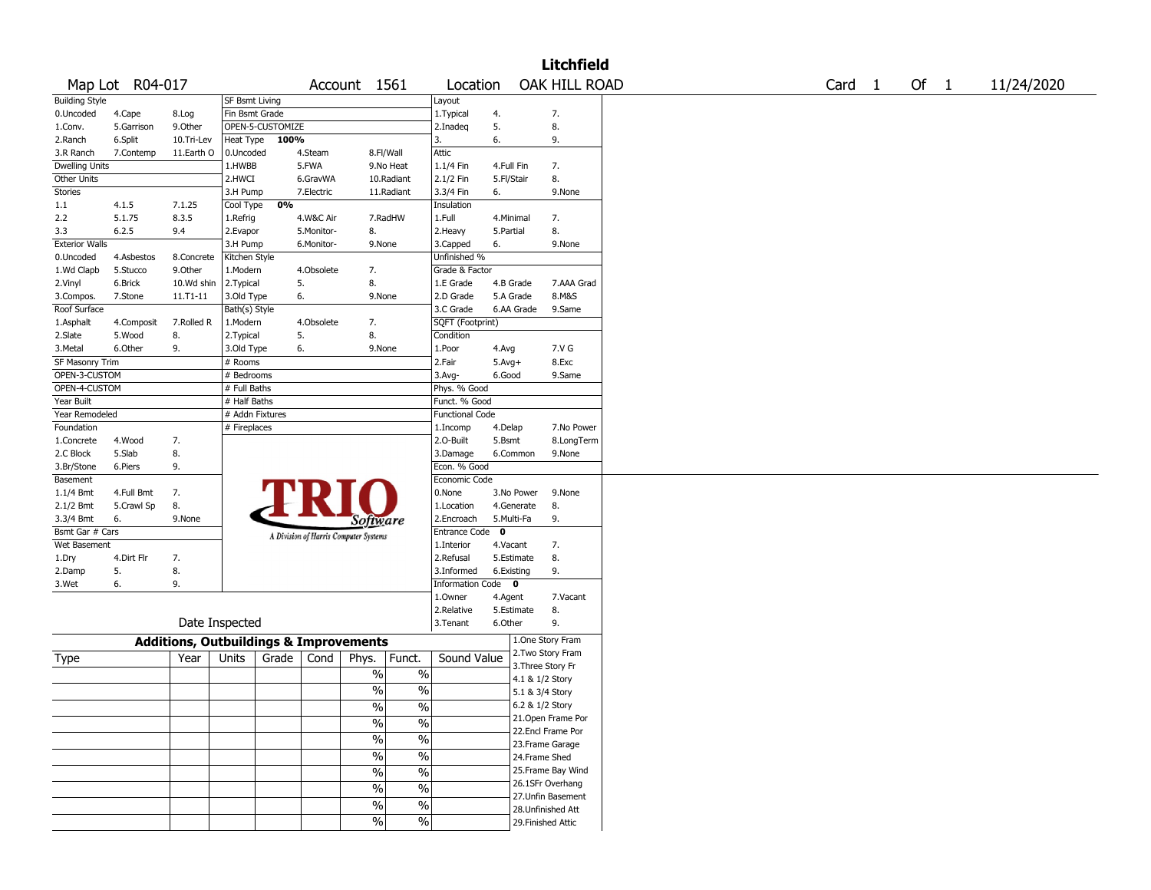|                       |                 |                                                   |                       |                  |            |                                       |               |                        |             |            | <b>Litchfield</b>  |  |  |                   |      |            |
|-----------------------|-----------------|---------------------------------------------------|-----------------------|------------------|------------|---------------------------------------|---------------|------------------------|-------------|------------|--------------------|--|--|-------------------|------|------------|
|                       | Map Lot R04-017 |                                                   |                       |                  |            | Account 1561                          |               | Location               |             |            | OAK HILL ROAD      |  |  | Card <sub>1</sub> | Of 1 | 11/24/2020 |
| <b>Building Style</b> |                 |                                                   | <b>SF Bsmt Living</b> |                  |            |                                       |               | Layout                 |             |            |                    |  |  |                   |      |            |
| 0.Uncoded             | 4.Cape          | 8.Log                                             | Fin Bsmt Grade        |                  |            |                                       |               | 1.Typical              | 4.          |            | 7.                 |  |  |                   |      |            |
| 1.Conv.               | 5.Garrison      | 9.0ther                                           |                       | OPEN-5-CUSTOMIZE |            |                                       |               | 2.Inadeg               | 5.          |            | 8.                 |  |  |                   |      |            |
| 2.Ranch               | 6.Split         | 10.Tri-Lev                                        | Heat Type             | 100%             |            |                                       |               | 3.                     | 6.          |            | 9.                 |  |  |                   |      |            |
| 3.R Ranch             | 7.Contemp       | 11.Earth O                                        | 0.Uncoded             |                  | 4.Steam    |                                       | 8.Fl/Wall     | Attic                  |             |            |                    |  |  |                   |      |            |
| <b>Dwelling Units</b> |                 |                                                   | 1.HWBB                |                  | 5.FWA      |                                       | 9.No Heat     | 1.1/4 Fin              | 4.Full Fin  |            | 7.                 |  |  |                   |      |            |
| Other Units           |                 |                                                   | 2.HWCI                |                  | 6.GravWA   |                                       | 10.Radiant    | 2.1/2 Fin              | 5.Fl/Stair  |            | 8.                 |  |  |                   |      |            |
| <b>Stories</b>        |                 |                                                   | 3.H Pump              |                  | 7.Electric |                                       | 11.Radiant    | 3.3/4 Fin              | 6.          |            | 9.None             |  |  |                   |      |            |
| 1.1                   | 4.1.5           | 7.1.25                                            | Cool Type             | 0%               |            |                                       |               | Insulation             |             |            |                    |  |  |                   |      |            |
| 2.2                   | 5.1.75          | 8.3.5                                             | 1.Refrig              |                  | 4.W&C Air  |                                       | 7.RadHW       | 1.Full                 | 4.Minimal   |            | 7.                 |  |  |                   |      |            |
| 3.3                   | 6.2.5           | 9.4                                               | 2.Evapor              |                  | 5.Monitor- | 8.                                    |               | 2.Heavy                | 5.Partial   |            | 8.                 |  |  |                   |      |            |
| <b>Exterior Walls</b> |                 |                                                   | 3.H Pump              |                  | 6.Monitor- | 9.None                                |               | 3.Capped               | 6.          |            | 9.None             |  |  |                   |      |            |
| 0.Uncoded             | 4.Asbestos      | 8.Concrete                                        | Kitchen Style         |                  |            |                                       |               | Unfinished %           |             |            |                    |  |  |                   |      |            |
| 1.Wd Clapb            | 5.Stucco        | 9.Other                                           | 1.Modern              |                  | 4.Obsolete | 7.                                    |               | Grade & Factor         |             |            |                    |  |  |                   |      |            |
| 2.Vinyl               | 6.Brick         | 10.Wd shin                                        | 2.Typical             |                  | 5.         | 8.                                    |               | 1.E Grade              | 4.B Grade   |            | 7.AAA Grad         |  |  |                   |      |            |
| 3.Compos.             | 7.Stone         | 11.T1-11                                          | 3.Old Type            |                  | 6.         | 9.None                                |               | 2.D Grade              | 5.A Grade   |            | 8.M&S              |  |  |                   |      |            |
| Roof Surface          |                 |                                                   | Bath(s) Style         |                  |            |                                       |               | 3.C Grade              |             | 6.AA Grade | 9.Same             |  |  |                   |      |            |
| 1.Asphalt             |                 | 7.Rolled R                                        | 1.Modern              |                  | 4.Obsolete | 7.                                    |               | SQFT (Footprint)       |             |            |                    |  |  |                   |      |            |
|                       | 4.Composit      |                                                   |                       |                  |            |                                       |               |                        |             |            |                    |  |  |                   |      |            |
| 2.Slate               | 5.Wood          | 8.                                                | 2. Typical            |                  | 5.         | 8.                                    |               | Condition              |             |            |                    |  |  |                   |      |            |
| 3.Metal               | 6.Other         | 9.                                                | 3.Old Type            |                  | 6.         | 9.None                                |               | 1.Poor                 | 4.Avg       |            | 7.V G              |  |  |                   |      |            |
| SF Masonry Trim       |                 |                                                   | # Rooms               |                  |            |                                       |               | 2.Fair                 | $5.Avg+$    |            | 8.Exc              |  |  |                   |      |            |
| OPEN-3-CUSTOM         |                 |                                                   | # Bedrooms            |                  |            |                                       |               | 3.Avg-                 | 6.Good      |            | 9.Same             |  |  |                   |      |            |
| OPEN-4-CUSTOM         |                 |                                                   | # Full Baths          |                  |            |                                       |               | Phys. % Good           |             |            |                    |  |  |                   |      |            |
| Year Built            |                 |                                                   | # Half Baths          |                  |            |                                       |               | Funct. % Good          |             |            |                    |  |  |                   |      |            |
| Year Remodeled        |                 |                                                   |                       | # Addn Fixtures  |            |                                       |               | <b>Functional Code</b> |             |            |                    |  |  |                   |      |            |
| Foundation            |                 |                                                   | # Fireplaces          |                  |            |                                       |               | 1.Incomp               | 4.Delap     |            | 7.No Power         |  |  |                   |      |            |
| 1.Concrete            | 4.Wood          | 7.                                                |                       |                  |            |                                       |               | 2.O-Built              | 5.Bsmt      |            | 8.LongTerm         |  |  |                   |      |            |
| 2.C Block             | 5.Slab          | 8.                                                |                       |                  |            |                                       |               | 3.Damage               |             | 6.Common   | 9.None             |  |  |                   |      |            |
| 3.Br/Stone            | 6.Piers         | 9.                                                |                       |                  |            |                                       |               | Econ. % Good           |             |            |                    |  |  |                   |      |            |
| Basement              |                 |                                                   |                       |                  |            |                                       |               | Economic Code          |             |            |                    |  |  |                   |      |            |
| $1.1/4$ Bmt           | 4.Full Bmt      | 7.                                                |                       |                  |            |                                       |               | 0.None                 |             | 3.No Power | 9.None             |  |  |                   |      |            |
| 2.1/2 Bmt             | 5.Crawl Sp      | 8.                                                |                       |                  |            |                                       |               | 1.Location             |             | 4.Generate | 8.                 |  |  |                   |      |            |
| 3.3/4 Bmt             | 6.              | 9.None                                            |                       |                  |            | <i>Software</i>                       |               | 2.Encroach             | 5.Multi-Fa  |            | 9.                 |  |  |                   |      |            |
| Bsmt Gar # Cars       |                 |                                                   |                       |                  |            | A Division of Harris Computer Systems |               | <b>Entrance Code</b>   | $\mathbf 0$ |            |                    |  |  |                   |      |            |
| Wet Basement          |                 |                                                   |                       |                  |            |                                       |               | 1.Interior             | 4.Vacant    |            | 7.                 |  |  |                   |      |            |
| 1.Dry                 | 4.Dirt Flr      | 7.                                                |                       |                  |            |                                       |               | 2.Refusal              |             | 5.Estimate | 8.                 |  |  |                   |      |            |
| 2.Damp                | 5.              | 8.                                                |                       |                  |            |                                       |               | 3.Informed             | 6.Existing  |            | 9.                 |  |  |                   |      |            |
| 3.Wet                 | 6.              | 9.                                                |                       |                  |            |                                       |               | Information Code 0     |             |            |                    |  |  |                   |      |            |
|                       |                 |                                                   |                       |                  |            |                                       |               | 1.Owner                | 4.Agent     |            | 7.Vacant           |  |  |                   |      |            |
|                       |                 |                                                   |                       |                  |            |                                       |               | 2.Relative             |             | 5.Estimate | 8.                 |  |  |                   |      |            |
|                       |                 | Date Inspected                                    |                       |                  |            |                                       |               | 3.Tenant               | 6.Other     |            | 9.                 |  |  |                   |      |            |
|                       |                 |                                                   |                       |                  |            |                                       |               |                        |             |            |                    |  |  |                   |      |            |
|                       |                 | <b>Additions, Outbuildings &amp; Improvements</b> |                       |                  |            |                                       |               |                        |             |            | 1.One Story Fram   |  |  |                   |      |            |
| Type                  |                 | Year                                              | Units                 | Grade            | Cond       | Phys.                                 | Funct.        | Sound Value            |             |            | 2. Two Story Fram  |  |  |                   |      |            |
|                       |                 |                                                   |                       |                  |            | $\%$                                  | $\%$          |                        |             |            | 3. Three Story Fr  |  |  |                   |      |            |
|                       |                 |                                                   |                       |                  |            |                                       |               |                        |             |            | 4.1 & 1/2 Story    |  |  |                   |      |            |
|                       |                 |                                                   |                       |                  |            | %                                     | $\%$          |                        |             |            | 5.1 & 3/4 Story    |  |  |                   |      |            |
|                       |                 |                                                   |                       |                  |            | $\frac{1}{2}$                         | $\frac{0}{6}$ |                        |             |            | 6.2 & 1/2 Story    |  |  |                   |      |            |
|                       |                 |                                                   |                       |                  |            | $\%$                                  | $\%$          |                        |             |            | 21. Open Frame Por |  |  |                   |      |            |
|                       |                 |                                                   |                       |                  |            | $\sqrt{6}$                            | $\%$          |                        |             |            | 22.Encl Frame Por  |  |  |                   |      |            |
|                       |                 |                                                   |                       |                  |            |                                       |               |                        |             |            | 23. Frame Garage   |  |  |                   |      |            |
|                       |                 |                                                   |                       |                  |            | $\frac{1}{2}$                         | $\%$          |                        |             |            | 24.Frame Shed      |  |  |                   |      |            |
|                       |                 |                                                   |                       |                  |            | $\sqrt{6}$                            | $\%$          |                        |             |            | 25. Frame Bay Wind |  |  |                   |      |            |
|                       |                 |                                                   |                       |                  |            |                                       |               |                        |             |            | 26.1SFr Overhang   |  |  |                   |      |            |
|                       |                 |                                                   |                       |                  |            | $\%$                                  | $\%$          |                        |             |            | 27.Unfin Basement  |  |  |                   |      |            |
|                       |                 |                                                   |                       |                  |            | $\sqrt{6}$                            | $\%$          |                        |             |            | 28. Unfinished Att |  |  |                   |      |            |
|                       |                 |                                                   |                       |                  |            | $\sqrt{6}$                            | $\%$          |                        |             |            | 29. Finished Attic |  |  |                   |      |            |
|                       |                 |                                                   |                       |                  |            |                                       |               |                        |             |            |                    |  |  |                   |      |            |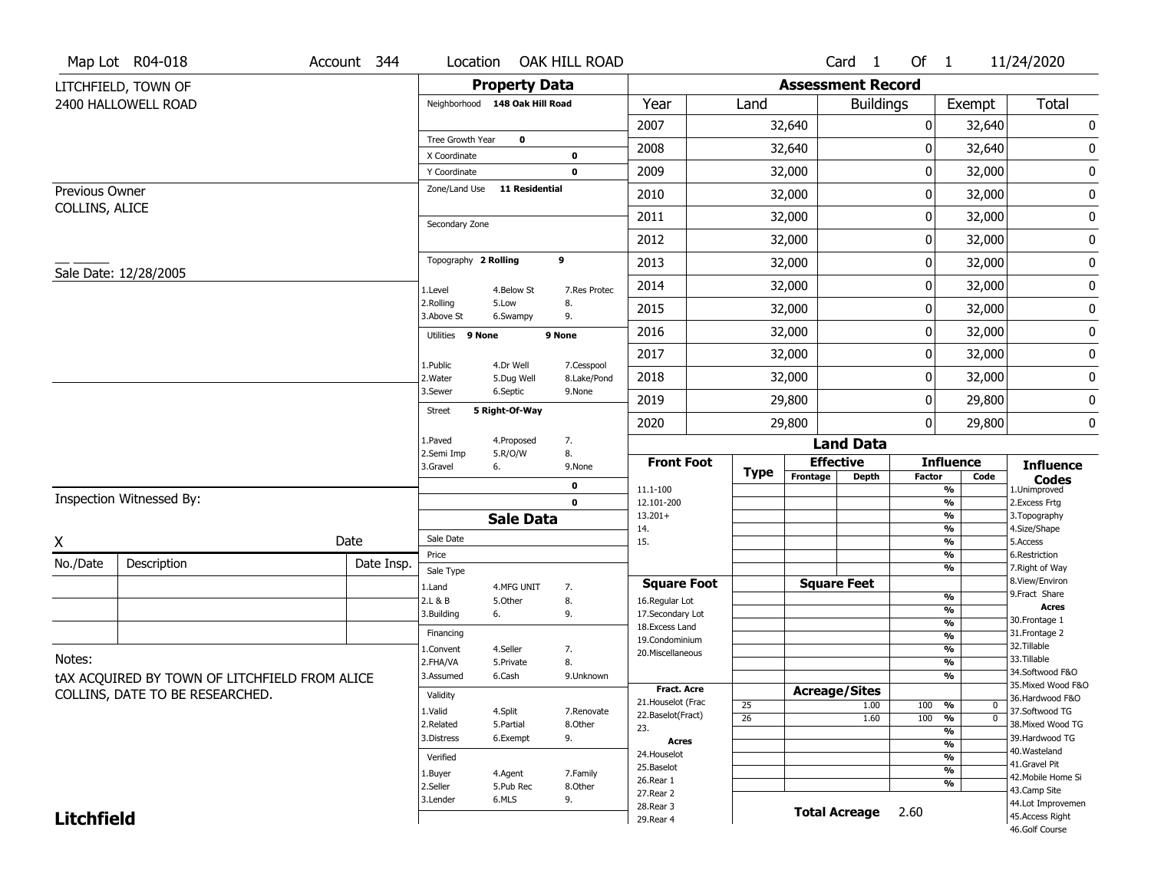| Map Lot R04-018<br>OAK HILL ROAD<br>Account 344<br>Location                                    | Card <sub>1</sub>            | Of 1                           | 11/24/2020                            |
|------------------------------------------------------------------------------------------------|------------------------------|--------------------------------|---------------------------------------|
| <b>Property Data</b><br>LITCHFIELD, TOWN OF                                                    | <b>Assessment Record</b>     |                                |                                       |
| 2400 HALLOWELL ROAD<br>Year<br>Land<br>Neighborhood 148 Oak Hill Road                          | <b>Buildings</b>             | Exempt                         | <b>Total</b>                          |
| 2007<br>32,640                                                                                 |                              | 0<br>32,640                    | 0                                     |
| Tree Growth Year<br>$\mathbf 0$<br>2008<br>32,640                                              |                              | 0<br>32,640                    | 0                                     |
| X Coordinate<br>$\bf{0}$                                                                       |                              |                                |                                       |
| 2009<br>32,000<br>$\mathbf 0$<br>Y Coordinate<br>Zone/Land Use<br><b>11 Residential</b>        |                              | 0<br>32,000                    | 0                                     |
| Previous Owner<br>2010<br>32,000<br>COLLINS, ALICE                                             |                              | 0<br>32,000                    | 0                                     |
| 2011<br>32,000<br>Secondary Zone                                                               |                              | 0<br>32,000                    | 0                                     |
| 2012<br>32,000                                                                                 |                              | 0<br>32,000                    | 0                                     |
| Topography 2 Rolling<br>9<br>2013<br>32,000<br>Sale Date: 12/28/2005                           |                              | 0<br>32,000                    | 0                                     |
| 2014<br>32,000<br>1.Level<br>4.Below St<br>7.Res Protec                                        |                              | 0<br>32,000                    | 0                                     |
| 2.Rolling<br>5.Low<br>8.<br>2015<br>32,000<br>3.Above St<br>9.<br>6.Swampy                     |                              | 0<br>32,000                    | 0                                     |
| 2016<br>32,000<br>Utilities 9 None<br>9 None                                                   |                              | 0<br>32,000                    | 0                                     |
| 2017<br>32,000                                                                                 |                              | 0<br>32,000                    | 0                                     |
| 4.Dr Well<br>7.Cesspool<br>1.Public<br>2018<br>32,000<br>2. Water<br>5.Dug Well<br>8.Lake/Pond |                              | 0<br>32,000                    | 0                                     |
| 3.Sewer<br>6.Septic<br>9.None<br>2019<br>29,800                                                |                              | 0<br>29,800                    | 0                                     |
| 5 Right-Of-Way<br><b>Street</b><br>2020<br>29,800                                              |                              | 0<br>29,800                    | 0                                     |
| 7.<br>1.Paved<br>4.Proposed                                                                    | <b>Land Data</b>             |                                |                                       |
| 8.<br>2.Semi Imp<br>5.R/O/W<br><b>Front Foot</b><br>3.Gravel<br>6.<br>9.None                   | <b>Effective</b>             | <b>Influence</b>               | <b>Influence</b>                      |
| <b>Type</b><br>Frontage<br>0<br>11.1-100                                                       | <b>Depth</b>                 | <b>Factor</b><br>Code<br>%     | <b>Codes</b><br>1.Unimproved          |
| Inspection Witnessed By:<br>$\mathbf 0$<br>12.101-200                                          |                              | %                              | 2.Excess Frtg                         |
| $13.201+$<br><b>Sale Data</b><br>14.                                                           |                              | %<br>%                         | 3. Topography<br>4.Size/Shape         |
| Sale Date<br>Date<br>Χ<br>15.                                                                  |                              | %                              | 5.Access                              |
| Price<br>No./Date<br>Description<br>Date Insp.                                                 |                              | %                              | 6.Restriction                         |
| Sale Type<br><b>Square Foot</b>                                                                | <b>Square Feet</b>           | %                              | 7. Right of Way<br>8.View/Environ     |
| 1.Land<br>4.MFG UNIT<br>7.<br>8.<br>2.L & B<br>5.Other<br>16.Regular Lot                       |                              | $\frac{9}{6}$                  | 9.Fract Share                         |
| 3.Building<br>9.<br>17.Secondary Lot<br>6.                                                     |                              | %                              | <b>Acres</b><br>30.Frontage 1         |
| 18. Excess Land<br>Financing                                                                   |                              | $\frac{9}{6}$<br>$\frac{9}{6}$ | 31. Frontage 2                        |
| 19.Condominium<br>4.Seller<br>1.Convent<br>7.<br>20.Miscellaneous                              |                              | $\frac{9}{6}$                  | 32. Tillable                          |
| Notes:<br>8.<br>2.FHA/VA<br>5.Private                                                          |                              | $\frac{9}{6}$                  | 33.Tillable                           |
| 6.Cash<br>3.Assumed<br>9.Unknown<br>tAX ACQUIRED BY TOWN OF LITCHFIELD FROM ALICE              |                              | %                              | 34.Softwood F&O<br>35. Mixed Wood F&O |
| Fract. Acre<br>COLLINS, DATE TO BE RESEARCHED.<br>Validity<br>21. Houselot (Frac               | <b>Acreage/Sites</b>         |                                | 36.Hardwood F&O                       |
| 25<br>1.Valid<br>4.Split<br>7.Renovate<br>22.Baselot(Fract)<br>$\overline{26}$                 | 1.00<br>100<br>1.60<br>100   | %<br>0<br>$\overline{0}$<br>%  | 37.Softwood TG                        |
| 2.Related<br>5.Partial<br>8.Other<br>23.                                                       |                              | $\frac{9}{6}$                  | 38. Mixed Wood TG                     |
| 3.Distress<br>6.Exempt<br>9.<br><b>Acres</b>                                                   |                              | $\frac{9}{6}$                  | 39.Hardwood TG                        |
| 24. Houselot<br>Verified                                                                       |                              | $\frac{9}{6}$                  | 40. Wasteland<br>41.Gravel Pit        |
| 25.Baselot<br>1.Buyer<br>4.Agent<br>7.Family<br>26.Rear 1                                      |                              | $\frac{9}{6}$                  | 42. Mobile Home Si                    |
| 2.Seller<br>8.Other<br>5.Pub Rec<br>27.Rear 2                                                  |                              | %                              | 43.Camp Site                          |
| 6.MLS<br>9.<br>3.Lender<br>28. Rear 3                                                          | <b>Total Acreage</b><br>2.60 |                                | 44.Lot Improvemen                     |
| <b>Litchfield</b><br>29. Rear 4                                                                |                              |                                | 45.Access Right<br>46.Golf Course     |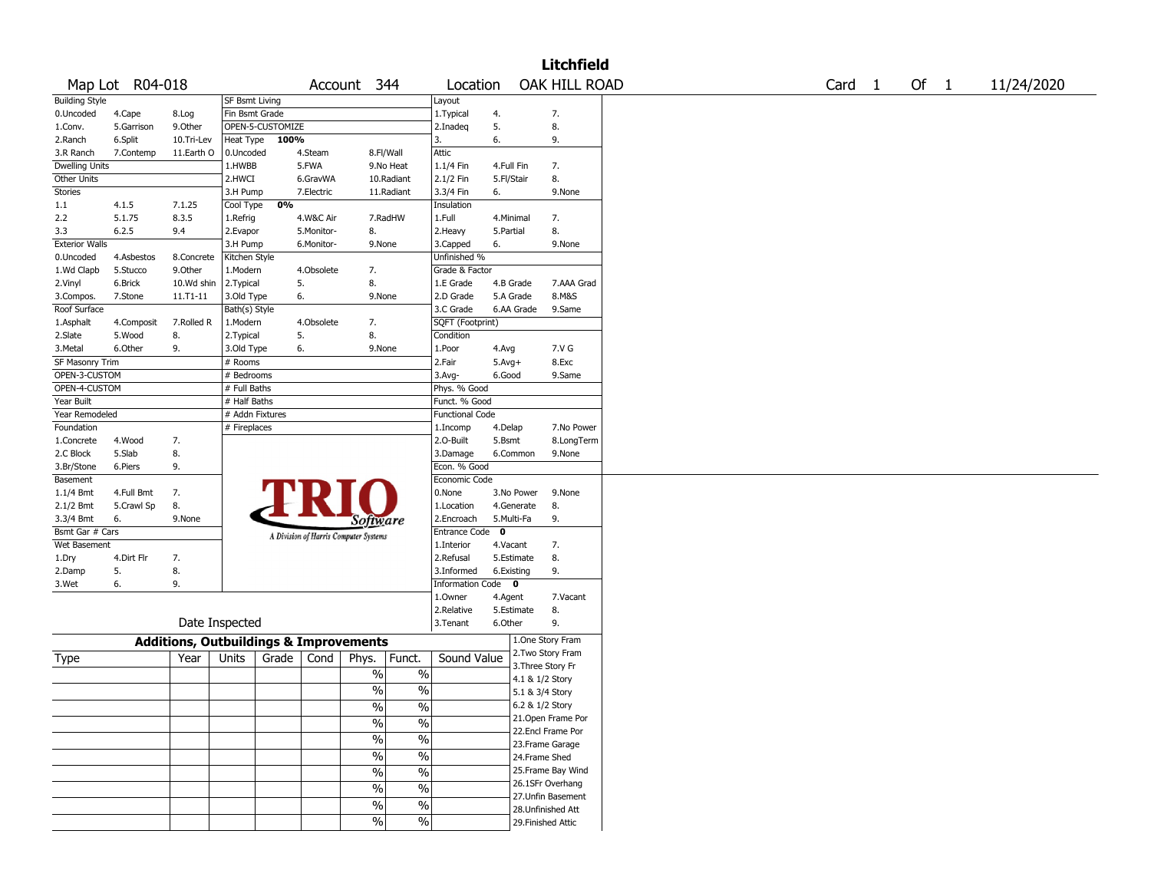|                       |                 |                                                   |                 |                  |            |                                       |               |                        |              |                 | <b>Litchfield</b>  |                   |        |            |
|-----------------------|-----------------|---------------------------------------------------|-----------------|------------------|------------|---------------------------------------|---------------|------------------------|--------------|-----------------|--------------------|-------------------|--------|------------|
|                       | Map Lot R04-018 |                                                   |                 |                  |            | Account 344                           |               | Location               |              |                 | OAK HILL ROAD      | Card <sub>1</sub> | Of $1$ | 11/24/2020 |
| <b>Building Style</b> |                 |                                                   | SF Bsmt Living  |                  |            |                                       |               | Layout                 |              |                 |                    |                   |        |            |
| 0.Uncoded             | 4.Cape          | 8.Log                                             | Fin Bsmt Grade  |                  |            |                                       |               | 1.Typical              | 4.           |                 | 7.                 |                   |        |            |
| 1.Conv.               | 5.Garrison      | 9.0ther                                           |                 | OPEN-5-CUSTOMIZE |            |                                       |               | 2.Inadeg               | 5.           |                 | 8.                 |                   |        |            |
| 2.Ranch               | 6.Split         | 10.Tri-Lev                                        | Heat Type       | 100%             |            |                                       |               | 3.                     | 6.           |                 | 9.                 |                   |        |            |
| 3.R Ranch             | 7.Contemp       | 11.Earth O                                        | 0.Uncoded       |                  | 4.Steam    | 8.Fl/Wall                             |               | Attic                  |              |                 |                    |                   |        |            |
| <b>Dwelling Units</b> |                 |                                                   | 1.HWBB          |                  | 5.FWA      |                                       | 9.No Heat     | 1.1/4 Fin              | 4.Full Fin   |                 | 7.                 |                   |        |            |
| Other Units           |                 |                                                   | 2.HWCI          |                  | 6.GravWA   |                                       | 10.Radiant    | 2.1/2 Fin              | 5.Fl/Stair   |                 | 8.                 |                   |        |            |
| <b>Stories</b>        |                 |                                                   | 3.H Pump        |                  | 7.Electric |                                       | 11.Radiant    | 3.3/4 Fin              | 6.           |                 | 9.None             |                   |        |            |
| 1.1                   | 4.1.5           | 7.1.25                                            | Cool Type       | 0%               |            |                                       |               | Insulation             |              |                 |                    |                   |        |            |
| 2.2                   | 5.1.75          | 8.3.5                                             | 1.Refrig        |                  | 4.W&C Air  | 7.RadHW                               |               | 1.Full                 | 4.Minimal    |                 | 7.                 |                   |        |            |
| 3.3                   | 6.2.5           | 9.4                                               | 2.Evapor        |                  | 5.Monitor- | 8.                                    |               | 2. Heavy               | 5.Partial    |                 | 8.                 |                   |        |            |
| <b>Exterior Walls</b> |                 |                                                   | 3.H Pump        |                  | 6.Monitor- | 9.None                                |               | 3.Capped               | 6.           |                 | 9.None             |                   |        |            |
| 0.Uncoded             | 4.Asbestos      | 8.Concrete                                        | Kitchen Style   |                  |            |                                       |               | Unfinished %           |              |                 |                    |                   |        |            |
| 1.Wd Clapb            | 5.Stucco        | 9.Other                                           | 1.Modern        |                  | 4.Obsolete | 7.                                    |               | Grade & Factor         |              |                 |                    |                   |        |            |
| 2.Vinyl               | 6.Brick         | 10.Wd shin                                        | 2.Typical       | 5.               |            | 8.                                    |               | 1.E Grade              |              | 4.B Grade       | 7.AAA Grad         |                   |        |            |
| 3.Compos.             | 7.Stone         | 11.T1-11                                          | 3.Old Type      | 6.               |            | 9.None                                |               | 2.D Grade              |              | 5.A Grade       | 8.M&S              |                   |        |            |
| Roof Surface          |                 |                                                   | Bath(s) Style   |                  |            |                                       |               | 3.C Grade              |              | 6.AA Grade      | 9.Same             |                   |        |            |
| 1.Asphalt             | 4.Composit      | 7.Rolled R                                        | 1.Modern        |                  | 4.Obsolete | 7.                                    |               | SQFT (Footprint)       |              |                 |                    |                   |        |            |
| 2.Slate               | 5.Wood          | 8.                                                | 2. Typical      | 5.               |            | 8.                                    |               | Condition              |              |                 |                    |                   |        |            |
| 3.Metal               | 6.Other         | 9.                                                | 3.Old Type      | 6.               |            | 9.None                                |               | 1.Poor                 | 4.Avg        |                 | 7.V G              |                   |        |            |
| SF Masonry Trim       |                 |                                                   | # Rooms         |                  |            |                                       |               | 2.Fair                 | $5.$ Avg $+$ |                 | 8.Exc              |                   |        |            |
| OPEN-3-CUSTOM         |                 |                                                   | # Bedrooms      |                  |            |                                       |               | $3.$ Avg-              | 6.Good       |                 | 9.Same             |                   |        |            |
| OPEN-4-CUSTOM         |                 |                                                   | # Full Baths    |                  |            |                                       |               | Phys. % Good           |              |                 |                    |                   |        |            |
| Year Built            |                 |                                                   | # Half Baths    |                  |            |                                       |               | Funct. % Good          |              |                 |                    |                   |        |            |
| Year Remodeled        |                 |                                                   | # Addn Fixtures |                  |            |                                       |               | <b>Functional Code</b> |              |                 |                    |                   |        |            |
| Foundation            |                 |                                                   | # Fireplaces    |                  |            |                                       |               | 1.Incomp               | 4.Delap      |                 | 7.No Power         |                   |        |            |
| 1.Concrete            | 4.Wood          | 7.                                                |                 |                  |            |                                       |               | 2.O-Built              | 5.Bsmt       |                 | 8.LongTerm         |                   |        |            |
| 2.C Block             | 5.Slab          | 8.                                                |                 |                  |            |                                       |               | 3.Damage               |              | 6.Common        | 9.None             |                   |        |            |
| 3.Br/Stone            | 6.Piers         | 9.                                                |                 |                  |            |                                       |               | Econ. % Good           |              |                 |                    |                   |        |            |
| Basement              |                 |                                                   |                 |                  |            |                                       |               | Economic Code          |              |                 |                    |                   |        |            |
| 1.1/4 Bmt             | 4.Full Bmt      | 7.                                                |                 |                  |            |                                       |               | 0.None                 |              | 3.No Power      | 9.None             |                   |        |            |
| 2.1/2 Bmt             | 5.Crawl Sp      | 8.                                                |                 |                  |            |                                       |               | 1.Location             |              | 4.Generate      | 8.                 |                   |        |            |
| 3.3/4 Bmt             | 6.              | 9.None                                            |                 |                  |            | <i>Software</i>                       |               | 2.Encroach             | 5.Multi-Fa   |                 | 9.                 |                   |        |            |
| Bsmt Gar # Cars       |                 |                                                   |                 |                  |            | A Division of Harris Computer Systems |               | Entrance Code 0        |              |                 |                    |                   |        |            |
| Wet Basement          |                 |                                                   |                 |                  |            |                                       |               | 1.Interior             | 4.Vacant     |                 | 7.                 |                   |        |            |
| 1.Dry                 | 4.Dirt Flr      | 7.                                                |                 |                  |            |                                       |               | 2.Refusal              |              | 5.Estimate      | 8.                 |                   |        |            |
| 2.Damp                | 5.              | 8.                                                |                 |                  |            |                                       |               | 3.Informed             | 6.Existing   |                 | 9.                 |                   |        |            |
| 3.Wet                 | 6.              | 9.                                                |                 |                  |            |                                       |               | Information Code 0     |              |                 |                    |                   |        |            |
|                       |                 |                                                   |                 |                  |            |                                       |               | 1.Owner                | 4.Agent      |                 | 7.Vacant           |                   |        |            |
|                       |                 |                                                   |                 |                  |            |                                       |               | 2.Relative             |              | 5.Estimate      | 8.                 |                   |        |            |
|                       |                 | Date Inspected                                    |                 |                  |            |                                       |               | 3.Tenant               | 6.Other      |                 | 9.                 |                   |        |            |
|                       |                 | <b>Additions, Outbuildings &amp; Improvements</b> |                 |                  |            |                                       |               |                        |              |                 | 1.One Story Fram   |                   |        |            |
|                       |                 |                                                   |                 |                  |            |                                       |               |                        |              |                 | 2.Two Story Fram   |                   |        |            |
| Type                  |                 | Year                                              | Units           | Grade            | Cond       | Phys.                                 | Funct.        | Sound Value            |              |                 | 3. Three Story Fr  |                   |        |            |
|                       |                 |                                                   |                 |                  |            | $\%$                                  | $\%$          |                        |              | 4.1 & 1/2 Story |                    |                   |        |            |
|                       |                 |                                                   |                 |                  |            | $\frac{0}{0}$                         | $\%$          |                        |              | 5.1 & 3/4 Story |                    |                   |        |            |
|                       |                 |                                                   |                 |                  |            | $\sqrt{6}$                            | $\frac{0}{6}$ |                        |              | 6.2 & 1/2 Story |                    |                   |        |            |
|                       |                 |                                                   |                 |                  |            |                                       |               |                        |              |                 | 21.Open Frame Por  |                   |        |            |
|                       |                 |                                                   |                 |                  |            | $\frac{1}{2}$                         | $\frac{0}{6}$ |                        |              |                 | 22.Encl Frame Por  |                   |        |            |
|                       |                 |                                                   |                 |                  |            | $\frac{0}{6}$                         | $\frac{0}{6}$ |                        |              |                 | 23. Frame Garage   |                   |        |            |
|                       |                 |                                                   |                 |                  |            | $\frac{1}{2}$                         | $\frac{0}{6}$ |                        |              | 24.Frame Shed   |                    |                   |        |            |
|                       |                 |                                                   |                 |                  |            |                                       |               |                        |              |                 | 25. Frame Bay Wind |                   |        |            |
|                       |                 |                                                   |                 |                  |            | $\frac{0}{0}$                         | $\frac{0}{6}$ |                        |              |                 | 26.1SFr Overhang   |                   |        |            |
|                       |                 |                                                   |                 |                  |            | $\%$                                  | $\frac{1}{2}$ |                        |              |                 | 27.Unfin Basement  |                   |        |            |
|                       |                 |                                                   |                 |                  |            | $\frac{0}{6}$                         | $\frac{0}{6}$ |                        |              |                 | 28. Unfinished Att |                   |        |            |
|                       |                 |                                                   |                 |                  |            | $\frac{1}{2}$                         | $\frac{0}{6}$ |                        |              |                 |                    |                   |        |            |
|                       |                 |                                                   |                 |                  |            |                                       |               |                        |              |                 | 29. Finished Attic |                   |        |            |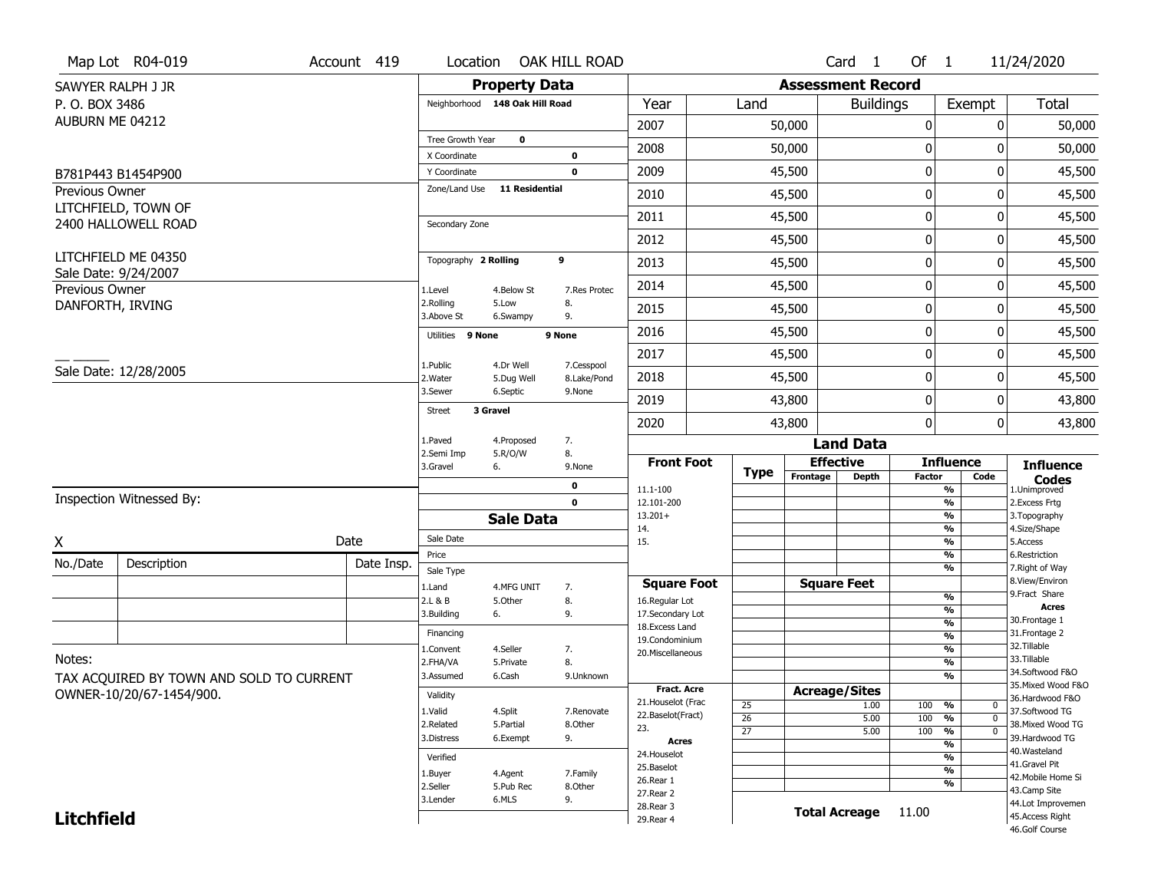|                   | Map Lot R04-019                             | Account 419 | Location                       |                         | OAK HILL ROAD             |                                      |                       |          | Card 1                   | Of $1$           |                                          | 11/24/2020                            |
|-------------------|---------------------------------------------|-------------|--------------------------------|-------------------------|---------------------------|--------------------------------------|-----------------------|----------|--------------------------|------------------|------------------------------------------|---------------------------------------|
|                   | SAWYER RALPH J JR                           |             |                                | <b>Property Data</b>    |                           |                                      |                       |          | <b>Assessment Record</b> |                  |                                          |                                       |
| P. O. BOX 3486    |                                             |             | Neighborhood 148 Oak Hill Road |                         |                           | Year                                 | Land                  |          | <b>Buildings</b>         |                  | Exempt                                   | Total                                 |
| AUBURN ME 04212   |                                             |             |                                |                         |                           | 2007                                 |                       | 50,000   |                          | 0                | 0                                        | 50,000                                |
|                   |                                             |             | Tree Growth Year               | $\mathbf 0$             |                           | 2008                                 |                       | 50,000   |                          | 0                | ŋ                                        | 50,000                                |
|                   |                                             |             | X Coordinate<br>Y Coordinate   |                         | 0<br>$\mathbf 0$          | 2009                                 |                       | 45,500   |                          | $\boldsymbol{0}$ | 0                                        | 45,500                                |
| Previous Owner    | B781P443 B1454P900                          |             | Zone/Land Use                  | <b>11 Residential</b>   |                           |                                      |                       |          |                          |                  |                                          |                                       |
|                   | LITCHFIELD, TOWN OF                         |             |                                |                         |                           | 2010                                 |                       | 45,500   |                          | 0                | 0                                        | 45,500                                |
|                   | 2400 HALLOWELL ROAD                         |             | Secondary Zone                 |                         |                           | 2011                                 |                       | 45,500   |                          | $\mathbf 0$      | 0                                        | 45,500                                |
|                   |                                             |             |                                |                         |                           | 2012                                 |                       | 45,500   |                          | 0                | 0                                        | 45,500                                |
|                   | LITCHFIELD ME 04350<br>Sale Date: 9/24/2007 |             | Topography 2 Rolling           |                         | 9                         | 2013                                 |                       | 45,500   |                          | $\boldsymbol{0}$ | 0                                        | 45,500                                |
| Previous Owner    |                                             |             | 1.Level                        | 4.Below St              | 7.Res Protec              | 2014                                 |                       | 45,500   |                          | 0                | 0                                        | 45,500                                |
| DANFORTH, IRVING  |                                             |             | 2.Rolling<br>3.Above St        | 5.Low<br>6.Swampy       | 8.<br>9.                  | 2015                                 |                       | 45,500   |                          | 0                | 0                                        | 45,500                                |
|                   |                                             |             | Utilities 9 None               |                         | 9 None                    | 2016                                 |                       | 45,500   |                          | 0                | 0                                        | 45,500                                |
|                   |                                             |             |                                |                         |                           | 2017                                 |                       | 45,500   |                          | $\boldsymbol{0}$ | 0                                        | 45,500                                |
|                   | Sale Date: 12/28/2005                       |             | 1.Public<br>2. Water           | 4.Dr Well<br>5.Dug Well | 7.Cesspool<br>8.Lake/Pond | 2018                                 |                       | 45,500   |                          | 0                | 0                                        | 45,500                                |
|                   |                                             |             | 3.Sewer                        | 6.Septic                | 9.None                    | 2019                                 |                       | 43,800   |                          | $\mathbf 0$      | 0                                        | 43,800                                |
|                   |                                             |             | 3 Gravel<br><b>Street</b>      |                         |                           | 2020                                 |                       | 43,800   |                          | $\mathbf{0}$     | 0                                        | 43,800                                |
|                   |                                             |             | 1.Paved                        | 4.Proposed              | 7.                        |                                      |                       |          | <b>Land Data</b>         |                  |                                          |                                       |
|                   |                                             |             | 2.Semi Imp<br>3.Gravel         | 5.R/O/W<br>6.           | 8.<br>9.None              | <b>Front Foot</b>                    |                       |          | <b>Effective</b>         |                  | <b>Influence</b>                         | <b>Influence</b>                      |
|                   |                                             |             |                                |                         | 0                         | 11.1-100                             | <b>Type</b>           | Frontage | Depth                    | <b>Factor</b>    | Code<br>%                                | <b>Codes</b><br>1.Unimproved          |
|                   | Inspection Witnessed By:                    |             |                                |                         | $\mathbf 0$               | 12.101-200                           |                       |          |                          |                  | $\frac{9}{6}$                            | 2.Excess Frtg                         |
|                   |                                             |             |                                |                         |                           |                                      |                       |          |                          |                  |                                          | 3. Topography                         |
|                   |                                             |             |                                | <b>Sale Data</b>        |                           | $13.201+$                            |                       |          |                          |                  | $\frac{9}{6}$                            |                                       |
|                   |                                             | Date        | Sale Date                      |                         |                           | 14.<br>15.                           |                       |          |                          |                  | %<br>$\frac{9}{6}$                       | 4.Size/Shape<br>5.Access              |
| X                 |                                             | Date Insp.  | Price                          |                         |                           |                                      |                       |          |                          |                  | %                                        | 6.Restriction                         |
| No./Date          | Description                                 |             | Sale Type                      |                         |                           |                                      |                       |          |                          |                  | %                                        | 7. Right of Way<br>8.View/Environ     |
|                   |                                             |             | 1.Land<br>2.L & B              | 4.MFG UNIT<br>5.0ther   | 7.<br>8.                  | <b>Square Foot</b><br>16.Regular Lot |                       |          | <b>Square Feet</b>       |                  | $\frac{9}{6}$                            | 9. Fract Share                        |
|                   |                                             |             | 3.Building                     | 6.                      | 9.                        | 17.Secondary Lot                     |                       |          |                          |                  | %                                        | <b>Acres</b><br>30. Frontage 1        |
|                   |                                             |             | Financing                      |                         |                           | 18.Excess Land                       |                       |          |                          |                  | $\frac{9}{6}$<br>%                       | 31. Frontage 2                        |
|                   |                                             |             | 1.Convent                      | 4.Seller                | 7.                        | 19.Condominium<br>20.Miscellaneous   |                       |          |                          |                  | $\frac{9}{6}$                            | 32.Tillable                           |
| Notes:            |                                             |             | 2.FHA/VA                       | 5.Private               | 8.                        |                                      |                       |          |                          |                  | %                                        | 33.Tillable                           |
|                   | TAX ACQUIRED BY TOWN AND SOLD TO CURRENT    |             | 3.Assumed                      | 6.Cash                  | 9.Unknown                 | <b>Fract. Acre</b>                   |                       |          |                          |                  | %                                        | 34.Softwood F&O<br>35. Mixed Wood F&O |
|                   | OWNER-10/20/67-1454/900.                    |             | Validity                       |                         |                           | 21. Houselot (Frac                   |                       |          | <b>Acreage/Sites</b>     |                  |                                          | 36.Hardwood F&O                       |
|                   |                                             |             | 1.Valid                        | 4.Split                 | 7.Renovate                | 22.Baselot(Fract)                    | 25<br>$\overline{26}$ |          | 1.00<br>5.00             | 100<br>100       | %<br>0<br>$\overline{\mathfrak{o}}$<br>% | 37.Softwood TG                        |
|                   |                                             |             | 2.Related                      | 5.Partial               | 8.Other                   | 23.                                  | $\overline{27}$       |          | 5.00                     | 100              | $\frac{9}{6}$<br>$\overline{0}$          | 38. Mixed Wood TG                     |
|                   |                                             |             | 3.Distress                     | 6.Exempt                | 9.                        | Acres                                |                       |          |                          |                  | $\overline{\frac{9}{6}}$                 | 39.Hardwood TG<br>40. Wasteland       |
|                   |                                             |             | Verified                       |                         |                           | 24. Houselot                         |                       |          |                          |                  | $\overline{\frac{9}{6}}$                 | 41.Gravel Pit                         |
|                   |                                             |             | 1.Buyer                        | 4.Agent                 | 7.Family                  | 25.Baselot<br>26.Rear 1              |                       |          |                          |                  | $\frac{9}{6}$                            | 42. Mobile Home Si                    |
|                   |                                             |             | 2.Seller                       | 5.Pub Rec               | 8.Other                   | 27. Rear 2                           |                       |          |                          |                  | %                                        | 43.Camp Site                          |
| <b>Litchfield</b> |                                             |             | 3.Lender                       | 6.MLS                   | 9.                        | 28.Rear 3<br>29. Rear 4              |                       |          | <b>Total Acreage</b>     | 11.00            |                                          | 44.Lot Improvemen<br>45.Access Right  |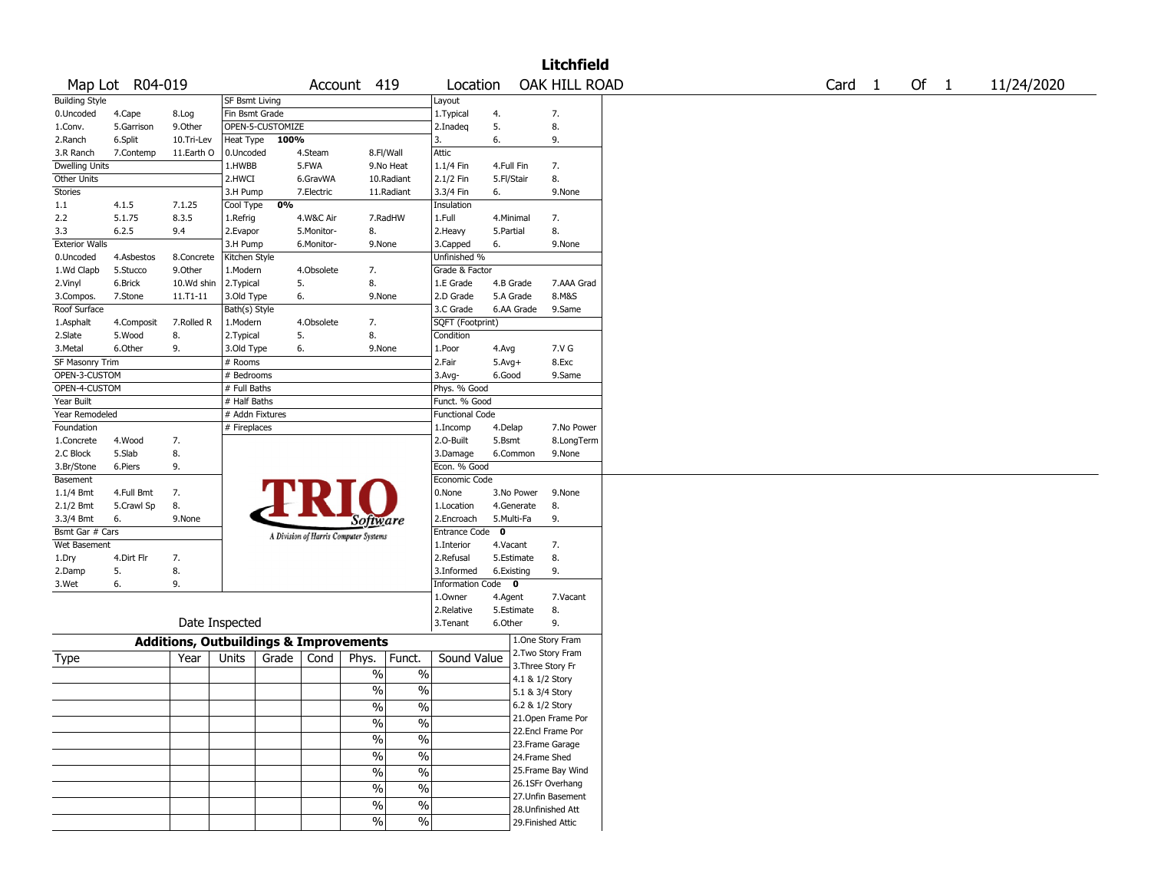|                       |                 |                                                   |                 |                  |            |                                       |                            |            |                   | <b>Litchfield</b>  |                   |        |            |
|-----------------------|-----------------|---------------------------------------------------|-----------------|------------------|------------|---------------------------------------|----------------------------|------------|-------------------|--------------------|-------------------|--------|------------|
|                       | Map Lot R04-019 |                                                   |                 |                  |            | Account 419                           | Location                   |            |                   | OAK HILL ROAD      | Card <sub>1</sub> | Of $1$ | 11/24/2020 |
| <b>Building Style</b> |                 |                                                   | SF Bsmt Living  |                  |            |                                       | Layout                     |            |                   |                    |                   |        |            |
| 0.Uncoded             | 4.Cape          | 8.Log                                             | Fin Bsmt Grade  |                  |            |                                       | 1. Typical                 | 4.         |                   | 7.                 |                   |        |            |
| 1.Conv.               | 5.Garrison      | 9.0ther                                           |                 | OPEN-5-CUSTOMIZE |            |                                       | 2.Inadeq                   | 5.         |                   | 8.                 |                   |        |            |
| 2.Ranch               | 6.Split         | 10.Tri-Lev                                        | Heat Type       | 100%             |            |                                       | 3.                         | 6.         |                   | 9.                 |                   |        |            |
| 3.R Ranch             | 7.Contemp       | 11.Earth O                                        | 0.Uncoded       |                  | 4.Steam    | 8.Fl/Wall                             | Attic                      |            |                   |                    |                   |        |            |
| <b>Dwelling Units</b> |                 |                                                   | 1.HWBB          |                  | 5.FWA      | 9.No Heat                             | 1.1/4 Fin                  | 4.Full Fin |                   | 7.                 |                   |        |            |
| Other Units           |                 |                                                   | 2.HWCI          |                  | 6.GravWA   | 10.Radiant                            | 2.1/2 Fin                  | 5.Fl/Stair |                   | 8.                 |                   |        |            |
| <b>Stories</b>        |                 |                                                   | 3.H Pump        |                  | 7.Electric | 11.Radiant                            | 3.3/4 Fin                  | 6.         |                   | 9.None             |                   |        |            |
| 1.1                   | 4.1.5           | 7.1.25                                            | Cool Type       | 0%               |            |                                       | Insulation                 |            |                   |                    |                   |        |            |
| 2.2                   | 5.1.75          | 8.3.5                                             | 1.Refrig        |                  | 4.W&C Air  | 7.RadHW                               | 1.Full                     | 4.Minimal  |                   | 7.                 |                   |        |            |
| 3.3                   | 6.2.5           | 9.4                                               | 2.Evapor        |                  | 5.Monitor- | 8.                                    | 2. Heavy                   | 5.Partial  |                   | 8.                 |                   |        |            |
| <b>Exterior Walls</b> |                 |                                                   | 3.H Pump        |                  | 6.Monitor- | 9.None                                | 3.Capped                   | 6.         |                   | 9.None             |                   |        |            |
| 0.Uncoded             | 4.Asbestos      | 8.Concrete                                        | Kitchen Style   |                  |            |                                       | Unfinished %               |            |                   |                    |                   |        |            |
| 1.Wd Clapb            | 5.Stucco        | 9.Other                                           | 1.Modern        |                  | 4.Obsolete | 7.                                    | Grade & Factor             |            |                   |                    |                   |        |            |
| 2.Vinyl               | 6.Brick         | 10.Wd shin                                        | 2.Typical       | 5.               |            | 8.                                    | 1.E Grade                  | 4.B Grade  |                   | 7.AAA Grad         |                   |        |            |
| 3.Compos.             | 7.Stone         | 11.T1-11                                          | 3.Old Type      | 6.               |            | 9.None                                | 2.D Grade                  | 5.A Grade  |                   | 8.M&S              |                   |        |            |
| Roof Surface          |                 |                                                   | Bath(s) Style   |                  |            |                                       | 3.C Grade                  |            | 6.AA Grade        | 9.Same             |                   |        |            |
| 1.Asphalt             | 4.Composit      | 7.Rolled R                                        | 1.Modern        |                  | 4.Obsolete | 7.                                    | SQFT (Footprint)           |            |                   |                    |                   |        |            |
| 2.Slate               | 5.Wood          | 8.                                                | 2. Typical      | 5.               |            | 8.                                    | Condition                  |            |                   |                    |                   |        |            |
| 3.Metal               | 6.Other         | 9.                                                | 3.Old Type      | 6.               |            | 9.None                                | 1.Poor                     | 4.Avg      |                   | 7.V G              |                   |        |            |
| SF Masonry Trim       |                 |                                                   | # Rooms         |                  |            |                                       | 2.Fair                     | $5.Avg+$   |                   | 8.Exc              |                   |        |            |
| OPEN-3-CUSTOM         |                 |                                                   | # Bedrooms      |                  |            |                                       | 3.Avg-                     | 6.Good     |                   | 9.Same             |                   |        |            |
| OPEN-4-CUSTOM         |                 |                                                   | # Full Baths    |                  |            |                                       | Phys. % Good               |            |                   |                    |                   |        |            |
| Year Built            |                 |                                                   | # Half Baths    |                  |            |                                       | Funct. % Good              |            |                   |                    |                   |        |            |
| Year Remodeled        |                 |                                                   | # Addn Fixtures |                  |            |                                       | <b>Functional Code</b>     |            |                   |                    |                   |        |            |
| Foundation            |                 |                                                   | # Fireplaces    |                  |            |                                       | 1.Incomp                   | 4.Delap    |                   | 7.No Power         |                   |        |            |
| 1.Concrete            | 4.Wood          | 7.                                                |                 |                  |            |                                       | 2.O-Built                  | 5.Bsmt     |                   | 8.LongTerm         |                   |        |            |
| 2.C Block             | 5.Slab          | 8.                                                |                 |                  |            |                                       | 3.Damage                   | 6.Common   |                   | 9.None             |                   |        |            |
| 3.Br/Stone            | 6.Piers         | 9.                                                |                 |                  |            |                                       | Econ. % Good               |            |                   |                    |                   |        |            |
| Basement              |                 |                                                   |                 |                  |            |                                       | Economic Code              |            |                   |                    |                   |        |            |
| 1.1/4 Bmt             | 4.Full Bmt      | 7.                                                |                 |                  |            |                                       | 0.None                     |            | 3.No Power        | 9.None             |                   |        |            |
| 2.1/2 Bmt             | 5.Crawl Sp      | 8.                                                |                 |                  |            |                                       | 1.Location                 |            | 4.Generate        | 8.                 |                   |        |            |
| 3.3/4 Bmt             | 6.              | 9.None                                            |                 |                  |            | <i>Software</i>                       | 2.Encroach                 | 5.Multi-Fa |                   | 9.                 |                   |        |            |
| Bsmt Gar # Cars       |                 |                                                   |                 |                  |            | A Division of Harris Computer Systems | Entrance Code <sup>O</sup> |            |                   |                    |                   |        |            |
| Wet Basement          |                 |                                                   |                 |                  |            |                                       | 1.Interior                 | 4.Vacant   |                   | 7.                 |                   |        |            |
| 1.Dry                 | 4.Dirt Flr      | 7.                                                |                 |                  |            |                                       | 2.Refusal                  |            | 5.Estimate        | 8.                 |                   |        |            |
| 2.Damp                | 5.              | 8.                                                |                 |                  |            |                                       | 3.Informed                 | 6.Existing |                   | 9.                 |                   |        |            |
| 3.Wet                 | 6.              | 9.                                                |                 |                  |            |                                       | Information Code 0         |            |                   |                    |                   |        |            |
|                       |                 |                                                   |                 |                  |            |                                       | 1.Owner                    | 4.Agent    |                   | 7.Vacant           |                   |        |            |
|                       |                 |                                                   |                 |                  |            |                                       | 2.Relative                 |            | 5.Estimate        | 8.                 |                   |        |            |
|                       |                 | Date Inspected                                    |                 |                  |            |                                       | 3. Tenant                  | 6.Other    |                   | 9.                 |                   |        |            |
|                       |                 | <b>Additions, Outbuildings &amp; Improvements</b> |                 |                  |            |                                       |                            |            |                   | 1.One Story Fram   |                   |        |            |
| Type                  |                 | Year                                              | Units           | Grade            | Cond       | Phys.<br>Funct.                       | Sound Value                |            |                   | 2.Two Story Fram   |                   |        |            |
|                       |                 |                                                   |                 |                  |            | $\%$<br>$\%$                          |                            |            | 3. Three Story Fr |                    |                   |        |            |
|                       |                 |                                                   |                 |                  |            |                                       |                            |            | 4.1 & 1/2 Story   |                    |                   |        |            |
|                       |                 |                                                   |                 |                  |            | $\frac{0}{0}$<br>$\frac{0}{0}$        |                            |            | 5.1 & 3/4 Story   |                    |                   |        |            |
|                       |                 |                                                   |                 |                  |            | $\frac{0}{6}$<br>$\sqrt{6}$           |                            |            | 6.2 & 1/2 Story   |                    |                   |        |            |
|                       |                 |                                                   |                 |                  |            | $\frac{0}{6}$<br>$\sqrt{6}$           |                            |            |                   | 21.Open Frame Por  |                   |        |            |
|                       |                 |                                                   |                 |                  |            | $\frac{9}{6}$<br>$\frac{0}{6}$        |                            |            |                   | 22.Encl Frame Por  |                   |        |            |
|                       |                 |                                                   |                 |                  |            |                                       |                            |            |                   | 23. Frame Garage   |                   |        |            |
|                       |                 |                                                   |                 |                  |            | $\frac{0}{6}$<br>$\sqrt{6}$           |                            |            | 24.Frame Shed     |                    |                   |        |            |
|                       |                 |                                                   |                 |                  |            | $\frac{1}{2}$<br>$\frac{0}{0}$        |                            |            |                   | 25.Frame Bay Wind  |                   |        |            |
|                       |                 |                                                   |                 |                  |            | $\overline{\frac{0}{0}}$<br>%         |                            |            |                   | 26.1SFr Overhang   |                   |        |            |
|                       |                 |                                                   |                 |                  |            |                                       |                            |            |                   | 27.Unfin Basement  |                   |        |            |
|                       |                 |                                                   |                 |                  |            | $\frac{0}{6}$<br>$\frac{0}{6}$        |                            |            |                   | 28. Unfinished Att |                   |        |            |
|                       |                 |                                                   |                 |                  |            | $\frac{0}{6}$<br>$\sqrt{6}$           |                            |            |                   | 29. Finished Attic |                   |        |            |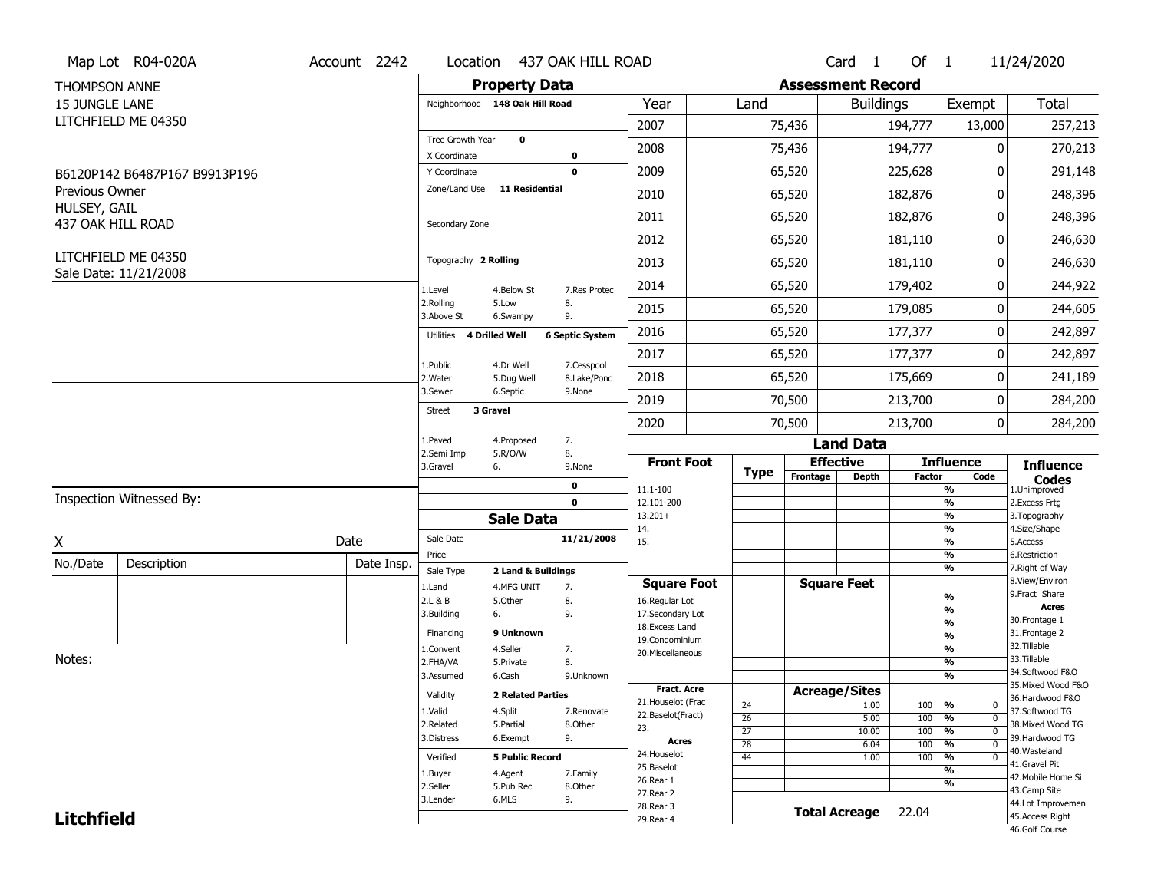|                                | Map Lot R04-020A              | Account 2242 | Location                           |                          | 437 OAK HILL ROAD         |                                          |                       |                          | Card 1               | Of $1$        |                                        | 11/24/2020                            |
|--------------------------------|-------------------------------|--------------|------------------------------------|--------------------------|---------------------------|------------------------------------------|-----------------------|--------------------------|----------------------|---------------|----------------------------------------|---------------------------------------|
| <b>THOMPSON ANNE</b>           |                               |              |                                    | <b>Property Data</b>     |                           |                                          |                       | <b>Assessment Record</b> |                      |               |                                        |                                       |
| <b>15 JUNGLE LANE</b>          |                               |              | Neighborhood 148 Oak Hill Road     |                          |                           | Year                                     | Land                  |                          | <b>Buildings</b>     |               | Exempt                                 | Total                                 |
|                                | LITCHFIELD ME 04350           |              |                                    |                          |                           | 2007                                     |                       | 75,436                   |                      | 194,777       | 13,000                                 | 257,213                               |
|                                |                               |              | Tree Growth Year                   | $\mathbf 0$              |                           | 2008                                     |                       | 75,436                   |                      | 194,777       | 0                                      | 270,213                               |
|                                |                               |              | X Coordinate                       |                          | $\mathbf 0$               | 2009                                     |                       |                          |                      |               |                                        |                                       |
|                                | B6120P142 B6487P167 B9913P196 |              | Y Coordinate<br>Zone/Land Use      | <b>11 Residential</b>    | $\mathbf 0$               |                                          |                       | 65,520                   |                      | 225,628       | 0                                      | 291,148                               |
| Previous Owner<br>HULSEY, GAIL |                               |              |                                    |                          |                           | 2010                                     |                       | 65,520                   |                      | 182,876       | 0                                      | 248,396                               |
| 437 OAK HILL ROAD              |                               |              | Secondary Zone                     |                          |                           | 2011                                     |                       | 65,520                   |                      | 182,876       | 0                                      | 248,396                               |
|                                |                               |              |                                    |                          |                           | 2012                                     |                       | 65,520                   |                      | 181,110       | 0                                      | 246,630                               |
|                                | LITCHFIELD ME 04350           |              | Topography 2 Rolling               |                          |                           | 2013                                     |                       | 65,520                   |                      | 181,110       | 0                                      | 246,630                               |
|                                | Sale Date: 11/21/2008         |              | 1.Level                            | 4.Below St               | 7.Res Protec              | 2014                                     |                       | 65,520                   |                      | 179,402       | 0                                      | 244,922                               |
|                                |                               |              | 2.Rolling<br>3.Above St            | 5.Low<br>6.Swampy        | 8.<br>9.                  | 2015                                     |                       | 65,520                   |                      | 179,085       | 0                                      | 244,605                               |
|                                |                               |              | <b>4 Drilled Well</b><br>Utilities |                          | <b>6 Septic System</b>    | 2016                                     |                       | 65,520                   |                      | 177,377       | 0                                      | 242,897                               |
|                                |                               |              |                                    |                          |                           | 2017                                     |                       | 65,520                   |                      | 177,377       | 0                                      | 242,897                               |
|                                |                               |              | 1.Public<br>2. Water               | 4.Dr Well<br>5.Dug Well  | 7.Cesspool<br>8.Lake/Pond | 2018                                     |                       | 65,520                   |                      | 175,669       | 0                                      | 241,189                               |
|                                |                               |              | 3.Sewer                            | 6.Septic                 | 9.None                    | 2019                                     |                       | 70,500                   |                      | 213,700       | 0                                      | 284,200                               |
|                                |                               |              | 3 Gravel<br><b>Street</b>          |                          |                           | 2020                                     |                       | 70,500                   |                      | 213,700       | 0                                      | 284,200                               |
|                                |                               |              | 1.Paved                            | 4.Proposed               | 7.<br>8.                  |                                          |                       |                          | <b>Land Data</b>     |               |                                        |                                       |
|                                |                               |              | 2.Semi Imp<br>3.Gravel<br>6.       | 5.R/O/W                  | 9.None                    | <b>Front Foot</b>                        |                       |                          | <b>Effective</b>     |               | <b>Influence</b>                       | <b>Influence</b>                      |
|                                |                               |              |                                    |                          | $\mathbf 0$               | 11.1-100                                 | <b>Type</b>           | Frontage                 | <b>Depth</b>         | <b>Factor</b> | Code<br>$\frac{9}{6}$                  | <b>Codes</b><br>1.Unimproved          |
|                                | Inspection Witnessed By:      |              |                                    |                          | $\mathbf 0$               | 12.101-200                               |                       |                          |                      |               | $\frac{9}{6}$                          | 2. Excess Frtg                        |
|                                |                               |              |                                    | <b>Sale Data</b>         |                           | $13.201+$<br>14.                         |                       |                          |                      |               | $\frac{9}{6}$<br>$\frac{9}{6}$         | 3. Topography<br>4.Size/Shape         |
| Χ                              |                               | Date         | Sale Date                          |                          | 11/21/2008                | 15.                                      |                       |                          |                      |               | $\frac{9}{6}$                          | 5.Access                              |
| No./Date                       | Description                   | Date Insp.   | Price                              |                          |                           |                                          |                       |                          |                      |               | $\frac{9}{6}$<br>$\frac{9}{6}$         | 6.Restriction                         |
|                                |                               |              | Sale Type                          | 2 Land & Buildings       |                           | <b>Square Foot</b>                       |                       |                          | <b>Square Feet</b>   |               |                                        | 7. Right of Way<br>8.View/Environ     |
|                                |                               |              | 1.Land<br>2.L & B                  | 4.MFG UNIT<br>5.0ther    | 7.<br>8.                  | 16.Regular Lot                           |                       |                          |                      |               | %                                      | 9. Fract Share                        |
|                                |                               |              | 3.Building<br>6.                   |                          | 9.                        | 17.Secondary Lot                         |                       |                          |                      |               | %                                      | <b>Acres</b><br>30.Frontage 1         |
|                                |                               |              | Financing                          | 9 Unknown                |                           | 18.Excess Land<br>19.Condominium         |                       |                          |                      |               | $\frac{9}{6}$<br>$\frac{9}{6}$         | 31. Frontage 2                        |
|                                |                               |              | 1.Convent                          | 4.Seller                 | 7.                        | 20.Miscellaneous                         |                       |                          |                      |               | $\frac{9}{6}$                          | 32.Tillable                           |
| Notes:                         |                               |              | 2.FHA/VA                           | 5.Private                | 8.                        |                                          |                       |                          |                      |               | $\frac{9}{6}$                          | 33.Tillable                           |
|                                |                               |              | 3.Assumed                          | 6.Cash                   | 9.Unknown                 |                                          |                       |                          |                      |               | $\frac{9}{6}$                          | 34.Softwood F&O<br>35. Mixed Wood F&O |
|                                |                               |              | Validity                           | <b>2 Related Parties</b> |                           | <b>Fract. Acre</b><br>21. Houselot (Frac |                       | <b>Acreage/Sites</b>     |                      |               |                                        | 36.Hardwood F&O                       |
|                                |                               |              | 1.Valid                            | 4.Split                  | 7.Renovate                | 22.Baselot(Fract)                        | 24<br>$\overline{26}$ |                          | 1.00<br>5.00         | 100<br>100    | %<br>0<br>$\frac{9}{6}$<br>$\mathbf 0$ | 37.Softwood TG                        |
|                                |                               |              | 2.Related                          | 5.Partial                | 8.Other                   | 23.                                      | $\overline{27}$       |                          | 10.00                | 100           | $\frac{9}{6}$<br>$\mathbf 0$           | 38. Mixed Wood TG                     |
|                                |                               |              | 3.Distress                         | 6.Exempt                 | 9.                        | Acres                                    | $\overline{28}$       |                          | 6.04                 | 100           | $\frac{9}{6}$<br>0                     | 39.Hardwood TG                        |
|                                |                               |              | Verified                           | <b>5 Public Record</b>   |                           | 24. Houselot                             | $\overline{44}$       |                          | 1.00                 | 100           | %<br>0                                 | 40. Wasteland<br>41.Gravel Pit        |
|                                |                               |              |                                    |                          |                           |                                          |                       |                          |                      |               |                                        |                                       |
|                                |                               |              | 1.Buyer                            | 4.Agent                  | 7.Family                  | 25.Baselot                               |                       |                          |                      |               | $\overline{\frac{9}{6}}$               |                                       |
|                                |                               |              | 2.Seller                           | 5.Pub Rec                | 8.Other                   | 26.Rear 1                                |                       |                          |                      |               | %                                      | 42. Mobile Home Si<br>43.Camp Site    |
|                                |                               |              | 3.Lender                           | 6.MLS                    | 9.                        | 27. Rear 2<br>28. Rear 3                 |                       |                          |                      |               |                                        | 44.Lot Improvemen                     |
| <b>Litchfield</b>              |                               |              |                                    |                          |                           | 29. Rear 4                               |                       |                          | <b>Total Acreage</b> | 22.04         |                                        | 45.Access Right<br>46.Golf Course     |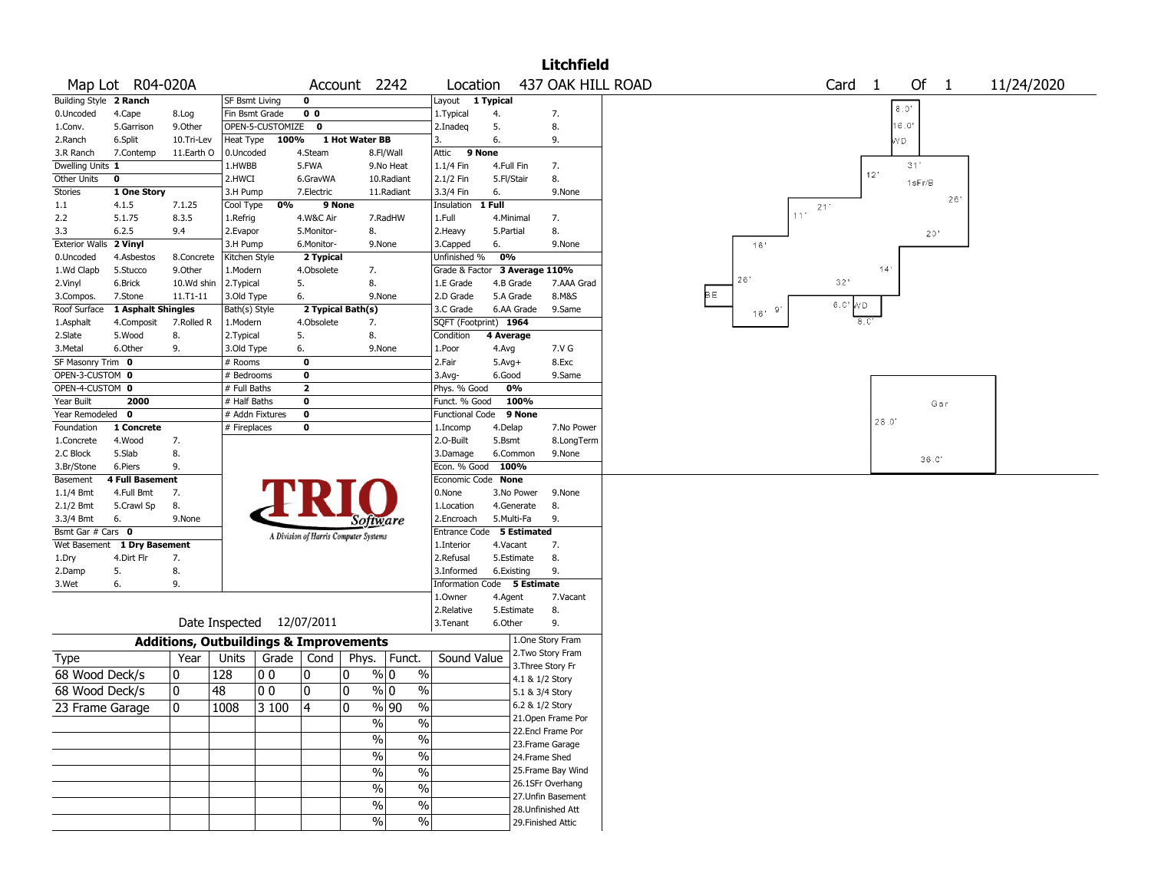|                              |                             |                                                   |                          |                           |                |                                       |                           |                               |                    |                                    | <b>Litchfield</b>  |                                                   |
|------------------------------|-----------------------------|---------------------------------------------------|--------------------------|---------------------------|----------------|---------------------------------------|---------------------------|-------------------------------|--------------------|------------------------------------|--------------------|---------------------------------------------------|
|                              | Map Lot R04-020A            |                                                   |                          |                           |                | Account 2242                          |                           | Location                      |                    |                                    |                    | 437 OAK HILL ROAD<br>Of 1<br>11/24/2020<br>Card 1 |
| Building Style 2 Ranch       |                             |                                                   | <b>SF Bsmt Living</b>    |                           | 0              |                                       |                           | Layout 1 Typical              |                    |                                    |                    | 8.0'                                              |
| 0.Uncoded                    | 4.Cape                      | 8.Log                                             | Fin Bsmt Grade           |                           | 0 <sub>0</sub> |                                       |                           | 1.Typical                     | 4.                 |                                    | 7.                 |                                                   |
| 1.Conv.                      | 5.Garrison                  | 9.Other                                           |                          | OPEN-5-CUSTOMIZE 0        |                |                                       |                           | 2.Inadeq                      | 5.                 |                                    | 8.                 | 16.0'                                             |
| 2.Ranch                      | 6.Split                     | 10.Tri-Lev                                        | Heat Type                | 100%                      |                | 1 Hot Water BB                        |                           | 3.                            | 6.                 |                                    | 9.                 | ٧D                                                |
| 3.R Ranch                    | 7.Contemp                   | 11.Earth O                                        | 0.Uncoded                |                           | 4.Steam        |                                       | 8.Fl/Wall                 | Attic<br>9 None               |                    |                                    |                    |                                                   |
| Dwelling Units 1             |                             |                                                   | 1.HWBB                   |                           | 5.FWA          |                                       | 9.No Heat                 | 1.1/4 Fin                     |                    | 4.Full Fin                         | 7.                 | 31'<br>12'                                        |
| <b>Other Units</b>           | 0                           |                                                   | 2.HWCI                   |                           | 6.GravWA       |                                       | 10.Radiant                | 2.1/2 Fin                     |                    | 5.Fl/Stair                         | 8.                 | 1sFr/B                                            |
| Stories                      | 1 One Story                 |                                                   | 3.H Pump                 |                           | 7.Electric     |                                       | 11.Radiant                | 3.3/4 Fin                     | 6.                 |                                    | 9.None             | 26'                                               |
| 1.1                          | 4.1.5                       | 7.1.25                                            | Cool Type                | 0%                        |                | 9 None                                |                           | Insulation                    | 1 Full             |                                    |                    | 21'<br>11'                                        |
| 2.2                          | 5.1.75                      | 8.3.5                                             | 1.Refrig                 |                           | 4.W&C Air      |                                       | 7.RadHW                   | 1.Full                        |                    | 4.Minimal                          | 7.                 |                                                   |
| 3.3                          | 6.2.5                       | 9.4                                               | 2.Evapor                 |                           | 5.Monitor-     | 8.                                    |                           | 2.Heavy                       | 5.Partial          |                                    | 8.                 | 20'                                               |
| Exterior Walls 2 Vinyl       |                             |                                                   | 3.H Pump                 |                           | 6.Monitor-     |                                       | 9.None                    | 3.Capped                      | 6.                 |                                    | 9.None             | 16'                                               |
| 0.Uncoded                    | 4.Asbestos                  | 8.Concrete                                        | Kitchen Style            |                           | 2 Typical      |                                       |                           | Unfinished %                  | 0%                 |                                    |                    | 14'                                               |
| 1.Wd Clapb                   | 5.Stucco                    | 9.0ther                                           | 1.Modern                 |                           | 4.Obsolete     | 7.                                    |                           | Grade & Factor 3 Average 110% |                    |                                    |                    | 26'<br>32'                                        |
| 2.Vinyl                      | 6.Brick                     | 10.Wd shin                                        | 2.Typical                |                           | 5.             | 8.                                    |                           | 1.E Grade                     |                    | 4.B Grade                          | 7.AAA Grad         | þε                                                |
| 3.Compos.                    | 7.Stone                     | $11. T1 - 11$                                     | 3.Old Type               |                           | 6.             |                                       | 9.None                    | 2.D Grade                     |                    | 5.A Grade                          | 8.M&S              | 6.C'WD                                            |
| Roof Surface                 | 1 Asphalt Shingles          |                                                   | Bath(s) Style            |                           |                | 2 Typical Bath(s)                     |                           | 3.C Grade                     |                    | 6.AA Grade                         | 9.Same             | $16'$ $9'$<br>8.C'                                |
| 1.Asphalt                    | 4.Composit<br>5.Wood        | 7.Rolled R                                        | 1.Modern                 |                           | 4.Obsolete     | 7.<br>8.                              |                           | SQFT (Footprint) 1964         |                    |                                    |                    |                                                   |
| 2.Slate                      | 6.Other                     | 8.<br>9.                                          | 2. Typical<br>3.Old Type |                           | 5.<br>6.       |                                       | 9.None                    | Condition<br>1.Poor           | 4 Average          |                                    | 7.V G              |                                                   |
| 3.Metal<br>SF Masonry Trim 0 |                             |                                                   | # Rooms                  |                           | 0              |                                       |                           | 2.Fair                        | 4.Avg              |                                    | 8.Exc              |                                                   |
| OPEN-3-CUSTOM 0              |                             |                                                   | # Bedrooms               |                           | 0              |                                       |                           | $3.$ Avg-                     | $5.Avg+$<br>6.Good |                                    | 9.Same             |                                                   |
| OPEN-4-CUSTOM 0              |                             |                                                   | # Full Baths             |                           | $\mathbf{2}$   |                                       |                           | Phys. % Good                  |                    | 0%                                 |                    |                                                   |
| Year Built                   | 2000                        |                                                   | # Half Baths             |                           | 0              |                                       |                           | Funct. % Good                 |                    | 100%                               |                    |                                                   |
| Year Remodeled               | $\bf{0}$                    |                                                   |                          | # Addn Fixtures           | 0              |                                       |                           | Functional Code               |                    | 9 None                             |                    | Gar                                               |
| Foundation                   | 1 Concrete                  |                                                   | # Fireplaces             |                           | 0              |                                       |                           | 1.Incomp                      | 4.Delap            |                                    | 7.No Power         | 28.0'                                             |
| 1.Concrete                   | 4.Wood                      | 7.                                                |                          |                           |                |                                       |                           | 2.O-Built                     | 5.Bsmt             |                                    | 8.LongTerm         |                                                   |
| 2.C Block                    | 5.Slab                      | 8.                                                |                          |                           |                |                                       |                           | 3.Damage                      |                    | 6.Common                           | 9.None             |                                                   |
| 3.Br/Stone                   | 6.Piers                     | 9.                                                |                          |                           |                |                                       |                           | Econ. % Good                  |                    | 100%                               |                    | 36.0'                                             |
| Basement                     | <b>4 Full Basement</b>      |                                                   |                          |                           |                |                                       |                           | Economic Code None            |                    |                                    |                    |                                                   |
| $1.1/4$ Bmt                  | 4.Full Bmt                  | 7.                                                |                          |                           |                |                                       |                           | 0.None                        |                    | 3.No Power                         | 9.None             |                                                   |
| 2.1/2 Bmt                    | 5.Crawl Sp                  | 8.                                                |                          |                           |                |                                       |                           | 1.Location                    |                    | 4.Generate                         | 8.                 |                                                   |
| 3.3/4 Bmt                    | 6.                          | 9.None                                            |                          |                           |                | Software                              |                           | 2.Encroach                    |                    | 5.Multi-Fa                         | 9.                 |                                                   |
| Bsmt Gar # Cars 0            |                             |                                                   |                          |                           |                | A Division of Harris Computer Systems |                           | Entrance Code 5 Estimated     |                    |                                    |                    |                                                   |
|                              | Wet Basement 1 Dry Basement |                                                   |                          |                           |                |                                       |                           | 1.Interior                    |                    | 4.Vacant                           | 7.                 |                                                   |
| 1.Dry                        | 4.Dirt Flr                  | 7.                                                |                          |                           |                |                                       |                           | 2.Refusal                     |                    | 5.Estimate                         | 8.                 |                                                   |
| 2.Damp                       | 5.                          | 8.                                                |                          |                           |                |                                       |                           | 3.Informed                    |                    | 6.Existing                         | 9.                 |                                                   |
| 3.Wet                        | 6.                          | 9.                                                |                          |                           |                |                                       |                           | Information Code 5 Estimate   |                    |                                    |                    |                                                   |
|                              |                             |                                                   |                          |                           |                |                                       |                           | 1.Owner                       | 4.Agent            |                                    | 7.Vacant           |                                                   |
|                              |                             |                                                   |                          |                           |                |                                       |                           | 2.Relative                    |                    | 5.Estimate                         | 8.                 |                                                   |
|                              |                             |                                                   |                          | Date Inspected 12/07/2011 |                |                                       |                           | 3. Tenant                     | 6.Other            |                                    | 9.                 |                                                   |
|                              |                             | <b>Additions, Outbuildings &amp; Improvements</b> |                          |                           |                |                                       |                           |                               |                    |                                    | 1.One Story Fram   |                                                   |
| Type                         |                             | Year                                              | Units                    | Grade                     | Cond           |                                       | Phys.   Funct.            | Sound Value                   |                    |                                    | 2. Two Story Fram  |                                                   |
| 68 Wood Deck/s               |                             | 0                                                 | 128                      | 00                        | 0              | 10                                    | % 0<br>$\%$               |                               |                    |                                    | 3. Three Story Fr  |                                                   |
| 68 Wood Deck/s               |                             | 10                                                | 48                       | 100                       | 10             | 10                                    | $\%$ 0<br>$\%$            |                               |                    | 4.1 & 1/2 Story                    |                    |                                                   |
|                              |                             |                                                   |                          |                           |                |                                       |                           |                               |                    | 5.1 & 3/4 Story<br>6.2 & 1/2 Story |                    |                                                   |
| 23 Frame Garage              |                             | 0                                                 | 1008                     | 3100                      | $\overline{4}$ | 0                                     | $\sqrt{90}$<br>$\sqrt{6}$ |                               |                    |                                    | 21. Open Frame Por |                                                   |
|                              |                             |                                                   |                          |                           |                | $\%$                                  | $\frac{1}{2}$             |                               |                    |                                    | 22.Encl Frame Por  |                                                   |
|                              |                             |                                                   |                          |                           |                | $\frac{0}{0}$                         | $\%$                      |                               |                    |                                    | 23. Frame Garage   |                                                   |
|                              |                             |                                                   |                          |                           |                | $\sqrt{6}$                            | $\frac{1}{2}$             |                               |                    | 24.Frame Shed                      |                    |                                                   |
|                              |                             |                                                   |                          |                           |                | $\sqrt{6}$                            | $\frac{1}{2}$             |                               |                    |                                    | 25. Frame Bay Wind |                                                   |
|                              |                             |                                                   |                          |                           |                |                                       |                           |                               |                    |                                    | 26.1SFr Overhang   |                                                   |
|                              |                             |                                                   |                          |                           |                | $\sqrt{6}$                            | $\frac{0}{6}$             |                               |                    |                                    | 27.Unfin Basement  |                                                   |
|                              |                             |                                                   |                          |                           |                | $\sqrt{6}$                            | $\frac{0}{6}$             |                               |                    |                                    | 28. Unfinished Att |                                                   |
|                              |                             |                                                   |                          |                           |                | $\sqrt{2}$                            | $\sqrt{6}$                |                               |                    |                                    | 29. Finished Attic |                                                   |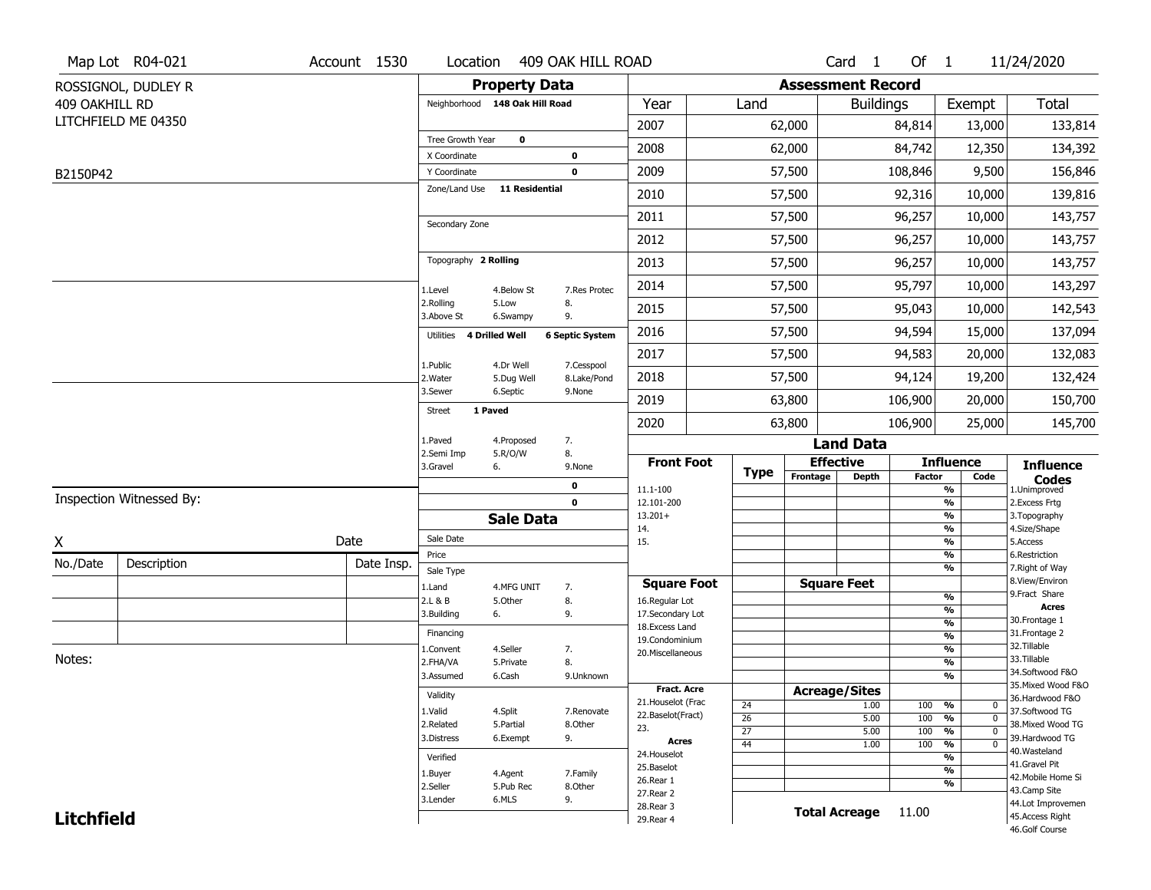|                   | Map Lot R04-021          | Account 1530 | Location                                     |                      | 409 OAK HILL ROAD      |                                    |                 |                      | Card <sub>1</sub>    | Of $1$                   |                                                      | 11/24/2020                           |
|-------------------|--------------------------|--------------|----------------------------------------------|----------------------|------------------------|------------------------------------|-----------------|----------------------|----------------------|--------------------------|------------------------------------------------------|--------------------------------------|
|                   | ROSSIGNOL, DUDLEY R      |              | <b>Property Data</b>                         |                      |                        |                                    |                 |                      |                      | <b>Assessment Record</b> |                                                      |                                      |
| 409 OAKHILL RD    |                          |              | Neighborhood 148 Oak Hill Road               |                      |                        | Year                               | Land            |                      | <b>Buildings</b>     |                          | Exempt                                               | <b>Total</b>                         |
|                   | LITCHFIELD ME 04350      |              |                                              |                      |                        | 2007                               |                 | 62,000               |                      | 84,814                   | 13,000                                               | 133,814                              |
|                   |                          |              | Tree Growth Year                             | $\mathbf 0$          |                        | 2008                               |                 | 62,000               |                      | 84,742                   | 12,350                                               | 134,392                              |
|                   |                          |              | X Coordinate                                 |                      | 0                      |                                    |                 |                      |                      |                          |                                                      |                                      |
| B2150P42          |                          |              | Y Coordinate<br>Zone/Land Use 11 Residential |                      | 0                      | 2009                               |                 | 57,500               |                      | 108,846                  | 9,500                                                | 156,846                              |
|                   |                          |              |                                              |                      |                        | 2010                               |                 | 57,500               |                      | 92,316                   | 10,000                                               | 139,816                              |
|                   |                          |              | Secondary Zone                               |                      |                        | 2011                               |                 | 57,500               |                      | 96,257                   | 10,000                                               | 143,757                              |
|                   |                          |              |                                              |                      |                        | 2012                               |                 | 57,500               |                      | 96,257                   | 10,000                                               | 143,757                              |
|                   |                          |              | Topography 2 Rolling                         |                      |                        | 2013                               |                 | 57,500               |                      | 96,257                   | 10,000                                               | 143,757                              |
|                   |                          |              | 1.Level                                      | 4.Below St           | 7.Res Protec           | 2014                               |                 | 57,500               |                      | 95,797                   | 10,000                                               | 143,297                              |
|                   |                          |              | 2.Rolling<br>3.Above St                      | 5.Low<br>6.Swampy    | 8.<br>9.               | 2015                               |                 | 57,500               |                      | 95,043                   | 10,000                                               | 142,543                              |
|                   |                          |              | 4 Drilled Well<br>Utilities                  |                      | <b>6 Septic System</b> | 2016                               |                 | 57,500               |                      | 94,594                   | 15,000                                               | 137,094                              |
|                   |                          |              | 1.Public                                     | 4.Dr Well            | 7.Cesspool             | 2017                               |                 | 57,500               | 94,583<br>94,124     |                          | 20,000                                               | 132,083                              |
|                   |                          |              | 2. Water                                     | 5.Dug Well           | 8.Lake/Pond            | 2018                               |                 | 57,500               |                      |                          | 19,200                                               | 132,424                              |
|                   |                          |              | 3.Sewer                                      | 6.Septic             | 9.None                 | 2019                               |                 | 63,800               |                      | 106,900                  | 20,000                                               | 150,700                              |
|                   |                          |              | 1 Paved<br><b>Street</b>                     |                      |                        | 2020                               |                 | 63,800               |                      | 106,900                  | 25,000                                               | 145,700                              |
|                   |                          |              | 1.Paved                                      | 4.Proposed           | 7.                     |                                    |                 |                      | <b>Land Data</b>     |                          |                                                      |                                      |
|                   |                          |              | 2.Semi Imp<br>3.Gravel                       | 5.R/O/W<br>6.        | 8.<br>9.None           | <b>Front Foot</b>                  | <b>Type</b>     | <b>Effective</b>     |                      |                          | <b>Influence</b>                                     | <b>Influence</b>                     |
|                   |                          |              |                                              |                      | 0                      | 11.1-100                           |                 | Frontage             | <b>Depth</b>         | <b>Factor</b>            | Code<br>%                                            | <b>Codes</b><br>1.Unimproved         |
|                   | Inspection Witnessed By: |              |                                              |                      | $\mathbf 0$            | 12.101-200                         |                 |                      |                      |                          | $\frac{9}{6}$                                        | 2. Excess Frtg                       |
|                   |                          |              |                                              | <b>Sale Data</b>     |                        | $13.201+$<br>14.                   |                 |                      |                      |                          | %<br>%                                               | 3. Topography<br>4.Size/Shape        |
| X                 |                          | Date         | Sale Date                                    |                      |                        | 15.                                |                 |                      |                      |                          | $\frac{9}{6}$                                        | 5.Access                             |
| No./Date          | Description              | Date Insp.   | Price<br>Sale Type                           |                      |                        |                                    |                 |                      |                      |                          | %<br>%                                               | 6.Restriction<br>7. Right of Way     |
|                   |                          |              | 1.Land                                       | 4.MFG UNIT           | 7.                     | <b>Square Foot</b>                 |                 |                      | <b>Square Feet</b>   |                          |                                                      | 8.View/Environ                       |
|                   |                          |              | 2.L & B                                      | 5.Other              | 8.                     | 16.Regular Lot                     |                 |                      |                      |                          | $\frac{9}{6}$<br>$\overline{\mathcal{O}_{\!\!/\!0}}$ | 9.Fract Share<br><b>Acres</b>        |
|                   |                          |              | 3.Building                                   | 6.                   | 9.                     | 17.Secondary Lot<br>18.Excess Land |                 |                      |                      |                          | $\frac{9}{6}$                                        | 30. Frontage 1                       |
|                   |                          |              | Financing                                    |                      |                        | 19.Condominium                     |                 |                      |                      |                          | $\overline{\frac{9}{6}}$                             | 31. Frontage 2<br>32.Tillable        |
| Notes:            |                          |              | 1.Convent<br>2.FHA/VA                        | 4.Seller             | 7.<br>8.               | 20.Miscellaneous                   |                 |                      |                      |                          | $\frac{9}{6}$<br>$\frac{9}{6}$                       | 33.Tillable                          |
|                   |                          |              | 3.Assumed                                    | 5.Private<br>6.Cash  | 9.Unknown              |                                    |                 |                      |                      |                          | $\frac{9}{6}$                                        | 34.Softwood F&O                      |
|                   |                          |              |                                              |                      |                        | <b>Fract. Acre</b>                 |                 | <b>Acreage/Sites</b> |                      |                          |                                                      | 35. Mixed Wood F&O                   |
|                   |                          |              | Validity                                     |                      |                        | 21. Houselot (Frac                 | 24              |                      | 1.00                 | 100                      | %<br>0                                               | 36.Hardwood F&O                      |
|                   |                          |              | 1.Valid<br>2.Related                         | 4.Split<br>5.Partial | 7.Renovate<br>8.Other  | 22.Baselot(Fract)                  | 26              |                      | 5.00                 | 100                      | $\frac{9}{6}$<br>$\mathbf 0$                         | 37.Softwood TG<br>38. Mixed Wood TG  |
|                   |                          |              | 3.Distress                                   | 6.Exempt             | 9.                     | 23.<br><b>Acres</b>                | $\overline{27}$ |                      | 5.00                 | 100                      | $\frac{9}{6}$<br>$\mathbf 0$                         | 39.Hardwood TG                       |
|                   |                          |              |                                              |                      |                        | 24. Houselot                       | $\overline{44}$ |                      | 1.00                 | 100                      | $\frac{9}{6}$<br>$\Omega$<br>$\frac{9}{6}$           | 40. Wasteland                        |
|                   |                          |              | Verified                                     |                      |                        | 25.Baselot                         |                 |                      |                      |                          | $\frac{9}{6}$                                        | 41.Gravel Pit                        |
|                   |                          |              | 1.Buyer<br>2.Seller                          | 4.Agent<br>5.Pub Rec | 7.Family<br>8.Other    | 26.Rear 1                          |                 |                      |                      |                          | %                                                    | 42. Mobile Home Si                   |
|                   |                          |              |                                              |                      |                        |                                    |                 |                      |                      |                          |                                                      | 43.Camp Site                         |
|                   |                          |              | 3.Lender                                     | 6.MLS                | 9.                     | 27.Rear 2                          |                 |                      |                      |                          |                                                      |                                      |
| <b>Litchfield</b> |                          |              |                                              |                      |                        | 28. Rear 3<br>29. Rear 4           |                 |                      | <b>Total Acreage</b> | 11.00                    |                                                      | 44.Lot Improvemen<br>45.Access Right |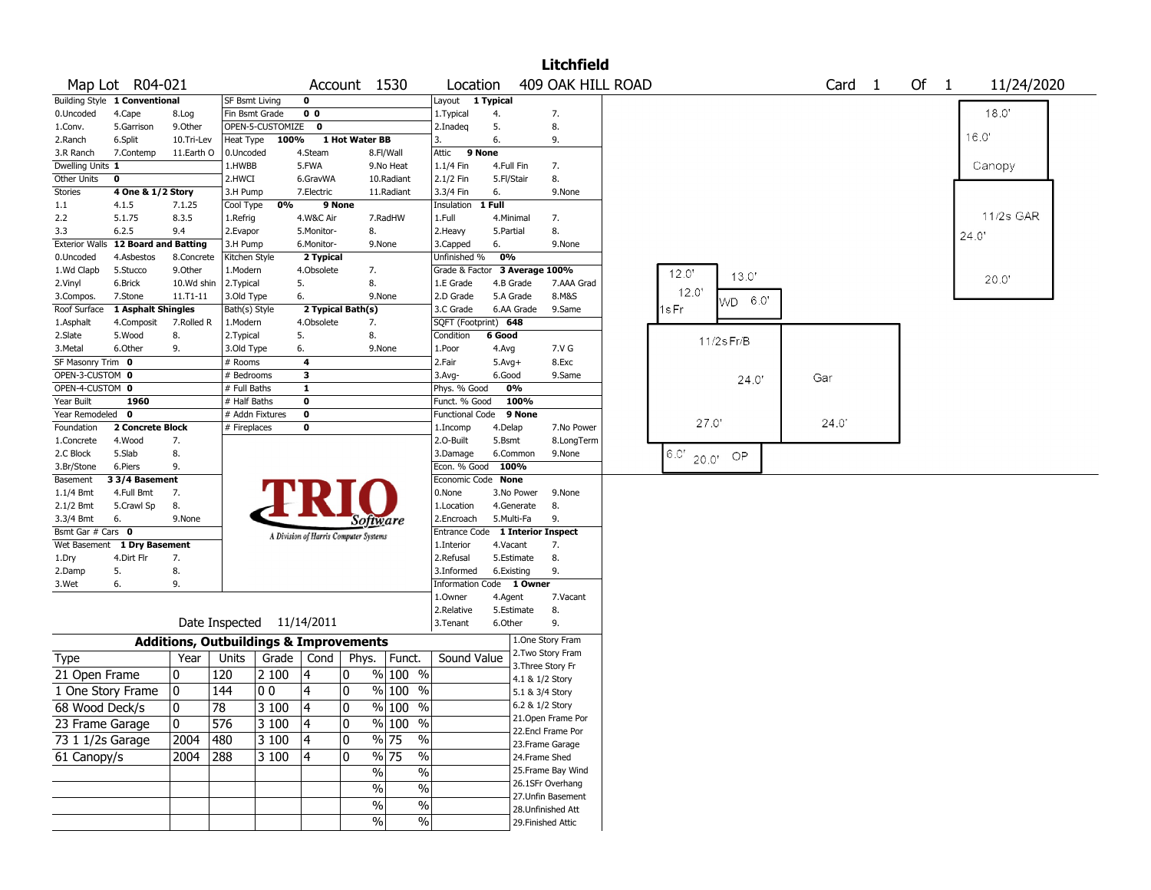|                         |                               |            |                                                   |                  |                                       |                |                                   |                                  |                  |                    | <b>Litchfield</b>                     |             |       |            |                   |  |        |       |            |  |
|-------------------------|-------------------------------|------------|---------------------------------------------------|------------------|---------------------------------------|----------------|-----------------------------------|----------------------------------|------------------|--------------------|---------------------------------------|-------------|-------|------------|-------------------|--|--------|-------|------------|--|
|                         | Map Lot R04-021               |            |                                                   |                  |                                       |                | Account 1530                      | Location                         |                  |                    | 409 OAK HILL ROAD                     |             |       |            | Card <sub>1</sub> |  | Of $1$ |       | 11/24/2020 |  |
|                         | Building Style 1 Conventional |            | SF Bsmt Living                                    |                  | $\mathbf 0$                           |                |                                   | Layout 1 Typical                 |                  |                    |                                       |             |       |            |                   |  |        |       |            |  |
| 0.Uncoded               | 4.Cape                        | 8.Log      | Fin Bsmt Grade                                    |                  | 0 <sub>0</sub>                        |                |                                   | 1. Typical                       | 4.               |                    | 7.                                    |             |       |            |                   |  |        |       | 18.0'      |  |
| 1.Conv.                 | 5.Garrison                    | 9.Other    |                                                   | OPEN-5-CUSTOMIZE | 0                                     |                |                                   | 2.Inadeq                         | 5.               |                    | 8.                                    |             |       |            |                   |  |        | 16.0' |            |  |
| 2.Ranch                 | 6.Split                       | 10.Tri-Lev | Heat Type                                         | 100%             |                                       | 1 Hot Water BB |                                   | 3.                               | 6.               |                    | 9.                                    |             |       |            |                   |  |        |       |            |  |
| 3.R Ranch               | 7.Contemp                     | 11.Earth O | 0.Uncoded                                         |                  | 4.Steam                               |                | 8.Fl/Wall                         | 9 None<br>Attic                  |                  |                    |                                       |             |       |            |                   |  |        |       |            |  |
| Dwelling Units 1        | $\mathbf 0$                   |            | 1.HWBB<br>2.HWCI                                  |                  | 5.FWA                                 |                | 9.No Heat                         | 1.1/4 Fin                        | 4.Full Fin       |                    | 7.<br>8.                              |             |       |            |                   |  |        |       | Canopy     |  |
| Other Units<br>Stories  | 4 One & 1/2 Story             |            | 3.H Pump                                          |                  | 6.GravWA<br>7.Electric                |                | 10.Radiant<br>11.Radiant          | 2.1/2 Fin<br>3.3/4 Fin           | 5.Fl/Stair<br>6. |                    | 9.None                                |             |       |            |                   |  |        |       |            |  |
| 1.1                     | 4.1.5                         | 7.1.25     | Cool Type                                         | 0%               | 9 None                                |                |                                   | Insulation 1 Full                |                  |                    |                                       |             |       |            |                   |  |        |       |            |  |
| 2.2                     | 5.1.75                        | 8.3.5      | 1.Refrig                                          |                  | 4.W&C Air                             |                | 7.RadHW                           | 1.Full                           | 4.Minimal        |                    | 7.                                    |             |       |            |                   |  |        |       | 11/2s GAR  |  |
| 3.3                     | 6.2.5                         | 9.4        | 2.Evapor                                          |                  | 5.Monitor-                            |                | 8.                                | 2. Heavy                         | 5.Partial        |                    | 8.                                    |             |       |            |                   |  |        |       |            |  |
| <b>Exterior Walls</b>   | <b>12 Board and Batting</b>   |            | 3.H Pump                                          |                  | 6.Monitor-                            |                | 9.None                            | 3.Capped                         | 6.               |                    | 9.None                                |             |       |            |                   |  |        | 24.0' |            |  |
| 0.Uncoded               | 4.Asbestos                    | 8.Concrete | Kitchen Style                                     |                  | 2 Typical                             |                |                                   | Unfinished %                     | 0%               |                    |                                       |             |       |            |                   |  |        |       |            |  |
| 1.Wd Clapb              | 5.Stucco                      | 9.Other    | 1.Modern                                          |                  | 4.Obsolete                            |                | 7.                                | Grade & Factor 3 Average 100%    |                  |                    |                                       | 12.0'       |       |            |                   |  |        |       |            |  |
| 2.Vinyl                 | 6.Brick                       | 10.Wd shin | 2. Typical                                        |                  | 5.                                    |                | 8.                                | 1.E Grade                        | 4.B Grade        |                    | 7.AAA Grad                            |             |       | 13.0'      |                   |  |        |       | 20.0"      |  |
| 3.Compos.               | 7.Stone                       | 11.T1-11   | 3.Old Type                                        |                  | 6.                                    |                | 9.None                            | 2.D Grade                        | 5.A Grade        |                    | 8.M&S                                 | 12.0        |       | WD 6.0'    |                   |  |        |       |            |  |
| Roof Surface            | 1 Asphalt Shingles            |            | Bath(s) Style                                     |                  | 2 Typical Bath(s)                     |                |                                   | 3.C Grade                        |                  | 6.AA Grade         | 9.Same                                | 1s Fr       |       |            |                   |  |        |       |            |  |
| 1.Asphalt               | 4.Composit                    | 7.Rolled R | 1.Modern                                          |                  | 4.Obsolete                            |                | 7.                                | SQFT (Footprint) 648             |                  |                    |                                       |             |       |            |                   |  |        |       |            |  |
| 2.Slate                 | 5.Wood                        | 8.         | 2. Typical                                        |                  | 5.                                    |                | 8.                                | Condition                        | 6 Good           |                    |                                       |             |       | 11/2s Fr/B |                   |  |        |       |            |  |
| 3. Metal                | 6.Other                       | 9.         | 3.Old Type                                        |                  | 6.                                    |                | 9.None                            | 1.Poor                           | 4.Avg            |                    | 7.V G                                 |             |       |            |                   |  |        |       |            |  |
| SF Masonry Trim 0       |                               |            | # Rooms                                           |                  | $\overline{\mathbf{4}}$               |                |                                   | 2.Fair                           | $5.Avg+$         |                    | 8.Exc                                 |             |       |            |                   |  |        |       |            |  |
| OPEN-3-CUSTOM 0         |                               |            | # Bedrooms                                        |                  | 3                                     |                |                                   | 3.Avg-                           | 6.Good           |                    | 9.Same                                |             |       | 24.0       | Gar               |  |        |       |            |  |
| OPEN-4-CUSTOM 0         |                               |            | # Full Baths                                      |                  | 1                                     |                |                                   | Phys. % Good                     | 0%               |                    |                                       |             |       |            |                   |  |        |       |            |  |
| Year Built              | 1960                          |            | # Half Baths                                      |                  | $\mathbf 0$                           |                |                                   | Funct. % Good                    |                  | 100%               |                                       |             |       |            |                   |  |        |       |            |  |
| Year Remodeled 0        |                               |            | # Addn Fixtures                                   |                  | $\mathbf 0$                           |                |                                   | <b>Functional Code</b>           |                  | 9 None             |                                       |             | 27.0' |            | 24.0              |  |        |       |            |  |
| Foundation              | 2 Concrete Block              |            | # Fireplaces                                      |                  | 0                                     |                |                                   | 1.Incomp                         | 4.Delap          |                    | 7.No Power                            |             |       |            |                   |  |        |       |            |  |
| 1.Concrete              | 4.Wood                        | 7.         |                                                   |                  |                                       |                |                                   | 2.O-Built                        | 5.Bsmt           |                    | 8.LongTerm                            |             |       |            |                   |  |        |       |            |  |
| 2.C Block<br>3.Br/Stone | 5.Slab<br>6.Piers             | 8.<br>9.   |                                                   |                  |                                       |                |                                   | 3.Damage<br>Econ. % Good         | 6.Common<br>100% |                    | 9.None                                | $6.0'$ 20.0 |       | OP         |                   |  |        |       |            |  |
| Basement                | 3 3/4 Basement                |            |                                                   |                  |                                       |                |                                   | Economic Code None               |                  |                    |                                       |             |       |            |                   |  |        |       |            |  |
| 1.1/4 Bmt               | 4.Full Bmt                    | 7.         |                                                   |                  |                                       |                |                                   | 0.None                           |                  | 3.No Power         | 9.None                                |             |       |            |                   |  |        |       |            |  |
| 2.1/2 Bmt               | 5.Crawl Sp                    | 8.         |                                                   |                  |                                       |                |                                   | 1.Location                       | 4.Generate       |                    | 8.                                    |             |       |            |                   |  |        |       |            |  |
| 3.3/4 Bmt               | 6.                            | 9.None     |                                                   |                  |                                       |                | Software                          | 2.Encroach                       | 5.Multi-Fa       |                    | 9.                                    |             |       |            |                   |  |        |       |            |  |
| Bsmt Gar # Cars 0       |                               |            |                                                   |                  | A Division of Harris Computer Systems |                |                                   | Entrance Code 1 Interior Inspect |                  |                    |                                       |             |       |            |                   |  |        |       |            |  |
|                         | Wet Basement 1 Dry Basement   |            |                                                   |                  |                                       |                |                                   | 1.Interior                       | 4.Vacant         |                    | 7.                                    |             |       |            |                   |  |        |       |            |  |
| 1.Dry                   | 4.Dirt Flr                    | 7.         |                                                   |                  |                                       |                |                                   | 2.Refusal                        | 5.Estimate       |                    | 8.                                    |             |       |            |                   |  |        |       |            |  |
| 2.Damp                  | 5.                            | 8.         |                                                   |                  |                                       |                |                                   | 3.Informed                       | 6.Existing       |                    | 9.                                    |             |       |            |                   |  |        |       |            |  |
| 3.Wet                   | 6.                            | 9.         |                                                   |                  |                                       |                |                                   | Information Code 1 Owner         |                  |                    |                                       |             |       |            |                   |  |        |       |            |  |
|                         |                               |            |                                                   |                  |                                       |                |                                   | 1.Owner                          | 4.Agent          |                    | 7.Vacant                              |             |       |            |                   |  |        |       |            |  |
|                         |                               |            |                                                   |                  |                                       |                |                                   | 2.Relative                       | 5.Estimate       |                    | 8.                                    |             |       |            |                   |  |        |       |            |  |
|                         |                               |            | Date Inspected 11/14/2011                         |                  |                                       |                |                                   | 3.Tenant                         | 6.Other          |                    | 9.                                    |             |       |            |                   |  |        |       |            |  |
|                         |                               |            | <b>Additions, Outbuildings &amp; Improvements</b> |                  |                                       |                |                                   |                                  |                  |                    | 1.One Story Fram<br>2. Two Story Fram |             |       |            |                   |  |        |       |            |  |
| Type                    |                               | Year       | Units                                             | Grade            |                                       |                | Cond   Phys.   Funct.             | Sound Value                      |                  | 3. Three Story Fr  |                                       |             |       |            |                   |  |        |       |            |  |
| 21 Open Frame           |                               | 0          | 120                                               | 2 100            | 14                                    | 0              | $%100$ %                          |                                  |                  | 4.1 & 1/2 Story    |                                       |             |       |            |                   |  |        |       |            |  |
| 1 One Story Frame       |                               | 0          | 144                                               | 00               | 4                                     | 10             | $%100$ %                          |                                  |                  | 5.1 & 3/4 Story    |                                       |             |       |            |                   |  |        |       |            |  |
| 68 Wood Deck/s          |                               | 0          | 78                                                | $ 3100\rangle$   | $\overline{14}$                       | 0              | % 100 %                           |                                  |                  | 6.2 & 1/2 Story    |                                       |             |       |            |                   |  |        |       |            |  |
| 23 Frame Garage         |                               | 0          | 576                                               | 3 100            | 4                                     | 10             | % 100 %                           |                                  |                  |                    | 21. Open Frame Por                    |             |       |            |                   |  |        |       |            |  |
| 73 1 1/2s Garage        |                               | 2004       | 480                                               | 3 100            | 4                                     | 10             | $\frac{9}{6}$ 75<br>$\%$          |                                  |                  |                    | 22.Encl Frame Por<br>23.Frame Garage  |             |       |            |                   |  |        |       |            |  |
| 61 Canopy/s             |                               | 2004       | 288                                               | 3 100            | 4                                     | 10             | $\frac{9}{6}$ 75<br>$\frac{1}{2}$ |                                  |                  | 24.Frame Shed      |                                       |             |       |            |                   |  |        |       |            |  |
|                         |                               |            |                                                   |                  |                                       |                | $\%$<br>$\frac{1}{2}$             |                                  |                  |                    | 25. Frame Bay Wind                    |             |       |            |                   |  |        |       |            |  |
|                         |                               |            |                                                   |                  |                                       |                |                                   |                                  |                  |                    | 26.1SFr Overhang                      |             |       |            |                   |  |        |       |            |  |
|                         |                               |            |                                                   |                  |                                       |                | $\frac{1}{2}$<br>$\%$             |                                  |                  |                    | 27.Unfin Basement                     |             |       |            |                   |  |        |       |            |  |
|                         |                               |            |                                                   |                  |                                       |                | $\frac{1}{2}$<br>$\%$             |                                  |                  |                    | 28. Unfinished Att                    |             |       |            |                   |  |        |       |            |  |
|                         |                               |            |                                                   |                  |                                       |                | $\frac{1}{2}$<br>$\%$             |                                  |                  | 29. Finished Attic |                                       |             |       |            |                   |  |        |       |            |  |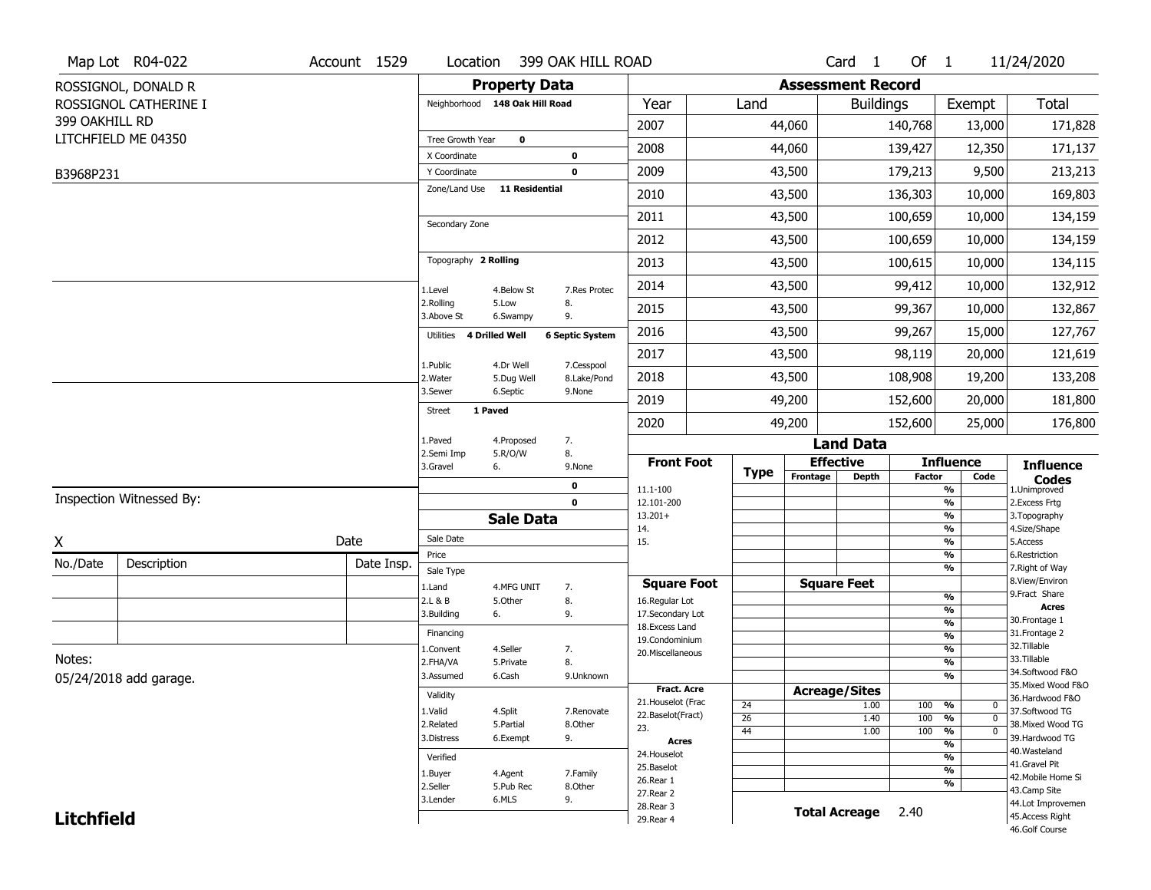|                   | Map Lot R04-022          | Account 1529 | Location                       |                       | 399 OAK HILL ROAD      |                                     |                 |          | Card <sub>1</sub>        | Of $1$        |                     | 11/24/2020                          |
|-------------------|--------------------------|--------------|--------------------------------|-----------------------|------------------------|-------------------------------------|-----------------|----------|--------------------------|---------------|---------------------|-------------------------------------|
|                   | ROSSIGNOL, DONALD R      |              | <b>Property Data</b>           |                       |                        |                                     |                 |          | <b>Assessment Record</b> |               |                     |                                     |
|                   | ROSSIGNOL CATHERINE I    |              | Neighborhood 148 Oak Hill Road |                       |                        | Year                                | Land            |          | <b>Buildings</b>         |               | Exempt              | <b>Total</b>                        |
| 399 OAKHILL RD    |                          |              |                                |                       |                        | 2007                                |                 | 44,060   |                          | 140,768       | 13,000              | 171,828                             |
|                   | LITCHFIELD ME 04350      |              | Tree Growth Year               | $\mathbf 0$           |                        | 2008                                |                 | 44,060   |                          | 139,427       | 12,350              | 171,137                             |
|                   |                          |              | X Coordinate<br>Y Coordinate   |                       | 0<br>0                 | 2009                                |                 | 43,500   |                          | 179,213       | 9,500               | 213,213                             |
| B3968P231         |                          |              | Zone/Land Use                  | <b>11 Residential</b> |                        | 2010                                |                 | 43,500   |                          | 136,303       | 10,000              | 169,803                             |
|                   |                          |              |                                |                       |                        |                                     |                 |          |                          |               |                     |                                     |
|                   |                          |              | Secondary Zone                 |                       |                        | 2011                                |                 | 43,500   |                          | 100,659       | 10,000              | 134,159                             |
|                   |                          |              |                                |                       |                        | 2012                                |                 | 43,500   |                          | 100,659       | 10,000              | 134,159                             |
|                   |                          |              | Topography 2 Rolling           |                       |                        | 2013                                |                 | 43,500   |                          | 100,615       | 10,000              | 134,115                             |
|                   |                          |              | 1.Level                        | 4.Below St            | 7.Res Protec           | 2014                                |                 | 43,500   |                          | 99,412        | 10,000              | 132,912                             |
|                   |                          |              | 2.Rolling<br>3.Above St        | 5.Low<br>6.Swampy     | 8.<br>9.               | 2015                                |                 | 43,500   |                          | 99,367        | 10,000              | 132,867                             |
|                   |                          |              | Utilities                      | 4 Drilled Well        | <b>6 Septic System</b> | 2016                                |                 | 43,500   | 99,267                   |               | 15,000              | 127,767                             |
|                   |                          |              | 1.Public                       | 4.Dr Well             | 7.Cesspool             | 2017                                |                 | 43,500   |                          | 98,119        | 20,000              | 121,619                             |
|                   |                          |              | 2. Water                       | 5.Dug Well            | 8.Lake/Pond            | 2018                                |                 | 43,500   | 108,908                  |               | 19,200              | 133,208                             |
|                   |                          |              | 3.Sewer                        | 6.Septic              | 9.None                 | 2019                                |                 | 49,200   |                          | 152,600       | 20,000              | 181,800                             |
|                   |                          |              | <b>Street</b>                  | 1 Paved               |                        | 2020                                |                 | 49,200   |                          | 152,600       | 25,000              | 176,800                             |
|                   |                          |              | 1.Paved                        | 4.Proposed            | 7.                     |                                     |                 |          | <b>Land Data</b>         |               |                     |                                     |
|                   |                          |              | 2.Semi Imp<br>3.Gravel         | 5.R/O/W<br>6.         | 8.<br>9.None           | <b>Front Foot</b>                   | <b>Type</b>     |          | <b>Effective</b>         |               | <b>Influence</b>    | <b>Influence</b>                    |
|                   |                          |              |                                |                       | 0                      | 11.1-100                            |                 | Frontage | Depth                    | <b>Factor</b> | Code<br>%           | <b>Codes</b><br>1.Unimproved        |
|                   | Inspection Witnessed By: |              |                                |                       | $\mathbf 0$            | 12.101-200                          |                 |          |                          |               | $\frac{9}{6}$       | 2.Excess Frtg                       |
|                   |                          |              |                                | <b>Sale Data</b>      |                        | $13.201+$<br>14.                    |                 |          |                          |               | %<br>$\frac{9}{6}$  | 3. Topography<br>4.Size/Shape       |
| X                 |                          | Date         | Sale Date                      |                       |                        | 15.                                 |                 |          |                          |               | %                   | 5.Access                            |
| No./Date          | Description              | Date Insp.   | Price<br>Sale Type             |                       |                        |                                     |                 |          |                          |               | %<br>%              | 6.Restriction<br>7. Right of Way    |
|                   |                          |              | 1.Land                         | 4.MFG UNIT            | 7.                     | <b>Square Foot</b>                  |                 |          | <b>Square Feet</b>       |               |                     | 8.View/Environ                      |
|                   |                          |              | 2.L & B                        | 5.Other               | 8.                     | 16.Regular Lot                      |                 |          |                          |               | $\frac{9}{6}$       | 9.Fract Share<br><b>Acres</b>       |
|                   |                          |              | 3.Building                     | 6.                    | 9.                     | 17.Secondary Lot<br>18. Excess Land |                 |          |                          |               | %<br>$\frac{9}{6}$  | 30. Frontage 1                      |
|                   |                          |              | Financing                      |                       |                        | 19.Condominium                      |                 |          |                          |               | $\frac{9}{6}$       | 31. Frontage 2                      |
| Notes:            |                          |              | 1.Convent                      | 4.Seller              | 7.                     | 20.Miscellaneous                    |                 |          |                          |               | $\frac{9}{6}$       | 32.Tillable<br>33.Tillable          |
|                   |                          |              | 2.FHA/VA<br>3.Assumed          | 5.Private<br>6.Cash   | 8.                     |                                     |                 |          |                          |               | $\frac{9}{6}$<br>%  | 34.Softwood F&O                     |
|                   | 05/24/2018 add garage.   |              |                                |                       | 9.Unknown              | <b>Fract. Acre</b>                  |                 |          | <b>Acreage/Sites</b>     |               |                     | 35. Mixed Wood F&O                  |
|                   |                          |              | Validity                       |                       |                        | 21. Houselot (Frac                  | 24              |          | 1.00                     | 100           | %<br>0              | 36.Hardwood F&O                     |
|                   |                          |              | 1.Valid                        | 4.Split               | 7.Renovate             | 22.Baselot(Fract)                   | $\overline{26}$ |          | 1.40                     | 100           | $\overline{0}$<br>% | 37.Softwood TG                      |
|                   |                          |              | 2.Related                      | 5.Partial             | 8.Other                | 23.                                 | 44              |          | 1.00                     | 100           | $\overline{0}$<br>% | 38. Mixed Wood TG<br>39.Hardwood TG |
|                   |                          |              | 3.Distress                     | 6.Exempt              | 9.                     | <b>Acres</b>                        |                 |          |                          |               | %                   | 40. Wasteland                       |
|                   |                          |              | Verified                       |                       |                        | 24. Houselot<br>25.Baselot          |                 |          |                          |               | %                   | 41.Gravel Pit                       |
|                   |                          |              | 1.Buyer                        | 4.Agent               | 7.Family               | 26.Rear 1                           |                 |          |                          |               | $\frac{9}{6}$<br>%  | 42. Mobile Home Si                  |
|                   |                          |              | 2.Seller                       | 5.Pub Rec             | 8.Other                | 27.Rear 2                           |                 |          |                          |               |                     | 43.Camp Site                        |
|                   |                          |              | 3.Lender                       | 6.MLS                 | 9.                     | 28.Rear 3                           |                 |          | <b>Total Acreage</b>     | 2.40          |                     | 44.Lot Improvemen                   |
| <b>Litchfield</b> |                          |              |                                |                       |                        | 29. Rear 4                          |                 |          |                          |               |                     | 45.Access Right<br>46.Golf Course   |